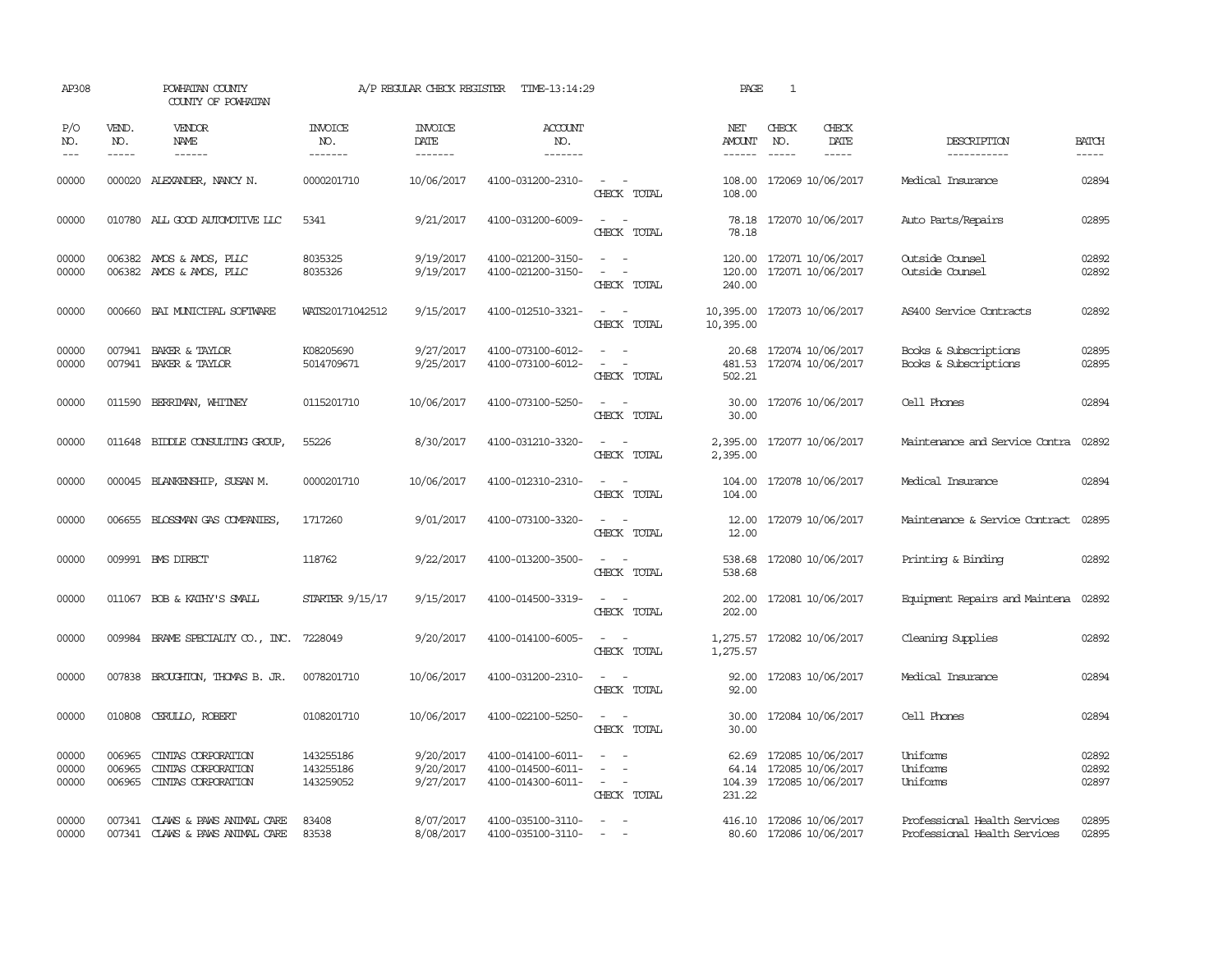| AP308                   |                             | POWHATAN COUNTY<br>COUNTY OF POWHATAN                          |                                     | A/P REGULAR CHECK REGISTER          | TIME-13:14:29                                               |                                                                                                                             | PAGE                           | 1                                                                  |                                                              |                         |
|-------------------------|-----------------------------|----------------------------------------------------------------|-------------------------------------|-------------------------------------|-------------------------------------------------------------|-----------------------------------------------------------------------------------------------------------------------------|--------------------------------|--------------------------------------------------------------------|--------------------------------------------------------------|-------------------------|
| P/O<br>NO.<br>$---$     | VEND.<br>NO.<br>$- - - - -$ | <b>VENDOR</b><br>NAME<br>------                                | <b>INVOICE</b><br>NO.<br>-------    | <b>INVOICE</b><br>DATE<br>-------   | <b>ACCOUNT</b><br>NO.<br>-------                            |                                                                                                                             | NET<br><b>AMOUNT</b><br>------ | CHECK<br>CHECK<br>DATE<br>NO.<br>$- - - - -$<br>$- - - - -$        | DESCRIPTION<br>-----------                                   | <b>BATCH</b><br>-----   |
| 00000                   |                             | 000020 ALEXANDER, NANCY N.                                     | 0000201710                          | 10/06/2017                          | 4100-031200-2310-                                           | $\frac{1}{2} \left( \frac{1}{2} \right) \left( \frac{1}{2} \right) = \frac{1}{2} \left( \frac{1}{2} \right)$<br>CHECK TOTAL | 108.00<br>108.00               | 172069 10/06/2017                                                  | Medical Insurance                                            | 02894                   |
| 00000                   |                             | 010780 ALL GOOD AUTOMOTIVE LLC                                 | 5341                                | 9/21/2017                           | 4100-031200-6009-                                           | $\sim$ 10 $\sim$ 10 $\sim$<br>CHECK TOTAL                                                                                   | 78.18                          | 78.18 172070 10/06/2017                                            | Auto Parts/Repairs                                           | 02895                   |
| 00000<br>00000          |                             | 006382 AMOS & AMOS, PLLC<br>006382 AMOS & AMOS, PLLC           | 8035325<br>8035326                  | 9/19/2017<br>9/19/2017              | 4100-021200-3150-<br>4100-021200-3150-                      | $\sim$<br>$\sim$<br>$\sim$<br>$\overline{\phantom{a}}$<br>CHECK TOTAL                                                       | 120.00<br>240.00               | 120.00 172071 10/06/2017<br>172071 10/06/2017                      | Outside Counsel<br>Outside Counsel                           | 02892<br>02892          |
| 00000                   | 000660                      | BAI MUNICIPAL SOFTWARE                                         | WATS20171042512                     | 9/15/2017                           | 4100-012510-3321-                                           | $\sim$ $ -$<br>CHECK TOTAL                                                                                                  | 10,395.00<br>10,395.00         | 172073 10/06/2017                                                  | AS400 Service Contracts                                      | 02892                   |
| 00000<br>00000          |                             | 007941 BAKER & TAYLOR<br>007941 BAKER & TAYLOR                 | K08205690<br>5014709671             | 9/27/2017<br>9/25/2017              | 4100-073100-6012-<br>4100-073100-6012-                      | $\sim$<br>$\sim$<br>CHECK TOTAL                                                                                             | 481.53<br>502.21               | 20.68 172074 10/06/2017<br>172074 10/06/2017                       | Books & Subscriptions<br>Books & Subscriptions               | 02895<br>02895          |
| 00000                   | 011590                      | BERRIMAN, WHITNEY                                              | 0115201710                          | 10/06/2017                          | 4100-073100-5250-                                           | $\sim$<br>CHECK TOTAL                                                                                                       | 30.00<br>30.00                 | 172076 10/06/2017                                                  | Cell Phones                                                  | 02894                   |
| 00000                   |                             | 011648 BIDDLE CONSULTING GROUP,                                | 55226                               | 8/30/2017                           | 4100-031210-3320-                                           | $\sim$ 100 $\sim$ 100 $\sim$<br>CHECK TOTAL                                                                                 | 2,395.00                       | 2,395.00 172077 10/06/2017                                         | Maintenance and Service Contra                               | 02892                   |
| 00000                   |                             | 000045 BLANKENSHIP, SUSAN M.                                   | 0000201710                          | 10/06/2017                          | 4100-012310-2310-                                           | $ -$<br>CHECK TOTAL                                                                                                         | 104.00                         | 104.00 172078 10/06/2017                                           | Medical Insurance                                            | 02894                   |
| 00000                   |                             | 006655 BLOSSMAN GAS COMPANIES,                                 | 1717260                             | 9/01/2017                           | 4100-073100-3320-                                           | $\sim$ $\sim$<br>CHECK TOTAL                                                                                                | 12.00<br>12.00                 | 172079 10/06/2017                                                  | Maintenance & Service Contract                               | 02895                   |
| 00000                   |                             | 009991 BMS DIRECT                                              | 118762                              | 9/22/2017                           | 4100-013200-3500-                                           | $\sim$ 100 $\sim$<br>CHECK TOTAL                                                                                            | 538.68                         | 538.68 172080 10/06/2017                                           | Printing & Binding                                           | 02892                   |
| 00000                   |                             | 011067 BOB & KATHY'S SMALL                                     | STARTER 9/15/17                     | 9/15/2017                           | 4100-014500-3319-                                           | $\sim$ $\sim$<br>CHECK TOTAL                                                                                                | 202.00                         | 202.00 172081 10/06/2017                                           | Equipment Repairs and Maintena 02892                         |                         |
| 00000                   | 009984                      | BRAME SPECIALITY CO., INC.                                     | 7228049                             | 9/20/2017                           | 4100-014100-6005-                                           | CHECK TOTAL                                                                                                                 | 1,275.57<br>1,275.57           | 172082 10/06/2017                                                  | Cleaning Supplies                                            | 02892                   |
| 00000                   |                             | 007838 BROUGHTON, THOMAS B. JR.                                | 0078201710                          | 10/06/2017                          | 4100-031200-2310-                                           | $\sim$<br>CHECK TOTAL                                                                                                       | 92.00<br>92.00                 | 172083 10/06/2017                                                  | Medical Insurance                                            | 02894                   |
| 00000                   |                             | 010808 CERULLO, ROBERT                                         | 0108201710                          | 10/06/2017                          | 4100-022100-5250-                                           | $\sim$ 10 $\sim$ 10 $\sim$<br>CHECK TOTAL                                                                                   | 30.00<br>30.00                 | 172084 10/06/2017                                                  | Cell Phones                                                  | 02894                   |
| 00000<br>00000<br>00000 | 006965<br>006965<br>006965  | CINIAS CORPORATION<br>CINIAS CORPORATION<br>CINIAS CORPORATION | 143255186<br>143255186<br>143259052 | 9/20/2017<br>9/20/2017<br>9/27/2017 | 4100-014100-6011-<br>4100-014500-6011-<br>4100-014300-6011- | $\sim$<br>$\sim$ $ \sim$<br>CHECK TOTAL                                                                                     | 62.69<br>64.14<br>231.22       | 172085 10/06/2017<br>172085 10/06/2017<br>104.39 172085 10/06/2017 | Uniforms<br>Uniforms<br>Uniforms                             | 02892<br>02892<br>02897 |
| 00000<br>00000          | 007341                      | 007341 CLAWS & PAWS ANIMAL CARE<br>CLAWS & PAWS ANIMAL CARE    | 83408<br>83538                      | 8/07/2017<br>8/08/2017              | 4100-035100-3110-<br>4100-035100-3110-                      | $\overline{\phantom{a}}$<br>$\equiv$                                                                                        |                                | 416.10 172086 10/06/2017<br>80.60 172086 10/06/2017                | Professional Health Services<br>Professional Health Services | 02895<br>02895          |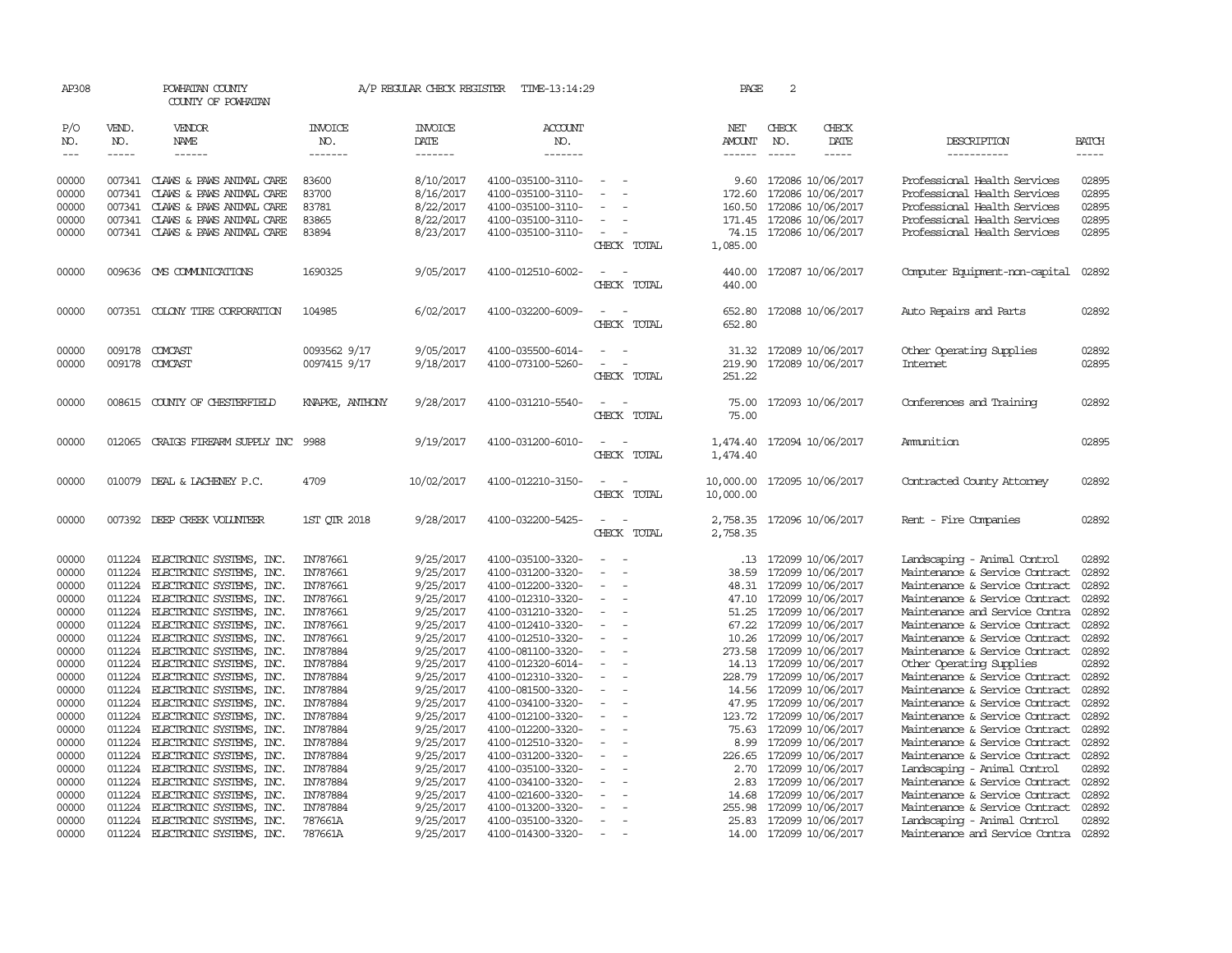| AP308                       |                               | POWHATAN COUNTY<br>COUNTY OF POWHATAN                |                           | A/P REGULAR CHECK REGISTER        | TIME-13:14:29                          |                          | PAGE          | 2                             |                                              |                                                                  |                             |
|-----------------------------|-------------------------------|------------------------------------------------------|---------------------------|-----------------------------------|----------------------------------------|--------------------------|---------------|-------------------------------|----------------------------------------------|------------------------------------------------------------------|-----------------------------|
| P/O<br>NO.<br>$\frac{1}{2}$ | VEND.<br>NO.<br>$\frac{1}{2}$ | <b>VENDOR</b><br>NAME<br>------                      | INVOICE<br>NO.<br>------- | <b>INVOICE</b><br>DATE<br>------- | <b>ACCOUNT</b><br>NO.<br>-------       |                          | NET<br>AMOUNT | CHECK<br>NO.<br>$\frac{1}{2}$ | CHECK<br>DATE<br>-----                       | DESCRIPTION<br>-----------                                       | <b>BATCH</b><br>$- - - - -$ |
|                             |                               |                                                      |                           |                                   |                                        |                          | $- - - - - -$ |                               |                                              |                                                                  |                             |
| 00000                       |                               | 007341 CLAWS & PAWS ANIMAL CARE                      | 83600                     | 8/10/2017                         | 4100-035100-3110-                      | $\overline{\phantom{a}}$ | 9.60          |                               | 172086 10/06/2017                            | Professional Health Services                                     | 02895                       |
| 00000                       | 007341                        | CLAWS & PAWS ANIMAL CARE                             | 83700                     | 8/16/2017                         | 4100-035100-3110-                      | $\overline{\phantom{a}}$ | 172.60        |                               | 172086 10/06/2017                            | Professional Health Services                                     | 02895                       |
| 00000                       | 007341                        | CLAWS & PAWS ANIMAL CARE                             | 83781                     | 8/22/2017                         | 4100-035100-3110-                      |                          | 160.50        |                               | 172086 10/06/2017                            | Professional Health Services                                     | 02895                       |
| 00000                       |                               | 007341 CLAWS & PAWS ANIMAL CARE                      | 83865                     | 8/22/2017                         | 4100-035100-3110-                      | $\sim$                   | 171.45        |                               | 172086 10/06/2017                            | Professional Health Services                                     | 02895                       |
| 00000                       |                               | 007341 CLAWS & PAWS ANIMAL CARE                      | 83894                     | 8/23/2017                         | 4100-035100-3110-                      | $\overline{\phantom{a}}$ | 74.15         |                               | 172086 10/06/2017                            | Professional Health Services                                     | 02895                       |
|                             |                               |                                                      |                           |                                   |                                        | CHECK TOTAL              | 1,085.00      |                               |                                              |                                                                  |                             |
| 00000                       |                               | 009636 CMS COMMUNICATIONS                            | 1690325                   | 9/05/2017                         | 4100-012510-6002-                      |                          | 440.00        |                               | 172087 10/06/2017                            | Computer Equipment-non-capital                                   | 02892                       |
|                             |                               |                                                      |                           |                                   |                                        | CHECK TOTAL              | 440.00        |                               |                                              |                                                                  |                             |
| 00000                       |                               | 007351 COLONY TIRE CORPORATION                       | 104985                    | 6/02/2017                         | 4100-032200-6009-                      |                          | 652.80        |                               | 172088 10/06/2017                            | Auto Repairs and Parts                                           | 02892                       |
|                             |                               |                                                      |                           |                                   |                                        | CHECK TOTAL              | 652.80        |                               |                                              |                                                                  |                             |
| 00000                       |                               | 009178 COMCAST                                       | 0093562 9/17              | 9/05/2017                         | 4100-035500-6014-                      |                          | 31.32         |                               | 172089 10/06/2017                            | Other Operating Supplies                                         | 02892                       |
| 00000                       | 009178                        | COMCAST                                              | 0097415 9/17              | 9/18/2017                         | 4100-073100-5260-                      |                          | 219.90        |                               | 172089 10/06/2017                            | <b>Internet</b>                                                  | 02895                       |
|                             |                               |                                                      |                           |                                   |                                        | CHECK TOTAL              | 251.22        |                               |                                              |                                                                  |                             |
| 00000                       |                               | 008615 COUNTY OF CHESTERFIELD                        | KNAPKE, ANTHONY           | 9/28/2017                         | 4100-031210-5540-                      | $\overline{\phantom{a}}$ | 75.00         |                               | 172093 10/06/2017                            | Conferences and Training                                         | 02892                       |
|                             |                               |                                                      |                           |                                   |                                        | CHECK<br>TOTAL           | 75.00         |                               |                                              |                                                                  |                             |
| 00000                       |                               | 012065 CRAIGS FIREARM SUPPLY INC                     | 9988                      | 9/19/2017                         | 4100-031200-6010-                      |                          |               |                               | 1,474.40 172094 10/06/2017                   | Ammition                                                         | 02895                       |
|                             |                               |                                                      |                           |                                   |                                        | CHECK<br>TOTAL           | 1,474.40      |                               |                                              |                                                                  |                             |
| 00000                       |                               | 010079 DEAL & LACHENEY P.C.                          | 4709                      | 10/02/2017                        | 4100-012210-3150-                      | $\overline{\phantom{a}}$ | 10,000.00     |                               | 172095 10/06/2017                            | Contracted County Attomey                                        | 02892                       |
|                             |                               |                                                      |                           |                                   |                                        | CHECK TOTAL              | 10,000.00     |                               |                                              |                                                                  |                             |
| 00000                       |                               | 007392 DEEP CREEK VOLUNTEER                          | 1ST QTR 2018              | 9/28/2017                         | 4100-032200-5425-                      | $\sim$                   | 2,758.35      |                               | 172096 10/06/2017                            | Rent - Fire Companies                                            | 02892                       |
|                             |                               |                                                      |                           |                                   |                                        | CHECK TOTAL              | 2,758.35      |                               |                                              |                                                                  |                             |
| 00000                       | 011224                        | ELECTRONIC SYSTEMS, INC.                             | IN787661                  | 9/25/2017                         | 4100-035100-3320-                      |                          |               |                               | .13 172099 10/06/2017                        | Landscaping - Animal Control                                     | 02892                       |
| 00000                       | 011224                        | ELECTRONIC SYSTEMS, INC.                             | IN787661                  | 9/25/2017                         | 4100-031200-3320-                      | $\sim$<br>$\overline{a}$ | 38.59         |                               | 172099 10/06/2017                            | Maintenance & Service Contract                                   | 02892                       |
| 00000                       | 011224                        | ELECTRONIC SYSTEMS, INC.                             | IN787661                  | 9/25/2017                         | 4100-012200-3320-                      | $\overline{\phantom{a}}$ | 48.31         |                               | 172099 10/06/2017                            | Maintenance & Service Contract                                   | 02892                       |
| 00000                       | 011224                        | ELECTRONIC SYSTEMS, INC.                             | IN787661                  | 9/25/2017                         | 4100-012310-3320-                      |                          |               |                               | 47.10 172099 10/06/2017                      | Maintenance & Service Contract                                   | 02892                       |
| 00000                       | 011224                        | ELECTRONIC SYSTEMS, INC.                             | IN787661                  | 9/25/2017                         | 4100-031210-3320-                      |                          |               |                               | 51.25 172099 10/06/2017                      | Maintenance and Service Contra                                   | 02892                       |
| 00000                       |                               | 011224 ELECTRONIC SYSTEMS, INC.                      | IN787661                  | 9/25/2017                         | 4100-012410-3320-                      | $\overline{\phantom{a}}$ |               |                               | 67.22 172099 10/06/2017                      | Maintenance & Service Contract                                   | 02892                       |
| 00000                       | 011224                        | ELECTRONIC SYSTEMS, INC.                             | IN787661                  | 9/25/2017                         | 4100-012510-3320-                      |                          | 10.26         |                               | 172099 10/06/2017                            | Maintenance & Service Contract                                   | 02892                       |
| 00000                       | 011224                        | ELECTRONIC SYSTEMS, INC.                             | IN787884                  | 9/25/2017                         | 4100-081100-3320-                      |                          |               |                               | 273.58 172099 10/06/2017                     | Maintenance & Service Contract                                   | 02892                       |
| 00000                       | 011224                        | ELECTRONIC SYSTEMS, INC.                             | IN787884                  | 9/25/2017                         | 4100-012320-6014-                      | $\equiv$                 |               |                               | 14.13 172099 10/06/2017                      | Other Operating Supplies                                         | 02892                       |
| 00000                       | 011224                        | 011224 ELECTRONIC SYSTEMS, INC.                      | IN787884                  | 9/25/2017<br>9/25/2017            | 4100-012310-3320-                      |                          |               |                               | 228.79 172099 10/06/2017                     | Maintenance & Service Contract<br>Maintenance & Service Contract | 02892<br>02892              |
| 00000<br>00000              | 011224                        | ELECTRONIC SYSTEMS, INC.<br>ELECTRONIC SYSTEMS, INC. | IN787884<br>IN787884      | 9/25/2017                         | 4100-081500-3320-<br>4100-034100-3320- | $\overline{\phantom{a}}$ | 47.95         |                               | 14.56 172099 10/06/2017<br>172099 10/06/2017 | Maintenance & Service Contract                                   | 02892                       |
| 00000                       | 011224                        | ELECTRONIC SYSTEMS, INC.                             | IN787884                  | 9/25/2017                         | 4100-012100-3320-                      | $\equiv$                 |               |                               | 123.72 172099 10/06/2017                     | Maintenance & Service Contract                                   | 02892                       |
| 00000                       | 011224                        | ELECTRONIC SYSTEMS, INC.                             | IN787884                  | 9/25/2017                         | 4100-012200-3320-                      | $\overline{\phantom{a}}$ | 75.63         |                               | 172099 10/06/2017                            | Maintenance & Service Contract                                   | 02892                       |
| 00000                       | 011224                        | ELECTRONIC SYSTEMS, INC.                             | IN787884                  | 9/25/2017                         | 4100-012510-3320-                      |                          | 8.99          |                               | 172099 10/06/2017                            | Maintenance & Service Contract                                   | 02892                       |
| 00000                       | 011224                        | ELECTRONIC SYSTEMS, INC.                             | IN787884                  | 9/25/2017                         | 4100-031200-3320-                      | $\overline{\phantom{a}}$ | 226.65        |                               | 172099 10/06/2017                            | Maintenance & Service Contract                                   | 02892                       |
| 00000                       | 011224                        | ELECTRONIC SYSTEMS, INC.                             | IN787884                  | 9/25/2017                         | 4100-035100-3320-                      | $\overline{\phantom{a}}$ | 2.70          |                               | 172099 10/06/2017                            | Landscaping - Animal Control                                     | 02892                       |
| 00000                       | 011224                        | ELECTRONIC SYSTEMS, INC.                             | IN787884                  | 9/25/2017                         | 4100-034100-3320-                      |                          | 2.83          |                               | 172099 10/06/2017                            | Maintenance & Service Contract                                   | 02892                       |
| 00000                       | 011224                        | ELECTRONIC SYSTEMS, INC.                             | IN787884                  | 9/25/2017                         | 4100-021600-3320-                      |                          | 14.68         |                               | 172099 10/06/2017                            | Maintenance & Service Contract                                   | 02892                       |
| 00000                       | 011224                        | ELECTRONIC SYSTEMS, INC.                             | IN787884                  | 9/25/2017                         | 4100-013200-3320-                      |                          | 255.98        |                               | 172099 10/06/2017                            | Maintenance & Service Contract                                   | 02892                       |
| 00000                       | 011224                        | ELECTRONIC SYSTEMS, INC.                             | 787661A                   | 9/25/2017                         | 4100-035100-3320-                      | $\overline{\phantom{a}}$ |               |                               | 25.83 172099 10/06/2017                      | Landscaping - Animal Control                                     | 02892                       |
| 00000                       | 011224                        | ELECTRONIC SYSTEMS, INC.                             | 787661A                   | 9/25/2017                         | 4100-014300-3320-                      |                          |               |                               | 14.00 172099 10/06/2017                      | Maintenance and Service Contra                                   | 02892                       |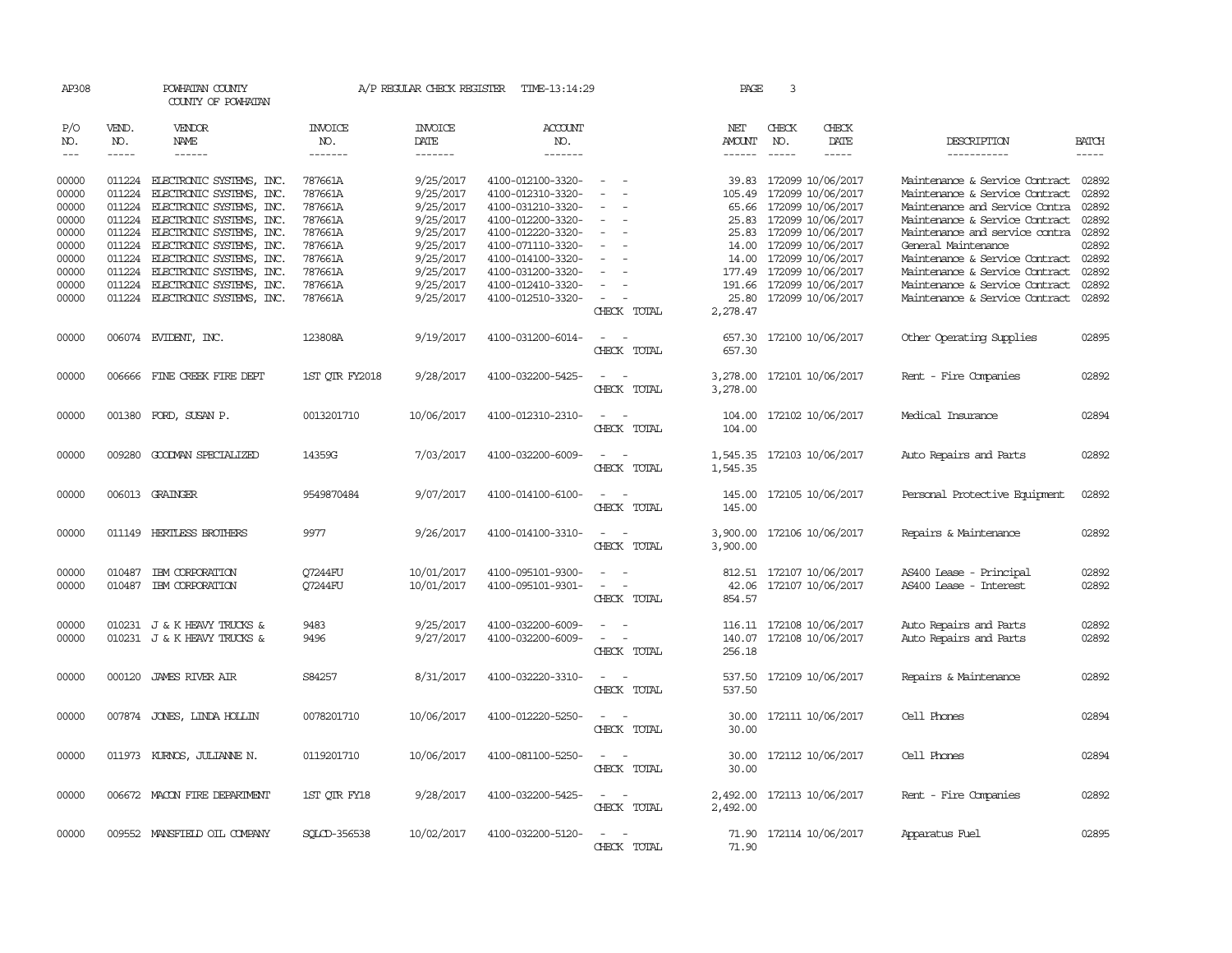| AP308                                                                |                                      | POWHATAN COUNTY<br>COUNTY OF POWHATAN                                                                                                                                                                                                                    |                                                                                      | A/P REGULAR CHECK REGISTER TIME-13:14:29                                                             |                                                                                                                                                                      |                                                                                                          | PAGE                           | 3                           |                                                                                                                                                                                                            |                                                                                                                                                                                                                                                                         |                                                             |
|----------------------------------------------------------------------|--------------------------------------|----------------------------------------------------------------------------------------------------------------------------------------------------------------------------------------------------------------------------------------------------------|--------------------------------------------------------------------------------------|------------------------------------------------------------------------------------------------------|----------------------------------------------------------------------------------------------------------------------------------------------------------------------|----------------------------------------------------------------------------------------------------------|--------------------------------|-----------------------------|------------------------------------------------------------------------------------------------------------------------------------------------------------------------------------------------------------|-------------------------------------------------------------------------------------------------------------------------------------------------------------------------------------------------------------------------------------------------------------------------|-------------------------------------------------------------|
| P/O<br>NO.<br>$---$                                                  | VEND.<br>NO.<br>$- - - - -$          | VENDOR<br>NAME                                                                                                                                                                                                                                           | INVOICE<br>NO.<br>--------                                                           | INVOICE<br>DATE<br>--------                                                                          | <b>ACCOUNT</b><br>NO.<br>-------                                                                                                                                     |                                                                                                          | NET<br>AMOUNT<br>$- - - - - -$ | CHECK<br>NO.<br>$- - - - -$ | CHECK<br>DATE<br>$\frac{1}{2}$                                                                                                                                                                             | DESCRIPTION<br>-----------                                                                                                                                                                                                                                              | <b>BATCH</b><br>$\frac{1}{2}$                               |
| 00000<br>00000<br>00000<br>00000<br>00000<br>00000<br>00000<br>00000 | 011224<br>011224<br>011224<br>011224 | ELECTRONIC SYSTEMS, INC.<br>ELECTRONIC SYSTEMS, INC.<br>011224 ELECTRONIC SYSTEMS, INC.<br>011224 ELECTRONIC SYSTEMS, INC.<br>ELECTRONIC SYSTEMS, INC.<br>011224 ELECTRONIC SYSTEMS, INC.<br>011224 ELECTRONIC SYSTEMS, INC.<br>ELECTRONIC SYSTEMS, INC. | 787661A<br>787661A<br>787661A<br>787661A<br>787661A<br>787661A<br>787661A<br>787661A | 9/25/2017<br>9/25/2017<br>9/25/2017<br>9/25/2017<br>9/25/2017<br>9/25/2017<br>9/25/2017<br>9/25/2017 | 4100-012100-3320-<br>4100-012310-3320-<br>4100-031210-3320-<br>4100-012200-3320-<br>4100-012220-3320-<br>4100-071110-3320-<br>4100-014100-3320-<br>4100-031200-3320- | $\equiv$<br>$\sim$<br>$\sim$<br>$\equiv$<br>$\sim$                                                       | 39.83<br>14.00                 |                             | 172099 10/06/2017<br>105.49 172099 10/06/2017<br>65.66 172099 10/06/2017<br>25.83 172099 10/06/2017<br>25.83 172099 10/06/2017<br>14.00 172099 10/06/2017<br>172099 10/06/2017<br>177.49 172099 10/06/2017 | Maintenance & Service Contract<br>Maintenance & Service Contract<br>Maintenance and Service Contra<br>Maintenance & Service Contract<br>Maintenance and service contra 02892<br>General Maintenance<br>Maintenance & Service Contract<br>Maintenance & Service Contract | 02892<br>02892<br>02892<br>02892<br>02892<br>02892<br>02892 |
| 00000<br>00000                                                       | 011224                               | ELECTRONIC SYSTEMS, INC.<br>011224 ELECTRONIC SYSTEMS, INC.                                                                                                                                                                                              | 787661A<br>787661A                                                                   | 9/25/2017<br>9/25/2017                                                                               | 4100-012410-3320-<br>4100-012510-3320-                                                                                                                               | $\equiv$<br>$\overline{\phantom{0}}$<br>CHECK TOTAL                                                      | 2,278.47                       |                             | 191.66 172099 10/06/2017<br>25.80 172099 10/06/2017                                                                                                                                                        | Maintenance & Service Contract<br>Maintenance & Service Contract                                                                                                                                                                                                        | 02892<br>02892                                              |
| 00000                                                                |                                      | 006074 EVIDENT, INC.                                                                                                                                                                                                                                     | 123808A                                                                              | 9/19/2017                                                                                            | 4100-031200-6014-                                                                                                                                                    | CHECK TOTAL                                                                                              | 657.30                         |                             | 657.30 172100 10/06/2017                                                                                                                                                                                   | Other Operating Supplies                                                                                                                                                                                                                                                | 02895                                                       |
| 00000                                                                |                                      | 006666 FINE CREEK FIRE DEPT                                                                                                                                                                                                                              | 1ST QTR FY2018                                                                       | 9/28/2017                                                                                            | 4100-032200-5425-                                                                                                                                                    | $\sim$<br>CHECK TOTAL                                                                                    | 3,278.00                       |                             | 3,278.00 172101 10/06/2017                                                                                                                                                                                 | Rent - Fire Companies                                                                                                                                                                                                                                                   | 02892                                                       |
| 00000                                                                |                                      | 001380 FORD, SUSAN P.                                                                                                                                                                                                                                    | 0013201710                                                                           | 10/06/2017                                                                                           | 4100-012310-2310-                                                                                                                                                    | CHECK TOTAL                                                                                              | 104.00                         |                             | 104.00 172102 10/06/2017                                                                                                                                                                                   | Medical Insurance                                                                                                                                                                                                                                                       | 02894                                                       |
| 00000                                                                |                                      | 009280 GOODMAN SPECIALIZED                                                                                                                                                                                                                               | 14359G                                                                               | 7/03/2017                                                                                            | 4100-032200-6009-                                                                                                                                                    | CHECK TOTAL                                                                                              | 1,545.35                       |                             | 1,545.35 172103 10/06/2017                                                                                                                                                                                 | Auto Repairs and Parts                                                                                                                                                                                                                                                  | 02892                                                       |
| 00000                                                                |                                      | 006013 GRAINGER                                                                                                                                                                                                                                          | 9549870484                                                                           | 9/07/2017                                                                                            | 4100-014100-6100-                                                                                                                                                    | CHECK TOTAL                                                                                              | 145.00                         |                             | 145.00 172105 10/06/2017                                                                                                                                                                                   | Personal Protective Equipment                                                                                                                                                                                                                                           | 02892                                                       |
| 00000                                                                |                                      | 011149 HERTLESS BROTHERS                                                                                                                                                                                                                                 | 9977                                                                                 | 9/26/2017                                                                                            | 4100-014100-3310-                                                                                                                                                    | $\sim 100$ km s $^{-1}$<br>CHECK TOTAL                                                                   | 3,900.00                       |                             | 3,900.00 172106 10/06/2017                                                                                                                                                                                 | Repairs & Maintenance                                                                                                                                                                                                                                                   | 02892                                                       |
| 00000<br>00000                                                       |                                      | 010487 IBM CORPORATION<br>010487 IBM CORPORATION                                                                                                                                                                                                         | Q7244FU<br>Q7244FU                                                                   | 10/01/2017<br>10/01/2017                                                                             | 4100-095101-9300-<br>4100-095101-9301-                                                                                                                               | $\overline{a}$<br>$\overline{\phantom{a}}$<br>$\omega_{\rm{max}}$ and $\omega_{\rm{max}}$<br>CHECK TOTAL | 854.57                         |                             | 812.51 172107 10/06/2017<br>42.06 172107 10/06/2017                                                                                                                                                        | AS400 Lease - Principal<br>AS400 Lease - Interest                                                                                                                                                                                                                       | 02892<br>02892                                              |
| 00000<br>00000                                                       |                                      | 010231 J & K HEAVY TRUCKS &<br>010231 J & K HEAVY TRUCKS &                                                                                                                                                                                               | 9483<br>9496                                                                         | 9/25/2017<br>9/27/2017                                                                               | 4100-032200-6009-<br>4100-032200-6009-                                                                                                                               | CHECK TOTAL                                                                                              | 256.18                         |                             | 116.11 172108 10/06/2017<br>140.07 172108 10/06/2017                                                                                                                                                       | Auto Repairs and Parts<br>Auto Repairs and Parts                                                                                                                                                                                                                        | 02892<br>02892                                              |
| 00000                                                                |                                      | 000120 JAMES RIVER AIR                                                                                                                                                                                                                                   | S84257                                                                               | 8/31/2017                                                                                            | 4100-032220-3310-                                                                                                                                                    | CHECK TOTAL                                                                                              | 537.50                         |                             | 537.50 172109 10/06/2017                                                                                                                                                                                   | Repairs & Maintenance                                                                                                                                                                                                                                                   | 02892                                                       |
| 00000                                                                | 007874                               | JONES, LINDA HOLLIN                                                                                                                                                                                                                                      | 0078201710                                                                           | 10/06/2017                                                                                           | 4100-012220-5250-                                                                                                                                                    | CHECK TOTAL                                                                                              | 30.00<br>30.00                 |                             | 172111 10/06/2017                                                                                                                                                                                          | Cell Phones                                                                                                                                                                                                                                                             | 02894                                                       |
| 00000                                                                |                                      | 011973 KURNOS, JULIANNE N.                                                                                                                                                                                                                               | 0119201710                                                                           | 10/06/2017                                                                                           | 4100-081100-5250-                                                                                                                                                    | CHECK TOTAL                                                                                              | 30.00                          |                             | 30.00 172112 10/06/2017                                                                                                                                                                                    | Cell Phones                                                                                                                                                                                                                                                             | 02894                                                       |
| 00000                                                                |                                      | 006672 MACON FIRE DEPARTMENT                                                                                                                                                                                                                             | 1ST QTR FY18                                                                         | 9/28/2017                                                                                            | 4100-032200-5425-                                                                                                                                                    | $\sim$<br>CHECK TOTAL                                                                                    | 2,492.00                       |                             | 2,492.00 172113 10/06/2017                                                                                                                                                                                 | Rent - Fire Companies                                                                                                                                                                                                                                                   | 02892                                                       |
| 00000                                                                |                                      | 009552 MANSFIELD OIL COMPANY                                                                                                                                                                                                                             | SOLCD-356538                                                                         | 10/02/2017                                                                                           | 4100-032200-5120-                                                                                                                                                    | $\sim$<br>CHECK TOTAL                                                                                    | 71.90                          |                             | 71.90 172114 10/06/2017                                                                                                                                                                                    | Apparatus Fuel                                                                                                                                                                                                                                                          | 02895                                                       |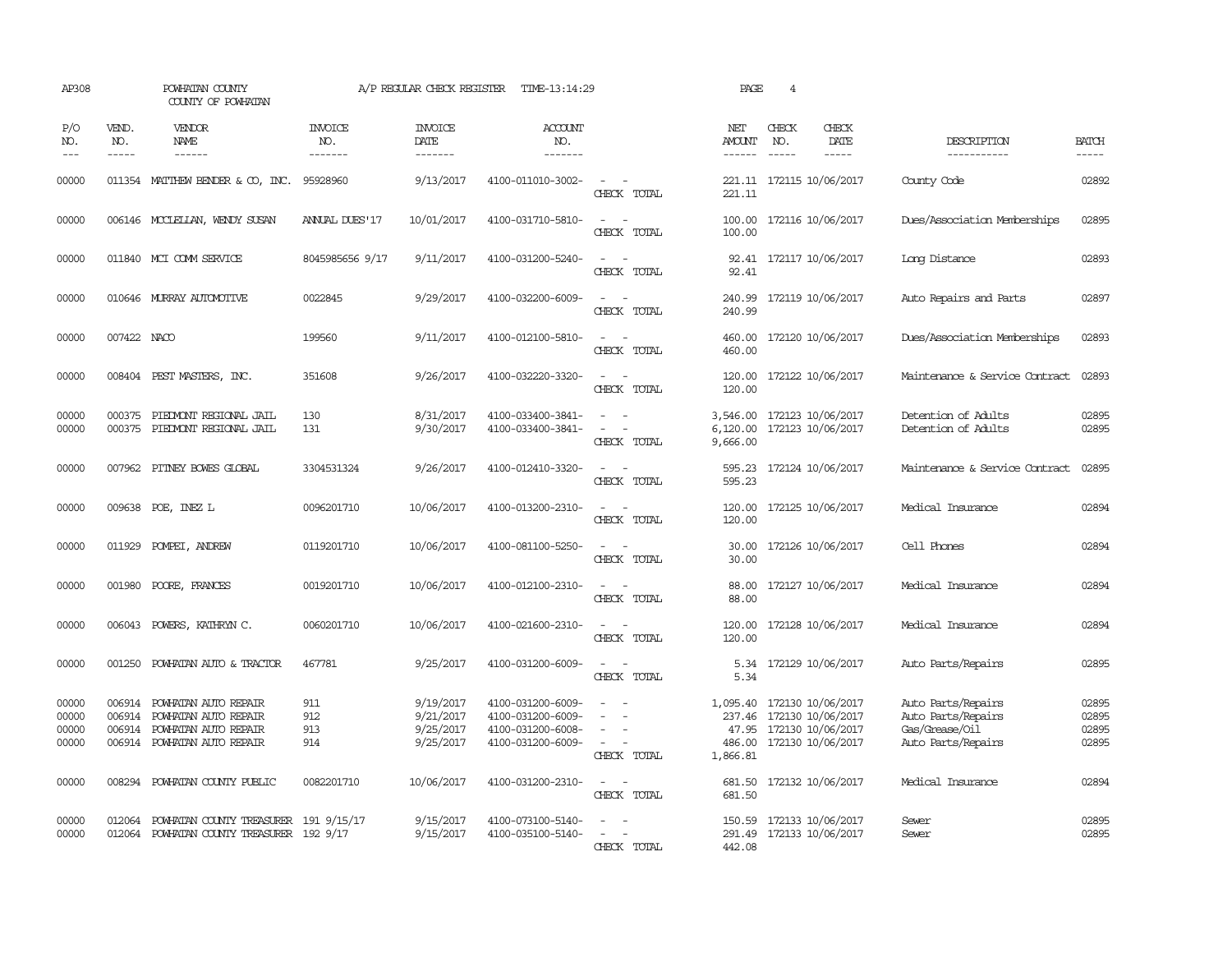| AP308                            |                            | POWHATAN COUNTY<br>COUNTY OF POWHATAN                                                               |                                  | A/P REGULAR CHECK REGISTER                       | TIME-13:14:29                                                                    |                                                                                                                             | PAGE                             | $\overline{4}$ |                                                                                               |                                                                                  |                                  |
|----------------------------------|----------------------------|-----------------------------------------------------------------------------------------------------|----------------------------------|--------------------------------------------------|----------------------------------------------------------------------------------|-----------------------------------------------------------------------------------------------------------------------------|----------------------------------|----------------|-----------------------------------------------------------------------------------------------|----------------------------------------------------------------------------------|----------------------------------|
| P/O<br>NO.<br>$---$              | VEND.<br>NO.               | VENDOR<br>NAME<br>------                                                                            | <b>INVOICE</b><br>NO.<br>------- | <b>INVOICE</b><br>DATE<br>-------                | <b>ACCOUNT</b><br>NO.<br>-------                                                 |                                                                                                                             | NET<br><b>AMOUNT</b><br>------   | CHECK<br>NO.   | CHECK<br>DATE<br>-----                                                                        | DESCRIPTION<br>-----------                                                       | <b>BATCH</b><br>$- - - - -$      |
| 00000                            |                            | 011354 MATTHEW BENDER & CO, INC.                                                                    | 95928960                         | 9/13/2017                                        | 4100-011010-3002-                                                                | $\sim$ $\sim$<br>CHECK TOTAL                                                                                                | 221.11                           |                | 221.11 172115 10/06/2017                                                                      | County Code                                                                      | 02892                            |
| 00000                            |                            | 006146 MCCLELLAN, WENDY SUSAN                                                                       | <b>ANUAL DUES'17</b>             | 10/01/2017                                       | 4100-031710-5810-                                                                | $\frac{1}{2} \left( \frac{1}{2} \right) \left( \frac{1}{2} \right) = \frac{1}{2} \left( \frac{1}{2} \right)$<br>CHECK TOTAL | 100.00<br>100.00                 |                | 172116 10/06/2017                                                                             | Dues/Association Memberships                                                     | 02895                            |
| 00000                            |                            | 011840 MCI COMM SERVICE                                                                             | 8045985656 9/17                  | 9/11/2017                                        | 4100-031200-5240-                                                                | $\sim$<br>$\sim$<br>CHECK TOTAL                                                                                             | 92.41                            |                | 92.41 172117 10/06/2017                                                                       | Long Distance                                                                    | 02893                            |
| 00000                            |                            | 010646 MURRAY AUTOMOTTVE                                                                            | 0022845                          | 9/29/2017                                        | 4100-032200-6009-                                                                | $\overline{\phantom{a}}$<br>$\sim$<br>CHECK TOTAL                                                                           | 240.99<br>240.99                 |                | 172119 10/06/2017                                                                             | Auto Repairs and Parts                                                           | 02897                            |
| 00000                            | 007422 NACO                |                                                                                                     | 199560                           | 9/11/2017                                        | 4100-012100-5810-                                                                | $\sim$<br>CHECK TOTAL                                                                                                       | 460.00<br>460.00                 |                | 172120 10/06/2017                                                                             | Dues/Association Memberships                                                     | 02893                            |
| 00000                            |                            | 008404 PEST MASTERS, INC.                                                                           | 351608                           | 9/26/2017                                        | 4100-032220-3320-                                                                | $\sim$<br>CHECK TOTAL                                                                                                       | 120.00<br>120.00                 |                | 172122 10/06/2017                                                                             | Maintenance & Service Contract                                                   | 02893                            |
| 00000<br>00000                   | 000375<br>000375           | PIEDMONT REGIONAL JAIL<br>PIEDMONT REGIONAL JAIL                                                    | 130<br>131                       | 8/31/2017<br>9/30/2017                           | 4100-033400-3841-<br>4100-033400-3841-                                           | $\sim$<br>$\overline{a}$<br>CHECK TOTAL                                                                                     | 3,546.00<br>6,120.00<br>9,666.00 |                | 172123 10/06/2017<br>172123 10/06/2017                                                        | Detention of Adults<br>Detention of Adults                                       | 02895<br>02895                   |
| 00000                            |                            | 007962 PITNEY BOWES GLOBAL                                                                          | 3304531324                       | 9/26/2017                                        | 4100-012410-3320-                                                                | $\sim$<br>$\sim$<br>CHECK TOTAL                                                                                             | 595.23<br>595.23                 |                | 172124 10/06/2017                                                                             | Maintenance & Service Contract                                                   | 02895                            |
| 00000                            |                            | 009638 POE, INEZ L                                                                                  | 0096201710                       | 10/06/2017                                       | 4100-013200-2310-                                                                | $\equiv$<br>$\sim$<br>CHECK TOTAL                                                                                           | 120.00<br>120.00                 |                | 172125 10/06/2017                                                                             | Medical Insurance                                                                | 02894                            |
| 00000                            | 011929                     | POMPEI, ANDREW                                                                                      | 0119201710                       | 10/06/2017                                       | 4100-081100-5250-                                                                | CHECK TOTAL                                                                                                                 | 30.00<br>30.00                   |                | 172126 10/06/2017                                                                             | Cell Phones                                                                      | 02894                            |
| 00000                            | 001980                     | POORE, FRANCES                                                                                      | 0019201710                       | 10/06/2017                                       | 4100-012100-2310-                                                                | $\equiv$<br>CHECK TOTAL                                                                                                     | 88.00<br>88.00                   |                | 172127 10/06/2017                                                                             | Medical Insurance                                                                | 02894                            |
| 00000                            |                            | 006043 POWERS, KATHRYN C.                                                                           | 0060201710                       | 10/06/2017                                       | 4100-021600-2310-                                                                | $ -$<br>CHECK TOTAL                                                                                                         | 120.00<br>120.00                 |                | 172128 10/06/2017                                                                             | Medical Insurance                                                                | 02894                            |
| 00000                            | 001250                     | POWHATAN AUTO & TRACTOR                                                                             | 467781                           | 9/25/2017                                        | 4100-031200-6009-                                                                | $\overline{\phantom{a}}$<br>CHECK TOTAL                                                                                     | 5.34<br>5.34                     |                | 172129 10/06/2017                                                                             | Auto Parts/Repairs                                                               | 02895                            |
| 00000<br>00000<br>00000<br>00000 | 006914<br>006914<br>006914 | POWHATAN AUTO REPAIR<br>POWHATAN AUTO REPAIR<br>POWHATAN AUTO REPAIR<br>006914 POWHATAN AUTO REPAIR | 911<br>912<br>913<br>914         | 9/19/2017<br>9/21/2017<br>9/25/2017<br>9/25/2017 | 4100-031200-6009-<br>4100-031200-6009-<br>4100-031200-6008-<br>4100-031200-6009- | $\equiv$<br>CHECK TOTAL                                                                                                     | 1,095.40<br>486.00<br>1,866.81   |                | 172130 10/06/2017<br>237.46 172130 10/06/2017<br>47.95 172130 10/06/2017<br>172130 10/06/2017 | Auto Parts/Repairs<br>Auto Parts/Repairs<br>Gas/Grease/Oil<br>Auto Parts/Repairs | 02895<br>02895<br>02895<br>02895 |
| 00000                            | 008294                     | POWHATAN COUNTY PUBLIC                                                                              | 0082201710                       | 10/06/2017                                       | 4100-031200-2310-                                                                | $\sim$<br>CHECK TOTAL                                                                                                       | 681.50<br>681.50                 |                | 172132 10/06/2017                                                                             | Medical Insurance                                                                | 02894                            |
| 00000<br>00000                   | 012064<br>012064           | POWHATAN COUNTY TREASURER 191 9/15/17<br>POWHATAN COUNTY TREASURER 192 9/17                         |                                  | 9/15/2017<br>9/15/2017                           | 4100-073100-5140-<br>4100-035100-5140-                                           | $\sim$<br>$\sim$<br>CHECK TOTAL                                                                                             | 291.49<br>442.08                 |                | 150.59 172133 10/06/2017<br>172133 10/06/2017                                                 | Sewer<br>Sewer                                                                   | 02895<br>02895                   |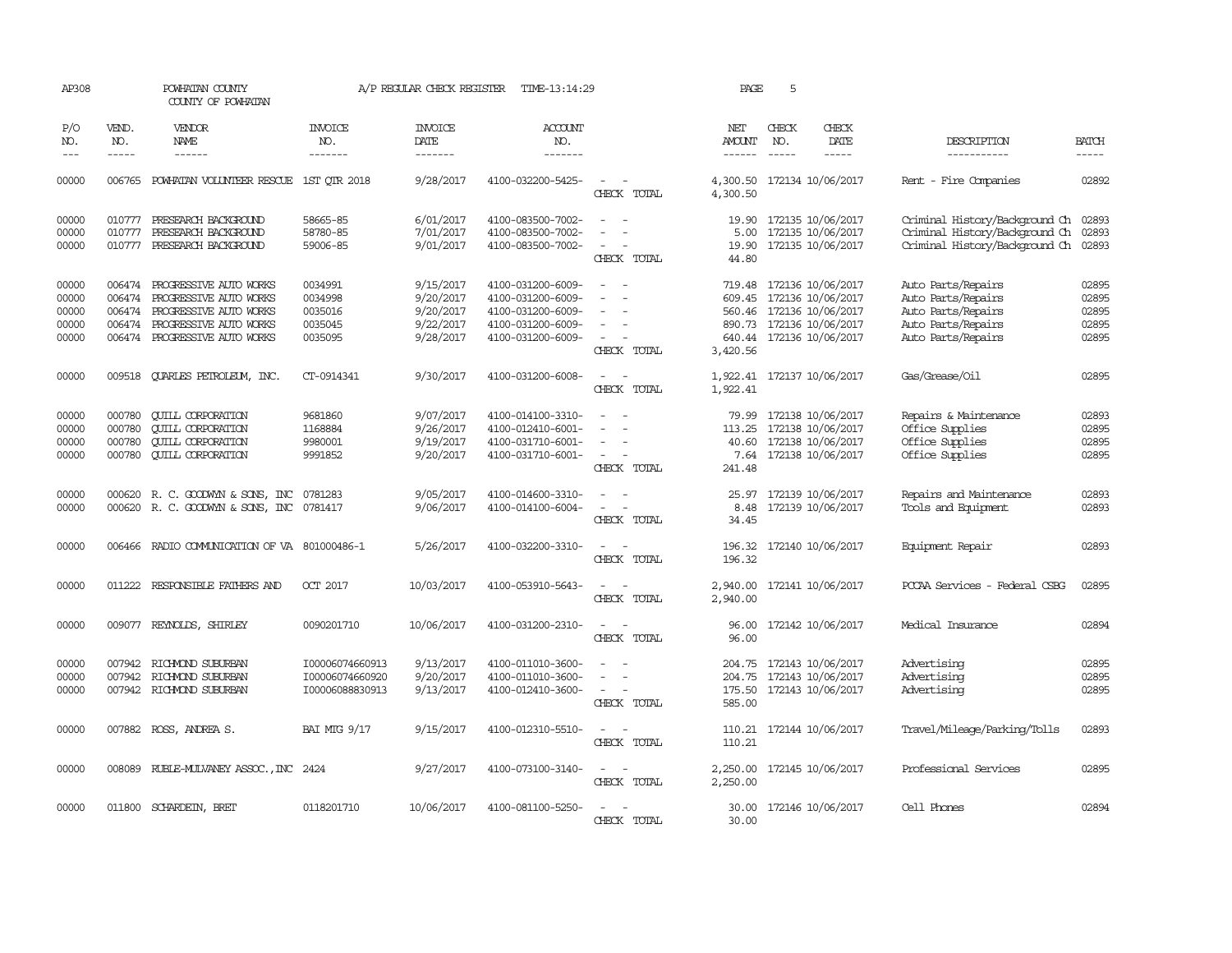| AP308                                     |                                      | POWHATAN COUNTY<br>COUNTY OF POWHATAN                                                                                                        |                                                       | A/P REGULAR CHECK REGISTER                                    | TIME-13:14:29                                                                                         |                                                                                                                             | PAGE                                       | 5                             |                                                                                                                            |                                                                                                            |                                           |
|-------------------------------------------|--------------------------------------|----------------------------------------------------------------------------------------------------------------------------------------------|-------------------------------------------------------|---------------------------------------------------------------|-------------------------------------------------------------------------------------------------------|-----------------------------------------------------------------------------------------------------------------------------|--------------------------------------------|-------------------------------|----------------------------------------------------------------------------------------------------------------------------|------------------------------------------------------------------------------------------------------------|-------------------------------------------|
| P/O<br>NO.<br>$---$                       | VEND.<br>NO.<br>$- - - - -$          | <b>VENDOR</b><br>NAME<br>$- - - - - -$                                                                                                       | <b>INVOICE</b><br>NO.<br>-------                      | <b>INVOICE</b><br>DATE<br>-------                             | <b>ACCOUNT</b><br>NO.<br>-------                                                                      |                                                                                                                             | NET<br><b>AMOUNT</b><br>------             | CHECK<br>NO.<br>$\frac{1}{2}$ | CHECK<br>DATE<br>-----                                                                                                     | DESCRIPTION<br>-----------                                                                                 | <b>BATCH</b><br>-----                     |
| 00000                                     | 006765                               | POWHATAN VOLUNTEER RESCUE                                                                                                                    | 1ST QTR 2018                                          | 9/28/2017                                                     | 4100-032200-5425-                                                                                     | CHECK TOTAL                                                                                                                 | 4,300.50<br>4,300.50                       |                               | 172134 10/06/2017                                                                                                          | Rent - Fire Companies                                                                                      | 02892                                     |
| 00000<br>00000<br>00000                   | 010777<br>010777<br>010777           | PRESEARCH BACKGROUND<br>PRESEARCH BACKGROUND<br>PRESEARCH BACKGROUND                                                                         | 58665-85<br>58780-85<br>59006-85                      | 6/01/2017<br>7/01/2017<br>9/01/2017                           | 4100-083500-7002-<br>4100-083500-7002-<br>4100-083500-7002-                                           | $\overline{\phantom{a}}$<br>CHECK TOTAL                                                                                     | 19.90<br>19.90<br>44.80                    |                               | 172135 10/06/2017<br>5.00 172135 10/06/2017<br>172135 10/06/2017                                                           | Criminal History/Background Ch<br>Criminal History/Background Ch<br>Criminal History/Background Ch         | 02893<br>02893<br>02893                   |
| 00000<br>00000<br>00000<br>00000<br>00000 | 006474<br>006474<br>006474           | PROGRESSIVE AUTO WORKS<br>PROGRESSIVE AUTO WORKS<br>PROGRESSIVE AUTO WORKS<br>006474 PROGRESSIVE AUTO WORKS<br>006474 PROGRESSIVE AUTO WORKS | 0034991<br>0034998<br>0035016<br>0035045<br>0035095   | 9/15/2017<br>9/20/2017<br>9/20/2017<br>9/22/2017<br>9/28/2017 | 4100-031200-6009-<br>4100-031200-6009-<br>4100-031200-6009-<br>4100-031200-6009-<br>4100-031200-6009- | $\equiv$<br>$\overline{\phantom{a}}$<br>$\sim$<br>CHECK TOTAL                                                               | 719.48<br>560.46<br>3,420.56               |                               | 172136 10/06/2017<br>609.45 172136 10/06/2017<br>172136 10/06/2017<br>890.73 172136 10/06/2017<br>640.44 172136 10/06/2017 | Auto Parts/Repairs<br>Auto Parts/Repairs<br>Auto Parts/Repairs<br>Auto Parts/Repairs<br>Auto Parts/Repairs | 02895<br>02895<br>02895<br>02895<br>02895 |
| 00000                                     |                                      | 009518 QUARLES PETROLEUM, INC.                                                                                                               | CT-0914341                                            | 9/30/2017                                                     | 4100-031200-6008-                                                                                     | $\sim$<br>$\sim$<br>CHECK TOTAL                                                                                             | 1,922.41                                   |                               | 1,922.41 172137 10/06/2017                                                                                                 | Gas/Grease/Oil                                                                                             | 02895                                     |
| 00000<br>00000<br>00000<br>00000          | 000780<br>000780<br>000780<br>000780 | <b>CUILL CORPORATION</b><br><b>QUILL CORPORATION</b><br><b>CUILL CORPORATION</b><br><b>QUILL CORPORATION</b>                                 | 9681860<br>1168884<br>9980001<br>9991852              | 9/07/2017<br>9/26/2017<br>9/19/2017<br>9/20/2017              | 4100-014100-3310-<br>4100-012410-6001-<br>4100-031710-6001-<br>4100-031710-6001-                      | $\sim$<br>$\overline{\phantom{a}}$<br>$\sim$<br>$\sim$<br>CHECK TOTAL                                                       | 79.99<br>113.25<br>40.60<br>7.64<br>241.48 |                               | 172138 10/06/2017<br>172138 10/06/2017<br>172138 10/06/2017<br>172138 10/06/2017                                           | Repairs & Maintenance<br>Office Supplies<br>Office Supplies<br>Office Supplies                             | 02893<br>02895<br>02895<br>02895          |
| 00000<br>00000                            |                                      | 000620 R. C. GOODWYN & SONS, INC<br>000620 R. C. GOODWYN & SONS, INC 0781417                                                                 | 0781283                                               | 9/05/2017<br>9/06/2017                                        | 4100-014600-3310-<br>4100-014100-6004-                                                                | CHECK TOTAL                                                                                                                 | 25.97<br>8.48<br>34.45                     |                               | 172139 10/06/2017<br>172139 10/06/2017                                                                                     | Repairs and Maintenance<br>Tools and Equipment                                                             | 02893<br>02893                            |
| 00000                                     |                                      | 006466 RADIO COMMUNICATION OF VA 801000486-1                                                                                                 |                                                       | 5/26/2017                                                     | 4100-032200-3310-                                                                                     | $\sim$<br>$\overline{\phantom{a}}$<br>CHECK TOTAL                                                                           | 196.32<br>196.32                           |                               | 172140 10/06/2017                                                                                                          | Equipment Repair                                                                                           | 02893                                     |
| 00000                                     | 011222                               | RESPONSIBLE FAIHERS AND                                                                                                                      | OCT 2017                                              | 10/03/2017                                                    | 4100-053910-5643-                                                                                     | CHECK TOTAL                                                                                                                 | 2,940.00<br>2,940.00                       |                               | 172141 10/06/2017                                                                                                          | PCCAA Services - Federal CSBG                                                                              | 02895                                     |
| 00000                                     |                                      | 009077 REYNOLDS, SHIRLEY                                                                                                                     | 0090201710                                            | 10/06/2017                                                    | 4100-031200-2310-                                                                                     | $\overline{\phantom{a}}$<br>$\overline{\phantom{a}}$<br>CHECK TOTAL                                                         | 96.00<br>96.00                             |                               | 172142 10/06/2017                                                                                                          | Medical Insurance                                                                                          | 02894                                     |
| 00000<br>00000<br>00000                   | 007942<br>007942                     | RICHMOND SUBURBAN<br>RICHMOND SUBURBAN<br>007942 RICHMOND SUBURBAN                                                                           | I00006074660913<br>I00006074660920<br>I00006088830913 | 9/13/2017<br>9/20/2017<br>9/13/2017                           | 4100-011010-3600-<br>4100-011010-3600-<br>4100-012410-3600-                                           | $\equiv$<br>$\sim$<br>$\overline{\phantom{a}}$<br>CHECK TOTAL                                                               | 204.75<br>204.75<br>175.50<br>585.00       |                               | 172143 10/06/2017<br>172143 10/06/2017<br>172143 10/06/2017                                                                | Advertising<br>Advertising<br>Advertising                                                                  | 02895<br>02895<br>02895                   |
| 00000                                     |                                      | 007882 ROSS, ANDREA S.                                                                                                                       | <b>BAI MTG 9/17</b>                                   | 9/15/2017                                                     | 4100-012310-5510-                                                                                     | $\overline{\phantom{a}}$<br>$\overline{\phantom{a}}$<br>CHECK TOTAL                                                         | 110.21<br>110.21                           |                               | 172144 10/06/2017                                                                                                          | Travel/Mileage/Parking/Tolls                                                                               | 02893                                     |
| 00000                                     |                                      | 008089 RUBLE-MULVANEY ASSOC., INC 2424                                                                                                       |                                                       | 9/27/2017                                                     | 4100-073100-3140-                                                                                     | $\frac{1}{2} \left( \frac{1}{2} \right) \left( \frac{1}{2} \right) = \frac{1}{2} \left( \frac{1}{2} \right)$<br>CHECK TOTAL | 2,250.00<br>2,250.00                       |                               | 172145 10/06/2017                                                                                                          | Professional Services                                                                                      | 02895                                     |
| 00000                                     |                                      | 011800 SCHARDEIN, BRET                                                                                                                       | 0118201710                                            | 10/06/2017                                                    | 4100-081100-5250-                                                                                     | CHECK TOTAL                                                                                                                 | 30.00<br>30.00                             |                               | 172146 10/06/2017                                                                                                          | Cell Phones                                                                                                | 02894                                     |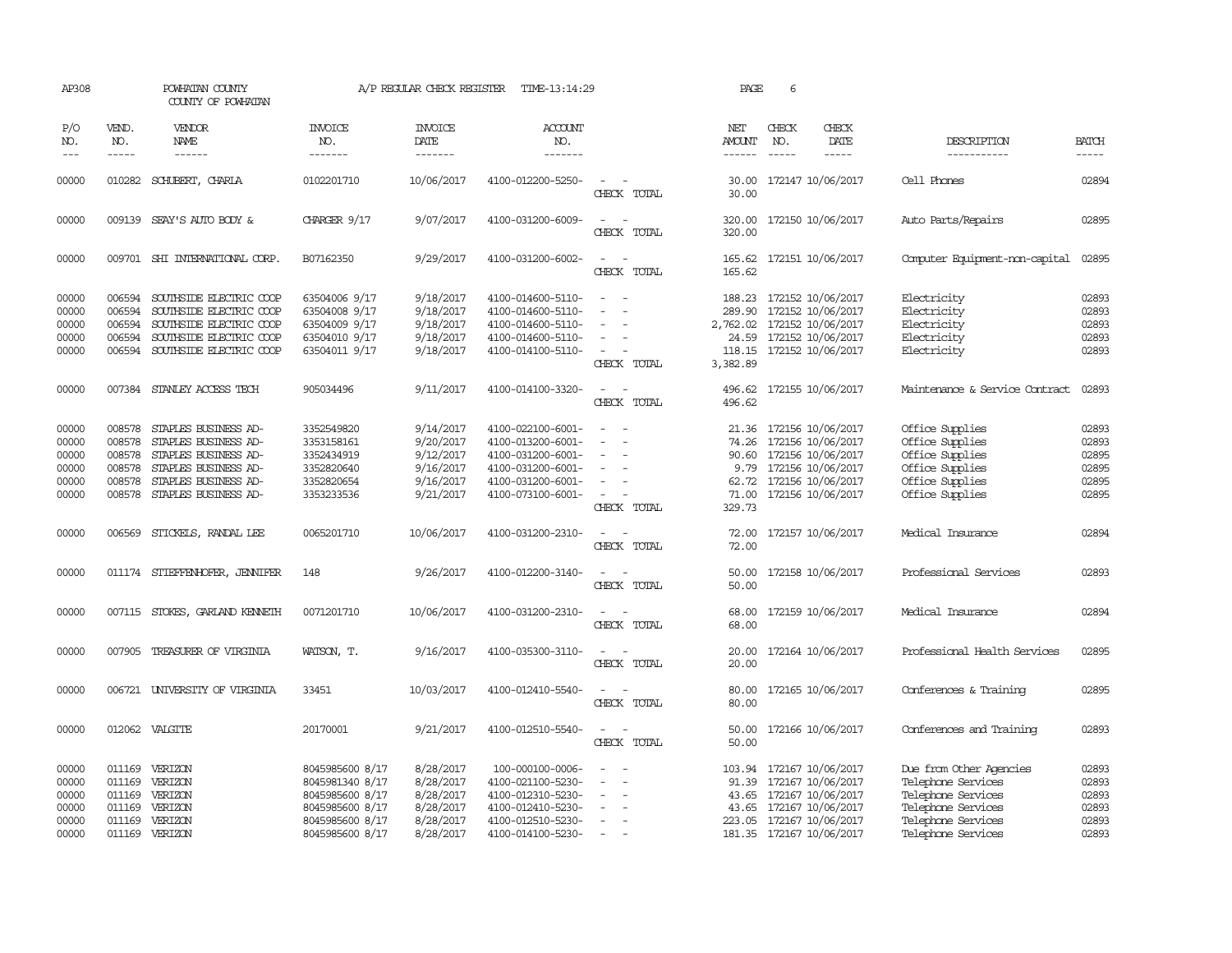| AP308                                              |                                                          | POWHATAN COUNTY<br>COUNTY OF POWHATAN                                                                                                        |                                                                                                                | A/P REGULAR CHECK REGISTER                                                 | TIME-13:14:29                                                                                                              |                                                                           | PAGE                              | 6                           |                                                                                                                                                      |                                                                                                                                       |                                                    |
|----------------------------------------------------|----------------------------------------------------------|----------------------------------------------------------------------------------------------------------------------------------------------|----------------------------------------------------------------------------------------------------------------|----------------------------------------------------------------------------|----------------------------------------------------------------------------------------------------------------------------|---------------------------------------------------------------------------|-----------------------------------|-----------------------------|------------------------------------------------------------------------------------------------------------------------------------------------------|---------------------------------------------------------------------------------------------------------------------------------------|----------------------------------------------------|
| P/O<br>NO.<br>$---$                                | VEND.<br>NO.<br>$- - - - -$                              | VENDOR<br>NAME                                                                                                                               | <b>INVOICE</b><br>NO.<br>-------                                                                               | <b>INVOICE</b><br>DATE<br>-------                                          | <b>ACCOUNT</b><br>NO.<br>-------                                                                                           |                                                                           | NET<br><b>AMOUNT</b><br>------    | CHECK<br>NO.<br>$- - - - -$ | CHECK<br>DATE<br>$- - - - -$                                                                                                                         | DESCRIPTION<br>-----------                                                                                                            | <b>BATCH</b><br>-----                              |
| 00000                                              | 010282                                                   | SCHUBERT, CHARLA                                                                                                                             | 0102201710                                                                                                     | 10/06/2017                                                                 | 4100-012200-5250-                                                                                                          | $\sim$<br>CHECK TOTAL                                                     | 30.00<br>30.00                    |                             | 172147 10/06/2017                                                                                                                                    | Cell Phones                                                                                                                           | 02894                                              |
| 00000                                              |                                                          | 009139 SEAY'S AUTO BODY &                                                                                                                    | CHARGER 9/17                                                                                                   | 9/07/2017                                                                  | 4100-031200-6009-                                                                                                          | $\overline{\phantom{a}}$<br>$\overline{\phantom{a}}$<br>CHECK TOTAL       | 320.00<br>320.00                  |                             | 172150 10/06/2017                                                                                                                                    | Auto Parts/Repairs                                                                                                                    | 02895                                              |
| 00000                                              |                                                          | 009701 SHI INTERNATIONAL CORP.                                                                                                               | B07162350                                                                                                      | 9/29/2017                                                                  | 4100-031200-6002-                                                                                                          | CHECK TOTAL                                                               | 165.62                            |                             | 165.62 172151 10/06/2017                                                                                                                             | Computer Equipment-non-capital                                                                                                        | 02895                                              |
| 00000<br>00000<br>00000<br>00000<br>00000          | 006594<br>006594<br>006594<br>006594                     | SOUTHSIDE ELECTRIC COOP<br>SOUTHSIDE ELECTRIC COOP<br>SOUTHSIDE ELECTRIC COOP<br>SOUTHSIDE ELECTRIC COOP<br>006594 SOUTHSIDE ELECTRIC COOP   | 63504006 9/17<br>63504008 9/17<br>63504009 9/17<br>63504010 9/17<br>63504011 9/17                              | 9/18/2017<br>9/18/2017<br>9/18/2017<br>9/18/2017<br>9/18/2017              | 4100-014600-5110-<br>4100-014600-5110-<br>4100-014600-5110-<br>4100-014600-5110-<br>4100-014100-5110-                      | $\overline{\phantom{0}}$<br>$\sim$<br>$\sim$<br>$\sim$<br>CHECK TOTAL     | 3,382.89                          |                             | 188.23 172152 10/06/2017<br>289.90 172152 10/06/2017<br>2,762.02 172152 10/06/2017<br>24.59 172152 10/06/2017<br>118.15 172152 10/06/2017            | Electricity<br>Electricity<br>Electricity<br>Electricity<br>Electricity                                                               | 02893<br>02893<br>02893<br>02893<br>02893          |
| 00000                                              |                                                          | 007384 STANLEY ACCESS TECH                                                                                                                   | 905034496                                                                                                      | 9/11/2017                                                                  | 4100-014100-3320-                                                                                                          | $\overline{\phantom{a}}$<br>CHECK TOTAL                                   | 496.62<br>496.62                  |                             | 172155 10/06/2017                                                                                                                                    | Maintenance & Service Contract                                                                                                        | 02893                                              |
| 00000<br>00000<br>00000<br>00000<br>00000<br>00000 | 008578<br>008578<br>008578<br>008578<br>008578<br>008578 | STAPLES BUSINESS AD-<br>STAPLES BUSINESS AD-<br>STAPLES BUSINESS AD-<br>STAPLES BUSINESS AD-<br>STAPLES BUSINESS AD-<br>STAPLES BUSINESS AD- | 3352549820<br>3353158161<br>3352434919<br>3352820640<br>3352820654<br>3353233536                               | 9/14/2017<br>9/20/2017<br>9/12/2017<br>9/16/2017<br>9/16/2017<br>9/21/2017 | 4100-022100-6001-<br>4100-013200-6001-<br>4100-031200-6001-<br>4100-031200-6001-<br>4100-031200-6001-<br>4100-073100-6001- | $\overline{\phantom{a}}$<br>÷.<br>$\overline{\phantom{a}}$<br>CHECK TOTAL | 90.60<br>62.72<br>71.00<br>329.73 |                             | 21.36 172156 10/06/2017<br>74.26 172156 10/06/2017<br>172156 10/06/2017<br>9.79 172156 10/06/2017<br>172156 10/06/2017<br>172156 10/06/2017          | Office Supplies<br>Office Supplies<br>Office Supplies<br>Office Supplies<br>Office Supplies<br>Office Supplies                        | 02893<br>02893<br>02895<br>02895<br>02895<br>02895 |
| 00000                                              | 006569                                                   | STICKELS, RANDAL LEE                                                                                                                         | 0065201710                                                                                                     | 10/06/2017                                                                 | 4100-031200-2310-                                                                                                          | $\sim$<br>CHECK TOTAL                                                     | 72.00<br>72.00                    |                             | 172157 10/06/2017                                                                                                                                    | Medical Insurance                                                                                                                     | 02894                                              |
| 00000                                              |                                                          | 011174 STIEFFENHOFER, JENNIFER                                                                                                               | 148                                                                                                            | 9/26/2017                                                                  | 4100-012200-3140-                                                                                                          | CHECK TOTAL                                                               | 50.00<br>50.00                    |                             | 172158 10/06/2017                                                                                                                                    | Professional Services                                                                                                                 | 02893                                              |
| 00000                                              |                                                          | 007115 STOKES, GARLAND KENNETH                                                                                                               | 0071201710                                                                                                     | 10/06/2017                                                                 | 4100-031200-2310-                                                                                                          | CHECK TOTAL                                                               | 68.00<br>68.00                    |                             | 172159 10/06/2017                                                                                                                                    | Medical Insurance                                                                                                                     | 02894                                              |
| 00000                                              | 007905                                                   | TREASURER OF VIRGINIA                                                                                                                        | WATSON, T.                                                                                                     | 9/16/2017                                                                  | 4100-035300-3110-                                                                                                          | CHECK TOTAL                                                               | 20.00<br>20.00                    |                             | 172164 10/06/2017                                                                                                                                    | Professional Health Services                                                                                                          | 02895                                              |
| 00000                                              |                                                          | 006721 UNIVERSITY OF VIRGINIA                                                                                                                | 33451                                                                                                          | 10/03/2017                                                                 | 4100-012410-5540-                                                                                                          | CHECK TOTAL                                                               | 80.00<br>80.00                    |                             | 172165 10/06/2017                                                                                                                                    | Conferences & Training                                                                                                                | 02895                                              |
| 00000                                              | 012062                                                   | VALGITE                                                                                                                                      | 20170001                                                                                                       | 9/21/2017                                                                  | 4100-012510-5540-                                                                                                          | CHECK TOTAL                                                               | 50.00<br>50.00                    |                             | 172166 10/06/2017                                                                                                                                    | Conferences and Training                                                                                                              | 02893                                              |
| 00000<br>00000<br>00000<br>00000<br>00000<br>00000 | 011169<br>011169<br>011169<br>011169<br>011169<br>011169 | VERIZON<br>VERIZON<br>VERIZON<br>VERIZON<br>VERIZON<br>VERIZON                                                                               | 8045985600 8/17<br>8045981340 8/17<br>8045985600 8/17<br>8045985600 8/17<br>8045985600 8/17<br>8045985600 8/17 | 8/28/2017<br>8/28/2017<br>8/28/2017<br>8/28/2017<br>8/28/2017<br>8/28/2017 | 100-000100-0006-<br>4100-021100-5230-<br>4100-012310-5230-<br>4100-012410-5230-<br>4100-012510-5230-<br>4100-014100-5230-  | $\overline{\phantom{a}}$<br>$\sim$                                        | 103.94<br>43.65                   |                             | 172167 10/06/2017<br>91.39 172167 10/06/2017<br>43.65 172167 10/06/2017<br>172167 10/06/2017<br>223.05 172167 10/06/2017<br>181.35 172167 10/06/2017 | Due from Other Agencies<br>Telephone Services<br>Telephone Services<br>Telephone Services<br>Telephone Services<br>Telephone Services | 02893<br>02893<br>02893<br>02893<br>02893<br>02893 |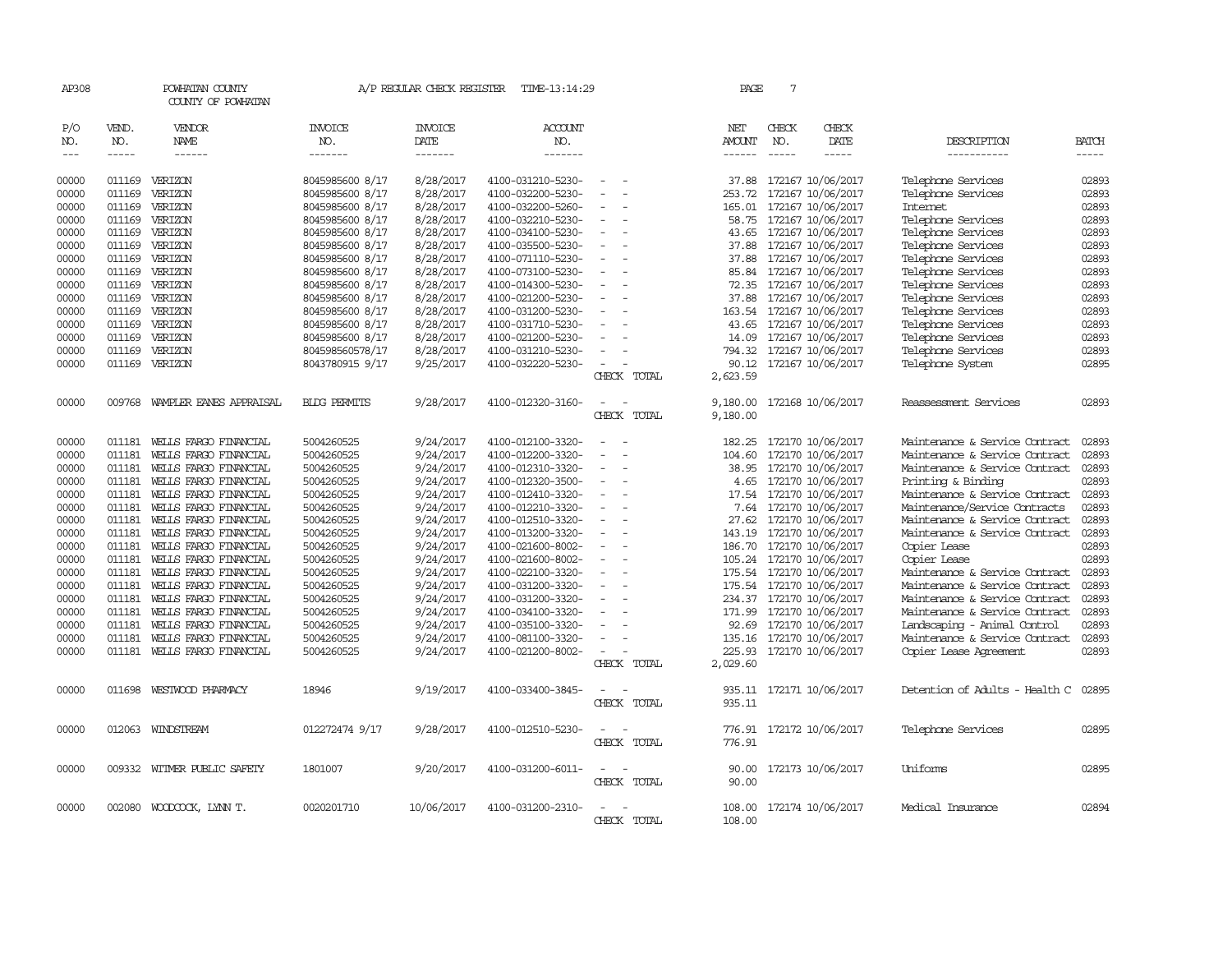| AP308         |              | POWHATAN COUNTY<br>COUNTY OF POWHATAN |                       | A/P REGULAR CHECK REGISTER | TIME-13:14:29         |                          | PAGE             | 7            |                          |                                |              |
|---------------|--------------|---------------------------------------|-----------------------|----------------------------|-----------------------|--------------------------|------------------|--------------|--------------------------|--------------------------------|--------------|
| P/O<br>NO.    | VEND.<br>NO. | VENDOR<br><b>NAME</b>                 | <b>INVOICE</b><br>NO. | <b>INVOICE</b><br>DATE     | <b>ACCOUNT</b><br>NO. |                          | NET<br>AMOUNT    | CHECK<br>NO. | CHECK<br>DATE            | DESCRIPTION                    | <b>BATCH</b> |
| $\frac{1}{2}$ | $- - - - -$  | ------                                | -------               | -------                    | -------               |                          | $- - - - - -$    | $- - - - -$  | -----                    | -----------                    | $- - - - -$  |
| 00000         | 011169       | VERIZON                               | 8045985600 8/17       | 8/28/2017                  | 4100-031210-5230-     | $\overline{\phantom{a}}$ | 37.88            |              | 172167 10/06/2017        | Telephone Services             | 02893        |
| 00000         | 011169       | VERIZON                               | 8045985600 8/17       | 8/28/2017                  | 4100-032200-5230-     |                          | 253.72           |              | 172167 10/06/2017        | Telephone Services             | 02893        |
| 00000         | 011169       | VERIZON                               | 8045985600 8/17       | 8/28/2017                  | 4100-032200-5260-     |                          | 165.01           |              | 172167 10/06/2017        | Internet                       | 02893        |
| 00000         |              | 011169 VERIZON                        | 8045985600 8/17       | 8/28/2017                  | 4100-032210-5230-     | $\sim$                   |                  |              | 58.75 172167 10/06/2017  | Telephone Services             | 02893        |
| 00000         | 011169       | VERIZON                               | 8045985600 8/17       | 8/28/2017                  | 4100-034100-5230-     |                          | 43.65            |              | 172167 10/06/2017        | Telephone Services             | 02893        |
| 00000         | 011169       | VERIZON                               | 8045985600 8/17       | 8/28/2017                  | 4100-035500-5230-     |                          | 37.88            |              | 172167 10/06/2017        | Telephone Services             | 02893        |
| 00000         |              | 011169 VERIZON                        | 8045985600 8/17       | 8/28/2017                  | 4100-071110-5230-     |                          | 37.88            |              | 172167 10/06/2017        | Telephone Services             | 02893        |
| 00000         | 011169       | VERIZON                               | 8045985600 8/17       | 8/28/2017                  | 4100-073100-5230-     |                          | 85.84            |              | 172167 10/06/2017        | Telephone Services             | 02893        |
| 00000         | 011169       | VERIZON                               | 8045985600 8/17       | 8/28/2017                  | 4100-014300-5230-     |                          | 72.35            |              | 172167 10/06/2017        | Telephone Services             | 02893        |
| 00000         | 011169       | VERIZON                               | 8045985600 8/17       | 8/28/2017                  | 4100-021200-5230-     |                          | 37.88            |              | 172167 10/06/2017        | Telephone Services             | 02893        |
| 00000         | 011169       | VERIZON                               | 8045985600 8/17       | 8/28/2017                  | 4100-031200-5230-     |                          | 163.54           |              | 172167 10/06/2017        | Telephone Services             | 02893        |
| 00000         | 011169       | VERIZON                               | 8045985600 8/17       | 8/28/2017                  | 4100-031710-5230-     |                          | 43.65            |              | 172167 10/06/2017        | Telephone Services             | 02893        |
| 00000         | 011169       | VERIZON                               | 8045985600 8/17       | 8/28/2017                  | 4100-021200-5230-     |                          | 14.09            |              | 172167 10/06/2017        | Telephone Services             | 02893        |
| 00000         | 011169       | VERIZON                               | 804598560578/17       | 8/28/2017                  | 4100-031210-5230-     |                          | 794.32           |              | 172167 10/06/2017        | Telephone Services             | 02893        |
| 00000         | 011169       | VERIZON                               | 8043780915 9/17       | 9/25/2017                  | 4100-032220-5230-     |                          | 90.12            |              | 172167 10/06/2017        | Telephone System               | 02895        |
|               |              |                                       |                       |                            |                       | CHECK TOTAL              | 2,623.59         |              |                          |                                |              |
| 00000         | 009768       | WAMPLER EANES APPRAISAL               | <b>BIDG PERMITS</b>   | 9/28/2017                  | 4100-012320-3160-     |                          | 9,180.00         |              | 172168 10/06/2017        | Reassessment Services          | 02893        |
|               |              |                                       |                       |                            |                       | CHECK TOTAL              | 9,180.00         |              |                          |                                |              |
| 00000         | 011181       | WEILS FARGO FINANCIAL                 | 5004260525            | 9/24/2017                  | 4100-012100-3320-     | $\sim$                   | 182.25           |              | 172170 10/06/2017        | Maintenance & Service Contract | 02893        |
| 00000         | 011181       | WELLS FARGO FINANCIAL                 | 5004260525            | 9/24/2017                  | 4100-012200-3320-     |                          | 104.60           |              | 172170 10/06/2017        | Maintenance & Service Contract | 02893        |
| 00000         | 011181       | WELLS FARGO FINANCIAL                 | 5004260525            | 9/24/2017                  | 4100-012310-3320-     |                          | 38.95            |              | 172170 10/06/2017        | Maintenance & Service Contract | 02893        |
| 00000         | 011181       | WELLS FARGO FINANCIAL                 | 5004260525            | 9/24/2017                  | 4100-012320-3500-     |                          | 4.65             |              | 172170 10/06/2017        | Printing & Binding             | 02893        |
| 00000         | 011181       | WELLS FARGO FINANCIAL                 | 5004260525            | 9/24/2017                  | 4100-012410-3320-     |                          | 17.54            |              | 172170 10/06/2017        | Maintenance & Service Contract | 02893        |
| 00000         | 011181       | WELLS FARGO FINANCIAL                 | 5004260525            | 9/24/2017                  | 4100-012210-3320-     |                          | 7.64             |              | 172170 10/06/2017        | Maintenance/Service Contracts  | 02893        |
| 00000         | 011181       | WEILS FARGO FINANCIAL                 | 5004260525            | 9/24/2017                  | 4100-012510-3320-     | $\sim$                   | 27.62            |              | 172170 10/06/2017        | Maintenance & Service Contract | 02893        |
| 00000         | 011181       | WELLS FARGO FINANCIAL                 | 5004260525            | 9/24/2017                  | 4100-013200-3320-     |                          | 143.19           |              | 172170 10/06/2017        | Maintenance & Service Contract | 02893        |
| 00000         | 011181       | WELLS FARGO FINANCIAL                 | 5004260525            | 9/24/2017                  | 4100-021600-8002-     |                          | 186.70           |              | 172170 10/06/2017        | Copier Lease                   | 02893        |
| 00000         | 011181       | WEILS FARGO FINANCIAL                 | 5004260525            | 9/24/2017                  | 4100-021600-8002-     | $\sim$                   |                  |              | 105.24 172170 10/06/2017 | Copier Lease                   | 02893        |
| 00000         | 011181       | WELLS FARGO FINANCIAL                 | 5004260525            | 9/24/2017                  | 4100-022100-3320-     |                          | 175.54           |              | 172170 10/06/2017        | Maintenance & Service Contract | 02893        |
| 00000         | 011181       | WEILS FARGO FINANCIAL                 | 5004260525            | 9/24/2017                  | 4100-031200-3320-     |                          |                  |              | 175.54 172170 10/06/2017 | Maintenance & Service Contract | 02893        |
| 00000         | 011181       | WELLS FARGO FINANCIAL                 | 5004260525            | 9/24/2017                  | 4100-031200-3320-     |                          |                  |              | 234.37 172170 10/06/2017 | Maintenance & Service Contract | 02893        |
| 00000         | 011181       | WELLS FARGO FINANCIAL                 | 5004260525            | 9/24/2017                  | 4100-034100-3320-     |                          | 171.99           |              | 172170 10/06/2017        | Maintenance & Service Contract | 02893        |
| 00000         | 011181       | WELLS FARGO FINANCIAL                 | 5004260525            | 9/24/2017                  | 4100-035100-3320-     |                          | 92.69            |              | 172170 10/06/2017        | Landscaping - Animal Control   | 02893        |
| 00000         | 011181       | WEILS FARGO FINANCIAL                 | 5004260525            | 9/24/2017                  | 4100-081100-3320-     |                          | 135.16           |              | 172170 10/06/2017        | Maintenance & Service Contract | 02893        |
| 00000         | 011181       | WELLS FARGO FINANCIAL                 | 5004260525            | 9/24/2017                  | 4100-021200-8002-     |                          | 225.93           |              | 172170 10/06/2017        | Copier Lease Agreement         | 02893        |
|               |              |                                       |                       |                            |                       | CHECK TOTAL              | 2,029.60         |              |                          |                                |              |
| 00000         | 011698       | WESTWOOD PHARMACY                     | 18946                 | 9/19/2017                  | 4100-033400-3845-     | $\overline{\phantom{a}}$ | 935.11           |              | 172171 10/06/2017        | Detention of Adults - Health C | 02895        |
|               |              |                                       |                       |                            |                       | CHECK TOTAL              | 935.11           |              |                          |                                |              |
| 00000         |              | 012063 WINDSTREAM                     | 012272474 9/17        | 9/28/2017                  | 4100-012510-5230-     | $\sim$                   |                  |              | 776.91 172172 10/06/2017 | Telephone Services             | 02895        |
|               |              |                                       |                       |                            |                       | CHECK TOTAL              | 776.91           |              |                          |                                |              |
| 00000         |              | 009332 WITMER PUBLIC SAFETY           | 1801007               | 9/20/2017                  | 4100-031200-6011-     | $\sim$                   | 90.00            |              | 172173 10/06/2017        | Uniforms                       | 02895        |
|               |              |                                       |                       |                            |                       | CHECK TOTAL              | 90.00            |              |                          |                                |              |
|               |              |                                       |                       |                            |                       |                          |                  |              |                          |                                |              |
| 00000         |              | 002080 WOODCOCK, LYNN T.              | 0020201710            | 10/06/2017                 | 4100-031200-2310-     | CHECK TOTAL              | 108.00<br>108.00 |              | 172174 10/06/2017        | Medical Insurance              | 02894        |
|               |              |                                       |                       |                            |                       |                          |                  |              |                          |                                |              |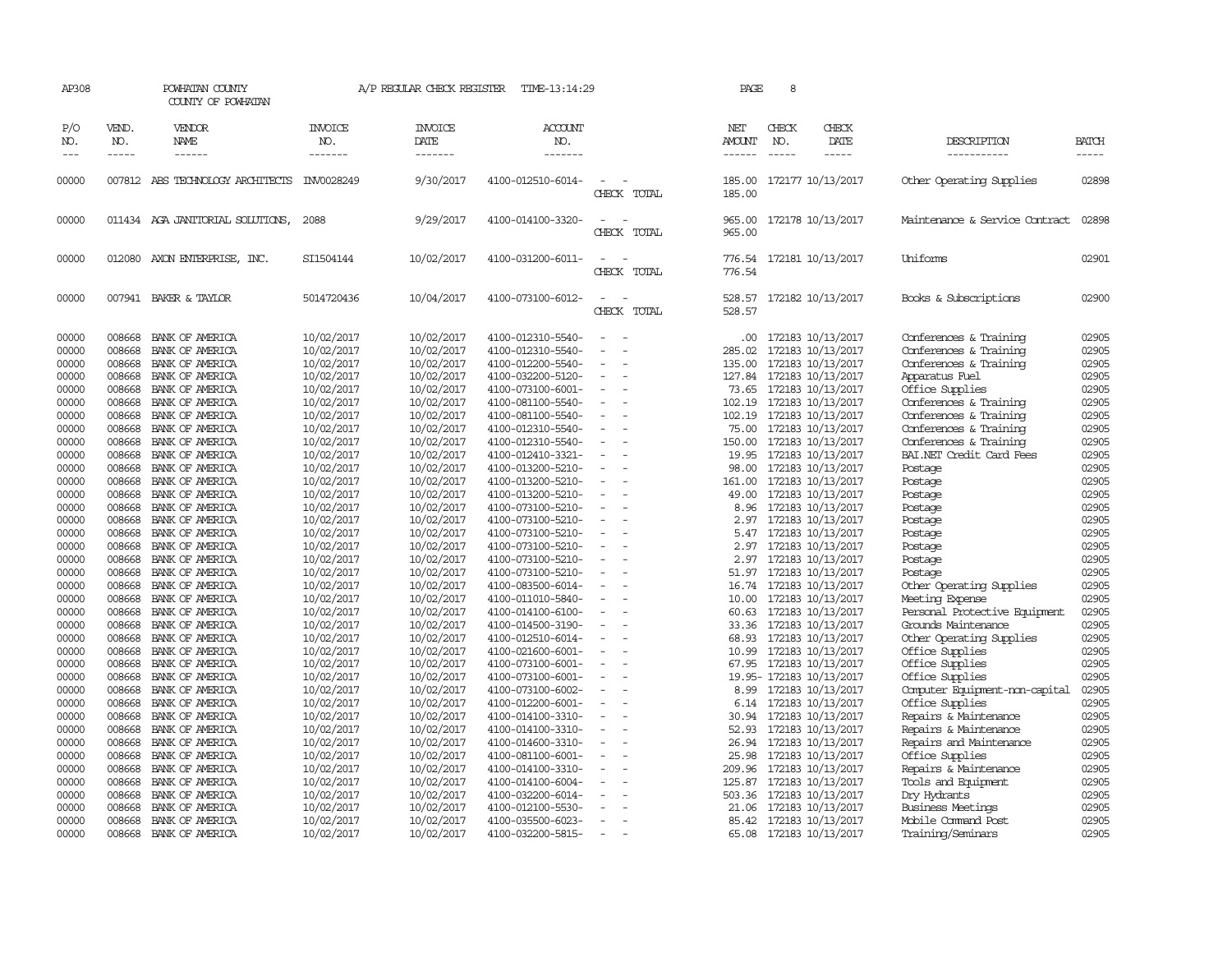| AP308               |                          | POWHATAN COUNTY<br>COUNTY OF POWHATAN            | A/P REGULAR CHECK REGISTER<br>TIME-13:14:29 |                                   |                                        |                                         | PAGE                           | 8                             |                                               |                                                    |                             |
|---------------------|--------------------------|--------------------------------------------------|---------------------------------------------|-----------------------------------|----------------------------------------|-----------------------------------------|--------------------------------|-------------------------------|-----------------------------------------------|----------------------------------------------------|-----------------------------|
| P/O<br>NO.<br>$---$ | VEND.<br>NO.<br>$\cdots$ | VENDOR<br>NAME<br>------                         | <b>INVOICE</b><br>NO.<br>-------            | <b>INVOICE</b><br>DATE<br>------- | ACCOUNT<br>NO.<br>-------              |                                         | NET<br>AMOUNT<br>$- - - - - -$ | CHECK<br>NO.<br>$\frac{1}{2}$ | CHECK<br>DATE<br>$\frac{1}{2}$                | DESCRIPTION<br>-----------                         | <b>BATCH</b><br>$- - - - -$ |
| 00000               |                          | 007812 ABS TECHNOLOGY ARCHITECTS INV0028249      |                                             | 9/30/2017                         | 4100-012510-6014-                      | $\overline{\phantom{a}}$<br>CHECK TOTAL | 185.00<br>185.00               |                               | 172177 10/13/2017                             | Other Operating Supplies                           | 02898                       |
| 00000               |                          | 011434 AGA JANITORIAL SOLUTIONS,                 | 2088                                        | 9/29/2017                         | 4100-014100-3320-                      | $\sim$<br>CHECK TOTAL                   | 965.00                         |                               | 965.00 172178 10/13/2017                      | Maintenance & Service Contract                     | 02898                       |
| 00000               |                          | 012080 AXON ENTERPRISE, INC.                     | SI1504144                                   | 10/02/2017                        | 4100-031200-6011-                      | $\overline{\phantom{a}}$<br>CHECK TOTAL | 776.54                         |                               | 776.54 172181 10/13/2017                      | Uniforms                                           | 02901                       |
| 00000               |                          | 007941 BAKER & TAYLOR                            | 5014720436                                  | 10/04/2017                        | 4100-073100-6012-                      | $\sim$<br>CHECK TOTAL                   | 528.57                         |                               | 528.57 172182 10/13/2017                      | Books & Subscriptions                              | 02900                       |
| 00000               | 008668                   | BANK OF AMERICA                                  | 10/02/2017                                  | 10/02/2017                        | 4100-012310-5540-                      |                                         |                                |                               | .00 172183 10/13/2017                         | Conferences & Training                             | 02905                       |
| 00000               | 008668                   | BANK OF AMERICA                                  | 10/02/2017                                  | 10/02/2017                        | 4100-012310-5540-                      | $\equiv$                                | 285.02                         |                               | 172183 10/13/2017                             | Conferences & Training                             | 02905                       |
| 00000               |                          | 008668 BANK OF AMERICA                           | 10/02/2017                                  | 10/02/2017                        | 4100-012200-5540-                      | $\overline{\phantom{a}}$                | 135.00                         |                               | 172183 10/13/2017                             | Conferences & Training                             | 02905                       |
| 00000               | 008668                   | BANK OF AMERICA                                  | 10/02/2017                                  | 10/02/2017                        | 4100-032200-5120-                      | $\overline{\phantom{a}}$                |                                |                               | 127.84 172183 10/13/2017                      | Apparatus Fuel                                     | 02905                       |
| 00000               | 008668                   | BANK OF AMERICA                                  | 10/02/2017                                  | 10/02/2017                        | 4100-073100-6001-                      | $\overline{\phantom{a}}$                | 73.65                          |                               | 172183 10/13/2017                             | Office Supplies                                    | 02905                       |
| 00000               |                          | 008668 BANK OF AMERICA                           | 10/02/2017                                  | 10/02/2017                        | 4100-081100-5540-                      | $\overline{\phantom{a}}$<br>$\sim$      |                                |                               | 102.19 172183 10/13/2017                      | Conferences & Training                             | 02905                       |
| 00000<br>00000      | 008668<br>008668         | BANK OF AMERICA                                  | 10/02/2017                                  | 10/02/2017                        | 4100-081100-5540-                      | $\overline{\phantom{a}}$                | 102.19                         |                               | 172183 10/13/2017                             | Conferences & Training                             | 02905<br>02905              |
|                     |                          | BANK OF AMERICA                                  | 10/02/2017                                  | 10/02/2017                        | 4100-012310-5540-                      | $\sim$                                  |                                |                               | 75.00 172183 10/13/2017                       | Conferences & Training                             | 02905                       |
| 00000<br>00000      |                          | 008668 BANK OF AMERICA<br>008668 BANK OF AMERICA | 10/02/2017<br>10/02/2017                    | 10/02/2017<br>10/02/2017          | 4100-012310-5540-<br>4100-012410-3321- | $\overline{\phantom{a}}$                | 19.95                          |                               | 150.00 172183 10/13/2017<br>172183 10/13/2017 | Conferences & Training<br>BAI.NET Credit Card Fees | 02905                       |
| 00000               | 008668                   | BANK OF AMERICA                                  | 10/02/2017                                  | 10/02/2017                        | 4100-013200-5210-                      | $\sim$                                  | 98.00                          |                               |                                               | Postage                                            | 02905                       |
| 00000               | 008668                   | BANK OF AMERICA                                  | 10/02/2017                                  | 10/02/2017                        | 4100-013200-5210-                      | $\overline{\phantom{a}}$                | 161.00                         |                               | 172183 10/13/2017<br>172183 10/13/2017        | Postage                                            | 02905                       |
| 00000               |                          | 008668 BANK OF AMERICA                           | 10/02/2017                                  | 10/02/2017                        | 4100-013200-5210-                      | $\overline{\phantom{a}}$                | 49.00                          |                               | 172183 10/13/2017                             | Postage                                            | 02905                       |
| 00000               | 008668                   | BANK OF AMERICA                                  | 10/02/2017                                  | 10/02/2017                        | 4100-073100-5210-                      | $\sim$                                  |                                |                               | 8.96 172183 10/13/2017                        | Postage                                            | 02905                       |
| 00000               | 008668                   | BANK OF AMERICA                                  | 10/02/2017                                  | 10/02/2017                        | 4100-073100-5210-                      | $\equiv$                                |                                |                               | 2.97 172183 10/13/2017                        | Postage                                            | 02905                       |
| 00000               | 008668                   | BANK OF AMERICA                                  | 10/02/2017                                  | 10/02/2017                        | 4100-073100-5210-                      | $\overline{\phantom{a}}$                | 5.47                           |                               | 172183 10/13/2017                             | Postage                                            | 02905                       |
| 00000               | 008668                   | BANK OF AMERICA                                  | 10/02/2017                                  | 10/02/2017                        | 4100-073100-5210-                      | $\overline{\phantom{a}}$                | 2.97                           |                               | 172183 10/13/2017                             | Postage                                            | 02905                       |
| 00000               | 008668                   | BANK OF AMERICA                                  | 10/02/2017                                  | 10/02/2017                        | 4100-073100-5210-                      |                                         | 2.97                           |                               | 172183 10/13/2017                             | Postage                                            | 02905                       |
| 00000               | 008668                   | BANK OF AMERICA                                  | 10/02/2017                                  | 10/02/2017                        | 4100-073100-5210-                      | $\overline{\phantom{a}}$                | 51.97                          |                               | 172183 10/13/2017                             | Postage                                            | 02905                       |
| 00000               | 008668                   | BANK OF AMERICA                                  | 10/02/2017                                  | 10/02/2017                        | 4100-083500-6014-                      |                                         |                                |                               | 16.74 172183 10/13/2017                       | Other Operating Supplies                           | 02905                       |
| 00000               | 008668                   | BANK OF AMERICA                                  | 10/02/2017                                  | 10/02/2017                        | 4100-011010-5840-                      |                                         |                                |                               | 10.00 172183 10/13/2017                       | Meeting Expense                                    | 02905                       |
| 00000               | 008668                   | BANK OF AMERICA                                  | 10/02/2017                                  | 10/02/2017                        | 4100-014100-6100-                      |                                         | 60.63                          |                               | 172183 10/13/2017                             | Personal Protective Equipment                      | 02905                       |
| 00000               | 008668                   | BANK OF AMERICA                                  | 10/02/2017                                  | 10/02/2017                        | 4100-014500-3190-                      | $\overline{\phantom{a}}$                | 33.36                          |                               | 172183 10/13/2017                             | Grounds Maintenance                                | 02905                       |
| 00000               | 008668                   | BANK OF AMERICA                                  | 10/02/2017                                  | 10/02/2017                        | 4100-012510-6014-                      | $\overline{\phantom{a}}$                | 68.93                          |                               | 172183 10/13/2017                             | Other Operating Supplies                           | 02905                       |
| 00000               | 008668                   | BANK OF AMERICA                                  | 10/02/2017                                  | 10/02/2017                        | 4100-021600-6001-                      | $\overline{\phantom{a}}$                | 10.99                          |                               | 172183 10/13/2017                             | Office Supplies                                    | 02905                       |
| 00000               |                          | 008668 BANK OF AMERICA                           | 10/02/2017                                  | 10/02/2017                        | 4100-073100-6001-                      | $\overline{\phantom{a}}$                |                                |                               | 67.95 172183 10/13/2017                       | Office Supplies                                    | 02905                       |
| 00000               |                          | 008668 BANK OF AMERICA                           | 10/02/2017                                  | 10/02/2017                        | 4100-073100-6001-                      |                                         |                                |                               | 19.95-172183 10/13/2017                       | Office Supplies                                    | 02905                       |
| 00000               |                          | 008668 BANK OF AMERICA                           | 10/02/2017                                  | 10/02/2017                        | 4100-073100-6002-                      | $\overline{\phantom{a}}$                |                                |                               | 8.99 172183 10/13/2017                        | Computer Equipment-non-capital                     | 02905                       |
| 00000               | 008668                   | BANK OF AMERICA                                  | 10/02/2017                                  | 10/02/2017                        | 4100-012200-6001-                      | $\overline{\phantom{a}}$                | 6.14                           |                               | 172183 10/13/2017                             | Office Supplies                                    | 02905                       |
| 00000               | 008668                   | BANK OF AMERICA                                  | 10/02/2017                                  | 10/02/2017                        | 4100-014100-3310-                      | $\overline{\phantom{a}}$                | 30.94                          |                               | 172183 10/13/2017                             | Repairs & Maintenance                              | 02905                       |
| 00000               | 008668                   | BANK OF AMERICA                                  | 10/02/2017                                  | 10/02/2017                        | 4100-014100-3310-                      | $\equiv$                                | 52.93                          |                               | 172183 10/13/2017                             | Repairs & Maintenance                              | 02905                       |
| 00000               | 008668                   | BANK OF AMERICA                                  | 10/02/2017                                  | 10/02/2017                        | 4100-014600-3310-                      |                                         |                                |                               | 26.94 172183 10/13/2017                       | Repairs and Maintenance                            | 02905                       |
| 00000               |                          | 008668 BANK OF AMERICA                           | 10/02/2017                                  | 10/02/2017                        | 4100-081100-6001-                      | $\overline{\phantom{a}}$                | 25.98                          |                               | 172183 10/13/2017                             | Office Supplies                                    | 02905                       |
| 00000               | 008668                   | BANK OF AMERICA                                  | 10/02/2017                                  | 10/02/2017                        | 4100-014100-3310-                      | $\equiv$                                | 209.96                         |                               | 172183 10/13/2017                             | Repairs & Maintenance                              | 02905                       |
| 00000               | 008668                   | BANK OF AMERICA                                  | 10/02/2017                                  | 10/02/2017                        | 4100-014100-6004-                      |                                         |                                |                               | 125.87 172183 10/13/2017                      | Tools and Equipment                                | 02905                       |
| 00000               | 008668                   | BANK OF AMERICA                                  | 10/02/2017                                  | 10/02/2017                        | 4100-032200-6014-                      | $\overline{\phantom{a}}$                |                                |                               | 503.36 172183 10/13/2017                      | Dry Hydrants                                       | 02905                       |
| 00000               | 008668                   | BANK OF AMERICA                                  | 10/02/2017                                  | 10/02/2017                        | 4100-012100-5530-                      |                                         | 21.06                          |                               | 172183 10/13/2017                             | <b>Business Meetings</b>                           | 02905                       |
| 00000               | 008668                   | BANK OF AMERICA                                  | 10/02/2017                                  | 10/02/2017                        | 4100-035500-6023-                      | $\sim$                                  |                                |                               | 85.42 172183 10/13/2017                       | Mobile Command Post                                | 02905                       |
| 00000               | 008668                   | BANK OF AMERICA                                  | 10/02/2017                                  | 10/02/2017                        | 4100-032200-5815-                      | $\equiv$                                | 65.08                          |                               | 172183 10/13/2017                             | Training/Seminars                                  | 02905                       |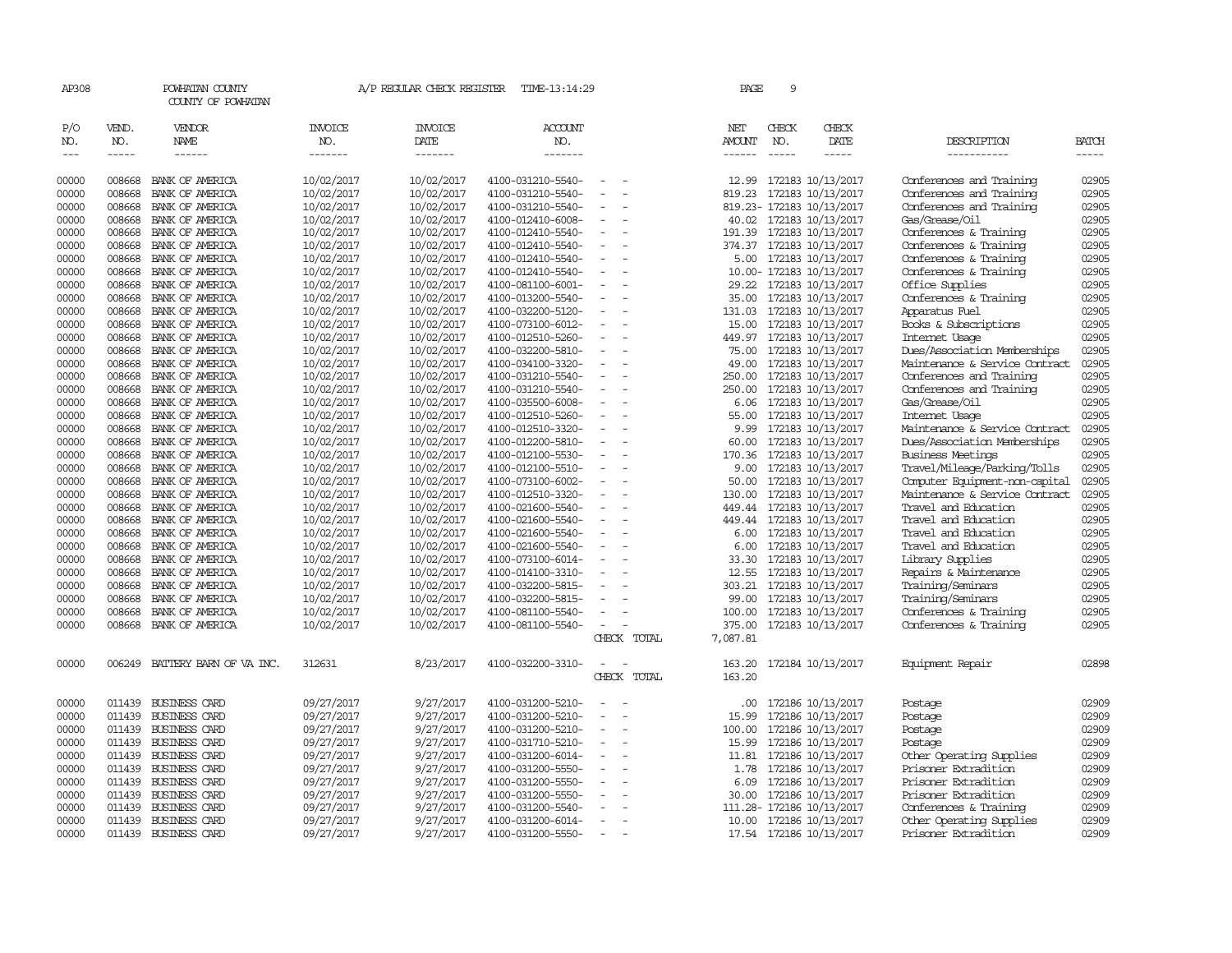| AP308                |                                                                                                                                                                                                                                                                                                                                                                                                                                                                         | POWHATAN COUNTY<br>COUNTY OF POWHATAN |                                  | A/P REGULAR CHECK REGISTER        | TIME-13:14:29                    |                          |  | PAGE          | 9                             |                              |                                |              |
|----------------------|-------------------------------------------------------------------------------------------------------------------------------------------------------------------------------------------------------------------------------------------------------------------------------------------------------------------------------------------------------------------------------------------------------------------------------------------------------------------------|---------------------------------------|----------------------------------|-----------------------------------|----------------------------------|--------------------------|--|---------------|-------------------------------|------------------------------|--------------------------------|--------------|
| P/O<br>NO.<br>$--\,$ | VEND.<br>NO.<br>$\begin{tabular}{ccccc} \multicolumn{2}{c }{\multicolumn{2}{c }{\multicolumn{2}{c }{\multicolumn{2}{c}}{\hspace{-2.2cm}}}} \multicolumn{2}{c }{\multicolumn{2}{c }{\hspace{-2.2cm}}\hline} \multicolumn{2}{c }{\hspace{-2.2cm}}\hline \multicolumn{2}{c }{\hspace{-2.2cm}}\hline \multicolumn{2}{c }{\hspace{-2.2cm}}\hline \multicolumn{2}{c }{\hspace{-2.2cm}}\hline \multicolumn{2}{c }{\hspace{-2.2cm}}\hline \multicolumn{2}{c }{\hspace{-2.2cm}}$ | VENDOR<br>NAME<br>$- - - - - -$       | <b>INVOICE</b><br>NO.<br>------- | <b>INVOICE</b><br>DATE<br>------- | <b>ACCOUNT</b><br>NO.<br>------- |                          |  | NET<br>AMOUNT | CHECK<br>NO.<br>$\frac{1}{2}$ | CHECK<br>DATE<br>$- - - - -$ | DESCRIPTION<br>-----------     | <b>BATCH</b> |
| 00000                | 008668                                                                                                                                                                                                                                                                                                                                                                                                                                                                  | BANK OF AMERICA                       | 10/02/2017                       | 10/02/2017                        | 4100-031210-5540-                |                          |  | 12.99         |                               | 172183 10/13/2017            | Conferences and Training       | 02905        |
| 00000                | 008668                                                                                                                                                                                                                                                                                                                                                                                                                                                                  | BANK OF AMERICA                       | 10/02/2017                       | 10/02/2017                        | 4100-031210-5540-                |                          |  | 819.23        |                               | 172183 10/13/2017            | Conferences and Training       | 02905        |
| 00000                | 008668                                                                                                                                                                                                                                                                                                                                                                                                                                                                  | BANK OF AMERICA                       | 10/02/2017                       | 10/02/2017                        | 4100-031210-5540-                | $\equiv$                 |  |               |                               | 819.23-172183 10/13/2017     | Conferences and Training       | 02905        |
| 00000                | 008668                                                                                                                                                                                                                                                                                                                                                                                                                                                                  | BANK OF AMERICA                       | 10/02/2017                       | 10/02/2017                        | 4100-012410-6008-                | $\equiv$                 |  | 40.02         |                               | 172183 10/13/2017            | Gas/Grease/0il                 | 02905        |
| 00000                | 008668                                                                                                                                                                                                                                                                                                                                                                                                                                                                  | BANK OF AMERICA                       | 10/02/2017                       | 10/02/2017                        | 4100-012410-5540-                |                          |  | 191.39        |                               | 172183 10/13/2017            | Conferences & Training         | 02905        |
| 00000                | 008668                                                                                                                                                                                                                                                                                                                                                                                                                                                                  | BANK OF AMERICA                       | 10/02/2017                       | 10/02/2017                        | 4100-012410-5540-                |                          |  | 374.37        |                               | 172183 10/13/2017            | Conferences & Training         | 02905        |
| 00000                | 008668                                                                                                                                                                                                                                                                                                                                                                                                                                                                  | BANK OF AMERICA                       | 10/02/2017                       | 10/02/2017                        | 4100-012410-5540-                | $\equiv$                 |  | 5.00          |                               | 172183 10/13/2017            | Conferences & Training         | 02905        |
| 00000                | 008668                                                                                                                                                                                                                                                                                                                                                                                                                                                                  | BANK OF AMERICA                       | 10/02/2017                       | 10/02/2017                        | 4100-012410-5540-                |                          |  |               |                               | 10.00- 172183 10/13/2017     | Conferences & Training         | 02905        |
| 00000                | 008668                                                                                                                                                                                                                                                                                                                                                                                                                                                                  | BANK OF AMERICA                       | 10/02/2017                       | 10/02/2017                        | 4100-081100-6001-                |                          |  | 29.22         |                               | 172183 10/13/2017            | Office Supplies                | 02905        |
| 00000                | 008668                                                                                                                                                                                                                                                                                                                                                                                                                                                                  | BANK OF AMERICA                       | 10/02/2017                       | 10/02/2017                        | 4100-013200-5540-                |                          |  | 35.00         |                               | 172183 10/13/2017            | Conferences & Training         | 02905        |
| 00000                | 008668                                                                                                                                                                                                                                                                                                                                                                                                                                                                  | BANK OF AMERICA                       | 10/02/2017                       | 10/02/2017                        | 4100-032200-5120-                |                          |  | 131.03        |                               | 172183 10/13/2017            | Apparatus Fuel                 | 02905        |
| 00000                | 008668                                                                                                                                                                                                                                                                                                                                                                                                                                                                  | BANK OF AMERICA                       | 10/02/2017                       | 10/02/2017                        | 4100-073100-6012-                |                          |  | 15.00         |                               | 172183 10/13/2017            | Books & Subscriptions          | 02905        |
| 00000                | 008668                                                                                                                                                                                                                                                                                                                                                                                                                                                                  | BANK OF AMERICA                       | 10/02/2017                       | 10/02/2017                        | 4100-012510-5260-                |                          |  | 449.97        |                               | 172183 10/13/2017            | Internet Usage                 | 02905        |
| 00000                | 008668                                                                                                                                                                                                                                                                                                                                                                                                                                                                  | BANK OF AMERICA                       | 10/02/2017                       | 10/02/2017                        | 4100-032200-5810-                | $\overline{\phantom{a}}$ |  | 75.00         |                               | 172183 10/13/2017            | Dues/Association Memberships   | 02905        |
| 00000                | 008668                                                                                                                                                                                                                                                                                                                                                                                                                                                                  | BANK OF AMERICA                       | 10/02/2017                       | 10/02/2017                        | 4100-034100-3320-                |                          |  | 49.00         |                               | 172183 10/13/2017            | Maintenance & Service Contract | 02905        |
| 00000                | 008668                                                                                                                                                                                                                                                                                                                                                                                                                                                                  | BANK OF AMERICA                       | 10/02/2017                       | 10/02/2017                        | 4100-031210-5540-                |                          |  | 250.00        |                               | 172183 10/13/2017            | Conferences and Training       | 02905        |
| 00000                | 008668                                                                                                                                                                                                                                                                                                                                                                                                                                                                  | BANK OF AMERICA                       | 10/02/2017                       | 10/02/2017                        | 4100-031210-5540-                |                          |  | 250.00        |                               | 172183 10/13/2017            | Conferences and Training       | 02905        |
| 00000                | 008668                                                                                                                                                                                                                                                                                                                                                                                                                                                                  | BANK OF AMERICA                       | 10/02/2017                       | 10/02/2017                        | 4100-035500-6008-                | $\sim$                   |  | 6.06          |                               | 172183 10/13/2017            | Gas/Grease/0il                 | 02905        |
| 00000                | 008668                                                                                                                                                                                                                                                                                                                                                                                                                                                                  | BANK OF AMERICA                       | 10/02/2017                       | 10/02/2017                        | 4100-012510-5260-                |                          |  | 55.00         |                               | 172183 10/13/2017            | Internet Usage                 | 02905        |
| 00000                | 008668                                                                                                                                                                                                                                                                                                                                                                                                                                                                  | BANK OF AMERICA                       | 10/02/2017                       | 10/02/2017                        | 4100-012510-3320-                |                          |  | 9.99          |                               | 172183 10/13/2017            | Maintenance & Service Contract | 02905        |
| 00000                | 008668                                                                                                                                                                                                                                                                                                                                                                                                                                                                  | BANK OF AMERICA                       | 10/02/2017                       | 10/02/2017                        | 4100-012200-5810-                | $\equiv$                 |  | 60.00         |                               | 172183 10/13/2017            | Dues/Association Memberships   | 02905        |
| 00000                | 008668                                                                                                                                                                                                                                                                                                                                                                                                                                                                  | BANK OF AMERICA                       | 10/02/2017                       | 10/02/2017                        | 4100-012100-5530-                |                          |  | 170.36        |                               | 172183 10/13/2017            | <b>Business Meetings</b>       | 02905        |
| 00000                | 008668                                                                                                                                                                                                                                                                                                                                                                                                                                                                  | BANK OF AMERICA                       | 10/02/2017                       | 10/02/2017                        | 4100-012100-5510-                | $\equiv$                 |  | 9.00          |                               | 172183 10/13/2017            | Travel/Mileage/Parking/Tolls   | 02905        |
| 00000                | 008668                                                                                                                                                                                                                                                                                                                                                                                                                                                                  | BANK OF AMERICA                       | 10/02/2017                       | 10/02/2017                        | 4100-073100-6002-                |                          |  | 50.00         |                               | 172183 10/13/2017            | Computer Equipment-non-capital | 02905        |
| 00000                | 008668                                                                                                                                                                                                                                                                                                                                                                                                                                                                  | BANK OF AMERICA                       | 10/02/2017                       | 10/02/2017                        | 4100-012510-3320-                | $\overline{\phantom{a}}$ |  | 130.00        |                               | 172183 10/13/2017            | Maintenance & Service Contract | 02905        |
| 00000                | 008668                                                                                                                                                                                                                                                                                                                                                                                                                                                                  | BANK OF AMERICA                       | 10/02/2017                       | 10/02/2017                        | 4100-021600-5540-                |                          |  | 449.44        |                               | 172183 10/13/2017            | Travel and Education           | 02905        |
| 00000                | 008668                                                                                                                                                                                                                                                                                                                                                                                                                                                                  | BANK OF AMERICA                       | 10/02/2017                       | 10/02/2017                        | 4100-021600-5540-                |                          |  | 449.44        |                               | 172183 10/13/2017            | Travel and Education           | 02905        |
| 00000                | 008668                                                                                                                                                                                                                                                                                                                                                                                                                                                                  | BANK OF AMERICA                       | 10/02/2017                       | 10/02/2017                        | 4100-021600-5540-                |                          |  | 6.00          |                               | 172183 10/13/2017            | Travel and Education           | 02905        |
| 00000                | 008668                                                                                                                                                                                                                                                                                                                                                                                                                                                                  | BANK OF AMERICA                       | 10/02/2017                       | 10/02/2017                        | 4100-021600-5540-                | $\equiv$                 |  | 6.00          |                               | 172183 10/13/2017            | Travel and Education           | 02905        |
| 00000                | 008668                                                                                                                                                                                                                                                                                                                                                                                                                                                                  | BANK OF AMERICA                       | 10/02/2017                       | 10/02/2017                        | 4100-073100-6014-                |                          |  | 33.30         |                               | 172183 10/13/2017            | Library Supplies               | 02905        |
| 00000                | 008668                                                                                                                                                                                                                                                                                                                                                                                                                                                                  | BANK OF AMERICA                       | 10/02/2017                       | 10/02/2017                        | 4100-014100-3310-                |                          |  | 12.55         |                               | 172183 10/13/2017            | Repairs & Maintenance          | 02905        |
| 00000                | 008668                                                                                                                                                                                                                                                                                                                                                                                                                                                                  | BANK OF AMERICA                       | 10/02/2017                       | 10/02/2017                        | 4100-032200-5815-                |                          |  | 303.21        |                               | 172183 10/13/2017            | Training/Seminars              | 02905        |
| 00000                | 008668                                                                                                                                                                                                                                                                                                                                                                                                                                                                  | BANK OF AMERICA                       | 10/02/2017                       | 10/02/2017                        | 4100-032200-5815-                |                          |  | 99.00         |                               | 172183 10/13/2017            | Training/Seminars              | 02905        |
| 00000                | 008668                                                                                                                                                                                                                                                                                                                                                                                                                                                                  | BANK OF AMERICA                       | 10/02/2017                       | 10/02/2017                        | 4100-081100-5540-                |                          |  | 100.00        |                               | 172183 10/13/2017            | Conferences & Training         | 02905        |
| 00000                | 008668                                                                                                                                                                                                                                                                                                                                                                                                                                                                  | BANK OF AMERICA                       | 10/02/2017                       | 10/02/2017                        | 4100-081100-5540-                |                          |  | 375.00        |                               | 172183 10/13/2017            | Conferences & Training         | 02905        |
|                      |                                                                                                                                                                                                                                                                                                                                                                                                                                                                         |                                       |                                  |                                   |                                  | CHECK TOTAL              |  | 7,087.81      |                               |                              |                                |              |
| 00000                | 006249                                                                                                                                                                                                                                                                                                                                                                                                                                                                  | BATTERY BARN OF VA INC.               | 312631                           | 8/23/2017                         | 4100-032200-3310-                | $\equiv$                 |  | 163.20        |                               | 172184 10/13/2017            | Equipment Repair               | 02898        |
|                      |                                                                                                                                                                                                                                                                                                                                                                                                                                                                         |                                       |                                  |                                   |                                  | CHECK TOTAL              |  | 163.20        |                               |                              |                                |              |
| 00000                | 011439                                                                                                                                                                                                                                                                                                                                                                                                                                                                  | BUSINESS CARD                         | 09/27/2017                       | 9/27/2017                         | 4100-031200-5210-                |                          |  | .00           |                               | 172186 10/13/2017            | Postage                        | 02909        |
| 00000                | 011439                                                                                                                                                                                                                                                                                                                                                                                                                                                                  | <b>BUSINESS CARD</b>                  | 09/27/2017                       | 9/27/2017                         | 4100-031200-5210-                |                          |  | 15.99         |                               | 172186 10/13/2017            | Postage                        | 02909        |
| 00000                | 011439                                                                                                                                                                                                                                                                                                                                                                                                                                                                  | <b>BUSINESS CARD</b>                  | 09/27/2017                       | 9/27/2017                         | 4100-031200-5210-                | $\equiv$                 |  | 100.00        |                               | 172186 10/13/2017            | Postage                        | 02909        |
| 00000                | 011439                                                                                                                                                                                                                                                                                                                                                                                                                                                                  | <b>BUSINESS CARD</b>                  | 09/27/2017                       | 9/27/2017                         | 4100-031710-5210-                |                          |  | 15.99         |                               | 172186 10/13/2017            | Postage                        | 02909        |
| 00000                | 011439                                                                                                                                                                                                                                                                                                                                                                                                                                                                  | <b>BUSINESS CARD</b>                  | 09/27/2017                       | 9/27/2017                         | 4100-031200-6014-                |                          |  | 11.81         |                               | 172186 10/13/2017            | Other Operating Supplies       | 02909        |
| 00000                | 011439                                                                                                                                                                                                                                                                                                                                                                                                                                                                  | <b>BUSINESS CARD</b>                  | 09/27/2017                       | 9/27/2017                         | 4100-031200-5550-                |                          |  | 1.78          |                               | 172186 10/13/2017            | Prisoner Extradition           | 02909        |
| 00000                | 011439                                                                                                                                                                                                                                                                                                                                                                                                                                                                  | <b>BUSINESS CARD</b>                  | 09/27/2017                       | 9/27/2017                         | 4100-031200-5550-                | $\equiv$                 |  | 6.09          |                               | 172186 10/13/2017            | Prisoner Extradition           | 02909        |
| 00000                | 011439                                                                                                                                                                                                                                                                                                                                                                                                                                                                  | <b>BUSINESS CARD</b>                  | 09/27/2017                       | 9/27/2017                         | 4100-031200-5550-                |                          |  | 30.00         |                               | 172186 10/13/2017            | Prisoner Extradition           | 02909        |
| 00000                | 011439                                                                                                                                                                                                                                                                                                                                                                                                                                                                  | <b>BUSINESS CARD</b>                  | 09/27/2017                       | 9/27/2017                         | 4100-031200-5540-                |                          |  |               |                               | 111.28-172186 10/13/2017     | Conferences & Training         | 02909        |
| 00000                | 011439                                                                                                                                                                                                                                                                                                                                                                                                                                                                  | <b>BUSINESS CARD</b>                  | 09/27/2017                       | 9/27/2017                         | 4100-031200-6014-                | $\overline{\phantom{a}}$ |  | 10.00         |                               | 172186 10/13/2017            | Other Operating Supplies       | 02909        |
| 00000                | 011439                                                                                                                                                                                                                                                                                                                                                                                                                                                                  | <b>BUSINESS CARD</b>                  | 09/27/2017                       | 9/27/2017                         | 4100-031200-5550-                | $\equiv$                 |  |               |                               | 17.54 172186 10/13/2017      | Prisoner Extradition           | 02909        |
|                      |                                                                                                                                                                                                                                                                                                                                                                                                                                                                         |                                       |                                  |                                   |                                  |                          |  |               |                               |                              |                                |              |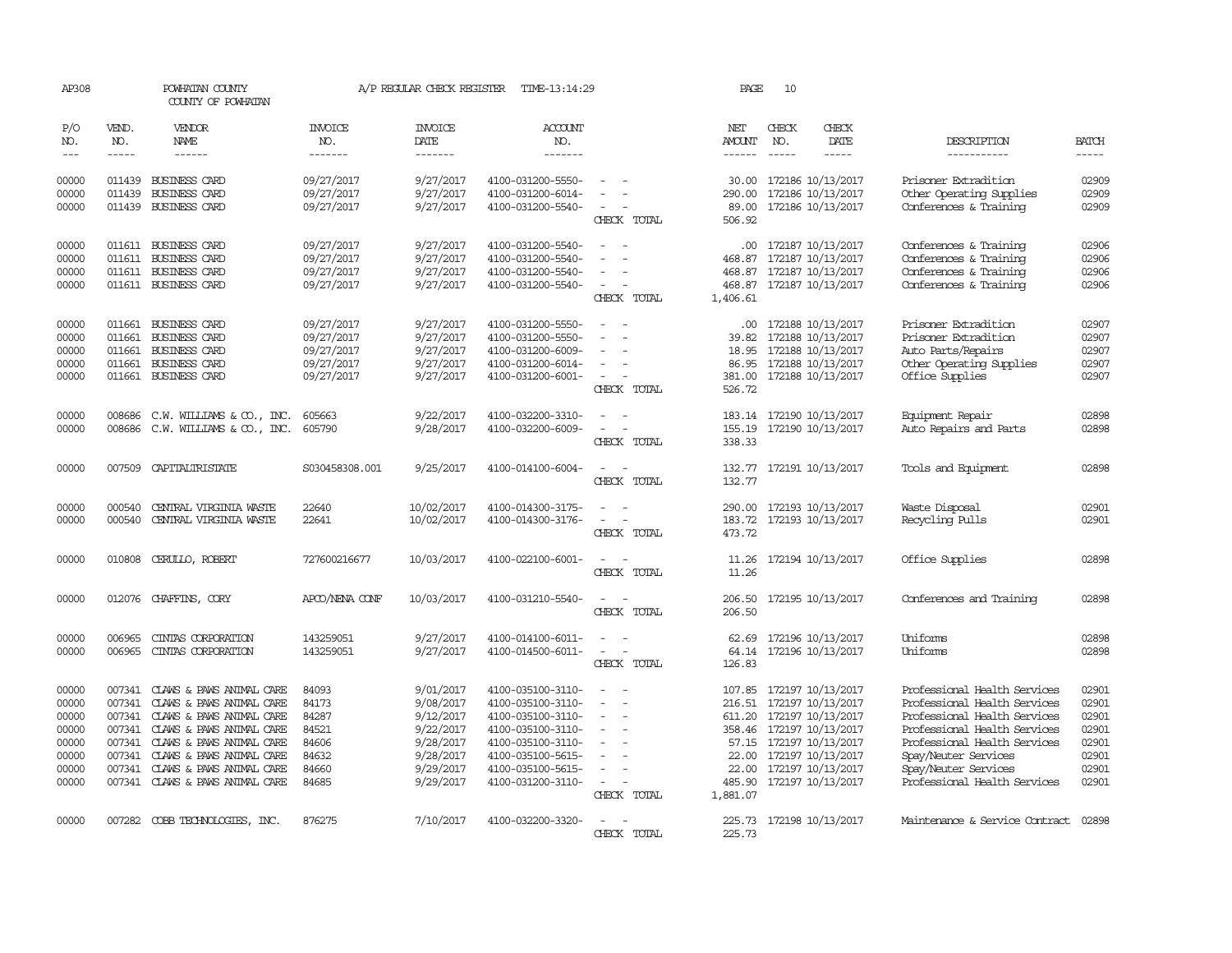| AP308          |                  | POWHATAN COUNTY<br>COUNTY OF POWHATAN |                          | A/P REGULAR CHECK REGISTER | TIME-13:14:29                          |                                                                     | PAGE               | 10            |                                              |                                                  |                |
|----------------|------------------|---------------------------------------|--------------------------|----------------------------|----------------------------------------|---------------------------------------------------------------------|--------------------|---------------|----------------------------------------------|--------------------------------------------------|----------------|
| P/O<br>NO.     | VEND.<br>NO.     | VENDOR<br>NAME                        | <b>INVOICE</b><br>NO.    | <b>INVOICE</b><br>DATE     | <b>ACCOUNT</b><br>NO.                  |                                                                     | NET<br>AMOUNT      | CHECK<br>NO.  | CHECK<br>DATE                                | DESCRIPTION                                      | <b>BATCH</b>   |
| $---$          | $\frac{1}{2}$    | $- - - - - -$                         | -------                  | -------                    | -------                                |                                                                     | $- - - - - -$      | $\frac{1}{2}$ | -----                                        | -----------                                      | $- - - - -$    |
| 00000<br>00000 | 011439<br>011439 | BUSINESS CARD<br><b>BUSINESS CARD</b> | 09/27/2017<br>09/27/2017 | 9/27/2017<br>9/27/2017     | 4100-031200-5550-<br>4100-031200-6014- |                                                                     | 290.00             |               | 30.00 172186 10/13/2017<br>172186 10/13/2017 | Prisoner Extradition<br>Other Operating Supplies | 02909<br>02909 |
| 00000          | 011439           | <b>BUSINESS CARD</b>                  | 09/27/2017               | 9/27/2017                  | 4100-031200-5540-                      | CHECK TOTAL                                                         | 89.00<br>506.92    |               | 172186 10/13/2017                            | Conferences & Training                           | 02909          |
| 00000          |                  | 011611 BUSINESS CARD                  | 09/27/2017               | 9/27/2017                  | 4100-031200-5540-                      |                                                                     |                    |               | .00 172187 10/13/2017                        | Conferences & Training                           | 02906          |
| 00000          | 011611           | BUSINESS CARD                         | 09/27/2017               | 9/27/2017                  | 4100-031200-5540-                      |                                                                     | 468.87             |               | 172187 10/13/2017                            | Conferences & Training                           | 02906          |
| 00000          |                  | 011611 BUSINESS CARD                  | 09/27/2017               | 9/27/2017                  | 4100-031200-5540-                      | $\overline{a}$                                                      |                    |               | 468.87 172187 10/13/2017                     | Conferences & Training                           | 02906          |
| 00000          |                  | 011611 BUSINESS CARD                  | 09/27/2017               | 9/27/2017                  | 4100-031200-5540-                      | $\sim$<br>$\overline{\phantom{a}}$<br>CHECK TOTAL                   | 468.87<br>1,406.61 |               | 172187 10/13/2017                            | Conferences & Training                           | 02906          |
| 00000          |                  | 011661 BUSINESS CARD                  | 09/27/2017               | 9/27/2017                  | 4100-031200-5550-                      | $\overline{\phantom{a}}$<br>$\sim$                                  | $.00 \cdot$        |               | 172188 10/13/2017                            | Prisoner Extradition                             | 02907          |
| 00000          | 011661           | BUSINESS CARD                         | 09/27/2017               | 9/27/2017                  | 4100-031200-5550-                      |                                                                     | 39.82              |               | 172188 10/13/2017                            | Prisoner Extradition                             | 02907          |
| 00000          | 011661           | BUSINESS CARD                         | 09/27/2017               | 9/27/2017                  | 4100-031200-6009-                      |                                                                     | 18.95              |               | 172188 10/13/2017                            | Auto Parts/Repairs                               | 02907          |
| 00000          | 011661           | BUSINESS CARD                         | 09/27/2017               | 9/27/2017                  | 4100-031200-6014-                      | $\equiv$                                                            | 86.95              |               | 172188 10/13/2017                            | Other Operating Supplies                         | 02907          |
| 00000          |                  | 011661 BUSINESS CARD                  | 09/27/2017               | 9/27/2017                  | 4100-031200-6001-                      | $\overline{\phantom{a}}$<br>$\overline{\phantom{a}}$<br>CHECK TOTAL | 381.00<br>526.72   |               | 172188 10/13/2017                            | Office Supplies                                  | 02907          |
| 00000          | 008686           | $C.W. WILLIAMS & CD., INC.$           | 605663                   | 9/22/2017                  | 4100-032200-3310-                      | $\overline{\phantom{a}}$<br>. —                                     | 183.14             |               | 172190 10/13/2017                            | Equipment Repair                                 | 02898          |
| 00000          | 008686           | C.W. WILLIAMS & CO., INC.             | 605790                   | 9/28/2017                  | 4100-032200-6009-                      | $\sim$                                                              | 155.19             |               | 172190 10/13/2017                            | Auto Repairs and Parts                           | 02898          |
|                |                  |                                       |                          |                            |                                        | CHECK TOTAL                                                         | 338.33             |               |                                              |                                                  |                |
| 00000          | 007509           | CAPITALIRISTATE                       | S030458308.001           | 9/25/2017                  | 4100-014100-6004-                      | $\overline{\phantom{a}}$<br>$\overline{\phantom{a}}$<br>CHECK TOTAL | 132.77<br>132.77   |               | 172191 10/13/2017                            | Tools and Equipment                              | 02898          |
| 00000          | 000540           | CENTRAL VIRGINIA WASTE                | 22640                    | 10/02/2017                 | 4100-014300-3175-                      | $\sim$<br>$\overline{\phantom{a}}$                                  | 290.00             |               | 172193 10/13/2017                            | Waste Disposal                                   | 02901          |
| 00000          | 000540           | CENTRAL VIRGINIA WASTE                | 22641                    | 10/02/2017                 | 4100-014300-3176-                      | $\overline{\phantom{a}}$<br>CHECK TOTAL                             | 183.72<br>473.72   |               | 172193 10/13/2017                            | Recycling Pulls                                  | 02901          |
| 00000          | 010808           | CERULLO, ROBERT                       | 727600216677             | 10/03/2017                 | 4100-022100-6001-                      | $\sim$<br>$\sim$                                                    | 11.26              |               | 172194 10/13/2017                            | Office Supplies                                  | 02898          |
|                |                  |                                       |                          |                            |                                        | CHECK TOTAL                                                         | 11.26              |               |                                              |                                                  |                |
| 00000          |                  | 012076 CHAFFINS, CORY                 | APCO/NENA CONF           | 10/03/2017                 | 4100-031210-5540-                      | $\sim$<br>$\overline{\phantom{a}}$<br>CHECK TOTAL                   | 206.50<br>206.50   |               | 172195 10/13/2017                            | Conferences and Training                         | 02898          |
| 00000          | 006965           | CINIAS CORPORATION                    | 143259051                | 9/27/2017                  | 4100-014100-6011-                      |                                                                     | 62.69              |               | 172196 10/13/2017                            | Uniforms                                         | 02898          |
| 00000          | 006965           | CINIAS CORPORATION                    | 143259051                | 9/27/2017                  | 4100-014500-6011-                      | $\overline{\phantom{a}}$<br>$\overline{\phantom{a}}$                | 64.14              |               | 172196 10/13/2017                            | Uniforms                                         | 02898          |
|                |                  |                                       |                          |                            |                                        | CHECK TOTAL                                                         | 126.83             |               |                                              |                                                  |                |
| 00000          |                  | 007341 CLAWS & PAWS ANIMAL CARE       | 84093                    | 9/01/2017                  | 4100-035100-3110-                      | $\sim$<br>$\sim$                                                    |                    |               | 107.85 172197 10/13/2017                     | Professional Health Services                     | 02901          |
| 00000          | 007341           | CLAWS & PAWS ANIMAL CARE              | 84173                    | 9/08/2017                  | 4100-035100-3110-                      | $\sim$                                                              | 216.51             |               | 172197 10/13/2017                            | Professional Health Services                     | 02901          |
| 00000          |                  | 007341 CLAWS & PAWS ANIMAL CARE       | 84287                    | 9/12/2017                  | 4100-035100-3110-                      | $\overline{\phantom{a}}$                                            |                    |               | 611.20 172197 10/13/2017                     | Professional Health Services                     | 02901          |
| 00000          |                  | 007341 CLAWS & PAWS ANIMAL CARE       | 84521                    | 9/22/2017                  | 4100-035100-3110-                      | $\overline{\phantom{a}}$                                            |                    |               | 358.46 172197 10/13/2017                     | Professional Health Services                     | 02901          |
| 00000          | 007341           | CLAWS & PAWS ANIMAL CARE              | 84606                    | 9/28/2017                  | 4100-035100-3110-                      | $\overline{\phantom{a}}$                                            |                    |               | 57.15 172197 10/13/2017                      | Professional Health Services                     | 02901          |
| 00000          |                  | 007341 CLAWS & PAWS ANIMAL CARE       | 84632                    | 9/28/2017                  | 4100-035100-5615-                      |                                                                     | 22.00              |               | 172197 10/13/2017                            | Spay/Neuter Services                             | 02901          |
| 00000          |                  | 007341 CLAWS & PAWS ANIMAL CARE       | 84660                    | 9/29/2017                  | 4100-035100-5615-                      |                                                                     | 22.00              |               | 172197 10/13/2017                            | Spay/Neuter Services                             | 02901          |
| 00000          |                  | 007341 CLAWS & PAWS ANIMAL CARE       | 84685                    | 9/29/2017                  | 4100-031200-3110-                      | $\sim$<br>CHECK TOTAL                                               | 1,881.07           |               | 485.90 172197 10/13/2017                     | Professional Health Services                     | 02901          |
|                |                  |                                       |                          |                            |                                        |                                                                     |                    |               |                                              |                                                  |                |
| 00000          |                  | 007282 COBB TECHNOLOGIES, INC.        | 876275                   | 7/10/2017                  | 4100-032200-3320-                      | $\overline{\phantom{a}}$<br>CHECK TOTAL                             | 225.73<br>225.73   |               | 172198 10/13/2017                            | Maintenance & Service Contract                   | 02898          |
|                |                  |                                       |                          |                            |                                        |                                                                     |                    |               |                                              |                                                  |                |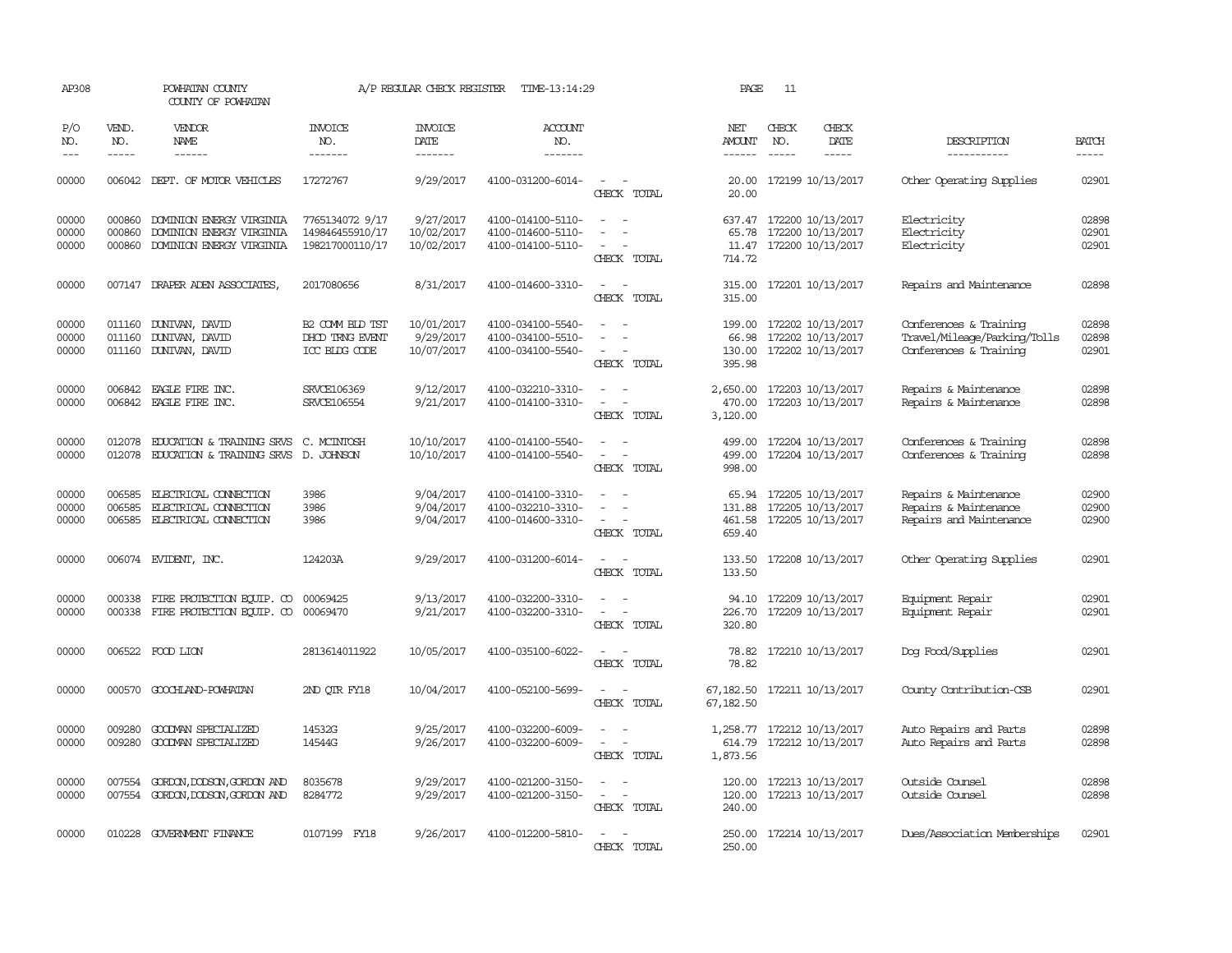| AP308                   |                             | POWHATAN COUNTY<br>COUNTY OF POWHATAN                                            |                                                       | A/P REGULAR CHECK REGISTER            | TIME-13:14:29                                               |                                                                                                 | PAGE                                | 11                          |                                                                   |                                                                                  |                             |
|-------------------------|-----------------------------|----------------------------------------------------------------------------------|-------------------------------------------------------|---------------------------------------|-------------------------------------------------------------|-------------------------------------------------------------------------------------------------|-------------------------------------|-----------------------------|-------------------------------------------------------------------|----------------------------------------------------------------------------------|-----------------------------|
| P/O<br>NO.<br>$- - -$   | VEND.<br>NO.<br>$- - - - -$ | <b>VENDOR</b><br><b>NAME</b><br>------                                           | <b>INVOICE</b><br>NO.<br>-------                      | <b>INVOICE</b><br>DATE<br>-------     | ACCOUNT<br>NO.<br>-------                                   |                                                                                                 | NET<br>AMOUNT<br>$- - - - - -$      | CHECK<br>NO.<br>$- - - - -$ | CHECK<br>DATE<br>-----                                            | DESCRIPTION<br>-----------                                                       | <b>BATCH</b><br>$- - - - -$ |
| 00000                   |                             | 006042 DEPT. OF MOTOR VEHICLES                                                   | 17272767                                              | 9/29/2017                             | 4100-031200-6014-                                           | $\sim$ $\sim$<br>CHECK TOTAL                                                                    | 20.00                               |                             | 20.00 172199 10/13/2017                                           | Other Operating Supplies                                                         | 02901                       |
| 00000<br>00000<br>00000 | 000860<br>000860<br>000860  | DOMINION ENERGY VIRGINIA<br>DOMINION ENERGY VIRGINIA<br>DOMINION ENERGY VIRGINIA | 7765134072 9/17<br>149846455910/17<br>198217000110/17 | 9/27/2017<br>10/02/2017<br>10/02/2017 | 4100-014100-5110-<br>4100-014600-5110-<br>4100-014100-5110- | $\sim$<br>$\overline{a}$<br>$\overline{\phantom{a}}$<br>$\overline{\phantom{a}}$<br>CHECK TOTAL | 637.47<br>65.78<br>11.47<br>714.72  |                             | 172200 10/13/2017<br>172200 10/13/2017<br>172200 10/13/2017       | Electricity<br>Electricity<br>Electricity                                        | 02898<br>02901<br>02901     |
| 00000                   |                             | 007147 DRAPER ADEN ASSOCIATES,                                                   | 2017080656                                            | 8/31/2017                             | 4100-014600-3310-                                           | $\overline{\phantom{a}}$<br>$\sim$<br>CHECK TOTAL                                               | 315.00<br>315.00                    |                             | 172201 10/13/2017                                                 | Repairs and Maintenance                                                          | 02898                       |
| 00000<br>00000<br>00000 | 011160                      | 011160 DUNIVAN, DAVID<br>DUNIVAN, DAVID<br>011160 DUNIVAN, DAVID                 | B2 COMM BLD TST<br>DHOD TRNG EVENT<br>ICC BLDG CODE   | 10/01/2017<br>9/29/2017<br>10/07/2017 | 4100-034100-5540-<br>4100-034100-5510-<br>4100-034100-5540- | $\sim$<br>$\overline{\phantom{a}}$<br>CHECK TOTAL                                               | 199.00<br>66.98<br>130.00<br>395.98 |                             | 172202 10/13/2017<br>172202 10/13/2017<br>172202 10/13/2017       | Conferences & Training<br>Travel/Mileage/Parking/Tolls<br>Conferences & Training | 02898<br>02898<br>02901     |
| 00000<br>00000          | 006842<br>006842            | EAGLE FIRE INC.<br>EAGLE FIRE INC.                                               | SRVCE106369<br>SRVCE106554                            | 9/12/2017<br>9/21/2017                | 4100-032210-3310-<br>4100-014100-3310-                      | CHECK TOTAL                                                                                     | 2,650.00<br>470.00<br>3,120.00      |                             | 172203 10/13/2017<br>172203 10/13/2017                            | Repairs & Maintenance<br>Repairs & Maintenance                                   | 02898<br>02898              |
| 00000<br>00000          | 012078<br>012078            | <b>EDUCATION &amp; TRAINING SRVS</b><br>EDUCATION & TRAINING SRVS D. JOHNSON     | C. MCINTOSH                                           | 10/10/2017<br>10/10/2017              | 4100-014100-5540-<br>4100-014100-5540-                      | CHECK TOTAL                                                                                     | 499.00<br>499.00<br>998.00          |                             | 172204 10/13/2017<br>172204 10/13/2017                            | Conferences & Training<br>Conferences & Training                                 | 02898<br>02898              |
| 00000<br>00000<br>00000 | 006585<br>006585<br>006585  | ELECTRICAL CONNECTION<br>ELECTRICAL CONECTION<br>ELECTRICAL CONNECTION           | 3986<br>3986<br>3986                                  | 9/04/2017<br>9/04/2017<br>9/04/2017   | 4100-014100-3310-<br>4100-032210-3310-<br>4100-014600-3310- | $\overline{\phantom{a}}$<br>CHECK TOTAL                                                         | 131.88<br>461.58<br>659.40          |                             | 65.94 172205 10/13/2017<br>172205 10/13/2017<br>172205 10/13/2017 | Repairs & Maintenance<br>Repairs & Maintenance<br>Repairs and Maintenance        | 02900<br>02900<br>02900     |
| 00000                   |                             | 006074 EVIDENT, INC.                                                             | 124203A                                               | 9/29/2017                             | 4100-031200-6014-                                           | $\overline{\phantom{a}}$<br>CHECK TOTAL                                                         | 133.50<br>133.50                    |                             | 172208 10/13/2017                                                 | Other Operating Supplies                                                         | 02901                       |
| 00000<br>00000          | 000338                      | FIRE PROTECTION EQUIP. CO<br>000338 FIRE PROTECTION EQUIP. CO                    | 00069425<br>00069470                                  | 9/13/2017<br>9/21/2017                | 4100-032200-3310-<br>4100-032200-3310-                      | $\sim$<br>$\overline{\phantom{a}}$<br>CHECK TOTAL                                               | 226.70<br>320.80                    |                             | 94.10 172209 10/13/2017<br>172209 10/13/2017                      | Equipment Repair<br>Equipment Repair                                             | 02901<br>02901              |
| 00000                   |                             | 006522 FOOD LION                                                                 | 2813614011922                                         | 10/05/2017                            | 4100-035100-6022-                                           | $\sim$ $\sim$<br>CHECK TOTAL                                                                    | 78.82<br>78.82                      |                             | 172210 10/13/2017                                                 | Dog Food/Supplies                                                                | 02901                       |
| 00000                   |                             | 000570 GOOCHLAND-POWHATAN                                                        | 2ND QTR FY18                                          | 10/04/2017                            | 4100-052100-5699-                                           | $\sim$<br>$\overline{\phantom{a}}$<br>CHECK TOTAL                                               | 67,182.50                           |                             | 67, 182.50 172211 10/13/2017                                      | County Contribution-CSB                                                          | 02901                       |
| 00000<br>00000          | 009280<br>009280            | GOODWAN SPECIALIZED<br>GOODWAN SPECIALIZED                                       | 14532G<br>14544G                                      | 9/25/2017<br>9/26/2017                | 4100-032200-6009-<br>4100-032200-6009-                      | CHECK TOTAL                                                                                     | 1,873.56                            |                             | 1,258.77 172212 10/13/2017<br>614.79 172212 10/13/2017            | Auto Repairs and Parts<br>Auto Repairs and Parts                                 | 02898<br>02898              |
| 00000<br>00000          | 007554<br>007554            | GORDON, DODSON, GORDON AND<br>GORDON, DODSON, GORDON AND                         | 8035678<br>8284772                                    | 9/29/2017<br>9/29/2017                | 4100-021200-3150-<br>4100-021200-3150-                      | $\sim$<br>$\overline{\phantom{a}}$<br>CHECK TOTAL                                               | 120.00<br>120.00<br>240.00          |                             | 172213 10/13/2017<br>172213 10/13/2017                            | Outside Counsel<br>Outside Counsel                                               | 02898<br>02898              |
| 00000                   |                             | 010228 GOVERNMENT FINANCE                                                        | 0107199 FY18                                          | 9/26/2017                             | 4100-012200-5810-                                           | $\sim$<br>$\sim$<br>CHECK TOTAL                                                                 | 250.00                              |                             | 250.00 172214 10/13/2017                                          | Dues/Association Memberships                                                     | 02901                       |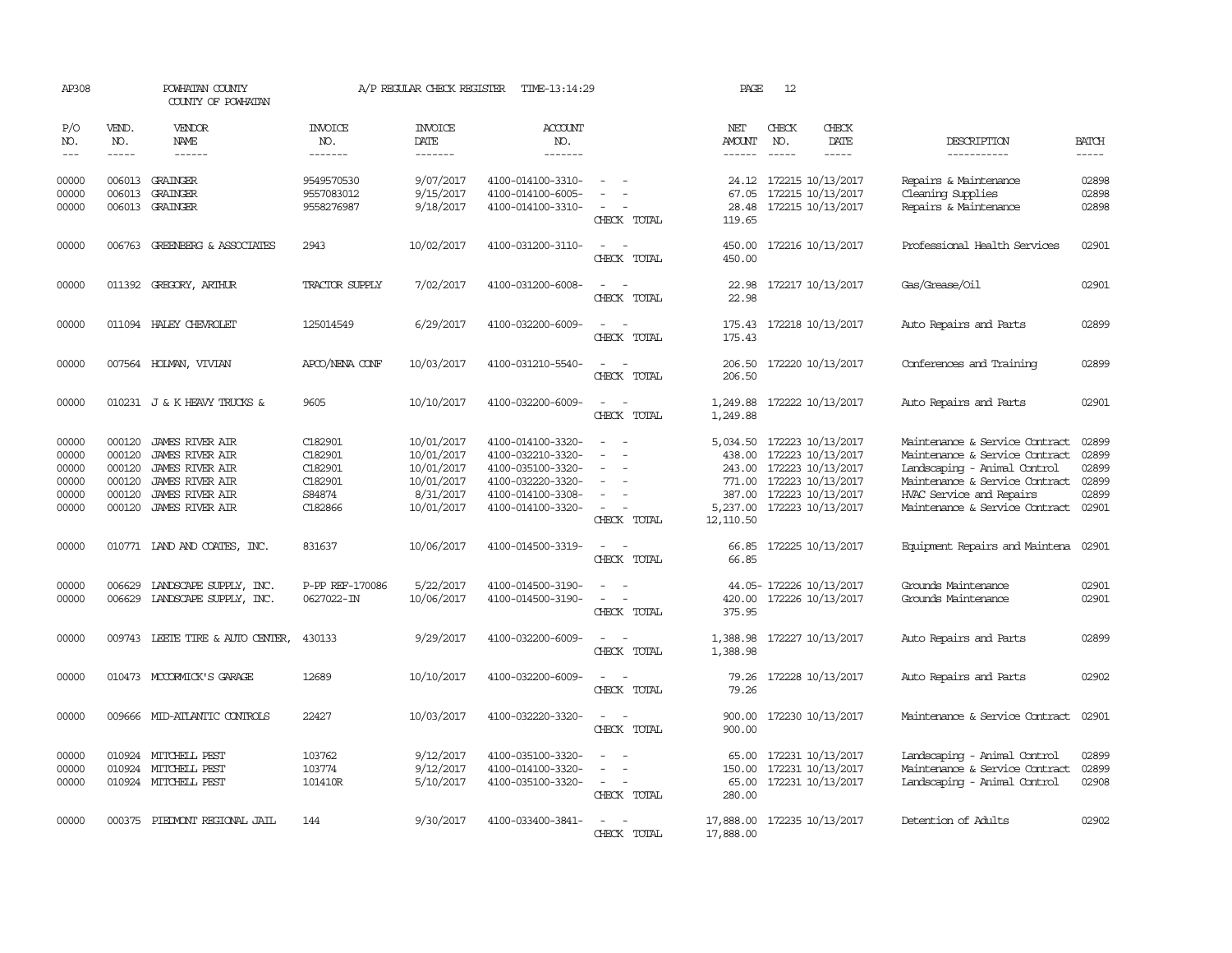| AP308                                              |                                                | POWHATAN COUNTY<br>COUNTY OF POWHATAN                                                                                                             |                                                               | A/P REGULAR CHECK REGISTER                                                      | TIME-13:14:29                                                                                                              |                                                                           | PAGE                                                          | 12                            |                                                                                                                                     |                                                                                                                                                                                                  |                                                    |
|----------------------------------------------------|------------------------------------------------|---------------------------------------------------------------------------------------------------------------------------------------------------|---------------------------------------------------------------|---------------------------------------------------------------------------------|----------------------------------------------------------------------------------------------------------------------------|---------------------------------------------------------------------------|---------------------------------------------------------------|-------------------------------|-------------------------------------------------------------------------------------------------------------------------------------|--------------------------------------------------------------------------------------------------------------------------------------------------------------------------------------------------|----------------------------------------------------|
| P/O<br>NO.<br>$---$                                | VEND.<br>NO.<br>$- - - - -$                    | <b>VENDOR</b><br>NAME<br>$- - - - - -$                                                                                                            | <b>INVOICE</b><br>NO.<br>-------                              | <b>INVOICE</b><br>DATE<br>-------                                               | <b>ACCOUNT</b><br>NO.<br>-------                                                                                           |                                                                           | NET<br>AMOUNT<br>$- - - - - -$                                | CHECK<br>NO.<br>$\frac{1}{2}$ | CHECK<br>DATE<br>$- - - - -$                                                                                                        | DESCRIPTION<br>-----------                                                                                                                                                                       | <b>BATCH</b><br>$- - - - -$                        |
| 00000<br>00000<br>00000                            | 006013                                         | 006013 GRAINGER<br>GRAINGER<br>006013 GRAINGER                                                                                                    | 9549570530<br>9557083012<br>9558276987                        | 9/07/2017<br>9/15/2017<br>9/18/2017                                             | 4100-014100-3310-<br>4100-014100-6005-<br>4100-014100-3310-                                                                | CHECK TOTAL                                                               | 24.12<br>67.05<br>28.48<br>119.65                             |                               | 172215 10/13/2017<br>172215 10/13/2017<br>172215 10/13/2017                                                                         | Repairs & Maintenance<br>Cleaning Supplies<br>Repairs & Maintenance                                                                                                                              | 02898<br>02898<br>02898                            |
| 00000                                              |                                                | 006763 GREENBERG & ASSOCIATES                                                                                                                     | 2943                                                          | 10/02/2017                                                                      | 4100-031200-3110-                                                                                                          | $\sim$<br>CHECK TOTAL                                                     | 450.00<br>450.00                                              |                               | 172216 10/13/2017                                                                                                                   | Professional Health Services                                                                                                                                                                     | 02901                                              |
| 00000                                              |                                                | 011392 GREGORY, ARTHUR                                                                                                                            | TRACTOR SUPPLY                                                | 7/02/2017                                                                       | 4100-031200-6008-                                                                                                          | CHECK TOTAL                                                               | 22.98<br>22.98                                                |                               | 172217 10/13/2017                                                                                                                   | Gas/Grease/0il                                                                                                                                                                                   | 02901                                              |
| 00000                                              |                                                | 011094 HALEY CHEVROLET                                                                                                                            | 125014549                                                     | 6/29/2017                                                                       | 4100-032200-6009-                                                                                                          | $\equiv$<br>$\sim$<br>CHECK TOTAL                                         | 175.43<br>175.43                                              |                               | 172218 10/13/2017                                                                                                                   | Auto Repairs and Parts                                                                                                                                                                           | 02899                                              |
| 00000                                              |                                                | 007564 HOLMAN, VIVIAN                                                                                                                             | APCO/NENA CONF                                                | 10/03/2017                                                                      | 4100-031210-5540-                                                                                                          | $\sim$<br>CHECK TOTAL                                                     | 206.50                                                        |                               | 206.50 172220 10/13/2017                                                                                                            | Conferences and Training                                                                                                                                                                         | 02899                                              |
| 00000                                              |                                                | 010231 J & K HEAVY TRUCKS &                                                                                                                       | 9605                                                          | 10/10/2017                                                                      | 4100-032200-6009-                                                                                                          | CHECK TOTAL                                                               | 1,249.88<br>1,249.88                                          |                               | 172222 10/13/2017                                                                                                                   | Auto Repairs and Parts                                                                                                                                                                           | 02901                                              |
| 00000<br>00000<br>00000<br>00000<br>00000<br>00000 | 000120<br>000120<br>000120<br>000120<br>000120 | JAMES RIVER AIR<br><b>JAMES RIVER AIR</b><br><b>JAMES RIVER AIR</b><br><b>JAMES RIVER AIR</b><br><b>JAMES RIVER AIR</b><br>000120 JAMES RIVER AIR | C182901<br>C182901<br>C182901<br>C182901<br>S84874<br>C182866 | 10/01/2017<br>10/01/2017<br>10/01/2017<br>10/01/2017<br>8/31/2017<br>10/01/2017 | 4100-014100-3320-<br>4100-032210-3320-<br>4100-035100-3320-<br>4100-032220-3320-<br>4100-014100-3308-<br>4100-014100-3320- | $\equiv$<br>$\overline{\phantom{a}}$<br>$\equiv$<br>$\sim$<br>CHECK TOTAL | 438.00<br>243.00<br>771.00<br>387.00<br>5,237.00<br>12,110.50 |                               | 5,034.50 172223 10/13/2017<br>172223 10/13/2017<br>172223 10/13/2017<br>172223 10/13/2017<br>172223 10/13/2017<br>172223 10/13/2017 | Maintenance & Service Contract<br>Maintenance & Service Contract<br>Landscaping - Animal Control<br>Maintenance & Service Contract<br>HVAC Service and Repairs<br>Maintenance & Service Contract | 02899<br>02899<br>02899<br>02899<br>02899<br>02901 |
| 00000                                              |                                                | 010771 IAND AND COATES, INC.                                                                                                                      | 831637                                                        | 10/06/2017                                                                      | 4100-014500-3319-                                                                                                          | CHECK TOTAL                                                               | 66.85                                                         |                               | 66.85 172225 10/13/2017                                                                                                             | Equipment Repairs and Maintena 02901                                                                                                                                                             |                                                    |
| 00000<br>00000                                     | 006629                                         | LANDSCAPE SUPPLY, INC.<br>006629 LANDSCAPE SUPPLY, INC.                                                                                           | P-PP REF-170086<br>0627022-IN                                 | 5/22/2017<br>10/06/2017                                                         | 4100-014500-3190-<br>4100-014500-3190-                                                                                     | $\equiv$<br>CHECK TOTAL                                                   | 420.00<br>375.95                                              |                               | 44.05- 172226 10/13/2017<br>172226 10/13/2017                                                                                       | Grounds Maintenance<br>Grounds Maintenance                                                                                                                                                       | 02901<br>02901                                     |
| 00000                                              |                                                | 009743 LEETE TIRE & AUTO CENTER,                                                                                                                  | 430133                                                        | 9/29/2017                                                                       | 4100-032200-6009-                                                                                                          | CHECK TOTAL                                                               | 1,388.98<br>1,388.98                                          |                               | 172227 10/13/2017                                                                                                                   | Auto Repairs and Parts                                                                                                                                                                           | 02899                                              |
| 00000                                              |                                                | 010473 MCCORMICK'S GARAGE                                                                                                                         | 12689                                                         | 10/10/2017                                                                      | 4100-032200-6009-                                                                                                          | CHECK TOTAL                                                               | 79.26<br>79.26                                                |                               | 172228 10/13/2017                                                                                                                   | Auto Repairs and Parts                                                                                                                                                                           | 02902                                              |
| 00000                                              |                                                | 009666 MID-ATLANTIC CONTROLS                                                                                                                      | 22427                                                         | 10/03/2017                                                                      | 4100-032220-3320-                                                                                                          | CHECK TOTAL                                                               | 900.00<br>900.00                                              |                               | 172230 10/13/2017                                                                                                                   | Maintenance & Service Contract                                                                                                                                                                   | 02901                                              |
| 00000<br>00000<br>00000                            |                                                | 010924 MITCHELL PEST<br>010924 MITCHELL PEST<br>010924 MITCHELL PEST                                                                              | 103762<br>103774<br>101410R                                   | 9/12/2017<br>9/12/2017<br>5/10/2017                                             | 4100-035100-3320-<br>4100-014100-3320-<br>4100-035100-3320-                                                                | $\overline{\phantom{a}}$<br>CHECK TOTAL                                   | 65.00<br>150.00<br>280.00                                     |                               | 172231 10/13/2017<br>172231 10/13/2017<br>65.00 172231 10/13/2017                                                                   | Landscaping - Animal Control<br>Maintenance & Service Contract<br>Landscaping - Animal Control                                                                                                   | 02899<br>02899<br>02908                            |
| 00000                                              |                                                | 000375 PIEDMONT REGIONAL JAIL                                                                                                                     | 144                                                           | 9/30/2017                                                                       | 4100-033400-3841-                                                                                                          | CHECK TOTAL                                                               | 17,888.00<br>17,888.00                                        |                               | 172235 10/13/2017                                                                                                                   | Detention of Adults                                                                                                                                                                              | 02902                                              |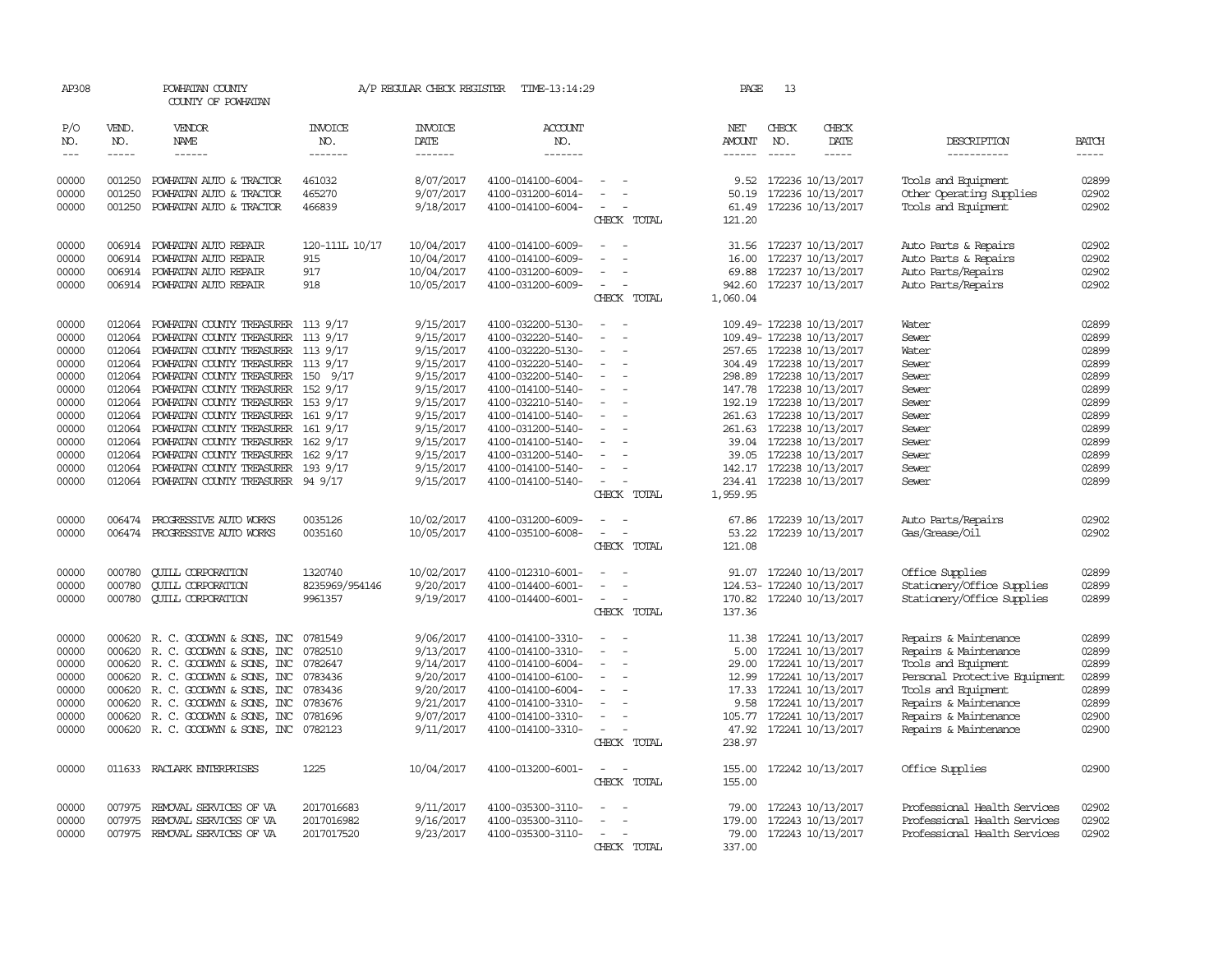| AP308                   |                             | POWHATAN COUNTY<br>COUNTY OF POWHATAN                                                                                               |                                        |                                      | A/P REGULAR CHECK REGISTER TIME-13:14:29                    |                                                      | PAGE                     | 13                          |                                                                                  |                                                                                              |                             |
|-------------------------|-----------------------------|-------------------------------------------------------------------------------------------------------------------------------------|----------------------------------------|--------------------------------------|-------------------------------------------------------------|------------------------------------------------------|--------------------------|-----------------------------|----------------------------------------------------------------------------------|----------------------------------------------------------------------------------------------|-----------------------------|
| P/O<br>NO.<br>$---$     | VEND.<br>NO.<br>$- - - - -$ | VENDOR<br>NAME<br>$- - - - - -$                                                                                                     | INVOICE<br>NO.<br>-------              | INVOICE<br>DATE<br>-------           | <b>ACCOUNT</b><br>NO.<br>-------                            |                                                      | NET<br>AMOUNT<br>------  | CHECK<br>NO.<br>$- - - - -$ | CHECK<br>DATE<br>$- - - - -$                                                     | DESCRIPTION<br>-----------                                                                   | <b>BATCH</b><br>$- - - - -$ |
| 00000                   | 001250                      | POWHATAN AUTO & TRACTOR                                                                                                             | 461032                                 | 8/07/2017                            | 4100-014100-6004-                                           | $\overline{\phantom{a}}$                             | 9.52                     |                             | 172236 10/13/2017                                                                | Tools and Equipment                                                                          | 02899<br>02902              |
| 00000<br>00000          | 001250<br>001250            | POWHATAN AUTO & TRACTOR<br>POWHATAN AUTO & TRACTOR                                                                                  | 465270<br>466839                       | 9/07/2017<br>9/18/2017               | 4100-031200-6014-<br>4100-014100-6004-                      | $\overline{\phantom{a}}$<br>CHECK TOTAL              | 50.19<br>61.49<br>121.20 |                             | 172236 10/13/2017<br>172236 10/13/2017                                           | Other Operating Supplies<br>Tools and Equipment                                              | 02902                       |
| 00000<br>00000          |                             | 006914 POWHATAN AUTO REPAIR<br>006914 POWHATAN AUTO REPAIR                                                                          | 120-111L 10/17<br>915                  | 10/04/2017<br>10/04/2017             | 4100-014100-6009-<br>4100-014100-6009-                      |                                                      | 31.56<br>16.00           |                             | 172237 10/13/2017<br>172237 10/13/2017                                           | Auto Parts & Repairs<br>Auto Parts & Repairs                                                 | 02902<br>02902              |
| 00000<br>00000          |                             | 006914 POWHATAN AUTO REPAIR<br>006914 POWHATAN AUTO REPAIR                                                                          | 917<br>918                             | 10/04/2017<br>10/05/2017             | 4100-031200-6009-<br>4100-031200-6009-                      | $\overline{\phantom{a}}$<br>CHECK TOTAL              | 1,060.04                 |                             | 69.88 172237 10/13/2017<br>942.60 172237 10/13/2017                              | Auto Parts/Repairs<br>Auto Parts/Repairs                                                     | 02902<br>02902              |
| 00000<br>00000          | 012064<br>012064            | POWHATAN COUNTY TREASURER 113 9/17<br>POWHATAN COUNTY TREASURER 113 9/17                                                            |                                        | 9/15/2017<br>9/15/2017               | 4100-032200-5130-<br>4100-032220-5140-                      | $\sim$                                               |                          |                             | 109.49- 172238 10/13/2017<br>109.49- 172238 10/13/2017                           | Water<br>Sewer                                                                               | 02899<br>02899              |
| 00000<br>00000          |                             | 012064 POWHATAN COUNTY TREASURER 113 9/17<br>012064 POWHATAN COUNTY TREASURER 113 9/17                                              |                                        | 9/15/2017<br>9/15/2017               | 4100-032220-5130-<br>4100-032220-5140-                      | $\overline{\phantom{a}}$<br>$\overline{\phantom{a}}$ |                          |                             | 257.65 172238 10/13/2017<br>304.49 172238 10/13/2017                             | Water<br>Sewer                                                                               | 02899<br>02899              |
| 00000<br>00000<br>00000 |                             | 012064 POWHATAN COUNTY TREASURER 150 9/17<br>012064 POWHATAN COUNTY TREASURER 152 9/17<br>012064 POWHATAN COUNTY TREASURER 153 9/17 |                                        | 9/15/2017<br>9/15/2017<br>9/15/2017  | 4100-032200-5140-<br>4100-014100-5140-<br>4100-032210-5140- | $\equiv$<br>$\sim$<br>$\overline{\phantom{a}}$       |                          |                             | 298.89 172238 10/13/2017<br>147.78 172238 10/13/2017<br>192.19 172238 10/13/2017 | Sewer<br>Sewer<br>Sewer                                                                      | 02899<br>02899<br>02899     |
| 00000<br>00000<br>00000 |                             | 012064 POWHATAN COUNTY TREASURER 161 9/17<br>012064 POWHATAN COUNTY TREASURER 161 9/17<br>012064 POWHATAN COUNTY TREASURER 162 9/17 |                                        | 9/15/2017<br>9/15/2017<br>9/15/2017  | 4100-014100-5140-<br>4100-031200-5140-<br>4100-014100-5140- | $\overline{\phantom{a}}$<br>$\sim$                   |                          |                             | 261.63 172238 10/13/2017<br>261.63 172238 10/13/2017<br>39.04 172238 10/13/2017  | Sewer<br>Sewer<br>Sewer                                                                      | 02899<br>02899<br>02899     |
| 00000<br>00000          |                             | 012064 POWHATAN COUNTY TREASURER 162 9/17<br>012064 POWHATAN COUNTY TREASURER 193 9/17                                              |                                        | 9/15/2017<br>9/15/2017               | 4100-031200-5140-<br>4100-014100-5140-                      | $\overline{\phantom{a}}$<br>$\equiv$                 |                          |                             | 39.05 172238 10/13/2017<br>142.17 172238 10/13/2017                              | Sewer<br>Sewer                                                                               | 02899<br>02899              |
| 00000                   |                             | 012064 POWHATAN COUNTY TREASURER 94 9/17                                                                                            |                                        | 9/15/2017                            | 4100-014100-5140-                                           | $\sim$ 100 $\mu$<br>CHECK TOTAL                      | 1,959.95                 |                             | 234.41 172238 10/13/2017                                                         | Sewer                                                                                        | 02899                       |
| 00000<br>00000          |                             | 006474 PROGRESSIVE AUTO WORKS<br>006474 PROGRESSIVE AUTO WORKS                                                                      | 0035126<br>0035160                     | 10/02/2017<br>10/05/2017             | 4100-031200-6009-<br>4100-035100-6008-                      | $\overline{\phantom{a}}$<br>CHECK TOTAL              | 67.86<br>53.22<br>121.08 |                             | 172239 10/13/2017<br>172239 10/13/2017                                           | Auto Parts/Repairs<br>Gas/Grease/Oil                                                         | 02902<br>02902              |
| 00000<br>00000<br>00000 | 000780<br>000780            | <b>QUILL CORPORATION</b><br><b>QUILL CORPORATION</b><br>000780 CUILL CORPORATION                                                    | 1320740<br>8235969/954146<br>9961357   | 10/02/2017<br>9/20/2017<br>9/19/2017 | 4100-012310-6001-<br>4100-014400-6001-<br>4100-014400-6001- | $\overline{\phantom{a}}$<br>CHECK TOTAL              | 137.36                   |                             | 91.07 172240 10/13/2017<br>124.53-172240 10/13/2017<br>170.82 172240 10/13/2017  | Office Supplies<br>Stationery/Office Supplies<br>Stationery/Office Supplies                  | 02899<br>02899<br>02899     |
| 00000<br>00000<br>00000 | 000620<br>000620<br>000620  | R. C. GOODWYN & SONS, INC<br>R. C. GOODWYN & SONS, INC<br>R. C. GOODWYN & SONS, INC                                                 | 0781549<br>0782510<br>0782647          | 9/06/2017<br>9/13/2017<br>9/14/2017  | 4100-014100-3310-<br>4100-014100-3310-<br>4100-014100-6004- | $\overline{\phantom{a}}$<br>$\overline{\phantom{a}}$ | 11.38<br>5.00<br>29.00   |                             | 172241 10/13/2017<br>172241 10/13/2017<br>172241 10/13/2017                      | Repairs & Maintenance<br>Repairs & Maintenance<br>Tools and Equipment                        | 02899<br>02899<br>02899     |
| 00000<br>00000<br>00000 | 000620<br>000620            | R. C. GOODWIN & SONS, INC<br>000620 R.C. GOODWYN & SONS, INC<br>R. C. GOODWYN & SONS, INC                                           | 0783436<br>0783436<br>0783676          | 9/20/2017<br>9/20/2017<br>9/21/2017  | 4100-014100-6100-<br>4100-014100-6004-<br>4100-014100-3310- |                                                      | 9.58                     |                             | 12.99 172241 10/13/2017<br>17.33 172241 10/13/2017<br>172241 10/13/2017          | Personal Protective Equipment<br>Tools and Equipment<br>Repairs & Maintenance                | 02899<br>02899<br>02899     |
| 00000<br>00000          |                             | 000620 R.C. GOODWYN & SONS, INC<br>000620 R. C. GOODWYN & SONS, INC 0782123                                                         | 0781696                                | 9/07/2017<br>9/11/2017               | 4100-014100-3310-<br>4100-014100-3310-                      | CHECK TOTAL                                          | 105.77<br>238.97         |                             | 172241 10/13/2017<br>47.92 172241 10/13/2017                                     | Repairs & Maintenance<br>Repairs & Maintenance                                               | 02900<br>02900              |
| 00000                   |                             | 011633 RACLARK ENTERPRISES                                                                                                          | 1225                                   | 10/04/2017                           | 4100-013200-6001-                                           | CHECK TOTAL                                          | 155.00<br>155.00         |                             | 172242 10/13/2017                                                                | Office Supplies                                                                              | 02900                       |
| 00000<br>00000<br>00000 | 007975<br>007975            | REMOVAL SERVICES OF VA<br>REMOVAL SERVICES OF VA<br>007975 REMOVAL SERVICES OF VA                                                   | 2017016683<br>2017016982<br>2017017520 | 9/11/2017<br>9/16/2017<br>9/23/2017  | 4100-035300-3110-<br>4100-035300-3110-<br>4100-035300-3110- |                                                      |                          |                             | 79.00 172243 10/13/2017<br>179.00 172243 10/13/2017<br>79.00 172243 10/13/2017   | Professional Health Services<br>Professional Health Services<br>Professional Health Services | 02902<br>02902<br>02902     |
|                         |                             |                                                                                                                                     |                                        |                                      |                                                             | CHECK TOTAL                                          | 337.00                   |                             |                                                                                  |                                                                                              |                             |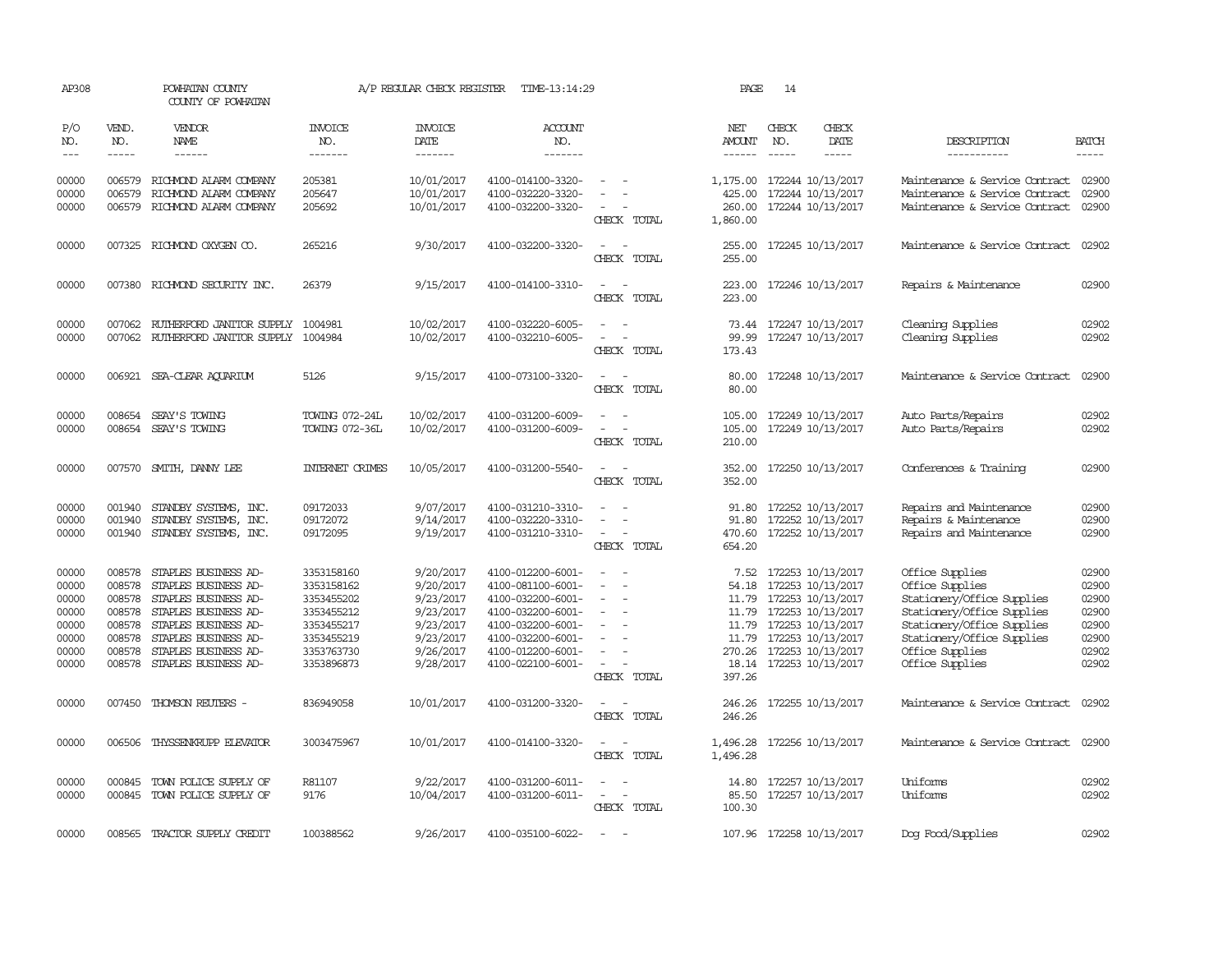| AP308                                                                |                                                                    | POWHATAN COUNTY<br>COUNTY OF POWHATAN                                                                                                                                                               |                                                                                                              | A/P REGULAR CHECK REGISTER                                                                           | TIME-13:14:29                                                                                                                                                        |                                                                     | PAGE                                               | 14           |                                                                                                                                                                                         |                                                                                                                                                                                                  |                                                                      |
|----------------------------------------------------------------------|--------------------------------------------------------------------|-----------------------------------------------------------------------------------------------------------------------------------------------------------------------------------------------------|--------------------------------------------------------------------------------------------------------------|------------------------------------------------------------------------------------------------------|----------------------------------------------------------------------------------------------------------------------------------------------------------------------|---------------------------------------------------------------------|----------------------------------------------------|--------------|-----------------------------------------------------------------------------------------------------------------------------------------------------------------------------------------|--------------------------------------------------------------------------------------------------------------------------------------------------------------------------------------------------|----------------------------------------------------------------------|
| P/O<br>NO.<br>$\frac{1}{2}$                                          | VEND.<br>NO.<br>$- - - - -$                                        | VENDOR<br><b>NAME</b><br>$- - - - - -$                                                                                                                                                              | <b>INVOICE</b><br>NO.<br>-------                                                                             | <b>INVOICE</b><br>DATE<br>-------                                                                    | <b>ACCOUNT</b><br>NO.<br>-------                                                                                                                                     |                                                                     | NET<br><b>AMOUNT</b><br>------                     | CHECK<br>NO. | CHECK<br>DATE<br>-----                                                                                                                                                                  | DESCRIPTION<br>-----------                                                                                                                                                                       | <b>BATCH</b><br>-----                                                |
| 00000<br>00000<br>00000                                              | 006579<br>006579<br>006579                                         | RICHMOND ALARM COMPANY<br>RICHMOND ALARM COMPANY<br>RICHMOND ALARM COMPANY                                                                                                                          | 205381<br>205647<br>205692                                                                                   | 10/01/2017<br>10/01/2017<br>10/01/2017                                                               | 4100-014100-3320-<br>4100-032220-3320-<br>4100-032200-3320-                                                                                                          | $\sim$<br>$\overline{\phantom{a}}$<br>CHECK TOTAL                   | 1,175.00<br>425.00<br>260.00<br>1,860.00           |              | 172244 10/13/2017<br>172244 10/13/2017<br>172244 10/13/2017                                                                                                                             | Maintenance & Service Contract<br>Maintenance & Service Contract<br>Maintenance & Service Contract                                                                                               | 02900<br>02900<br>02900                                              |
| 00000                                                                |                                                                    | 007325 RICHMOND OXYGEN CO.                                                                                                                                                                          | 265216                                                                                                       | 9/30/2017                                                                                            | 4100-032200-3320-                                                                                                                                                    | $ -$<br>CHECK TOTAL                                                 | 255.00<br>255.00                                   |              | 172245 10/13/2017                                                                                                                                                                       | Maintenance & Service Contract                                                                                                                                                                   | 02902                                                                |
| 00000                                                                | 007380                                                             | RICHMOND SECURITY INC.                                                                                                                                                                              | 26379                                                                                                        | 9/15/2017                                                                                            | 4100-014100-3310-                                                                                                                                                    | $\sim$ $-$<br>$\overline{\phantom{a}}$<br>CHECK TOTAL               | 223.00<br>223.00                                   |              | 172246 10/13/2017                                                                                                                                                                       | Repairs & Maintenance                                                                                                                                                                            | 02900                                                                |
| 00000<br>00000                                                       | 007062                                                             | RUTHERFORD JANITOR SUPPLY<br>007062 RUIHERFORD JANITOR SUPPLY 1004984                                                                                                                               | 1004981                                                                                                      | 10/02/2017<br>10/02/2017                                                                             | 4100-032220-6005-<br>4100-032210-6005-                                                                                                                               | $\sim$ $-$<br>CHECK TOTAL                                           | 99.99<br>173.43                                    |              | 73.44 172247 10/13/2017<br>172247 10/13/2017                                                                                                                                            | Cleaning Supplies<br>Cleaning Supplies                                                                                                                                                           | 02902<br>02902                                                       |
| 00000                                                                |                                                                    | 006921 SEA-CLEAR AOUARIUM                                                                                                                                                                           | 5126                                                                                                         | 9/15/2017                                                                                            | 4100-073100-3320-                                                                                                                                                    | $\equiv$<br>$\sim$<br>CHECK TOTAL                                   | 80.00<br>80.00                                     |              | 172248 10/13/2017                                                                                                                                                                       | Maintenance & Service Contract                                                                                                                                                                   | 02900                                                                |
| 00000<br>00000                                                       | 008654                                                             | SEAY'S TOWING<br>008654 SEAY'S TOWING                                                                                                                                                               | TOWING 072-24L<br>TOWING 072-36L                                                                             | 10/02/2017<br>10/02/2017                                                                             | 4100-031200-6009-<br>4100-031200-6009-                                                                                                                               | CHECK TOTAL                                                         | 105.00<br>105.00<br>210.00                         |              | 172249 10/13/2017<br>172249 10/13/2017                                                                                                                                                  | Auto Parts/Repairs<br>Auto Parts/Repairs                                                                                                                                                         | 02902<br>02902                                                       |
| 00000                                                                | 007570                                                             | SMITH, DANNY LEE                                                                                                                                                                                    | <b>INTERNET CRIMES</b>                                                                                       | 10/05/2017                                                                                           | 4100-031200-5540-                                                                                                                                                    | CHECK TOTAL                                                         | 352.00<br>352.00                                   |              | 172250 10/13/2017                                                                                                                                                                       | Conferences & Training                                                                                                                                                                           | 02900                                                                |
| 00000<br>00000<br>00000                                              | 001940<br>001940<br>001940                                         | STANDBY SYSTEMS, INC.<br>STANDBY SYSTEMS, INC.<br>STANDBY SYSTEMS, INC.                                                                                                                             | 09172033<br>09172072<br>09172095                                                                             | 9/07/2017<br>9/14/2017<br>9/19/2017                                                                  | 4100-031210-3310-<br>4100-032220-3310-<br>4100-031210-3310-                                                                                                          | $\equiv$<br>CHECK TOTAL                                             | 91.80<br>91.80<br>470.60<br>654.20                 |              | 172252 10/13/2017<br>172252 10/13/2017<br>172252 10/13/2017                                                                                                                             | Repairs and Maintenance<br>Repairs & Maintenance<br>Repairs and Maintenance                                                                                                                      | 02900<br>02900<br>02900                                              |
| 00000<br>00000<br>00000<br>00000<br>00000<br>00000<br>00000<br>00000 | 008578<br>008578<br>008578<br>008578<br>008578<br>008578<br>008578 | STAPLES BUSINESS AD-<br>STAPLES BUSINESS AD-<br>STAPLES BUSINESS AD-<br>STAPLES BUSINESS AD-<br>STAPLES BUSINESS AD-<br>STAPLES BUSINESS AD-<br>STAPLES BUSINESS AD-<br>008578 STAPLES BUSINESS AD- | 3353158160<br>3353158162<br>3353455202<br>3353455212<br>3353455217<br>3353455219<br>3353763730<br>3353896873 | 9/20/2017<br>9/20/2017<br>9/23/2017<br>9/23/2017<br>9/23/2017<br>9/23/2017<br>9/26/2017<br>9/28/2017 | 4100-012200-6001-<br>4100-081100-6001-<br>4100-032200-6001-<br>4100-032200-6001-<br>4100-032200-6001-<br>4100-032200-6001-<br>4100-012200-6001-<br>4100-022100-6001- | $\sim$<br>$\equiv$<br>$\equiv$<br>$\equiv$<br>$\sim$<br>CHECK TOTAL | 7.52<br>54.18<br>11.79<br>11.79<br>11.79<br>397.26 |              | 172253 10/13/2017<br>172253 10/13/2017<br>172253 10/13/2017<br>172253 10/13/2017<br>11.79 172253 10/13/2017<br>172253 10/13/2017<br>270.26 172253 10/13/2017<br>18.14 172253 10/13/2017 | Office Supplies<br>Office Supplies<br>Stationery/Office Supplies<br>Stationery/Office Supplies<br>Stationery/Office Supplies<br>Stationery/Office Supplies<br>Office Supplies<br>Office Supplies | 02900<br>02900<br>02900<br>02900<br>02900<br>02900<br>02902<br>02902 |
| 00000                                                                |                                                                    | 007450 THOMSON REUTERS -                                                                                                                                                                            | 836949058                                                                                                    | 10/01/2017                                                                                           | 4100-031200-3320-                                                                                                                                                    | $\equiv$<br>$\sim$<br>CHECK TOTAL                                   | 246.26<br>246.26                                   |              | 172255 10/13/2017                                                                                                                                                                       | Maintenance & Service Contract                                                                                                                                                                   | 02902                                                                |
| 00000                                                                | 006506                                                             | THYSSENKRUPP ELEVATOR                                                                                                                                                                               | 3003475967                                                                                                   | 10/01/2017                                                                                           | 4100-014100-3320-                                                                                                                                                    | $\sim$ $\sim$<br>CHECK TOTAL                                        | 1,496.28<br>1,496.28                               |              | 172256 10/13/2017                                                                                                                                                                       | Maintenance & Service Contract                                                                                                                                                                   | 02900                                                                |
| 00000<br>00000                                                       | 000845<br>000845                                                   | TOWN POLICE SUPPLY OF<br>TOWN POLICE SUPPLY OF                                                                                                                                                      | R81107<br>9176                                                                                               | 9/22/2017<br>10/04/2017                                                                              | 4100-031200-6011-<br>4100-031200-6011-                                                                                                                               | $\overline{\phantom{a}}$<br>$\overline{\phantom{a}}$<br>CHECK TOTAL | 14.80<br>85.50<br>100.30                           |              | 172257 10/13/2017<br>172257 10/13/2017                                                                                                                                                  | Uniforms<br>Uniforms                                                                                                                                                                             | 02902<br>02902                                                       |
| 00000                                                                | 008565                                                             | TRACTOR SUPPLY CREDIT                                                                                                                                                                               | 100388562                                                                                                    | 9/26/2017                                                                                            | 4100-035100-6022-                                                                                                                                                    | $\sim$                                                              |                                                    |              | 107.96 172258 10/13/2017                                                                                                                                                                | Dog Food/Supplies                                                                                                                                                                                | 02902                                                                |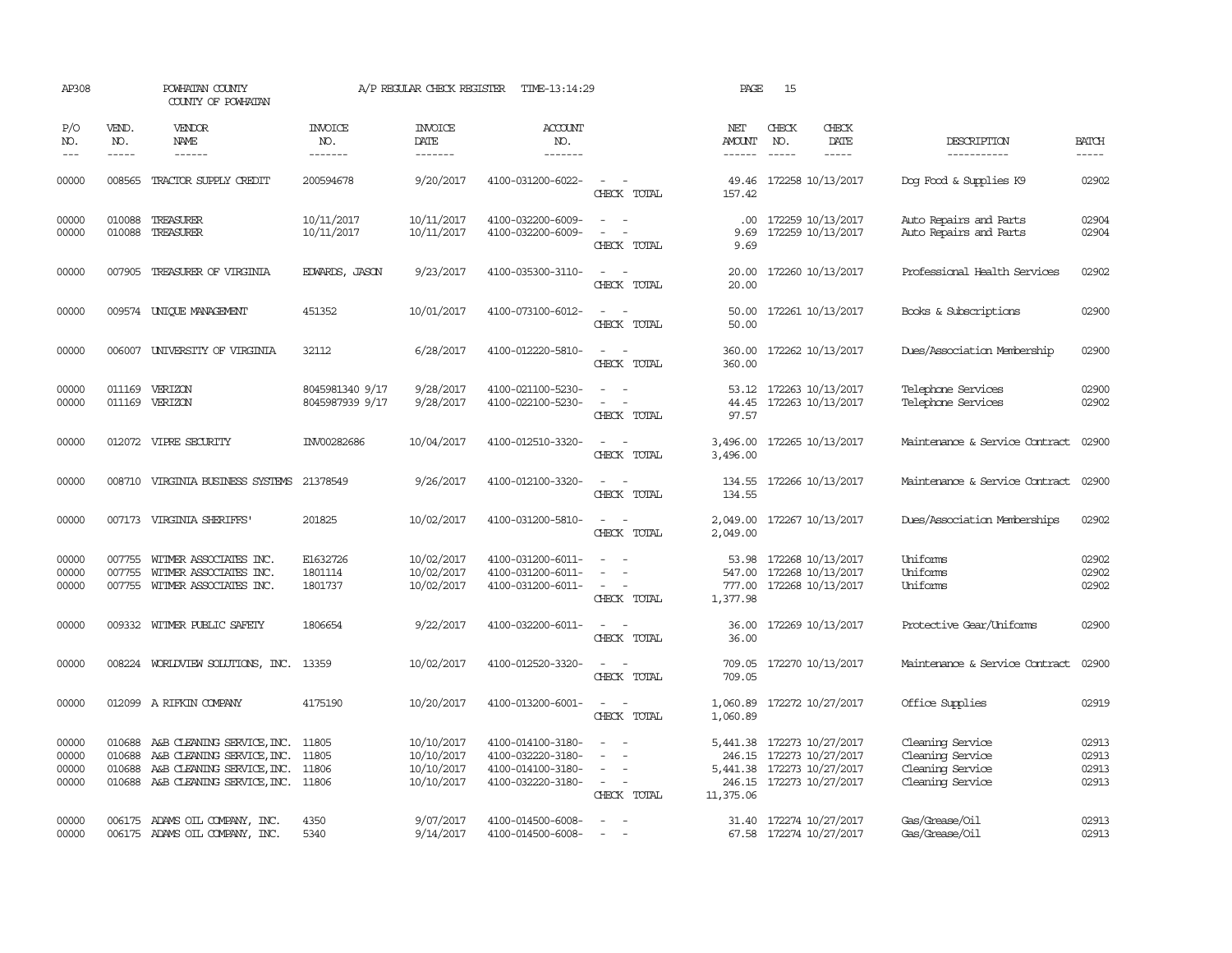| AP308                            |                               | POWHATAN COUNTY<br>COUNTY OF POWHATAN                                                                                             |                                    | A/P REGULAR CHECK REGISTER                           | TIME-13:14:29                                                                    |                                                                                                                             | PAGE                                  | 15                            |                                                                                                  |                                                                              |                                  |
|----------------------------------|-------------------------------|-----------------------------------------------------------------------------------------------------------------------------------|------------------------------------|------------------------------------------------------|----------------------------------------------------------------------------------|-----------------------------------------------------------------------------------------------------------------------------|---------------------------------------|-------------------------------|--------------------------------------------------------------------------------------------------|------------------------------------------------------------------------------|----------------------------------|
| P/O<br>NO.<br>$- - -$            | VEND.<br>NO.<br>$\frac{1}{2}$ | <b>VENDOR</b><br>NAME<br>$- - - - - -$                                                                                            | <b>INVOICE</b><br>NO.<br>-------   | <b>INVOICE</b><br>DATE<br>--------                   | ACCOUNT<br>NO.<br>-------                                                        |                                                                                                                             | NET<br><b>AMOUNT</b><br>$- - - - - -$ | CHECK<br>NO.<br>$\frac{1}{2}$ | CHECK<br>DATE<br>-----                                                                           | DESCRIPTION<br>------------                                                  | <b>BATCH</b><br>$- - - - -$      |
| 00000                            | 008565                        | TRACTOR SUPPLY CREDIT                                                                                                             | 200594678                          | 9/20/2017                                            | 4100-031200-6022-                                                                | $\overline{\phantom{a}}$<br>CHECK TOTAL                                                                                     | 49.46<br>157.42                       |                               | 172258 10/13/2017                                                                                | Dog Food & Supplies K9                                                       | 02902                            |
| 00000<br>00000                   | 010088<br>010088              | TREASURER<br>TREASURER                                                                                                            | 10/11/2017<br>10/11/2017           | 10/11/2017<br>10/11/2017                             | 4100-032200-6009-<br>4100-032200-6009-                                           | $\sim$<br>- 11<br>$\overline{\phantom{a}}$<br>$\overline{\phantom{a}}$<br>CHECK TOTAL                                       | $.00 \cdot$<br>9.69<br>9.69           |                               | 172259 10/13/2017<br>172259 10/13/2017                                                           | Auto Repairs and Parts<br>Auto Repairs and Parts                             | 02904<br>02904                   |
| 00000                            | 007905                        | TREASURER OF VIRGINIA                                                                                                             | <b>EDWARDS, JASON</b>              | 9/23/2017                                            | 4100-035300-3110-                                                                | $\sim$<br>$\sim$<br>CHECK TOTAL                                                                                             | 20.00<br>20.00                        |                               | 172260 10/13/2017                                                                                | Professional Health Services                                                 | 02902                            |
| 00000                            |                               | 009574 UNIOUE MANAGEMENT                                                                                                          | 451352                             | 10/01/2017                                           | 4100-073100-6012-                                                                | $\sim$<br>$\sim$<br>CHECK TOTAL                                                                                             | 50.00<br>50.00                        |                               | 172261 10/13/2017                                                                                | Books & Subscriptions                                                        | 02900                            |
| 00000                            |                               | 006007 UNIVERSITY OF VIRGINIA                                                                                                     | 32112                              | 6/28/2017                                            | 4100-012220-5810-                                                                | CHECK TOTAL                                                                                                                 | 360.00<br>360.00                      |                               | 172262 10/13/2017                                                                                | Dues/Association Membership                                                  | 02900                            |
| 00000<br>00000                   | 011169<br>011169              | VERIZON<br>VERIZON                                                                                                                | 8045981340 9/17<br>8045987939 9/17 | 9/28/2017<br>9/28/2017                               | 4100-021100-5230-<br>4100-022100-5230-                                           | $\sim$<br>$\overline{a}$<br>CHECK TOTAL                                                                                     | 53.12<br>44.45<br>97.57               |                               | 172263 10/13/2017<br>172263 10/13/2017                                                           | Telephone Services<br>Telephone Services                                     | 02900<br>02902                   |
| 00000                            |                               | 012072 VIPRE SECURITY                                                                                                             | INV00282686                        | 10/04/2017                                           | 4100-012510-3320-                                                                | $\frac{1}{2} \left( \frac{1}{2} \right) \left( \frac{1}{2} \right) = \frac{1}{2} \left( \frac{1}{2} \right)$<br>CHECK TOTAL | 3,496.00                              |                               | 3,496.00 172265 10/13/2017                                                                       | Maintenance & Service Contract                                               | 02900                            |
| 00000                            |                               | 008710 VIRGINIA BUSINESS SYSTEMS                                                                                                  | 21378549                           | 9/26/2017                                            | 4100-012100-3320-                                                                | $\sim$<br>$\sim$<br>CHECK TOTAL                                                                                             | 134.55                                |                               | 134.55 172266 10/13/2017                                                                         | Maintenance & Service Contract                                               | 02900                            |
| 00000                            |                               | 007173 VIRGINIA SHERIFFS'                                                                                                         | 201825                             | 10/02/2017                                           | 4100-031200-5810-                                                                | $\omega_{\rm{max}}$ and $\omega_{\rm{max}}$<br>CHECK TOTAL                                                                  | 2,049.00                              |                               | 2,049.00 172267 10/13/2017                                                                       | Dues/Association Memberships                                                 | 02902                            |
| 00000<br>00000<br>00000          | 007755<br>007755<br>007755    | WITMER ASSOCIATES INC.<br>WITMER ASSOCIATES INC.<br>WITMER ASSOCIATES INC.                                                        | E1632726<br>1801114<br>1801737     | 10/02/2017<br>10/02/2017<br>10/02/2017               | 4100-031200-6011-<br>4100-031200-6011-<br>4100-031200-6011-                      | CHECK TOTAL                                                                                                                 | 53.98<br>547.00<br>777.00<br>1,377.98 |                               | 172268 10/13/2017<br>172268 10/13/2017<br>172268 10/13/2017                                      | Uniforms<br>Uniforms<br>Uniforms                                             | 02902<br>02902<br>02902          |
| 00000                            |                               | 009332 WITMER PUBLIC SAFETY                                                                                                       | 1806654                            | 9/22/2017                                            | 4100-032200-6011-                                                                | $\overline{\phantom{a}}$<br>CHECK TOTAL                                                                                     | 36.00<br>36.00                        |                               | 172269 10/13/2017                                                                                | Protective Gear/Uniforms                                                     | 02900                            |
| 00000                            |                               | 008224 WORLDVIEW SOLUTIONS, INC. 13359                                                                                            |                                    | 10/02/2017                                           | 4100-012520-3320-                                                                | CHECK TOTAL                                                                                                                 | 709.05                                |                               | 709.05 172270 10/13/2017                                                                         | Maintenance & Service Contract                                               | 02900                            |
| 00000                            |                               | 012099 A RIFKIN COMPANY                                                                                                           | 4175190                            | 10/20/2017                                           | 4100-013200-6001-                                                                | $\sim$<br>$\sim$<br>CHECK TOTAL                                                                                             | 1,060.89                              |                               | 1,060.89 172272 10/27/2017                                                                       | Office Supplies                                                              | 02919                            |
| 00000<br>00000<br>00000<br>00000 | 010688<br>010688<br>010688    | A&B CLEANING SERVICE, INC.<br>A&B CLEANING SERVICE, INC.<br>A&B CLEANING SERVICE, INC.<br>010688 A&B CLEANING SERVICE, INC. 11806 | 11805<br>11805<br>11806            | 10/10/2017<br>10/10/2017<br>10/10/2017<br>10/10/2017 | 4100-014100-3180-<br>4100-032220-3180-<br>4100-014100-3180-<br>4100-032220-3180- | $\overline{\phantom{a}}$<br>$\overline{\phantom{a}}$<br>$\sim$<br>$\sim$ $-$<br>$\overline{\phantom{a}}$<br>CHECK TOTAL     | 246.15<br>5,441.38<br>11,375.06       |                               | 5,441.38 172273 10/27/2017<br>172273 10/27/2017<br>172273 10/27/2017<br>246.15 172273 10/27/2017 | Cleaning Service<br>Cleaning Service<br>Cleaning Service<br>Cleaning Service | 02913<br>02913<br>02913<br>02913 |
| 00000<br>00000                   |                               | 006175 ADAMS OIL COMPANY, INC.<br>006175 ADAMS OIL COMPANY, INC.                                                                  | 4350<br>5340                       | 9/07/2017<br>9/14/2017                               | 4100-014500-6008-<br>4100-014500-6008-                                           | $\overline{\phantom{a}}$                                                                                                    |                                       |                               | 31.40 172274 10/27/2017<br>67.58 172274 10/27/2017                                               | Gas/Grease/Oil<br>Gas/Grease/Oil                                             | 02913<br>02913                   |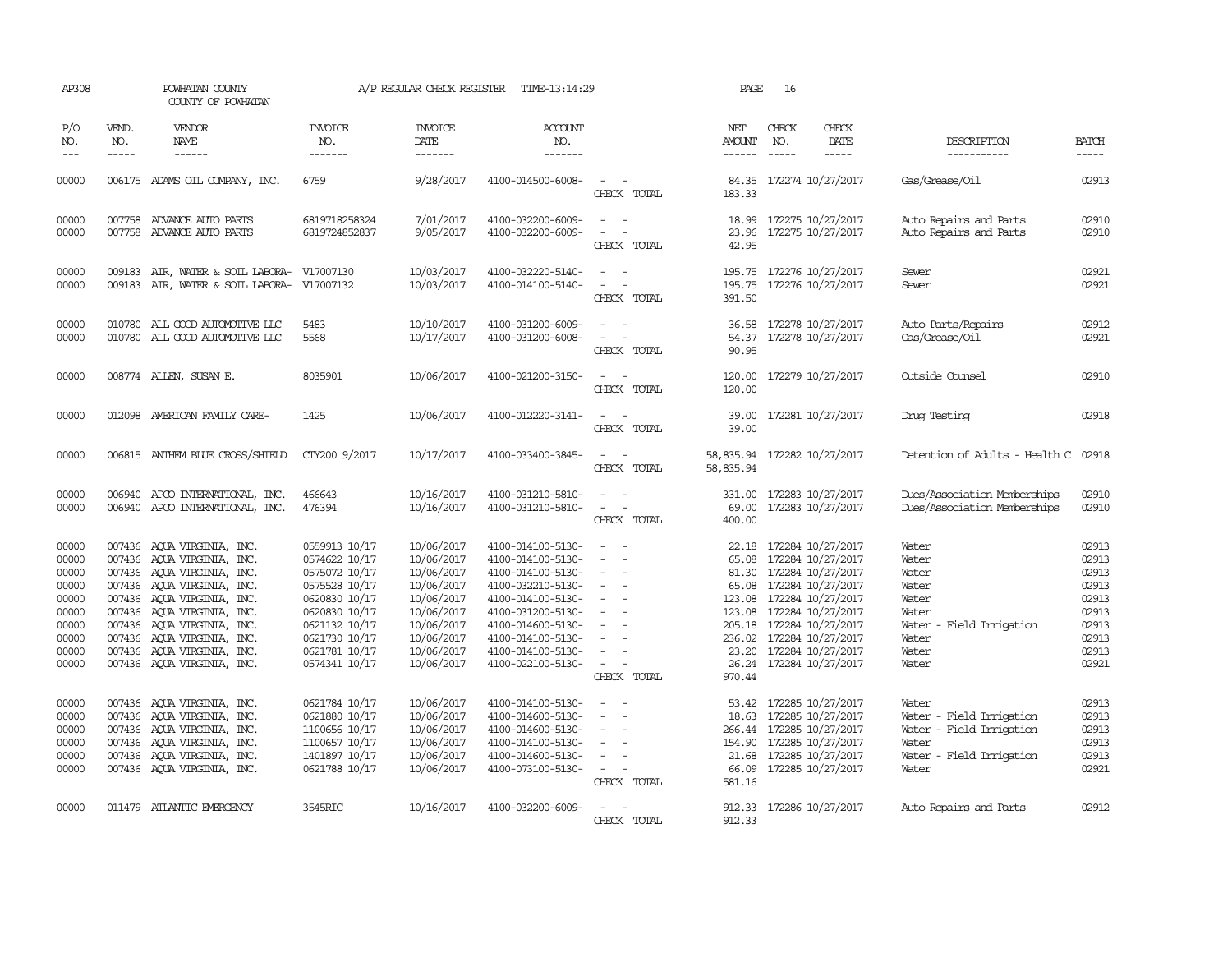| AP308               |                             | POWHATAN COUNTY<br>COUNTY OF POWHATAN                                |                                  | A/P REGULAR CHECK REGISTER        | TIME-13:14:29                          |                                                   | PAGE                                     | 16                          |                                                      |                                      |                             |
|---------------------|-----------------------------|----------------------------------------------------------------------|----------------------------------|-----------------------------------|----------------------------------------|---------------------------------------------------|------------------------------------------|-----------------------------|------------------------------------------------------|--------------------------------------|-----------------------------|
| P/O<br>NO.<br>$---$ | VEND.<br>NO.<br>$- - - - -$ | VENDOR<br>NAME<br>$- - - - - -$                                      | <b>INVOICE</b><br>NO.<br>------- | <b>INVOICE</b><br>DATE<br>------- | <b>ACCOUNT</b><br>NO.<br>-------       |                                                   | NET<br>AMOUNT<br>$- - - - - -$           | CHECK<br>NO.<br>$- - - - -$ | CHECK<br>DATE<br>$- - - - -$                         | DESCRIPTION<br>-----------           | <b>BATCH</b><br>$- - - - -$ |
| 00000               |                             | 006175 ADAMS OIL COMPANY, INC.                                       | 6759                             | 9/28/2017                         | 4100-014500-6008-                      | CHECK TOTAL                                       | 183.33                                   |                             | 84.35 172274 10/27/2017                              | Gas/Grease/Oil                       | 02913                       |
| 00000               |                             | 007758 ADVANCE AUTO PARTS                                            | 6819718258324                    | 7/01/2017                         | 4100-032200-6009-                      |                                                   | 18.99                                    |                             | 172275 10/27/2017                                    | Auto Repairs and Parts               | 02910                       |
| 00000               |                             | 007758 ADVANCE AUTO PARTS                                            | 6819724852837                    | 9/05/2017                         | 4100-032200-6009-                      | $\overline{\phantom{a}}$<br>CHECK TOTAL           | 42.95                                    |                             | 23.96 172275 10/27/2017                              | Auto Repairs and Parts               | 02910                       |
| 00000<br>00000      |                             | 009183 AIR, WATER & SOIL LABORA-<br>009183 AIR, WATER & SOIL LABORA- | V17007130<br>V17007132           | 10/03/2017<br>10/03/2017          | 4100-032220-5140-<br>4100-014100-5140- | $\overline{\phantom{a}}$<br>CHECK TOTAL           | 391.50                                   |                             | 195.75 172276 10/27/2017<br>195.75 172276 10/27/2017 | Sewer<br>Sewer                       | 02921<br>02921              |
| 00000               |                             | 010780 ALL GOOD AUTOMOTIVE LLC                                       | 5483                             | 10/10/2017                        | 4100-031200-6009-                      |                                                   | 36.58                                    |                             | 172278 10/27/2017                                    | Auto Parts/Repairs                   | 02912                       |
| 00000               |                             | 010780 ALL GOOD AUTOMOTTVE LLC                                       | 5568                             | 10/17/2017                        | 4100-031200-6008-                      | $\overline{\phantom{a}}$<br>CHECK TOTAL           | 54.37<br>90.95                           |                             | 172278 10/27/2017                                    | Gas/Grease/0il                       | 02921                       |
| 00000               |                             | 008774 ALLEN, SUSAN E.                                               | 8035901                          | 10/06/2017                        | 4100-021200-3150-                      | $\sim$<br>$\sim$<br>CHECK TOTAL                   | 120.00<br>120.00                         |                             | 172279 10/27/2017                                    | Outside Counsel                      | 02910                       |
| 00000               |                             | 012098 AMERICAN FAMILY CARE-                                         | 1425                             | 10/06/2017                        | 4100-012220-3141-                      | $\sim$<br>CHECK TOTAL                             | 39.00                                    |                             | 39.00 172281 10/27/2017                              | Drug Testing                         | 02918                       |
| 00000               |                             | 006815 ANTHEM BLUE CROSS/SHIELD                                      | CTY200 9/2017                    | 10/17/2017                        | 4100-033400-3845-                      | CHECK TOTAL                                       | 58,835.94 172282 10/27/2017<br>58,835.94 |                             |                                                      | Detention of Adults - Health C 02918 |                             |
| 00000               |                             | 006940 APCO INTERNATIONAL, INC.                                      | 466643                           | 10/16/2017                        | 4100-031210-5810-                      | $\equiv$<br>$\sim$                                | 331.00                                   |                             | 172283 10/27/2017                                    | Dues/Association Memberships         | 02910                       |
| 00000               |                             | 006940 APCO INTERNATIONAL, INC.                                      | 476394                           | 10/16/2017                        | 4100-031210-5810-                      | $\sim$<br>$\overline{\phantom{a}}$<br>CHECK TOTAL | 69.00<br>400.00                          |                             | 172283 10/27/2017                                    | Dues/Association Memberships         | 02910                       |
| 00000               |                             | 007436 AQUA VIRGINIA, INC.                                           | 0559913 10/17                    | 10/06/2017                        | 4100-014100-5130-                      | $\sim$                                            | 22.18                                    |                             | 172284 10/27/2017                                    | Water                                | 02913                       |
| 00000               |                             | 007436 AQUA VIRGINIA, INC.                                           | 0574622 10/17                    | 10/06/2017                        | 4100-014100-5130-                      | $\overline{\phantom{a}}$                          | 65.08                                    |                             | 172284 10/27/2017                                    | Water                                | 02913                       |
| 00000               |                             | 007436 AQUA VIRGINIA, INC.                                           | 0575072 10/17                    | 10/06/2017                        | 4100-014100-5130-                      | $\sim$                                            |                                          |                             | 81.30 172284 10/27/2017                              | Water                                | 02913                       |
| 00000               |                             | 007436 AQUA VIRGINIA, INC.                                           | 0575528 10/17                    | 10/06/2017                        | 4100-032210-5130-                      | $\sim$                                            |                                          |                             | 65.08 172284 10/27/2017                              | Water                                | 02913                       |
| 00000               |                             | 007436 AOUA VIRGINIA, INC.                                           | 0620830 10/17                    | 10/06/2017                        | 4100-014100-5130-                      | $\overline{\phantom{a}}$                          | 123.08                                   |                             | 172284 10/27/2017                                    | Water                                | 02913                       |
| 00000               |                             | 007436 AQUA VIRGINIA, INC.                                           | 0620830 10/17                    | 10/06/2017                        | 4100-031200-5130-                      |                                                   | 123.08                                   |                             | 172284 10/27/2017                                    | Water                                | 02913                       |
| 00000               |                             | 007436 AQUA VIRGINIA, INC.                                           | 0621132 10/17                    | 10/06/2017                        | 4100-014600-5130-                      | $\sim$<br>$\sim$                                  |                                          |                             | 205.18 172284 10/27/2017                             | Water<br>- Field Irrigation          | 02913                       |
| 00000               |                             | 007436 AOUA VIRGINIA, INC.                                           | 0621730 10/17                    | 10/06/2017                        | 4100-014100-5130-                      |                                                   | 236.02                                   |                             | 172284 10/27/2017                                    | Water                                | 02913                       |
| 00000               |                             | 007436 AQUA VIRGINIA, INC.                                           | 0621781 10/17                    | 10/06/2017                        | 4100-014100-5130-                      |                                                   |                                          |                             | 23.20 172284 10/27/2017                              | Water                                | 02913                       |
| 00000               |                             | 007436 AQUA VIRGINIA, INC.                                           | 0574341 10/17                    | 10/06/2017                        | 4100-022100-5130-                      | $\sim$<br>CHECK TOTAL                             | 970.44                                   |                             | 26.24 172284 10/27/2017                              | Water                                | 02921                       |
| 00000               |                             | 007436 AOUA VIRGINIA, INC.                                           | 0621784 10/17                    | 10/06/2017                        | 4100-014100-5130-                      | $\equiv$<br>$\overline{\phantom{a}}$              | 53.42                                    |                             | 172285 10/27/2017                                    | Water                                | 02913                       |
| 00000               |                             | 007436 AQUA VIRGINIA, INC.                                           | 0621880 10/17                    | 10/06/2017                        | 4100-014600-5130-                      | $\overline{\phantom{a}}$                          | 18.63                                    |                             | 172285 10/27/2017                                    | Water - Field Irrigation             | 02913                       |
| 00000               |                             | 007436 AQUA VIRGINIA, INC.                                           | 1100656 10/17                    | 10/06/2017                        | 4100-014600-5130-                      | $\sim$                                            |                                          |                             | 266.44 172285 10/27/2017                             | Water - Field Irrigation             | 02913                       |
| 00000               |                             | 007436 AQUA VIRGINIA, INC.                                           | 1100657 10/17                    | 10/06/2017                        | 4100-014100-5130-                      |                                                   | 154.90                                   |                             | 172285 10/27/2017                                    | Water                                | 02913                       |
| 00000               |                             | 007436 AQUA VIRGINIA, INC.                                           | 1401897 10/17                    | 10/06/2017                        | 4100-014600-5130-                      | $\overline{\phantom{a}}$                          | 21.68                                    |                             | 172285 10/27/2017                                    | Water - Field Irrigation             | 02913                       |
| 00000               |                             | 007436 AQUA VIRGINIA, INC.                                           | 0621788 10/17                    | 10/06/2017                        | 4100-073100-5130-                      | $\sim$                                            |                                          |                             | 66.09 172285 10/27/2017                              | Water                                | 02921                       |
|                     |                             |                                                                      |                                  |                                   |                                        | CHECK TOTAL                                       | 581.16                                   |                             |                                                      |                                      |                             |
| 00000               |                             | 011479 ATLANTIC EMERGENCY                                            | 3545RIC                          | 10/16/2017                        | 4100-032200-6009-                      | CHECK TOTAL                                       | 912.33                                   |                             | 912.33 172286 10/27/2017                             | Auto Repairs and Parts               | 02912                       |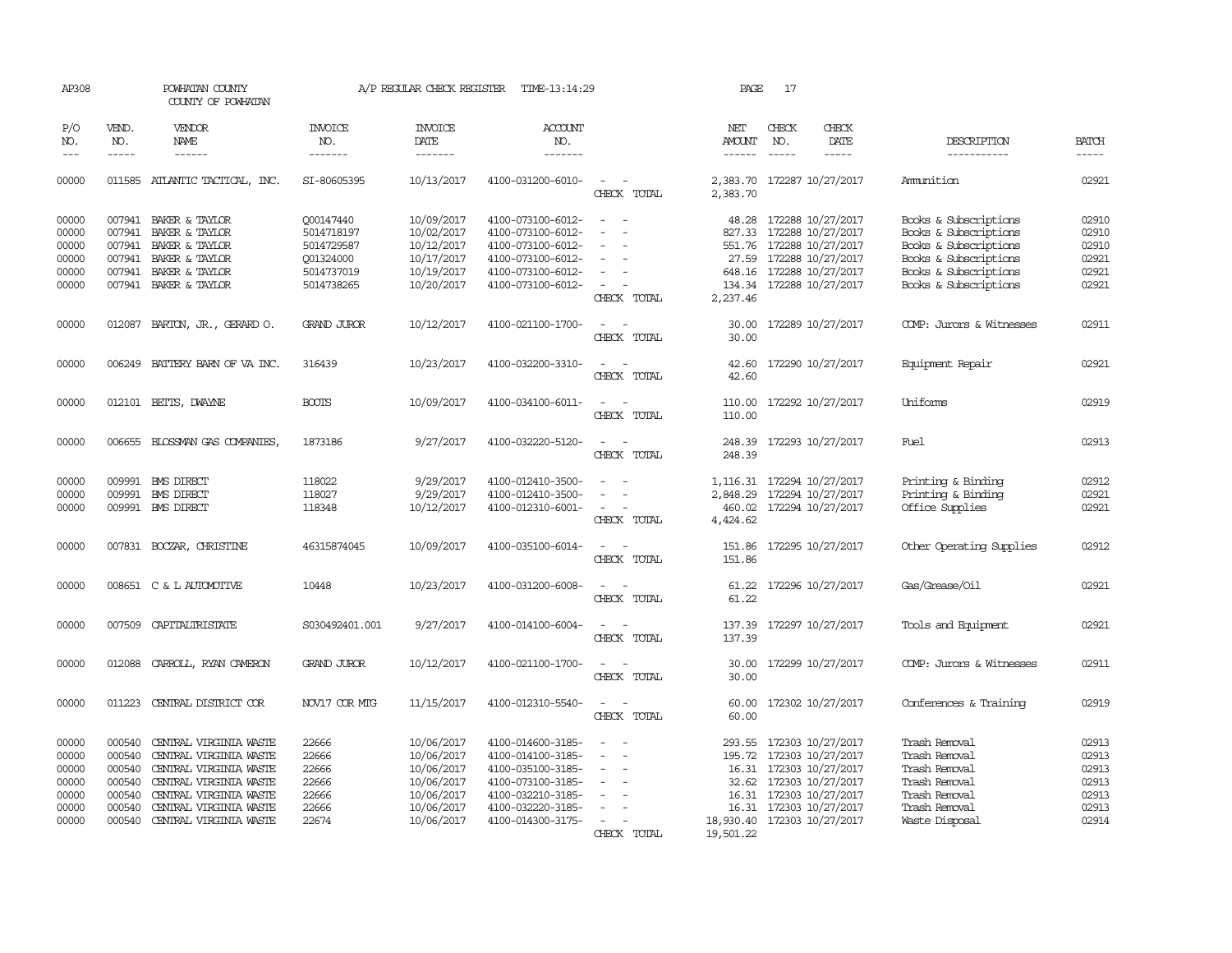| AP308                                                       |                                                          | POWHATAN COUNTY<br>COUNTY OF POWHATAN                                                                                                                                                     |                                                                                | A/P REGULAR CHECK REGISTER                                                                     | TIME-13:14:29                                                                                                                                   |                                                                                                                               | PAGE                                                        | 17            |                                                                                                                                                     |                                                                                                                                                    |                                                             |
|-------------------------------------------------------------|----------------------------------------------------------|-------------------------------------------------------------------------------------------------------------------------------------------------------------------------------------------|--------------------------------------------------------------------------------|------------------------------------------------------------------------------------------------|-------------------------------------------------------------------------------------------------------------------------------------------------|-------------------------------------------------------------------------------------------------------------------------------|-------------------------------------------------------------|---------------|-----------------------------------------------------------------------------------------------------------------------------------------------------|----------------------------------------------------------------------------------------------------------------------------------------------------|-------------------------------------------------------------|
| P/O<br>NO.                                                  | VEND.<br>NO.                                             | VENDOR<br>NAME                                                                                                                                                                            | <b>INVOICE</b><br>NO.                                                          | <b>INVOICE</b><br>DATE                                                                         | <b>ACCOUNT</b><br>NO.                                                                                                                           |                                                                                                                               | NET<br><b>AMOUNT</b>                                        | CHECK<br>NO.  | CHECK<br>DATE                                                                                                                                       | DESCRIPTION                                                                                                                                        | <b>BATCH</b>                                                |
| $---$                                                       | $\frac{1}{2}$                                            | ------                                                                                                                                                                                    | --------                                                                       | $- - - - - - -$                                                                                | -------                                                                                                                                         |                                                                                                                               | $- - - - - -$                                               | $\frac{1}{2}$ | -----                                                                                                                                               | -----------                                                                                                                                        | $\frac{1}{2}$                                               |
| 00000                                                       | 011585                                                   | ATLANTIC TACTICAL, INC.                                                                                                                                                                   | SI-80605395                                                                    | 10/13/2017                                                                                     | 4100-031200-6010-                                                                                                                               | $\overline{\phantom{a}}$<br>CHECK TOTAL                                                                                       | 2,383.70                                                    |               | 2,383.70 172287 10/27/2017                                                                                                                          | Ammunition                                                                                                                                         | 02921                                                       |
| 00000<br>00000<br>00000<br>00000<br>00000<br>00000          | 007941                                                   | 007941 BAKER & TAYLOR<br>007941 BAKER & TAYLOR<br>BAKER & TAYLOR<br>007941 BAKER & TAYLOR<br>007941 BAKER & TAYLOR<br>007941 BAKER & TAYLOR                                               | 000147440<br>5014718197<br>5014729587<br>Q01324000<br>5014737019<br>5014738265 | 10/09/2017<br>10/02/2017<br>10/12/2017<br>10/17/2017<br>10/19/2017<br>10/20/2017               | 4100-073100-6012-<br>4100-073100-6012-<br>4100-073100-6012-<br>4100-073100-6012-<br>4100-073100-6012-<br>4100-073100-6012-                      | $\sim$<br>$\overline{\phantom{a}}$<br>$\sim$<br>$\overline{\phantom{a}}$<br>$\sim$<br>$\overline{\phantom{a}}$<br>CHECK TOTAL | 827.33<br>27.59<br>134.34<br>2,237.46                       |               | 48.28 172288 10/27/2017<br>172288 10/27/2017<br>551.76 172288 10/27/2017<br>172288 10/27/2017<br>648.16 172288 10/27/2017<br>172288 10/27/2017      | Books & Subscriptions<br>Books & Subscriptions<br>Books & Subscriptions<br>Books & Subscriptions<br>Books & Subscriptions<br>Books & Subscriptions | 02910<br>02910<br>02910<br>02921<br>02921<br>02921          |
| 00000                                                       |                                                          | 012087 BARTON, JR., GERARD O.                                                                                                                                                             | <b>GRAND JUROR</b>                                                             | 10/12/2017                                                                                     | 4100-021100-1700-                                                                                                                               | $\sim$<br>CHECK TOTAL                                                                                                         | 30.00<br>30.00                                              |               | 172289 10/27/2017                                                                                                                                   | COMP: Jurors & Witnesses                                                                                                                           | 02911                                                       |
| 00000                                                       |                                                          | 006249 BATTERY BARN OF VA INC.                                                                                                                                                            | 316439                                                                         | 10/23/2017                                                                                     | 4100-032200-3310-                                                                                                                               | $\sim$<br>CHECK TOTAL                                                                                                         | 42.60<br>42.60                                              |               | 172290 10/27/2017                                                                                                                                   | Equipment Repair                                                                                                                                   | 02921                                                       |
| 00000                                                       |                                                          | 012101 BETTS, DWAYNE                                                                                                                                                                      | <b>BOOTS</b>                                                                   | 10/09/2017                                                                                     | 4100-034100-6011-                                                                                                                               | $\sim$<br>CHECK TOTAL                                                                                                         | 110.00                                                      |               | 110.00 172292 10/27/2017                                                                                                                            | Uniforms                                                                                                                                           | 02919                                                       |
| 00000                                                       |                                                          | 006655 BLOSSMAN GAS COMPANIES                                                                                                                                                             | 1873186                                                                        | 9/27/2017                                                                                      | 4100-032220-5120-                                                                                                                               | $\sim$<br>$\sim$<br>CHECK TOTAL                                                                                               | 248.39<br>248.39                                            |               | 172293 10/27/2017                                                                                                                                   | Fuel                                                                                                                                               | 02913                                                       |
| 00000<br>00000<br>00000                                     | 009991<br>009991                                         | <b>EMS DIRECT</b><br><b>EMS DIRECT</b><br>009991 BMS DIRECT                                                                                                                               | 118022<br>118027<br>118348                                                     | 9/29/2017<br>9/29/2017<br>10/12/2017                                                           | 4100-012410-3500-<br>4100-012410-3500-<br>4100-012310-6001-                                                                                     | $\equiv$<br>$\overline{\phantom{a}}$<br>$\sim$<br>CHECK TOTAL                                                                 | 1,116.31<br>460.02<br>4,424.62                              |               | 172294 10/27/2017<br>2,848.29 172294 10/27/2017<br>172294 10/27/2017                                                                                | Printing & Binding<br>Printing & Binding<br>Office Supplies                                                                                        | 02912<br>02921<br>02921                                     |
| 00000                                                       |                                                          | 007831 BOCZAR, CHRISTINE                                                                                                                                                                  | 46315874045                                                                    | 10/09/2017                                                                                     | 4100-035100-6014-                                                                                                                               | $\overline{\phantom{a}}$<br>$\overline{\phantom{a}}$<br>CHECK TOTAL                                                           | 151.86<br>151.86                                            |               | 172295 10/27/2017                                                                                                                                   | Other Operating Supplies                                                                                                                           | 02912                                                       |
| 00000                                                       |                                                          | 008651 C & L AUTOMOTTVE                                                                                                                                                                   | 10448                                                                          | 10/23/2017                                                                                     | 4100-031200-6008-                                                                                                                               | CHECK TOTAL                                                                                                                   | 61.22                                                       |               | 61.22 172296 10/27/2017                                                                                                                             | Gas/Grease/Oil                                                                                                                                     | 02921                                                       |
| 00000                                                       |                                                          | 007509 CAPITALIRISTATE                                                                                                                                                                    | S030492401.001                                                                 | 9/27/2017                                                                                      | 4100-014100-6004-                                                                                                                               | $\sim$<br>CHECK TOTAL                                                                                                         | 137.39                                                      |               | 137.39 172297 10/27/2017                                                                                                                            | Tools and Equipment                                                                                                                                | 02921                                                       |
| 00000                                                       | 012088                                                   | CARROLL, RYAN CAMERON                                                                                                                                                                     | <b>GRAND JUROR</b>                                                             | 10/12/2017                                                                                     | 4100-021100-1700-                                                                                                                               | $\sim$<br>CHECK TOTAL                                                                                                         | 30.00                                                       |               | 30.00 172299 10/27/2017                                                                                                                             | COMP: Jurors & Witnesses                                                                                                                           | 02911                                                       |
| 00000                                                       | 011223                                                   | CENTRAL DISTRICT COR                                                                                                                                                                      | NOV17 COR MTG                                                                  | 11/15/2017                                                                                     | 4100-012310-5540-                                                                                                                               | $\sim$<br>CHECK TOTAL                                                                                                         | 60.00                                                       |               | 60.00 172302 10/27/2017                                                                                                                             | Conferences & Training                                                                                                                             | 02919                                                       |
| 00000<br>00000<br>00000<br>00000<br>00000<br>00000<br>00000 | 000540<br>000540<br>000540<br>000540<br>000540<br>000540 | CENTRAL VIRGINIA WASTE<br>CENTRAL VIRGINIA WASTE<br>CENTRAL VIRGINIA WASTE<br>CENTRAL VIRGINIA WASTE<br>CENTRAL VIRGINIA WASTE<br>CENTRAL VIRGINIA WASTE<br>000540 CENTRAL VIRGINIA WASTE | 22666<br>22666<br>22666<br>22666<br>22666<br>22666<br>22674                    | 10/06/2017<br>10/06/2017<br>10/06/2017<br>10/06/2017<br>10/06/2017<br>10/06/2017<br>10/06/2017 | 4100-014600-3185-<br>4100-014100-3185-<br>4100-035100-3185-<br>4100-073100-3185-<br>4100-032210-3185-<br>4100-032220-3185-<br>4100-014300-3175- | $\overline{\phantom{a}}$<br>$\overline{\phantom{a}}$<br>$\equiv$<br>$\overline{a}$<br>CHECK TOTAL                             | 293.55<br>16.31<br>18,930.40 172303 10/27/2017<br>19,501.22 |               | 172303 10/27/2017<br>195.72 172303 10/27/2017<br>16.31 172303 10/27/2017<br>32.62 172303 10/27/2017<br>16.31 172303 10/27/2017<br>172303 10/27/2017 | Trash Removal<br>Trash Removal<br>Trash Removal<br>Trash Removal<br>Trash Removal<br>Trash Removal<br>Waste Disposal                               | 02913<br>02913<br>02913<br>02913<br>02913<br>02913<br>02914 |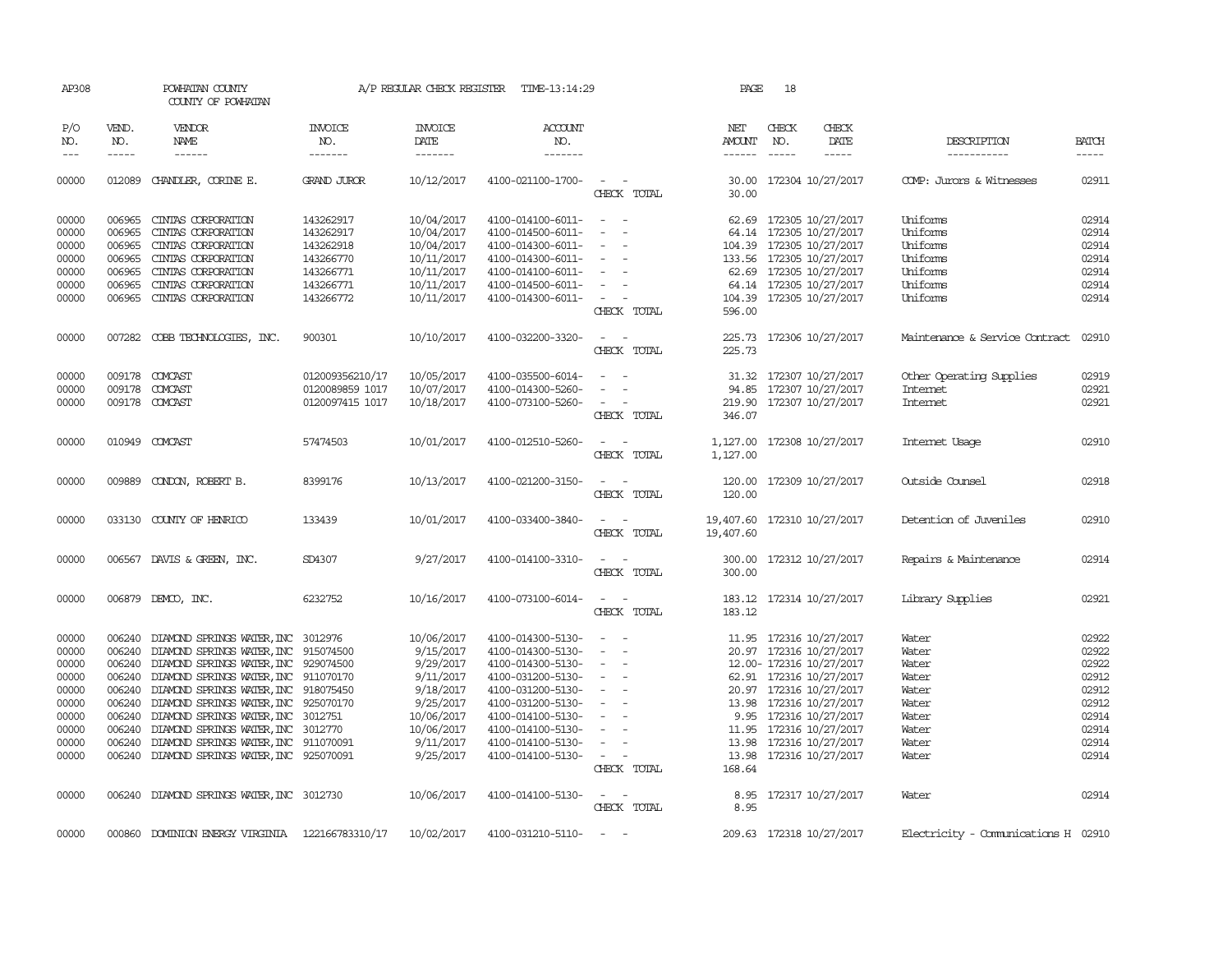| AP308                                                                                  |                                                                                                                                                                                                                                                                                                                                                                                                                                                                         | POWHATAN COUNTY<br>COUNTY OF POWHATAN                                                                                                                                                                                                                                                                                                                                                |                                                                                                | A/P REGULAR CHECK REGISTER                                                                                                        | TIME-13:14:29                                                                                                                                                                                                  |                                                                                                                                                                                                   | PAGE                                     | 18                            |                                                                                                                                                                                                                                                                                                                                                                                                                                                                                             |                                                                                        |                                                                                        |
|----------------------------------------------------------------------------------------|-------------------------------------------------------------------------------------------------------------------------------------------------------------------------------------------------------------------------------------------------------------------------------------------------------------------------------------------------------------------------------------------------------------------------------------------------------------------------|--------------------------------------------------------------------------------------------------------------------------------------------------------------------------------------------------------------------------------------------------------------------------------------------------------------------------------------------------------------------------------------|------------------------------------------------------------------------------------------------|-----------------------------------------------------------------------------------------------------------------------------------|----------------------------------------------------------------------------------------------------------------------------------------------------------------------------------------------------------------|---------------------------------------------------------------------------------------------------------------------------------------------------------------------------------------------------|------------------------------------------|-------------------------------|---------------------------------------------------------------------------------------------------------------------------------------------------------------------------------------------------------------------------------------------------------------------------------------------------------------------------------------------------------------------------------------------------------------------------------------------------------------------------------------------|----------------------------------------------------------------------------------------|----------------------------------------------------------------------------------------|
| P/O<br>NO.<br>$\qquad \qquad -$                                                        | VEND.<br>NO.<br>$\begin{tabular}{ccccc} \multicolumn{2}{c }{\multicolumn{2}{c }{\multicolumn{2}{c }{\multicolumn{2}{c}}{\hspace{-2.2cm}}}} \multicolumn{2}{c }{\multicolumn{2}{c }{\hspace{-2.2cm}}\hline} \multicolumn{2}{c }{\hspace{-2.2cm}}\hline \multicolumn{2}{c }{\hspace{-2.2cm}}\hline \multicolumn{2}{c }{\hspace{-2.2cm}}\hline \multicolumn{2}{c }{\hspace{-2.2cm}}\hline \multicolumn{2}{c }{\hspace{-2.2cm}}\hline \multicolumn{2}{c }{\hspace{-2.2cm}}$ | VENDOR<br>NAME                                                                                                                                                                                                                                                                                                                                                                       | <b>INVOICE</b><br>NO.<br>-------                                                               | <b>INVOICE</b><br>DATE<br>-------                                                                                                 | <b>ACCOUNT</b><br>NO.<br>-------                                                                                                                                                                               |                                                                                                                                                                                                   | NET<br>AMOUNT                            | CHECK<br>NO.<br>$\frac{1}{2}$ | CHECK<br>DATE<br>$\frac{1}{2} \left( \frac{1}{2} \right) \left( \frac{1}{2} \right) \left( \frac{1}{2} \right) \left( \frac{1}{2} \right) \left( \frac{1}{2} \right) \left( \frac{1}{2} \right) \left( \frac{1}{2} \right) \left( \frac{1}{2} \right) \left( \frac{1}{2} \right) \left( \frac{1}{2} \right) \left( \frac{1}{2} \right) \left( \frac{1}{2} \right) \left( \frac{1}{2} \right) \left( \frac{1}{2} \right) \left( \frac{1}{2} \right) \left( \frac{1}{2} \right) \left( \frac$ | DESCRIPTION<br>-----------                                                             | <b>BATCH</b><br>-----                                                                  |
| 00000                                                                                  | 012089                                                                                                                                                                                                                                                                                                                                                                                                                                                                  | CHANDLER, CORINE E.                                                                                                                                                                                                                                                                                                                                                                  | <b>GRAND JUROR</b>                                                                             | 10/12/2017                                                                                                                        | 4100-021100-1700-                                                                                                                                                                                              | $\sim$<br>CHECK TOTAL                                                                                                                                                                             | 30.00                                    |                               | 30.00 172304 10/27/2017                                                                                                                                                                                                                                                                                                                                                                                                                                                                     | COMP: Jurors & Witnesses                                                               | 02911                                                                                  |
| 00000<br>00000<br>00000<br>00000<br>00000<br>00000<br>00000                            | 006965<br>006965<br>006965<br>006965<br>006965<br>006965                                                                                                                                                                                                                                                                                                                                                                                                                | CINIAS CORPORATION<br>CINIAS CORPORATION<br>CINIAS CORPORATION<br>CINIAS CORPORATION<br>CINIAS CORPORATION<br>CINIAS CORPORATION<br>006965 CINIAS CORPORATION                                                                                                                                                                                                                        | 143262917<br>143262917<br>143262918<br>143266770<br>143266771<br>143266771<br>143266772        | 10/04/2017<br>10/04/2017<br>10/04/2017<br>10/11/2017<br>10/11/2017<br>10/11/2017<br>10/11/2017                                    | 4100-014100-6011-<br>4100-014500-6011-<br>4100-014300-6011-<br>4100-014300-6011-<br>4100-014100-6011-<br>4100-014500-6011-<br>4100-014300-6011-                                                                | $\frac{1}{2} \left( \frac{1}{2} \right) \left( \frac{1}{2} \right) = \frac{1}{2} \left( \frac{1}{2} \right)$<br>$\overline{\phantom{a}}$<br>$\overline{\phantom{a}}$<br>$\sim$ $-$<br>CHECK TOTAL | 596.00                                   |                               | 62.69 172305 10/27/2017<br>64.14 172305 10/27/2017<br>104.39 172305 10/27/2017<br>133.56 172305 10/27/2017<br>62.69 172305 10/27/2017<br>64.14 172305 10/27/2017<br>104.39 172305 10/27/2017                                                                                                                                                                                                                                                                                                | Uniforms<br>Uniforms<br>Uniforms<br>Uniforms<br>Uniforms<br>Uniforms<br>Uniforms       | 02914<br>02914<br>02914<br>02914<br>02914<br>02914<br>02914                            |
| 00000                                                                                  |                                                                                                                                                                                                                                                                                                                                                                                                                                                                         | 007282 COBB TECHNOLOGIES, INC.                                                                                                                                                                                                                                                                                                                                                       | 900301                                                                                         | 10/10/2017                                                                                                                        | 4100-032200-3320-                                                                                                                                                                                              | $\frac{1}{2} \left( \frac{1}{2} \right) \left( \frac{1}{2} \right) = \frac{1}{2} \left( \frac{1}{2} \right)$<br>CHECK TOTAL                                                                       | 225.73                                   |                               | 225.73 172306 10/27/2017                                                                                                                                                                                                                                                                                                                                                                                                                                                                    | Maintenance & Service Contract                                                         | 02910                                                                                  |
| 00000<br>00000<br>00000                                                                | 009178                                                                                                                                                                                                                                                                                                                                                                                                                                                                  | 009178 COMCAST<br>COMCAST<br>009178 COMCAST                                                                                                                                                                                                                                                                                                                                          | 012009356210/17<br>0120089859 1017<br>0120097415 1017                                          | 10/05/2017<br>10/07/2017<br>10/18/2017                                                                                            | 4100-035500-6014-<br>4100-014300-5260-<br>4100-073100-5260-                                                                                                                                                    | $\overline{\phantom{a}}$<br>$\equiv$<br>CHECK TOTAL                                                                                                                                               | 346.07                                   |                               | 31.32 172307 10/27/2017<br>94.85 172307 10/27/2017<br>219.90 172307 10/27/2017                                                                                                                                                                                                                                                                                                                                                                                                              | Other Operating Supplies<br>Internet<br>Internet                                       | 02919<br>02921<br>02921                                                                |
| 00000                                                                                  |                                                                                                                                                                                                                                                                                                                                                                                                                                                                         | 010949 COMCAST                                                                                                                                                                                                                                                                                                                                                                       | 57474503                                                                                       | 10/01/2017                                                                                                                        | 4100-012510-5260-                                                                                                                                                                                              | CHECK TOTAL                                                                                                                                                                                       | 1,127.00                                 |                               | 1,127.00 172308 10/27/2017                                                                                                                                                                                                                                                                                                                                                                                                                                                                  | Internet Usage                                                                         | 02910                                                                                  |
| 00000                                                                                  |                                                                                                                                                                                                                                                                                                                                                                                                                                                                         | 009889 CONDON, ROBERT B.                                                                                                                                                                                                                                                                                                                                                             | 8399176                                                                                        | 10/13/2017                                                                                                                        | 4100-021200-3150-                                                                                                                                                                                              | CHECK TOTAL                                                                                                                                                                                       | 120.00<br>120.00                         |                               | 172309 10/27/2017                                                                                                                                                                                                                                                                                                                                                                                                                                                                           | Outside Counsel                                                                        | 02918                                                                                  |
| 00000                                                                                  |                                                                                                                                                                                                                                                                                                                                                                                                                                                                         | 033130 COUNTY OF HENRICO                                                                                                                                                                                                                                                                                                                                                             | 133439                                                                                         | 10/01/2017                                                                                                                        | 4100-033400-3840-                                                                                                                                                                                              | $\sim$ $\sim$<br>CHECK TOTAL                                                                                                                                                                      | 19,407.60 172310 10/27/2017<br>19,407.60 |                               |                                                                                                                                                                                                                                                                                                                                                                                                                                                                                             | Detention of Juveniles                                                                 | 02910                                                                                  |
| 00000                                                                                  |                                                                                                                                                                                                                                                                                                                                                                                                                                                                         | 006567 DAVIS & GREEN, INC.                                                                                                                                                                                                                                                                                                                                                           | SD4307                                                                                         | 9/27/2017                                                                                                                         | 4100-014100-3310-                                                                                                                                                                                              | $ -$<br>CHECK TOTAL                                                                                                                                                                               | 300.00                                   |                               | 300.00 172312 10/27/2017                                                                                                                                                                                                                                                                                                                                                                                                                                                                    | Repairs & Maintenance                                                                  | 02914                                                                                  |
| 00000                                                                                  |                                                                                                                                                                                                                                                                                                                                                                                                                                                                         | 006879 DEMCO, INC.                                                                                                                                                                                                                                                                                                                                                                   | 6232752                                                                                        | 10/16/2017                                                                                                                        | 4100-073100-6014-                                                                                                                                                                                              | $\sim$<br>$\sim$<br>CHECK TOTAL                                                                                                                                                                   | 183.12                                   |                               | 183.12 172314 10/27/2017                                                                                                                                                                                                                                                                                                                                                                                                                                                                    | Library Supplies                                                                       | 02921                                                                                  |
| 00000<br>00000<br>00000<br>00000<br>00000<br>00000<br>00000<br>00000<br>00000<br>00000 | 006240<br>006240                                                                                                                                                                                                                                                                                                                                                                                                                                                        | DIAMOND SPRINGS WATER, INC<br>DIAMOND SPRINGS WATER, INC<br>006240 DIAMOND SPRINGS WATER, INC 929074500<br>006240 DIAMOND SPRINGS WATER, INC<br>006240 DIAMOND SPRINGS WATER, INC<br>006240 DIAMOND SPRINGS WATER, INC<br>006240 DIAMOND SPRINGS WATER, INC<br>006240 DIAMOND SPRINGS WATER, INC<br>006240 DIAMOND SPRINGS WATER, INC<br>006240 DIAMOND SPRINGS WATER, INC 925070091 | 3012976<br>915074500<br>911070170<br>918075450<br>925070170<br>3012751<br>3012770<br>911070091 | 10/06/2017<br>9/15/2017<br>9/29/2017<br>9/11/2017<br>9/18/2017<br>9/25/2017<br>10/06/2017<br>10/06/2017<br>9/11/2017<br>9/25/2017 | 4100-014300-5130-<br>4100-014300-5130-<br>4100-014300-5130-<br>4100-031200-5130-<br>4100-031200-5130-<br>4100-031200-5130-<br>4100-014100-5130-<br>4100-014100-5130-<br>4100-014100-5130-<br>4100-014100-5130- | $\sim$<br>$\sim$<br>$\overline{\phantom{a}}$<br>$\overline{\phantom{a}}$<br>$\overline{\phantom{a}}$<br>$\sim$<br>CHECK TOTAL                                                                     | 168.64                                   |                               | 11.95 172316 10/27/2017<br>20.97 172316 10/27/2017<br>12.00- 172316 10/27/2017<br>62.91 172316 10/27/2017<br>20.97 172316 10/27/2017<br>13.98 172316 10/27/2017<br>9.95 172316 10/27/2017<br>11.95 172316 10/27/2017<br>13.98 172316 10/27/2017<br>13.98 172316 10/27/2017                                                                                                                                                                                                                  | Water<br>Water<br>Water<br>Water<br>Water<br>Water<br>Water<br>Water<br>Water<br>Water | 02922<br>02922<br>02922<br>02912<br>02912<br>02912<br>02914<br>02914<br>02914<br>02914 |
| 00000                                                                                  |                                                                                                                                                                                                                                                                                                                                                                                                                                                                         | 006240 DIAMOND SPRINGS WATER, INC 3012730                                                                                                                                                                                                                                                                                                                                            |                                                                                                | 10/06/2017                                                                                                                        | 4100-014100-5130-                                                                                                                                                                                              | CHECK TOTAL                                                                                                                                                                                       | 8.95                                     |                               | 8.95 172317 10/27/2017                                                                                                                                                                                                                                                                                                                                                                                                                                                                      | Water                                                                                  | 02914                                                                                  |
| 00000                                                                                  |                                                                                                                                                                                                                                                                                                                                                                                                                                                                         | 000860 DOMINION ENERGY VIRGINIA                                                                                                                                                                                                                                                                                                                                                      | 122166783310/17                                                                                | 10/02/2017                                                                                                                        | 4100-031210-5110-                                                                                                                                                                                              | $\sim$                                                                                                                                                                                            |                                          |                               | 209.63 172318 10/27/2017                                                                                                                                                                                                                                                                                                                                                                                                                                                                    | Electricity - Comunications H 02910                                                    |                                                                                        |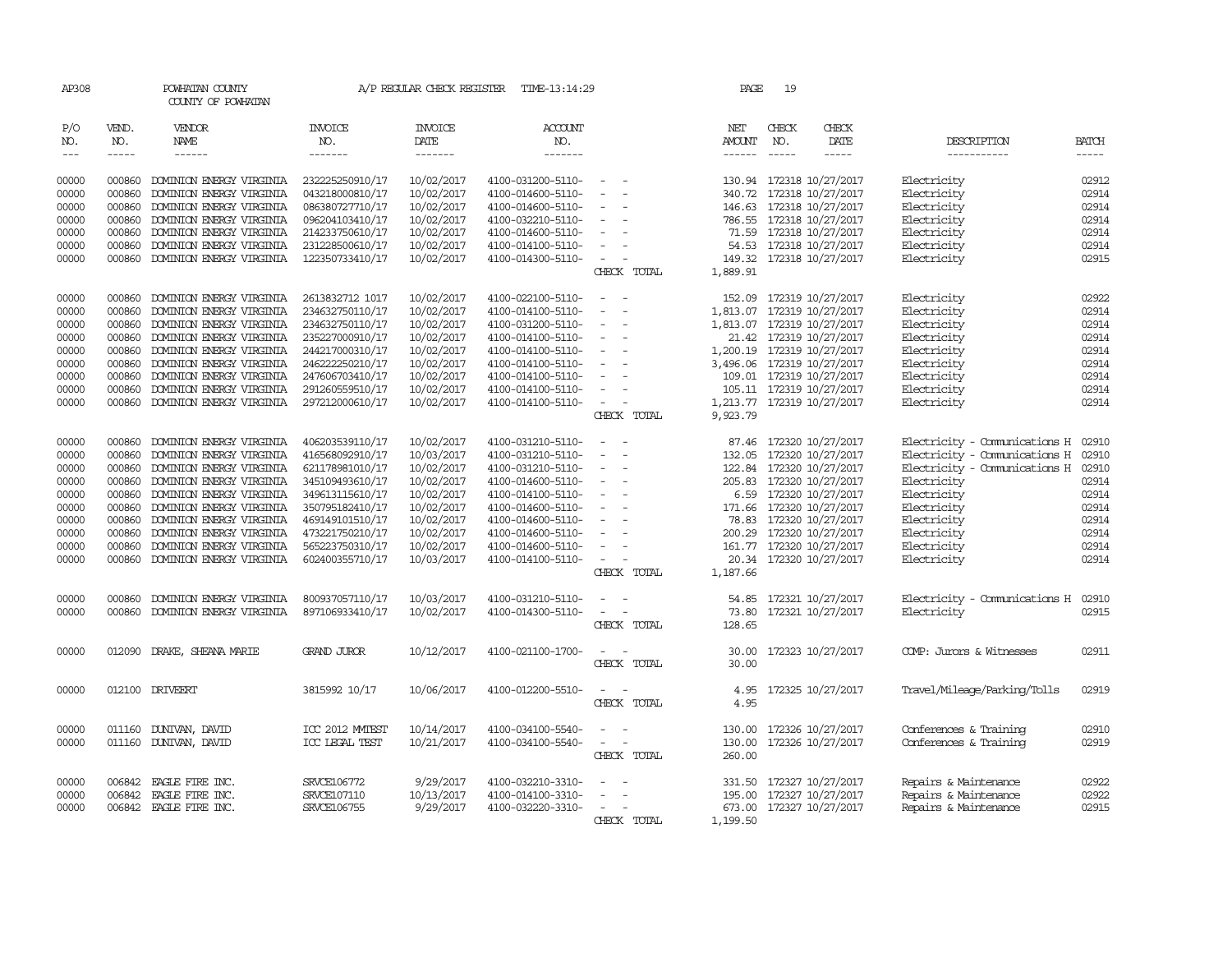| AP308      |              | POWHATAN COUNTY<br>COUNTY OF POWHATAN |                       | A/P REGULAR CHECK REGISTER | TIME-13:14:29         |                                                                                                              |                          | PAGE          | 19           |                            |                               |              |
|------------|--------------|---------------------------------------|-----------------------|----------------------------|-----------------------|--------------------------------------------------------------------------------------------------------------|--------------------------|---------------|--------------|----------------------------|-------------------------------|--------------|
| P/O<br>NO. | VEND.<br>NO. | VENDOR<br>NAME                        | <b>INVOICE</b><br>NO. | <b>INVOICE</b><br>DATE     | <b>ACCOUNT</b><br>NO. |                                                                                                              |                          | NET<br>AMOUNT | CHECK<br>NO. | CHECK<br>DATE              | DESCRIPTION                   | <b>BATCH</b> |
| $---$      | $- - - - -$  | $- - - - - -$                         | -------               | -------                    | -------               |                                                                                                              |                          | $- - - - - -$ | $- - - - -$  | -----                      | -----------                   | $\cdots$     |
| 00000      | 000860       | DOMINION ENERGY VIRGINIA              | 232225250910/17       | 10/02/2017                 | 4100-031200-5110-     | $\sim$                                                                                                       |                          |               |              | 130.94 172318 10/27/2017   | Electricity                   | 02912        |
| 00000      | 000860       | DOMINION ENERGY VIRGINIA              | 043218000810/17       | 10/02/2017                 | 4100-014600-5110-     | $\overline{\phantom{a}}$                                                                                     | $\overline{\phantom{a}}$ | 340.72        |              | 172318 10/27/2017          | Electricity                   | 02914        |
| 00000      | 000860       | DOMINION ENERGY VIRGINIA              | 086380727710/17       | 10/02/2017                 | 4100-014600-5110-     | $\equiv$                                                                                                     |                          |               |              | 146.63 172318 10/27/2017   | Electricity                   | 02914        |
| 00000      | 000860       | DOMINION ENERGY VIRGINIA              | 096204103410/17       | 10/02/2017                 | 4100-032210-5110-     | $\sim$                                                                                                       |                          |               |              | 786.55 172318 10/27/2017   | Electricity                   | 02914        |
| 00000      | 000860       | DOMINION ENERGY VIRGINIA              | 214233750610/17       | 10/02/2017                 | 4100-014600-5110-     | $\equiv$                                                                                                     |                          |               |              | 71.59 172318 10/27/2017    | Electricity                   | 02914        |
| 00000      | 000860       | DOMINION ENERGY VIRGINIA              | 231228500610/17       | 10/02/2017                 | 4100-014100-5110-     | $\equiv$                                                                                                     |                          |               |              | 54.53 172318 10/27/2017    | Electricity                   | 02914        |
| 00000      | 000860       | DOMINION ENERGY VIRGINIA              | 122350733410/17       | 10/02/2017                 | 4100-014300-5110-     | $\equiv$                                                                                                     |                          |               |              | 149.32 172318 10/27/2017   | Electricity                   | 02915        |
|            |              |                                       |                       |                            |                       |                                                                                                              | CHECK TOTAL              | 1,889.91      |              |                            |                               |              |
| 00000      | 000860       | DOMINION ENERGY VIRGINIA              | 2613832712 1017       | 10/02/2017                 | 4100-022100-5110-     | $\sim$                                                                                                       | $\sim$                   | 152.09        |              | 172319 10/27/2017          | Electricity                   | 02922        |
| 00000      | 000860       | DOMINION ENERGY VIRGINIA              | 234632750110/17       | 10/02/2017                 | 4100-014100-5110-     |                                                                                                              |                          |               |              | 1,813.07 172319 10/27/2017 | Electricity                   | 02914        |
| 00000      | 000860       | DOMINION ENERGY VIRGINIA              | 234632750110/17       | 10/02/2017                 | 4100-031200-5110-     | $\sim$                                                                                                       | $\overline{\phantom{a}}$ |               |              | 1,813.07 172319 10/27/2017 | Electricity                   | 02914        |
| 00000      | 000860       | DOMINION ENERGY VIRGINIA              | 235227000910/17       | 10/02/2017                 | 4100-014100-5110-     | $\sim$                                                                                                       |                          |               |              | 21.42 172319 10/27/2017    | Electricity                   | 02914        |
| 00000      | 000860       | DOMINION ENERGY VIRGINIA              | 244217000310/17       | 10/02/2017                 | 4100-014100-5110-     |                                                                                                              |                          |               |              | 1,200.19 172319 10/27/2017 | Electricity                   | 02914        |
| 00000      | 000860       | DOMINION ENERGY VIRGINIA              | 246222250210/17       | 10/02/2017                 | 4100-014100-5110-     | $\overline{\phantom{a}}$                                                                                     |                          |               |              | 3,496.06 172319 10/27/2017 | Electricity                   | 02914        |
| 00000      | 000860       | DOMINION ENERGY VIRGINIA              | 247606703410/17       | 10/02/2017                 | 4100-014100-5110-     | $\equiv$                                                                                                     |                          |               |              | 109.01 172319 10/27/2017   | Electricity                   | 02914        |
| 00000      | 000860       | DOMINION ENERGY VIRGINIA              | 291260559510/17       | 10/02/2017                 | 4100-014100-5110-     |                                                                                                              |                          |               |              | 105.11 172319 10/27/2017   | Electricity                   | 02914        |
| 00000      | 000860       | DOMINION ENERGY VIRGINIA              | 297212000610/17       | 10/02/2017                 | 4100-014100-5110-     | $\overline{\phantom{a}}$                                                                                     |                          |               |              | 1,213.77 172319 10/27/2017 | Electricity                   | 02914        |
|            |              |                                       |                       |                            |                       |                                                                                                              | CHECK TOTAL              | 9,923.79      |              |                            |                               |              |
| 00000      | 000860       | DOMINION ENERGY VIRGINIA              | 406203539110/17       | 10/02/2017                 | 4100-031210-5110-     | $\sim$                                                                                                       |                          | 87.46         |              | 172320 10/27/2017          | Electricity - Comunications H | 02910        |
| 00000      | 000860       | DOMINION ENERGY VIRGINIA              | 416568092910/17       | 10/03/2017                 | 4100-031210-5110-     | $\sim$                                                                                                       | $\overline{\phantom{a}}$ | 132.05        |              | 172320 10/27/2017          | Electricity - Comunications H | 02910        |
| 00000      | 000860       | DOMINION ENERGY VIRGINIA              | 621178981010/17       | 10/02/2017                 | 4100-031210-5110-     | $\overline{\phantom{a}}$                                                                                     |                          | 122.84        |              | 172320 10/27/2017          | Electricity - Comunications H | 02910        |
| 00000      | 000860       | DOMINION ENERGY VIRGINIA              | 345109493610/17       | 10/02/2017                 | 4100-014600-5110-     | $\equiv$                                                                                                     |                          |               |              | 205.83 172320 10/27/2017   | Electricity                   | 02914        |
| 00000      | 000860       | DOMINION ENERGY VIRGINIA              | 349613115610/17       | 10/02/2017                 | 4100-014100-5110-     | $\sim$                                                                                                       | $\overline{\phantom{a}}$ |               |              | 6.59 172320 10/27/2017     | Electricity                   | 02914        |
| 00000      | 000860       | DOMINION ENERGY VIRGINIA              | 350795182410/17       | 10/02/2017                 | 4100-014600-5110-     | $\overline{\phantom{a}}$                                                                                     |                          | 171.66        |              | 172320 10/27/2017          | Electricity                   | 02914        |
| 00000      | 000860       | DOMINION ENERGY VIRGINIA              | 469149101510/17       | 10/02/2017                 | 4100-014600-5110-     |                                                                                                              |                          | 78.83         |              | 172320 10/27/2017          | Electricity                   | 02914        |
| 00000      | 000860       | DOMINION ENERGY VIRGINIA              | 473221750210/17       | 10/02/2017                 | 4100-014600-5110-     | $\equiv$                                                                                                     |                          |               |              | 200.29 172320 10/27/2017   | Electricity                   | 02914        |
| 00000      | 000860       | DOMINION ENERGY VIRGINIA              | 565223750310/17       | 10/02/2017                 | 4100-014600-5110-     |                                                                                                              |                          | 161.77        |              | 172320 10/27/2017          | Electricity                   | 02914        |
| 00000      | 000860       | DOMINION ENERGY VIRGINIA              | 602400355710/17       | 10/03/2017                 | 4100-014100-5110-     | $\sim$                                                                                                       |                          |               |              | 20.34 172320 10/27/2017    | Electricity                   | 02914        |
|            |              |                                       |                       |                            |                       |                                                                                                              | CHECK TOTAL              | 1,187.66      |              |                            |                               |              |
| 00000      | 000860       | DOMINION ENERGY VIRGINIA              | 800937057110/17       | 10/03/2017                 | 4100-031210-5110-     |                                                                                                              |                          | 54.85         |              | 172321 10/27/2017          | Electricity - Comunications H | 02910        |
| 00000      | 000860       | DOMINION ENERGY VIRGINIA              | 897106933410/17       | 10/02/2017                 | 4100-014300-5110-     | $\sim$                                                                                                       |                          | 73.80         |              | 172321 10/27/2017          | Electricity                   | 02915        |
|            |              |                                       |                       |                            |                       |                                                                                                              | CHECK TOTAL              | 128.65        |              |                            |                               |              |
| 00000      | 012090       | DRAKE, SHEANA MARIE                   | <b>GRAND JUROR</b>    | 10/12/2017                 | 4100-021100-1700-     | $\frac{1}{2} \left( \frac{1}{2} \right) \left( \frac{1}{2} \right) = \frac{1}{2} \left( \frac{1}{2} \right)$ |                          | 30.00         |              | 172323 10/27/2017          | COMP: Jurors & Witnesses      | 02911        |
|            |              |                                       |                       |                            |                       |                                                                                                              | CHECK TOTAL              | 30.00         |              |                            |                               |              |
| 00000      |              | 012100 DRIVEERT                       | 3815992 10/17         | 10/06/2017                 | 4100-012200-5510-     | $\equiv$<br>$\sim$                                                                                           |                          | 4.95          |              | 172325 10/27/2017          | Travel/Mileage/Parking/Tolls  | 02919        |
|            |              |                                       |                       |                            |                       |                                                                                                              | CHECK TOTAL              | 4.95          |              |                            |                               |              |
| 00000      | 011160       | DUNIVAN, DAVID                        | ICC 2012 MMTEST       | 10/14/2017                 | 4100-034100-5540-     |                                                                                                              |                          | 130.00        |              | 172326 10/27/2017          | Conferences & Training        | 02910        |
| 00000      |              | 011160 DUNIVAN, DAVID                 | ICC LEGAL TEST        | 10/21/2017                 | 4100-034100-5540-     |                                                                                                              |                          | 130.00        |              | 172326 10/27/2017          | Conferences & Training        | 02919        |
|            |              |                                       |                       |                            |                       |                                                                                                              | CHECK TOTAL              | 260.00        |              |                            |                               |              |
| 00000      | 006842       | EAGLE FIRE INC.                       | SRVCE106772           | 9/29/2017                  | 4100-032210-3310-     |                                                                                                              |                          | 331.50        |              | 172327 10/27/2017          | Repairs & Maintenance         | 02922        |
| 00000      | 006842       | EAGLE FIRE INC.                       | SRVCE107110           | 10/13/2017                 | 4100-014100-3310-     |                                                                                                              |                          | 195.00        |              | 172327 10/27/2017          | Repairs & Maintenance         | 02922        |
| 00000      |              | 006842 EAGLE FIRE INC.                | SRVCE106755           | 9/29/2017                  | 4100-032220-3310-     | $\overline{\phantom{a}}$                                                                                     |                          |               |              | 673.00 172327 10/27/2017   | Repairs & Maintenance         | 02915        |
|            |              |                                       |                       |                            |                       |                                                                                                              | CHECK TOTAL              | 1,199.50      |              |                            |                               |              |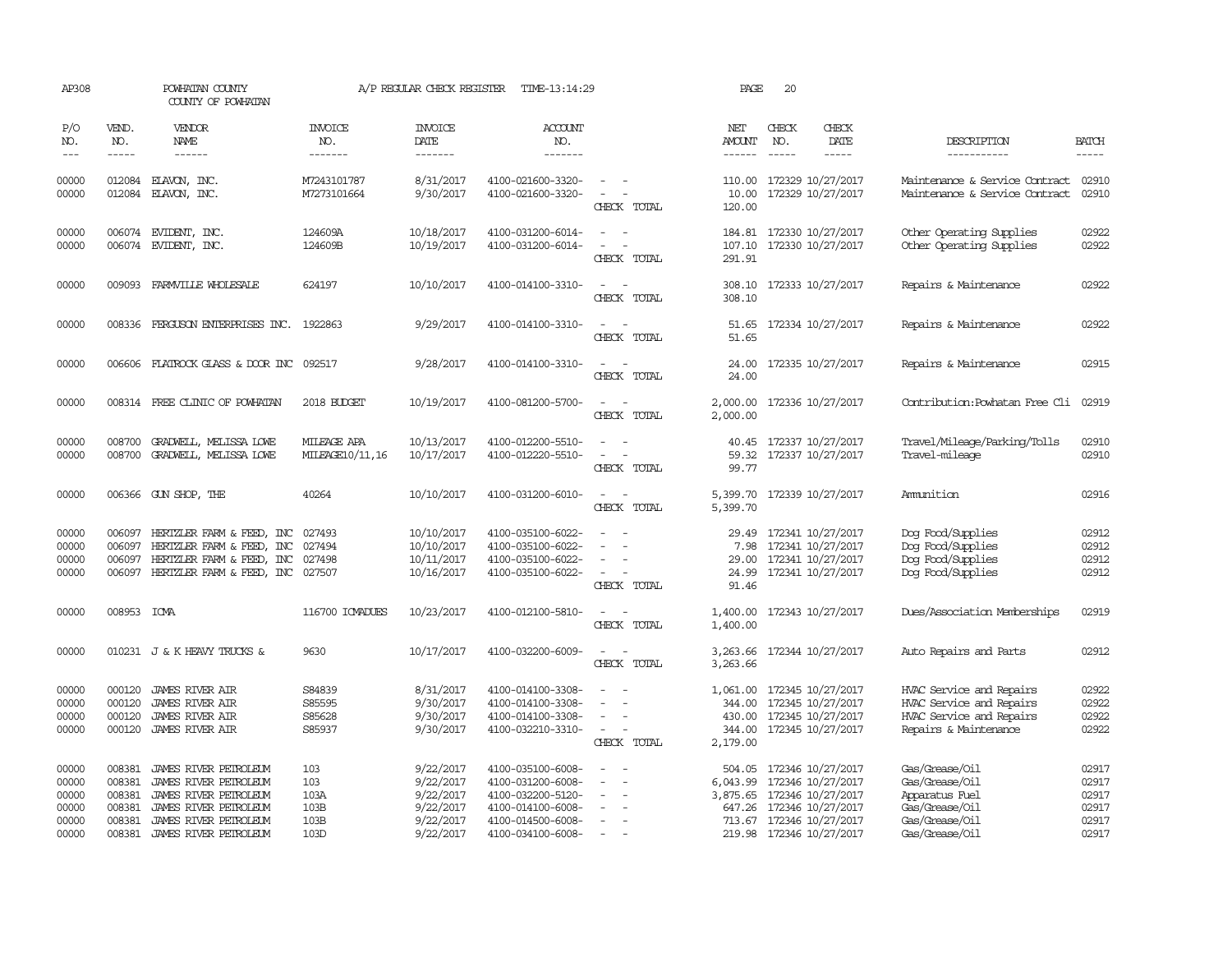| AP308                                              |                                                                                                                                                                                                                                                                                                                                                                                                                                                                         | POWHATAN COUNTY<br>COUNTY OF POWHATAN                                                                                                              |                                            | A/P REGULAR CHECK REGISTER                                                 | TIME-13:14:29                                                                                                              |                                                                                                                                                         | PAGE                                             | 20                          |                                                                                                                            |                                                                                                           |                                                    |
|----------------------------------------------------|-------------------------------------------------------------------------------------------------------------------------------------------------------------------------------------------------------------------------------------------------------------------------------------------------------------------------------------------------------------------------------------------------------------------------------------------------------------------------|----------------------------------------------------------------------------------------------------------------------------------------------------|--------------------------------------------|----------------------------------------------------------------------------|----------------------------------------------------------------------------------------------------------------------------|---------------------------------------------------------------------------------------------------------------------------------------------------------|--------------------------------------------------|-----------------------------|----------------------------------------------------------------------------------------------------------------------------|-----------------------------------------------------------------------------------------------------------|----------------------------------------------------|
| P/O<br>NO.<br>$---$                                | VEND.<br>NO.<br>$\begin{tabular}{ccccc} \multicolumn{2}{c }{\multicolumn{2}{c }{\multicolumn{2}{c }{\multicolumn{2}{c}}{\hspace{-2.2cm}}}} \multicolumn{2}{c }{\multicolumn{2}{c }{\hspace{-2.2cm}}\hline} \multicolumn{2}{c }{\hspace{-2.2cm}}\hline \multicolumn{2}{c }{\hspace{-2.2cm}}\hline \multicolumn{2}{c }{\hspace{-2.2cm}}\hline \multicolumn{2}{c }{\hspace{-2.2cm}}\hline \multicolumn{2}{c }{\hspace{-2.2cm}}\hline \multicolumn{2}{c }{\hspace{-2.2cm}}$ | VENDOR<br>NAME<br>------                                                                                                                           | <b>INVOICE</b><br>NO.<br>-------           | <b>INVOICE</b><br>DATE<br>-------                                          | ACCOUNT<br>NO.<br>-------                                                                                                  |                                                                                                                                                         | NET<br>AMOUNT                                    | CHECK<br>NO.<br>$- - - - -$ | CHECK<br>DATE                                                                                                              | DESCRIPTION<br>-----------                                                                                | <b>BATCH</b><br>-----                              |
| 00000<br>00000                                     | 012084<br>012084                                                                                                                                                                                                                                                                                                                                                                                                                                                        | ELAVON, INC.<br>ELAVON, INC.                                                                                                                       | M7243101787<br>M7273101664                 | 8/31/2017<br>9/30/2017                                                     | 4100-021600-3320-<br>4100-021600-3320-                                                                                     | $\sim$<br>$\sim$<br>CHECK TOTAL                                                                                                                         | 10.00<br>120.00                                  |                             | 110.00 172329 10/27/2017<br>172329 10/27/2017                                                                              | Maintenance & Service Contract<br>Maintenance & Service Contract                                          | 02910<br>02910                                     |
| 00000<br>00000                                     | 006074<br>006074                                                                                                                                                                                                                                                                                                                                                                                                                                                        | EVIDENT, INC.<br>EVIDENT, INC.                                                                                                                     | 124609A<br>124609B                         | 10/18/2017<br>10/19/2017                                                   | 4100-031200-6014-<br>4100-031200-6014-                                                                                     | CHECK TOTAL                                                                                                                                             | 184.81<br>291.91                                 |                             | 172330 10/27/2017<br>107.10 172330 10/27/2017                                                                              | Other Operating Supplies<br>Other Operating Supplies                                                      | 02922<br>02922                                     |
| 00000                                              |                                                                                                                                                                                                                                                                                                                                                                                                                                                                         | 009093 FARMVILLE WHOLESALE                                                                                                                         | 624197                                     | 10/10/2017                                                                 | 4100-014100-3310-                                                                                                          | CHECK TOTAL                                                                                                                                             | 308.10                                           |                             | 308.10 172333 10/27/2017                                                                                                   | Repairs & Maintenance                                                                                     | 02922                                              |
| 00000                                              | 008336                                                                                                                                                                                                                                                                                                                                                                                                                                                                  | FERGUSON ENTERPRISES INC. 1922863                                                                                                                  |                                            | 9/29/2017                                                                  | 4100-014100-3310-                                                                                                          | CHECK TOTAL                                                                                                                                             | 51.65                                            |                             | 51.65 172334 10/27/2017                                                                                                    | Repairs & Maintenance                                                                                     | 02922                                              |
| 00000                                              |                                                                                                                                                                                                                                                                                                                                                                                                                                                                         | 006606 FLATROCK GLASS & DOOR INC                                                                                                                   | 092517                                     | 9/28/2017                                                                  | 4100-014100-3310-                                                                                                          | $\overline{\phantom{a}}$<br>CHECK TOTAL                                                                                                                 | 24.00<br>24.00                                   |                             | 172335 10/27/2017                                                                                                          | Repairs & Maintenance                                                                                     | 02915                                              |
| 00000                                              |                                                                                                                                                                                                                                                                                                                                                                                                                                                                         | 008314 FREE CLINIC OF POWHATAN                                                                                                                     | 2018 BUDGET                                | 10/19/2017                                                                 | 4100-081200-5700-                                                                                                          | $\overline{\phantom{a}}$<br>CHECK TOTAL                                                                                                                 | 2,000.00<br>2,000.00                             |                             | 172336 10/27/2017                                                                                                          | Contribution: Powhatan Free Cli 02919                                                                     |                                                    |
| 00000<br>00000                                     | 008700<br>008700                                                                                                                                                                                                                                                                                                                                                                                                                                                        | GRADWELL, MELISSA LOWE<br>GRADWELL, MELISSA LOWE                                                                                                   | MILEAGE APA<br>MILEAGE10/11,16             | 10/13/2017<br>10/17/2017                                                   | 4100-012200-5510-<br>4100-012220-5510-                                                                                     | $\frac{1}{2} \left( \frac{1}{2} \right) \left( \frac{1}{2} \right) = \frac{1}{2} \left( \frac{1}{2} \right)$<br>$\overline{\phantom{a}}$<br>CHECK TOTAL | 59.32<br>99.77                                   |                             | 40.45 172337 10/27/2017<br>172337 10/27/2017                                                                               | Travel/Mileage/Parking/Tolls<br>Travel-mileage                                                            | 02910<br>02910                                     |
| 00000                                              |                                                                                                                                                                                                                                                                                                                                                                                                                                                                         | 006366 GUN SHOP, THE                                                                                                                               | 40264                                      | 10/10/2017                                                                 | 4100-031200-6010-                                                                                                          | $\overline{\phantom{a}}$<br>CHECK TOTAL                                                                                                                 | 5,399.70<br>5,399.70                             |                             | 172339 10/27/2017                                                                                                          | Ammition                                                                                                  | 02916                                              |
| 00000<br>00000<br>00000<br>00000                   | 006097<br>006097                                                                                                                                                                                                                                                                                                                                                                                                                                                        | HERTZLER FARM & FEED, INC<br>HERTZLER FARM & FEED,<br>INC<br>006097 HERTZLER FARM & FEED, INC<br>006097 HERTZLER FARM & FEED, INC 027507           | 027493<br>027494<br>027498                 | 10/10/2017<br>10/10/2017<br>10/11/2017<br>10/16/2017                       | 4100-035100-6022-<br>4100-035100-6022-<br>4100-035100-6022-<br>4100-035100-6022-                                           | $\equiv$<br>$\equiv$<br>CHECK TOTAL                                                                                                                     | 29.49<br>7.98<br>91.46                           |                             | 172341 10/27/2017<br>172341 10/27/2017<br>29.00 172341 10/27/2017<br>24.99 172341 10/27/2017                               | Dog Food/Supplies<br>Dog Food/Supplies<br>Dog Food/Supplies<br>Dog Food/Supplies                          | 02912<br>02912<br>02912<br>02912                   |
| 00000                                              | 008953 ICMA                                                                                                                                                                                                                                                                                                                                                                                                                                                             |                                                                                                                                                    | 116700 ICMADUES                            | 10/23/2017                                                                 | 4100-012100-5810-                                                                                                          | $\sim$ 100 $\mu$<br>CHECK TOTAL                                                                                                                         | 1,400.00<br>1,400.00                             |                             | 172343 10/27/2017                                                                                                          | Dues/Association Memberships                                                                              | 02919                                              |
| 00000                                              |                                                                                                                                                                                                                                                                                                                                                                                                                                                                         | 010231 J & K HEAVY TRUCKS &                                                                                                                        | 9630                                       | 10/17/2017                                                                 | 4100-032200-6009-                                                                                                          | CHECK TOTAL                                                                                                                                             | 3,263.66                                         |                             | 3, 263.66 172344 10/27/2017                                                                                                | Auto Repairs and Parts                                                                                    | 02912                                              |
| 00000<br>00000<br>00000<br>00000                   | 000120<br>000120<br>000120<br>000120                                                                                                                                                                                                                                                                                                                                                                                                                                    | JAMES RIVER AIR<br><b>JAMES RIVER AIR</b><br><b>JAMES RIVER AIR</b><br><b>JAMES RIVER AIR</b>                                                      | S84839<br>S85595<br>S85628<br>S85937       | 8/31/2017<br>9/30/2017<br>9/30/2017<br>9/30/2017                           | 4100-014100-3308-<br>4100-014100-3308-<br>4100-014100-3308-<br>4100-032210-3310-                                           | $\equiv$<br>$\equiv$<br>$\equiv$<br>CHECK TOTAL                                                                                                         | 1,061.00 172345 10/27/2017<br>2,179.00           |                             | 344.00 172345 10/27/2017<br>430.00 172345 10/27/2017<br>344.00 172345 10/27/2017                                           | HVAC Service and Repairs<br>HVAC Service and Repairs<br>HVAC Service and Repairs<br>Repairs & Maintenance | 02922<br>02922<br>02922<br>02922                   |
| 00000<br>00000<br>00000<br>00000<br>00000<br>00000 | 008381<br>008381<br>008381<br>008381<br>008381<br>008381                                                                                                                                                                                                                                                                                                                                                                                                                | JAMES RIVER PETROLEUM<br>JAMES RIVER PETROLEUM<br>JAMES RIVER PEIROLEUM<br>JAMES RIVER PETROLEUM<br>JAMES RIVER PETROLEUM<br>JAMES RIVER PETROLEUM | 103<br>103<br>103A<br>103B<br>103B<br>103D | 9/22/2017<br>9/22/2017<br>9/22/2017<br>9/22/2017<br>9/22/2017<br>9/22/2017 | 4100-035100-6008-<br>4100-031200-6008-<br>4100-032200-5120-<br>4100-014100-6008-<br>4100-014500-6008-<br>4100-034100-6008- | $\overline{a}$<br>$\overline{\phantom{a}}$<br>$\sim$                                                                                                    | 504.05<br>6,043.99<br>3,875.65 172346 10/27/2017 |                             | 172346 10/27/2017<br>172346 10/27/2017<br>647.26 172346 10/27/2017<br>713.67 172346 10/27/2017<br>219.98 172346 10/27/2017 | Gas/Grease/Oil<br>Gas/Grease/Oil<br>Apparatus Fuel<br>Gas/Grease/Oil<br>Gas/Grease/Oil<br>Gas/Grease/Oil  | 02917<br>02917<br>02917<br>02917<br>02917<br>02917 |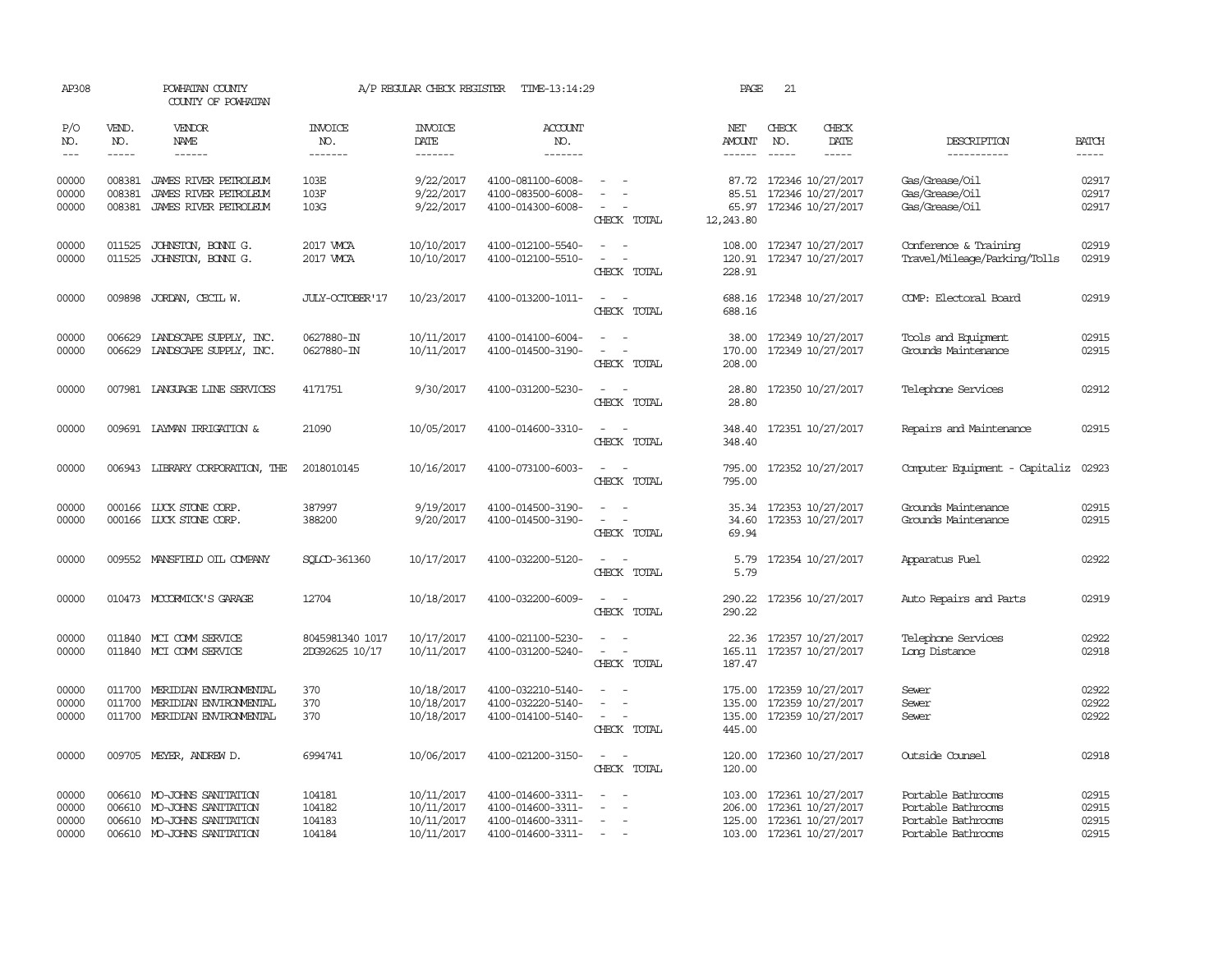| AP308               |                               | POWHATAN COUNTY<br>COUNTY OF POWHATAN                                                                                                                                                                                                                                                                                                                                                                                                                                                               |                                  | A/P REGULAR CHECK REGISTER        | TIME-13:14:29             |                                                                                                                             | PAGE                 | 21                            |                          |                                |                             |
|---------------------|-------------------------------|-----------------------------------------------------------------------------------------------------------------------------------------------------------------------------------------------------------------------------------------------------------------------------------------------------------------------------------------------------------------------------------------------------------------------------------------------------------------------------------------------------|----------------------------------|-----------------------------------|---------------------------|-----------------------------------------------------------------------------------------------------------------------------|----------------------|-------------------------------|--------------------------|--------------------------------|-----------------------------|
| P/O<br>NO.<br>$---$ | VEND.<br>NO.<br>$\frac{1}{2}$ | <b>VENDOR</b><br>NAME<br>$\frac{1}{2} \left( \frac{1}{2} \right) \left( \frac{1}{2} \right) \left( \frac{1}{2} \right) \left( \frac{1}{2} \right) \left( \frac{1}{2} \right) \left( \frac{1}{2} \right) \left( \frac{1}{2} \right) \left( \frac{1}{2} \right) \left( \frac{1}{2} \right) \left( \frac{1}{2} \right) \left( \frac{1}{2} \right) \left( \frac{1}{2} \right) \left( \frac{1}{2} \right) \left( \frac{1}{2} \right) \left( \frac{1}{2} \right) \left( \frac{1}{2} \right) \left( \frac$ | <b>INVOICE</b><br>NO.<br>------- | <b>INVOICE</b><br>DATE<br>------- | ACCOUNT<br>NO.<br>------- |                                                                                                                             | NET<br><b>AMOUNT</b> | CHECK<br>NO.<br>$\frac{1}{2}$ | CHECK<br>DATE<br>-----   | DESCRIPTION<br>-----------     | <b>BATCH</b><br>$- - - - -$ |
|                     |                               |                                                                                                                                                                                                                                                                                                                                                                                                                                                                                                     |                                  |                                   |                           |                                                                                                                             |                      |                               |                          |                                |                             |
| 00000               | 008381                        | JAMES RIVER PETROLEUM                                                                                                                                                                                                                                                                                                                                                                                                                                                                               | 103E                             | 9/22/2017                         | 4100-081100-6008-         |                                                                                                                             | 87.72                |                               | 172346 10/27/2017        | Gas/Grease/Oil                 | 02917                       |
| 00000               | 008381                        | JAMES RIVER PETROLEUM                                                                                                                                                                                                                                                                                                                                                                                                                                                                               | 103F                             | 9/22/2017                         | 4100-083500-6008-         |                                                                                                                             | 85.51                |                               | 172346 10/27/2017        | Gas/Grease/Oil                 | 02917                       |
| 00000               | 008381                        | JAMES RIVER PETROLEUM                                                                                                                                                                                                                                                                                                                                                                                                                                                                               | 103G                             | 9/22/2017                         | 4100-014300-6008-         | CHECK TOTAL                                                                                                                 | 12,243.80            |                               | 65.97 172346 10/27/2017  | Gas/Grease/Oil                 | 02917                       |
| 00000               | 011525                        | JOHNSTON, BONNI G.                                                                                                                                                                                                                                                                                                                                                                                                                                                                                  | 2017 WCA                         | 10/10/2017                        | 4100-012100-5540-         |                                                                                                                             | 108.00               |                               | 172347 10/27/2017        | Conference & Training          | 02919                       |
| 00000               | 011525                        | JOHNSTON, BONNI G.                                                                                                                                                                                                                                                                                                                                                                                                                                                                                  | 2017 WCA                         | 10/10/2017                        | 4100-012100-5510-         | $\overline{\phantom{a}}$<br>$\overline{\phantom{a}}$<br>CHECK TOTAL                                                         | 228.91               |                               | 120.91 172347 10/27/2017 | Travel/Mileage/Parking/Tolls   | 02919                       |
| 00000               | 009898                        | JORDAN, CECIL W.                                                                                                                                                                                                                                                                                                                                                                                                                                                                                    | JULY-OCTOBER'17                  | 10/23/2017                        | 4100-013200-1011-         | $\sim$ $\sim$                                                                                                               |                      |                               | 688.16 172348 10/27/2017 | COMP: Electoral Board          | 02919                       |
|                     |                               |                                                                                                                                                                                                                                                                                                                                                                                                                                                                                                     |                                  |                                   |                           | CHECK TOTAL                                                                                                                 | 688.16               |                               |                          |                                |                             |
| 00000               | 006629                        | LANDSCAPE SUPPLY, INC.                                                                                                                                                                                                                                                                                                                                                                                                                                                                              | 0627880-IN                       | 10/11/2017                        | 4100-014100-6004-         |                                                                                                                             | 38.00                |                               | 172349 10/27/2017        | Tools and Equipment            | 02915                       |
| 00000               |                               | 006629 LANDSCAPE SUPPLY, INC.                                                                                                                                                                                                                                                                                                                                                                                                                                                                       | 0627880-IN                       | 10/11/2017                        | 4100-014500-3190-         | $\overline{\phantom{a}}$                                                                                                    | 170.00               |                               | 172349 10/27/2017        | Grounds Maintenance            | 02915                       |
|                     |                               |                                                                                                                                                                                                                                                                                                                                                                                                                                                                                                     |                                  |                                   |                           | CHECK TOTAL                                                                                                                 | 208.00               |                               |                          |                                |                             |
| 00000               |                               | 007981 LANGUAGE LINE SERVICES                                                                                                                                                                                                                                                                                                                                                                                                                                                                       | 4171751                          | 9/30/2017                         | 4100-031200-5230-         | $\frac{1}{2} \left( \frac{1}{2} \right) \left( \frac{1}{2} \right) = \frac{1}{2} \left( \frac{1}{2} \right)$<br>CHECK TOTAL | 28.80<br>28.80       |                               | 172350 10/27/2017        | Telephone Services             | 02912                       |
|                     |                               |                                                                                                                                                                                                                                                                                                                                                                                                                                                                                                     |                                  |                                   |                           |                                                                                                                             |                      |                               |                          |                                |                             |
| 00000               |                               | 009691 LAYMAN IRRIGATION &                                                                                                                                                                                                                                                                                                                                                                                                                                                                          | 21090                            | 10/05/2017                        | 4100-014600-3310-         | $\sim$<br>$\sim$<br>CHECK TOTAL                                                                                             | 348.40<br>348.40     |                               | 172351 10/27/2017        | Repairs and Maintenance        | 02915                       |
| 00000               |                               | 006943 LIBRARY CORPORATION, THE                                                                                                                                                                                                                                                                                                                                                                                                                                                                     | 2018010145                       | 10/16/2017                        | 4100-073100-6003-         | $\sim$                                                                                                                      |                      |                               | 795.00 172352 10/27/2017 | Computer Equipment - Capitaliz | 02923                       |
|                     |                               |                                                                                                                                                                                                                                                                                                                                                                                                                                                                                                     |                                  |                                   |                           | CHECK TOTAL                                                                                                                 | 795.00               |                               |                          |                                |                             |
| 00000               |                               | 000166 LUCK STONE CORP.                                                                                                                                                                                                                                                                                                                                                                                                                                                                             | 387997                           | 9/19/2017                         | 4100-014500-3190-         |                                                                                                                             | 35.34                |                               | 172353 10/27/2017        | Grounds Maintenance            | 02915                       |
| 00000               |                               | 000166 LUCK STONE CORP.                                                                                                                                                                                                                                                                                                                                                                                                                                                                             | 388200                           | 9/20/2017                         | 4100-014500-3190-         | $\sim$ $ \sim$                                                                                                              | 34.60                |                               | 172353 10/27/2017        | Grounds Maintenance            | 02915                       |
|                     |                               |                                                                                                                                                                                                                                                                                                                                                                                                                                                                                                     |                                  |                                   |                           | CHECK TOTAL                                                                                                                 | 69.94                |                               |                          |                                |                             |
| 00000               |                               | 009552 MANSFIELD OIL COMPANY                                                                                                                                                                                                                                                                                                                                                                                                                                                                        | SQLCD-361360                     | 10/17/2017                        | 4100-032200-5120-         | $\sim$<br>$\sim$                                                                                                            | 5.79                 |                               | 172354 10/27/2017        | Apparatus Fuel                 | 02922                       |
|                     |                               |                                                                                                                                                                                                                                                                                                                                                                                                                                                                                                     |                                  |                                   |                           | CHECK TOTAL                                                                                                                 | 5.79                 |                               |                          |                                |                             |
| 00000               |                               | 010473 MCCORMICK'S GARAGE                                                                                                                                                                                                                                                                                                                                                                                                                                                                           | 12704                            | 10/18/2017                        | 4100-032200-6009-         | $\sim$<br>$\overline{\phantom{a}}$<br>CHECK TOTAL                                                                           | 290.22<br>290.22     |                               | 172356 10/27/2017        | Auto Repairs and Parts         | 02919                       |
|                     |                               |                                                                                                                                                                                                                                                                                                                                                                                                                                                                                                     |                                  |                                   |                           |                                                                                                                             |                      |                               |                          |                                |                             |
| 00000               |                               | 011840 MCI COMM SERVICE                                                                                                                                                                                                                                                                                                                                                                                                                                                                             | 8045981340 1017                  | 10/17/2017                        | 4100-021100-5230-         |                                                                                                                             | 22.36                |                               | 172357 10/27/2017        | Telephone Services             | 02922                       |
| 00000               |                               | 011840 MCI COMM SERVICE                                                                                                                                                                                                                                                                                                                                                                                                                                                                             | 2DG92625 10/17                   | 10/11/2017                        | 4100-031200-5240-         |                                                                                                                             | 165.11               |                               | 172357 10/27/2017        | Long Distance                  | 02918                       |
|                     |                               |                                                                                                                                                                                                                                                                                                                                                                                                                                                                                                     |                                  |                                   |                           | CHECK TOTAL                                                                                                                 | 187.47               |                               |                          |                                |                             |
| 00000               | 011700                        | MERIDIAN ENVIRONMENTAL                                                                                                                                                                                                                                                                                                                                                                                                                                                                              | 370                              | 10/18/2017                        | 4100-032210-5140-         |                                                                                                                             | 175.00               |                               | 172359 10/27/2017        | Sewer                          | 02922                       |
| 00000               | 011700                        | MERIDIAN ENVIRONMENTAL                                                                                                                                                                                                                                                                                                                                                                                                                                                                              | 370                              | 10/18/2017                        | 4100-032220-5140-         |                                                                                                                             | 135.00               |                               | 172359 10/27/2017        | Sewer                          | 02922                       |
| 00000               |                               | 011700 MERIDIAN ENVIRONMENTAL                                                                                                                                                                                                                                                                                                                                                                                                                                                                       | 370                              | 10/18/2017                        | 4100-014100-5140-         | $\sim$<br>CHECK TOTAL                                                                                                       | 135.00<br>445.00     |                               | 172359 10/27/2017        | Sewer                          | 02922                       |
| 00000               |                               | 009705 MEYER, ANDREW D.                                                                                                                                                                                                                                                                                                                                                                                                                                                                             | 6994741                          | 10/06/2017                        | 4100-021200-3150-         | $\sim$                                                                                                                      | 120.00               |                               | 172360 10/27/2017        | Outside Counsel                | 02918                       |
|                     |                               |                                                                                                                                                                                                                                                                                                                                                                                                                                                                                                     |                                  |                                   |                           | CHECK TOTAL                                                                                                                 | 120.00               |                               |                          |                                |                             |
| 00000               |                               | 006610 MO-JOHNS SANITATION                                                                                                                                                                                                                                                                                                                                                                                                                                                                          | 104181                           | 10/11/2017                        | 4100-014600-3311-         |                                                                                                                             | 103.00               |                               | 172361 10/27/2017        | Portable Bathrooms             | 02915                       |
| 00000               |                               | 006610 MO-JOHNS SANITATION                                                                                                                                                                                                                                                                                                                                                                                                                                                                          | 104182                           | 10/11/2017                        | 4100-014600-3311-         | $\equiv$                                                                                                                    | 206.00               |                               | 172361 10/27/2017        | Portable Bathrooms             | 02915                       |
| 00000               |                               | 006610 MO-JOHNS SANITATION                                                                                                                                                                                                                                                                                                                                                                                                                                                                          | 104183                           | 10/11/2017                        | 4100-014600-3311-         | $\overline{\phantom{a}}$<br>$\sim$                                                                                          |                      |                               | 125.00 172361 10/27/2017 | Portable Bathrooms             | 02915                       |
| 00000               |                               | 006610 MO-JOHNS SANITATION                                                                                                                                                                                                                                                                                                                                                                                                                                                                          | 104184                           | 10/11/2017                        | 4100-014600-3311-         |                                                                                                                             |                      |                               | 103.00 172361 10/27/2017 | Portable Bathrooms             | 02915                       |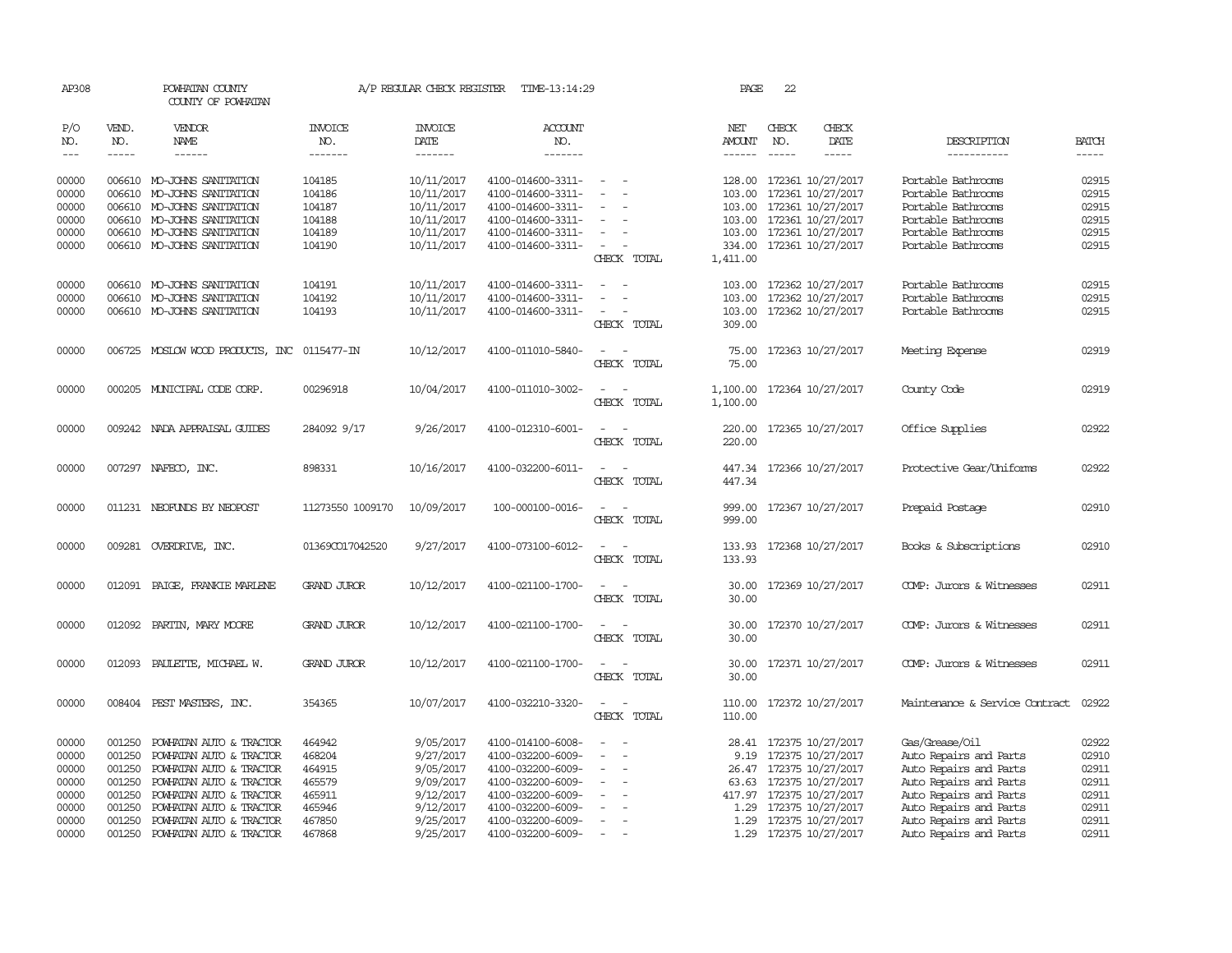| AP308               |              | POWHATAN COUNTY<br>COUNTY OF POWHATAN |                       | A/P REGULAR CHECK REGISTER | TIME-13:14:29         |                                                      | PAGE                 | 22           |                          |                                |              |
|---------------------|--------------|---------------------------------------|-----------------------|----------------------------|-----------------------|------------------------------------------------------|----------------------|--------------|--------------------------|--------------------------------|--------------|
| P/O<br>NO.          | VEND.<br>NO. | VENDOR<br>NAME                        | <b>INVOICE</b><br>NO. | <b>INVOICE</b><br>DATE     | <b>ACCOUNT</b><br>NO. |                                                      | NET<br><b>AMOUNT</b> | CHECK<br>NO. | CHECK<br>DATE            | DESCRIPTION                    | <b>BATCH</b> |
| $\qquad \qquad - -$ | $- - - - -$  | ------                                | -------               | -------                    | -------               |                                                      | $- - - - - -$        | $- - - - -$  | $- - - - -$              | -----------                    | $\cdots$     |
| 00000               |              | 006610 MO-JOHNS SANITATION            | 104185                | 10/11/2017                 | 4100-014600-3311-     | $\sim$<br>$\sim$                                     |                      |              | 128.00 172361 10/27/2017 | Portable Bathrooms             | 02915        |
| 00000               | 006610       | MO-JOHNS SANITATION                   | 104186                | 10/11/2017                 | 4100-014600-3311-     | $\sim$<br>$\sim$                                     | 103.00               |              | 172361 10/27/2017        | Portable Bathrooms             | 02915        |
| 00000               |              | 006610 MO-JOHNS SANITATION            | 104187                | 10/11/2017                 | 4100-014600-3311-     | $\overline{\phantom{a}}$                             |                      |              | 103.00 172361 10/27/2017 | Portable Bathrooms             | 02915        |
| 00000               |              | 006610 MO-JOHNS SANITATION            | 104188                | 10/11/2017                 | 4100-014600-3311-     | $\overline{\phantom{a}}$<br>$\overline{\phantom{a}}$ |                      |              | 103.00 172361 10/27/2017 | Portable Bathrooms             | 02915        |
| 00000               |              | 006610 MO-JOHNS SANITATION            | 104189                | 10/11/2017                 | 4100-014600-3311-     | $\overline{\phantom{a}}$                             |                      |              | 103.00 172361 10/27/2017 | Portable Bathrooms             | 02915        |
| 00000               |              | 006610 MO-JOHNS SANITATION            | 104190                | 10/11/2017                 | 4100-014600-3311-     | $\sim$                                               |                      |              | 334.00 172361 10/27/2017 | Portable Bathrooms             | 02915        |
|                     |              |                                       |                       |                            |                       | CHECK TOTAL                                          | 1,411.00             |              |                          |                                |              |
| 00000               |              | 006610 MO-JOHNS SANITATION            | 104191                | 10/11/2017                 | 4100-014600-3311-     | $\overline{\phantom{a}}$<br>$\overline{\phantom{a}}$ | 103.00               |              | 172362 10/27/2017        | Portable Bathrooms             | 02915        |
| 00000               |              | 006610 MO-JOHNS SANITATION            | 104192                | 10/11/2017                 | 4100-014600-3311-     |                                                      |                      |              | 103.00 172362 10/27/2017 | Portable Bathrooms             | 02915        |
| 00000               |              | 006610 MO-JOHNS SANITATION            | 104193                | 10/11/2017                 | 4100-014600-3311-     | $\sim$                                               |                      |              | 103.00 172362 10/27/2017 | Portable Bathrooms             | 02915        |
|                     |              |                                       |                       |                            |                       | CHECK TOTAL                                          | 309.00               |              |                          |                                |              |
| 00000               |              | 006725 MOSLOW WOOD PRODUCTS, INC      | 0115477-IN            | 10/12/2017                 | 4100-011010-5840-     |                                                      | 75.00                |              | 172363 10/27/2017        | Meeting Expense                | 02919        |
|                     |              |                                       |                       |                            |                       | CHECK TOTAL                                          | 75.00                |              |                          |                                |              |
| 00000               |              | 000205 MUNICIPAL CODE CORP.           | 00296918              | 10/04/2017                 | 4100-011010-3002-     | $\sim$                                               | 1,100.00             |              | 172364 10/27/2017        | County Code                    | 02919        |
|                     |              |                                       |                       |                            |                       | CHECK TOTAL                                          | 1,100.00             |              |                          |                                |              |
| 00000               |              | 009242 NADA APPRAISAL GUIDES          | 284092 9/17           | 9/26/2017                  | 4100-012310-6001-     | $\overline{\phantom{a}}$                             |                      |              | 220.00 172365 10/27/2017 | Office Supplies                | 02922        |
|                     |              |                                       |                       |                            |                       | CHECK TOTAL                                          | 220,00               |              |                          |                                |              |
|                     |              |                                       | 898331                | 10/16/2017                 | 4100-032200-6011-     | $\overline{\phantom{a}}$                             |                      |              |                          | Protective Gear/Uniforms       | 02922        |
| 00000               |              | 007297 NAFECO, INC.                   |                       |                            |                       | CHECK TOTAL                                          | 447.34<br>447.34     |              | 172366 10/27/2017        |                                |              |
|                     |              |                                       |                       |                            |                       |                                                      |                      |              |                          |                                |              |
| 00000               |              | 011231 NEOFUNDS BY NEOPOST            | 11273550 1009170      | 10/09/2017                 | 100-000100-0016-      | CHECK TOTAL                                          | 999.00<br>999.00     |              | 172367 10/27/2017        | Prepaid Postage                | 02910        |
|                     |              |                                       |                       |                            |                       |                                                      |                      |              |                          |                                |              |
| 00000               |              | 009281 OVERDRIVE, INC.                | 01369CO17042520       | 9/27/2017                  | 4100-073100-6012-     | $\overline{\phantom{a}}$                             | 133.93<br>133.93     |              | 172368 10/27/2017        | Books & Subscriptions          | 02910        |
|                     |              |                                       |                       |                            |                       | CHECK TOTAL                                          |                      |              |                          |                                |              |
| 00000               | 012091       | PAIGE, FRANKIE MARIENE                | <b>GRAND JUROR</b>    | 10/12/2017                 | 4100-021100-1700-     | $\equiv$<br>$\overline{\phantom{a}}$                 | 30.00                |              | 172369 10/27/2017        | COMP: Jurors & Witnesses       | 02911        |
|                     |              |                                       |                       |                            |                       | CHECK TOTAL                                          | 30.00                |              |                          |                                |              |
| 00000               |              | 012092 PARTIN, MARY MOORE             | <b>GRAND JUROR</b>    | 10/12/2017                 | 4100-021100-1700-     |                                                      |                      |              | 30.00 172370 10/27/2017  | COMP: Jurors & Witnesses       | 02911        |
|                     |              |                                       |                       |                            |                       | CHECK TOTAL                                          | 30.00                |              |                          |                                |              |
| 00000               |              | 012093 PAULETTE, MICHAEL W.           | <b>GRAND JUROR</b>    | 10/12/2017                 | 4100-021100-1700-     | $\overline{\phantom{a}}$<br>$\overline{\phantom{a}}$ |                      |              | 30.00 172371 10/27/2017  | COMP: Jurors & Witnesses       | 02911        |
|                     |              |                                       |                       |                            |                       | CHECK TOTAL                                          | 30.00                |              |                          |                                |              |
| 00000               |              | 008404 PEST MASTERS, INC.             | 354365                | 10/07/2017                 | 4100-032210-3320-     | $\sim$<br>$\sim$                                     |                      |              | 110.00 172372 10/27/2017 | Maintenance & Service Contract | 02922        |
|                     |              |                                       |                       |                            |                       | CHECK TOTAL                                          | 110.00               |              |                          |                                |              |
| 00000               | 001250       | POWHATAN AUTO & TRACTOR               | 464942                | 9/05/2017                  | 4100-014100-6008-     |                                                      |                      |              | 28.41 172375 10/27/2017  | Gas/Grease/Oil                 | 02922        |
| 00000               | 001250       | POWHATAN AUTO & TRACTOR               | 468204                | 9/27/2017                  | 4100-032200-6009-     | $\overline{\phantom{a}}$                             |                      |              | 9.19 172375 10/27/2017   | Auto Repairs and Parts         | 02910        |
| 00000               | 001250       | POWHATAN AUTO & TRACTOR               | 464915                | 9/05/2017                  | 4100-032200-6009-     | $\sim$                                               |                      |              | 26.47 172375 10/27/2017  | Auto Repairs and Parts         | 02911        |
| 00000               | 001250       | POWHATAN AUTO & TRACTOR               | 465579                | 9/09/2017                  | 4100-032200-6009-     | $\equiv$                                             |                      |              | 63.63 172375 10/27/2017  | Auto Repairs and Parts         | 02911        |
| 00000               | 001250       | POWHATAN AUTO & TRACTOR               | 465911                | 9/12/2017                  | 4100-032200-6009-     |                                                      | 417.97               |              | 172375 10/27/2017        | Auto Repairs and Parts         | 02911        |
| 00000               | 001250       | POWHATAN AUTO & TRACTOR               | 465946                | 9/12/2017                  | 4100-032200-6009-     | $\sim$                                               | 1.29                 |              | 172375 10/27/2017        | Auto Repairs and Parts         | 02911        |
| 00000               | 001250       | POWHATAN AUTO & TRACTOR               | 467850                | 9/25/2017                  | 4100-032200-6009-     | $\sim$                                               |                      |              | 1.29 172375 10/27/2017   | Auto Repairs and Parts         | 02911        |
| 00000               | 001250       | POWHATAN AUTO & TRACTOR               | 467868                | 9/25/2017                  | 4100-032200-6009-     |                                                      |                      |              | 1.29 172375 10/27/2017   | Auto Repairs and Parts         | 02911        |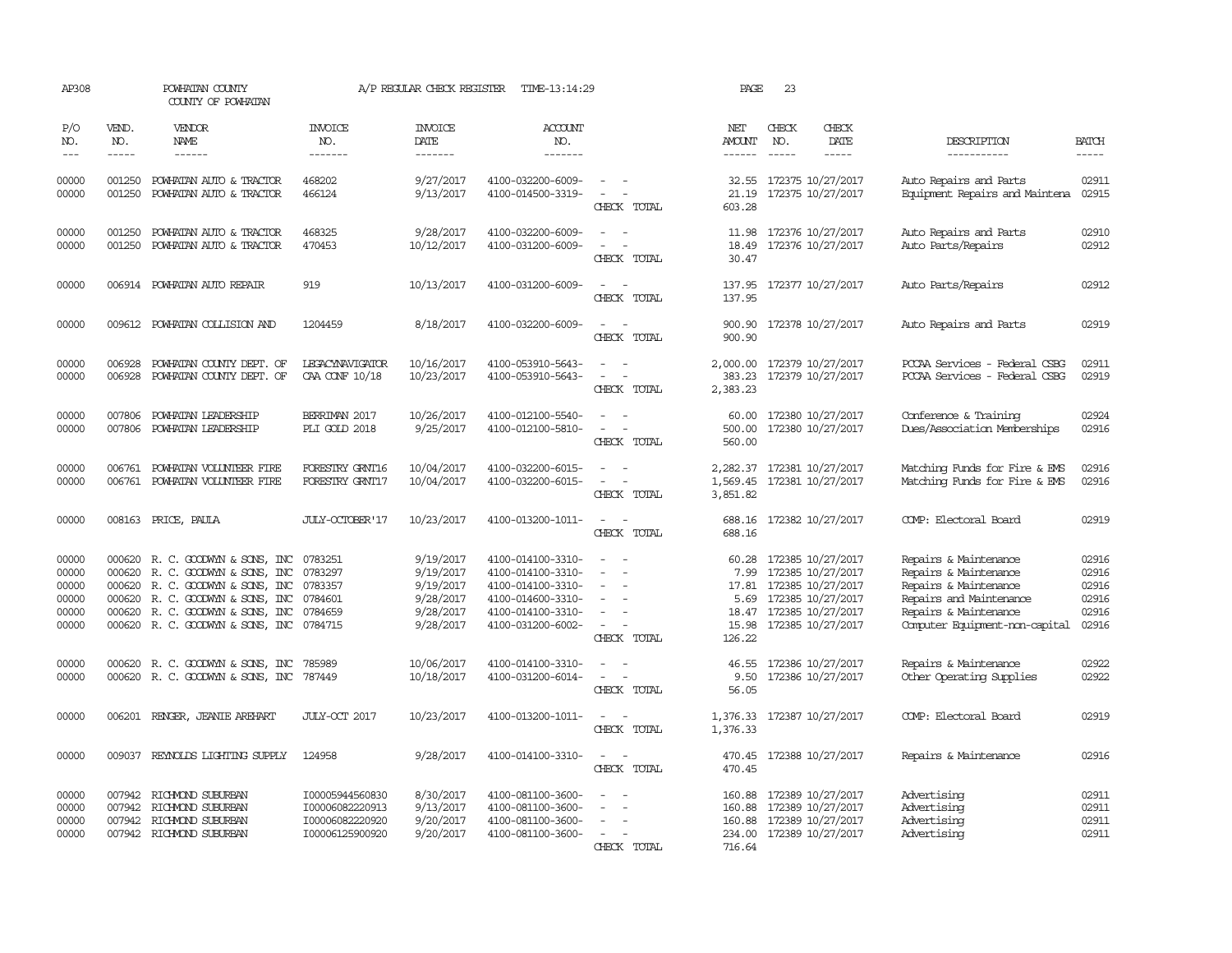| AP308                                              |                                      | POWHATAN COUNTY<br>COUNTY OF POWHATAN                                                                                                                                                            |                                                                          | A/P REGULAR CHECK REGISTER                                                 | TIME-13:14:29                                                                                                              |                                                                                                                               | PAGE                      | 23                          |                                                                                                                                                   |                                                                                                                                                               |                                                    |
|----------------------------------------------------|--------------------------------------|--------------------------------------------------------------------------------------------------------------------------------------------------------------------------------------------------|--------------------------------------------------------------------------|----------------------------------------------------------------------------|----------------------------------------------------------------------------------------------------------------------------|-------------------------------------------------------------------------------------------------------------------------------|---------------------------|-----------------------------|---------------------------------------------------------------------------------------------------------------------------------------------------|---------------------------------------------------------------------------------------------------------------------------------------------------------------|----------------------------------------------------|
| P/O<br>NO.<br>$---$                                | VEND.<br>NO.<br>$- - - - -$          | <b>VENDOR</b><br>NAME<br>$- - - - - -$                                                                                                                                                           | <b>INVOICE</b><br>NO.<br>-------                                         | <b>INVOICE</b><br>DATE<br>-------                                          | <b>ACCOUNT</b><br>NO.<br>-------                                                                                           |                                                                                                                               | NET<br>AMOUNT<br>------   | CHECK<br>NO.<br>$- - - - -$ | CHECK<br>DATE<br>-----                                                                                                                            | DESCRIPTION<br>-----------                                                                                                                                    | <b>BATCH</b><br>-----                              |
| 00000<br>00000                                     | 001250<br>001250                     | POWHATAN AUTO & TRACTOR<br>POWHATAN AUTO & TRACTOR                                                                                                                                               | 468202<br>466124                                                         | 9/27/2017<br>9/13/2017                                                     | 4100-032200-6009-<br>4100-014500-3319-                                                                                     | $\sim$<br>CHECK TOTAL                                                                                                         | 21.19<br>603.28           |                             | 32.55 172375 10/27/2017<br>172375 10/27/2017                                                                                                      | Auto Repairs and Parts<br>Equipment Repairs and Maintena                                                                                                      | 02911<br>02915                                     |
| 00000<br>00000                                     | 001250<br>001250                     | POWHATAN AUTO & TRACTOR<br>POWHATAN AUTO & TRACTOR                                                                                                                                               | 468325<br>470453                                                         | 9/28/2017<br>10/12/2017                                                    | 4100-032200-6009-<br>4100-031200-6009-                                                                                     | $\equiv$<br>$\overline{a}$<br>$\overline{\phantom{a}}$<br>CHECK TOTAL                                                         | 18.49<br>30.47            |                             | 11.98 172376 10/27/2017<br>172376 10/27/2017                                                                                                      | Auto Repairs and Parts<br>Auto Parts/Repairs                                                                                                                  | 02910<br>02912                                     |
| 00000                                              |                                      | 006914 POWHATAN AUTO REPAIR                                                                                                                                                                      | 919                                                                      | 10/13/2017                                                                 | 4100-031200-6009-                                                                                                          | $\overline{\phantom{a}}$<br>$\overline{\phantom{a}}$<br>CHECK TOTAL                                                           | 137.95                    |                             | 137.95 172377 10/27/2017                                                                                                                          | Auto Parts/Repairs                                                                                                                                            | 02912                                              |
| 00000                                              |                                      | 009612 POWHATAN COLLISION AND                                                                                                                                                                    | 1204459                                                                  | 8/18/2017                                                                  | 4100-032200-6009-                                                                                                          | CHECK TOTAL                                                                                                                   | 900.90                    |                             | 900.90 172378 10/27/2017                                                                                                                          | Auto Repairs and Parts                                                                                                                                        | 02919                                              |
| 00000<br>00000                                     | 006928<br>006928                     | POWHATAN COUNTY DEPT. OF<br>POWHATAN COUNTY DEPT. OF                                                                                                                                             | LEGACYNAVIGATOR<br>CAA CONF 10/18                                        | 10/16/2017<br>10/23/2017                                                   | 4100-053910-5643-<br>4100-053910-5643-                                                                                     | $\overline{\phantom{a}}$<br>$\overline{\phantom{a}}$<br>$\overline{\phantom{a}}$<br>CHECK TOTAL                               | 383.23<br>2,383.23        |                             | 2,000.00 172379 10/27/2017<br>172379 10/27/2017                                                                                                   | PCCAA Services - Federal CSBG<br>PCCAA Services - Federal CSBG                                                                                                | 02911<br>02919                                     |
| 00000<br>00000                                     | 007806<br>007806                     | POWHATAN LEADERSHIP<br>POWHATAN LEADERSHIP                                                                                                                                                       | BERRIMAN 2017<br>PLI GOLD 2018                                           | 10/26/2017<br>9/25/2017                                                    | 4100-012100-5540-<br>4100-012100-5810-                                                                                     | $\sim$<br>$\overline{\phantom{a}}$<br>$\overline{\phantom{a}}$<br>CHECK TOTAL                                                 | 60.00<br>500.00<br>560.00 |                             | 172380 10/27/2017<br>172380 10/27/2017                                                                                                            | Conference & Training<br>Dues/Association Memberships                                                                                                         | 02924<br>02916                                     |
| 00000<br>00000                                     | 006761                               | 006761 POWHATAN VOLUNTEER FIRE<br>POWHATAN VOLUNIEER FIRE                                                                                                                                        | FORESIRY GRNT16<br>FORESTRY GRNT17                                       | 10/04/2017<br>10/04/2017                                                   | 4100-032200-6015-<br>4100-032200-6015-                                                                                     | $\sim$<br>$\overline{\phantom{a}}$<br>CHECK TOTAL                                                                             | 1,569.45<br>3,851.82      |                             | 2, 282.37 172381 10/27/2017<br>172381 10/27/2017                                                                                                  | Matching Funds for Fire & EMS<br>Matching Funds for Fire & EMS                                                                                                | 02916<br>02916                                     |
| 00000                                              |                                      | 008163 PRICE, PAULA                                                                                                                                                                              | JULY-OCTOBER'17                                                          | 10/23/2017                                                                 | 4100-013200-1011-                                                                                                          | $\sim$<br>CHECK TOTAL                                                                                                         | 688.16                    |                             | 688.16 172382 10/27/2017                                                                                                                          | COMP: Electoral Board                                                                                                                                         | 02919                                              |
| 00000<br>00000<br>00000<br>00000<br>00000<br>00000 | 000620<br>000620<br>000620<br>000620 | R. C. GOODWYN & SONS, INC<br>R. C. GOODWYN & SONS, INC<br>R. C. GOODWYN & SONS, INC<br>R. C. GOODWYN & SONS, INC<br>000620 R. C. GOODWYN & SONS, INC<br>000620 R. C. GOODWYN & SONS, INC 0784715 | 0783251<br>0783297<br>0783357<br>0784601<br>0784659                      | 9/19/2017<br>9/19/2017<br>9/19/2017<br>9/28/2017<br>9/28/2017<br>9/28/2017 | 4100-014100-3310-<br>4100-014100-3310-<br>4100-014100-3310-<br>4100-014600-3310-<br>4100-014100-3310-<br>4100-031200-6002- | $\sim$<br>$\overline{\phantom{a}}$<br>$\sim$<br>$\overline{\phantom{a}}$<br>$\overline{\phantom{a}}$<br>$\sim$<br>CHECK TOTAL | 60.28<br>7.99<br>126.22   |                             | 172385 10/27/2017<br>172385 10/27/2017<br>17.81 172385 10/27/2017<br>5.69 172385 10/27/2017<br>18.47 172385 10/27/2017<br>15.98 172385 10/27/2017 | Repairs & Maintenance<br>Repairs & Maintenance<br>Repairs & Maintenance<br>Repairs and Maintenance<br>Repairs & Maintenance<br>Computer Equipment-non-capital | 02916<br>02916<br>02916<br>02916<br>02916<br>02916 |
| 00000<br>00000                                     | 000620                               | 000620 R. C. GOODWYN & SONS, INC<br>R. C. GOODWYN & SONS, INC                                                                                                                                    | 785989<br>787449                                                         | 10/06/2017<br>10/18/2017                                                   | 4100-014100-3310-<br>4100-031200-6014-                                                                                     | $\sim$<br>$\overline{\phantom{a}}$<br>$\overline{\phantom{a}}$<br>$\overline{\phantom{a}}$<br>CHECK TOTAL                     | 46.55<br>9.50<br>56.05    |                             | 172386 10/27/2017<br>172386 10/27/2017                                                                                                            | Repairs & Maintenance<br>Other Operating Supplies                                                                                                             | 02922<br>02922                                     |
| 00000                                              | 006201                               | RENGER, JEANIE AREHART                                                                                                                                                                           | JULY-CCT 2017                                                            | 10/23/2017                                                                 | 4100-013200-1011-                                                                                                          | $\overline{\phantom{a}}$<br>$\overline{\phantom{a}}$<br>CHECK TOTAL                                                           | 1,376.33<br>1,376.33      |                             | 172387 10/27/2017                                                                                                                                 | COMP: Electoral Board                                                                                                                                         | 02919                                              |
| 00000                                              |                                      | 009037 REYNOLDS LIGHTING SUPPLY                                                                                                                                                                  | 124958                                                                   | 9/28/2017                                                                  | 4100-014100-3310-                                                                                                          | $\overline{\phantom{a}}$<br>CHECK TOTAL                                                                                       | 470.45                    |                             | 470.45 172388 10/27/2017                                                                                                                          | Repairs & Maintenance                                                                                                                                         | 02916                                              |
| 00000<br>00000<br>00000<br>00000                   |                                      | 007942 RICHMOND SUBURBAN<br>007942 RICHMOND SUBURBAN<br>007942 RICHMOND SUBURBAN<br>007942 RICHMOND SUBURBAN                                                                                     | I00005944560830<br>I00006082220913<br>I00006082220920<br>I00006125900920 | 8/30/2017<br>9/13/2017<br>9/20/2017<br>9/20/2017                           | 4100-081100-3600-<br>4100-081100-3600-<br>4100-081100-3600-<br>4100-081100-3600-                                           | $\overline{\phantom{a}}$<br>$\overline{\phantom{a}}$<br>$\sim$<br>$\overline{\phantom{a}}$<br>CHECK TOTAL                     | 160.88<br>716.64          |                             | 160.88 172389 10/27/2017<br>160.88 172389 10/27/2017<br>172389 10/27/2017<br>234.00 172389 10/27/2017                                             | Advertising<br>Advertising<br>Advertising<br>Advertising                                                                                                      | 02911<br>02911<br>02911<br>02911                   |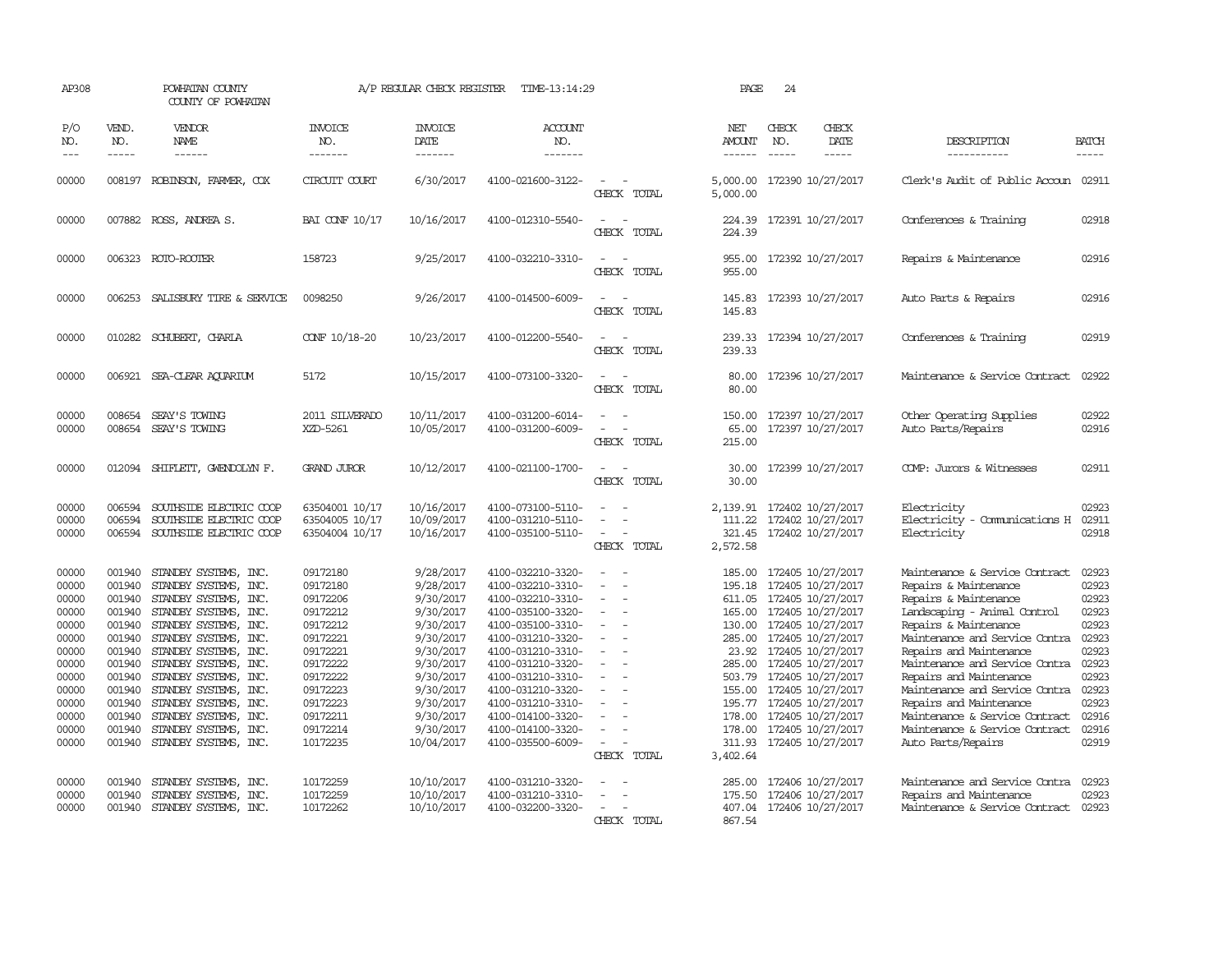| AP308                                                                                                                      |                                                                                                                                          | POWHATAN COUNTY<br>COUNTY OF POWHATAN                                                                                                                                                                                                                                                                                                                      |                                                                                                                                                                      | A/P REGULAR CHECK REGISTER                                                                                                                                                          | TIME-13:14:29                                                                                                                                                                                                                                                                                      |                                                                                                         | PAGE                                                       | 24                            |                                                                                                                                                                                                                                                                                                                                                                  |                                                                                                                                                                                                                                                                                                                                                                                                                            |                                                                                                                            |
|----------------------------------------------------------------------------------------------------------------------------|------------------------------------------------------------------------------------------------------------------------------------------|------------------------------------------------------------------------------------------------------------------------------------------------------------------------------------------------------------------------------------------------------------------------------------------------------------------------------------------------------------|----------------------------------------------------------------------------------------------------------------------------------------------------------------------|-------------------------------------------------------------------------------------------------------------------------------------------------------------------------------------|----------------------------------------------------------------------------------------------------------------------------------------------------------------------------------------------------------------------------------------------------------------------------------------------------|---------------------------------------------------------------------------------------------------------|------------------------------------------------------------|-------------------------------|------------------------------------------------------------------------------------------------------------------------------------------------------------------------------------------------------------------------------------------------------------------------------------------------------------------------------------------------------------------|----------------------------------------------------------------------------------------------------------------------------------------------------------------------------------------------------------------------------------------------------------------------------------------------------------------------------------------------------------------------------------------------------------------------------|----------------------------------------------------------------------------------------------------------------------------|
| P/O<br>NO.<br>$---$                                                                                                        | VEND.<br>NO.<br>$- - - - -$                                                                                                              | VENDOR<br>NAME<br>$- - - - - -$                                                                                                                                                                                                                                                                                                                            | <b>INVOICE</b><br>NO.<br>-------                                                                                                                                     | <b>INVOICE</b><br><b>DATE</b><br>-------                                                                                                                                            | <b>ACCOUNT</b><br>NO.<br>-------                                                                                                                                                                                                                                                                   |                                                                                                         | NET<br><b>AMOUNT</b><br>------                             | CHECK<br>NO.<br>$\frac{1}{2}$ | CHECK<br>DATE<br>$- - - - -$                                                                                                                                                                                                                                                                                                                                     | DESCRIPTION<br>-----------                                                                                                                                                                                                                                                                                                                                                                                                 | <b>BATCH</b><br>-----                                                                                                      |
| 00000                                                                                                                      | 008197                                                                                                                                   | ROBINSON, FARMER, COX                                                                                                                                                                                                                                                                                                                                      | CIRCUIT COURT                                                                                                                                                        | 6/30/2017                                                                                                                                                                           | 4100-021600-3122-                                                                                                                                                                                                                                                                                  | $\overline{a}$<br>CHECK TOTAL                                                                           | 5,000.00<br>5,000.00                                       |                               | 172390 10/27/2017                                                                                                                                                                                                                                                                                                                                                | Clerk's Audit of Public Accoun 02911                                                                                                                                                                                                                                                                                                                                                                                       |                                                                                                                            |
| 00000                                                                                                                      |                                                                                                                                          | 007882 ROSS, ANDREA S.                                                                                                                                                                                                                                                                                                                                     | <b>BAI CONF 10/17</b>                                                                                                                                                | 10/16/2017                                                                                                                                                                          | 4100-012310-5540-                                                                                                                                                                                                                                                                                  | CHECK TOTAL                                                                                             | 224.39<br>224.39                                           |                               | 172391 10/27/2017                                                                                                                                                                                                                                                                                                                                                | Conferences & Training                                                                                                                                                                                                                                                                                                                                                                                                     | 02918                                                                                                                      |
| 00000                                                                                                                      |                                                                                                                                          | 006323 ROTO-ROOTER                                                                                                                                                                                                                                                                                                                                         | 158723                                                                                                                                                               | 9/25/2017                                                                                                                                                                           | 4100-032210-3310-                                                                                                                                                                                                                                                                                  | $\equiv$<br>CHECK TOTAL                                                                                 | 955.00<br>955.00                                           |                               | 172392 10/27/2017                                                                                                                                                                                                                                                                                                                                                | Repairs & Maintenance                                                                                                                                                                                                                                                                                                                                                                                                      | 02916                                                                                                                      |
| 00000                                                                                                                      |                                                                                                                                          | 006253 SALISBURY TIRE & SERVICE                                                                                                                                                                                                                                                                                                                            | 0098250                                                                                                                                                              | 9/26/2017                                                                                                                                                                           | 4100-014500-6009-                                                                                                                                                                                                                                                                                  | $\sim$<br>CHECK TOTAL                                                                                   | 145.83                                                     |                               | 145.83 172393 10/27/2017                                                                                                                                                                                                                                                                                                                                         | Auto Parts & Repairs                                                                                                                                                                                                                                                                                                                                                                                                       | 02916                                                                                                                      |
| 00000                                                                                                                      |                                                                                                                                          | 010282 SCHUBERT, CHARLA                                                                                                                                                                                                                                                                                                                                    | CONF 10/18-20                                                                                                                                                        | 10/23/2017                                                                                                                                                                          | 4100-012200-5540-                                                                                                                                                                                                                                                                                  | CHECK TOTAL                                                                                             | 239.33                                                     |                               | 239.33 172394 10/27/2017                                                                                                                                                                                                                                                                                                                                         | Conferences & Training                                                                                                                                                                                                                                                                                                                                                                                                     | 02919                                                                                                                      |
| 00000                                                                                                                      |                                                                                                                                          | 006921 SEA-CLEAR AQUARIUM                                                                                                                                                                                                                                                                                                                                  | 5172                                                                                                                                                                 | 10/15/2017                                                                                                                                                                          | 4100-073100-3320-                                                                                                                                                                                                                                                                                  | $\sim$<br>- 11<br>CHECK TOTAL                                                                           | 80.00<br>80.00                                             |                               | 172396 10/27/2017                                                                                                                                                                                                                                                                                                                                                | Maintenance & Service Contract                                                                                                                                                                                                                                                                                                                                                                                             | 02922                                                                                                                      |
| 00000<br>00000                                                                                                             | 008654                                                                                                                                   | SEAY'S TOWING<br>008654 SEAY'S TOWING                                                                                                                                                                                                                                                                                                                      | 2011 SILVERADO<br>XZD-5261                                                                                                                                           | 10/11/2017<br>10/05/2017                                                                                                                                                            | 4100-031200-6014-<br>4100-031200-6009-                                                                                                                                                                                                                                                             | $\equiv$<br>CHECK TOTAL                                                                                 | 150.00<br>65.00<br>215.00                                  |                               | 172397 10/27/2017<br>172397 10/27/2017                                                                                                                                                                                                                                                                                                                           | Other Operating Supplies<br>Auto Parts/Repairs                                                                                                                                                                                                                                                                                                                                                                             | 02922<br>02916                                                                                                             |
| 00000                                                                                                                      |                                                                                                                                          | 012094 SHIFLETT, GWENDOLYN F.                                                                                                                                                                                                                                                                                                                              | <b>GRAND JUROR</b>                                                                                                                                                   | 10/12/2017                                                                                                                                                                          | 4100-021100-1700-                                                                                                                                                                                                                                                                                  | $\equiv$<br>CHECK TOTAL                                                                                 | 30.00<br>30.00                                             |                               | 172399 10/27/2017                                                                                                                                                                                                                                                                                                                                                | COMP: Jurors & Witnesses                                                                                                                                                                                                                                                                                                                                                                                                   | 02911                                                                                                                      |
| 00000<br>00000<br>00000                                                                                                    | 006594<br>006594                                                                                                                         | SOUTHSIDE ELECTRIC COOP<br>SOUTHSIDE ELECTRIC COOP<br>006594 SOUTHSIDE ELECTRIC COOP                                                                                                                                                                                                                                                                       | 63504001 10/17<br>63504005 10/17<br>63504004 10/17                                                                                                                   | 10/16/2017<br>10/09/2017<br>10/16/2017                                                                                                                                              | 4100-073100-5110-<br>4100-031210-5110-<br>4100-035100-5110-                                                                                                                                                                                                                                        | $\equiv$<br>$\sim$<br>$\overline{\phantom{a}}$<br>CHECK TOTAL                                           | 111.22<br>2,572.58                                         |                               | 2,139.91 172402 10/27/2017<br>172402 10/27/2017<br>321.45 172402 10/27/2017                                                                                                                                                                                                                                                                                      | Electricity<br>Electricity - Comunications H<br>Electricity                                                                                                                                                                                                                                                                                                                                                                | 02923<br>02911<br>02918                                                                                                    |
| 00000<br>00000<br>00000<br>00000<br>00000<br>00000<br>00000<br>00000<br>00000<br>00000<br>00000<br>00000<br>00000<br>00000 | 001940<br>001940<br>001940<br>001940<br>001940<br>001940<br>001940<br>001940<br>001940<br>001940<br>001940<br>001940<br>001940<br>001940 | STANDBY SYSTEMS, INC.<br>STANDBY SYSTEMS, INC.<br>STANDBY SYSTEMS, INC.<br>STANDBY SYSTEMS, INC.<br>STANDBY SYSTEMS, INC.<br>STANDBY SYSTEMS, INC.<br>STANDBY SYSTEMS, INC.<br>STANDBY SYSTEMS, INC.<br>STANDBY SYSTEMS, INC.<br>STANDBY SYSTEMS, INC.<br>STANDBY SYSTEMS, INC.<br>STANDBY SYSTEMS, INC.<br>STANDBY SYSTEMS, INC.<br>STANDBY SYSTEMS, INC. | 09172180<br>09172180<br>09172206<br>09172212<br>09172212<br>09172221<br>09172221<br>09172222<br>09172222<br>09172223<br>09172223<br>09172211<br>09172214<br>10172235 | 9/28/2017<br>9/28/2017<br>9/30/2017<br>9/30/2017<br>9/30/2017<br>9/30/2017<br>9/30/2017<br>9/30/2017<br>9/30/2017<br>9/30/2017<br>9/30/2017<br>9/30/2017<br>9/30/2017<br>10/04/2017 | 4100-032210-3320-<br>4100-032210-3310-<br>4100-032210-3310-<br>4100-035100-3320-<br>4100-035100-3310-<br>4100-031210-3320-<br>4100-031210-3310-<br>4100-031210-3320-<br>4100-031210-3310-<br>4100-031210-3320-<br>4100-031210-3310-<br>4100-014100-3320-<br>4100-014100-3320-<br>4100-035500-6009- | $\equiv$<br>$\overline{\phantom{a}}$<br>$\equiv$<br>$\equiv$<br>$\overline{\phantom{a}}$<br>CHECK TOTAL | 185.00<br>195.18<br>165.00<br>195.77<br>311.93<br>3,402.64 |                               | 172405 10/27/2017<br>172405 10/27/2017<br>611.05 172405 10/27/2017<br>172405 10/27/2017<br>130.00 172405 10/27/2017<br>285.00 172405 10/27/2017<br>23.92 172405 10/27/2017<br>285.00 172405 10/27/2017<br>503.79 172405 10/27/2017<br>155.00 172405 10/27/2017<br>172405 10/27/2017<br>178.00 172405 10/27/2017<br>178.00 172405 10/27/2017<br>172405 10/27/2017 | Maintenance & Service Contract<br>Repairs & Maintenance<br>Repairs & Maintenance<br>Landscaping - Animal Control<br>Repairs & Maintenance<br>Maintenance and Service Contra<br>Repairs and Maintenance<br>Maintenance and Service Contra<br>Repairs and Maintenance<br>Maintenance and Service Contra<br>Repairs and Maintenance<br>Maintenance & Service Contract<br>Maintenance & Service Contract<br>Auto Parts/Repairs | 02923<br>02923<br>02923<br>02923<br>02923<br>02923<br>02923<br>02923<br>02923<br>02923<br>02923<br>02916<br>02916<br>02919 |
| 00000<br>00000<br>00000                                                                                                    | 001940<br>001940                                                                                                                         | STANDBY SYSTEMS, INC.<br>STANDBY SYSTEMS, INC.<br>001940 STANDBY SYSTEMS, INC.                                                                                                                                                                                                                                                                             | 10172259<br>10172259<br>10172262                                                                                                                                     | 10/10/2017<br>10/10/2017<br>10/10/2017                                                                                                                                              | 4100-031210-3320-<br>4100-031210-3310-<br>4100-032200-3320-                                                                                                                                                                                                                                        | CHECK TOTAL                                                                                             | 285.00<br>175.50<br>867.54                                 |                               | 172406 10/27/2017<br>172406 10/27/2017<br>407.04 172406 10/27/2017                                                                                                                                                                                                                                                                                               | Maintenance and Service Contra<br>Repairs and Maintenance<br>Maintenance & Service Contract 02923                                                                                                                                                                                                                                                                                                                          | 02923<br>02923                                                                                                             |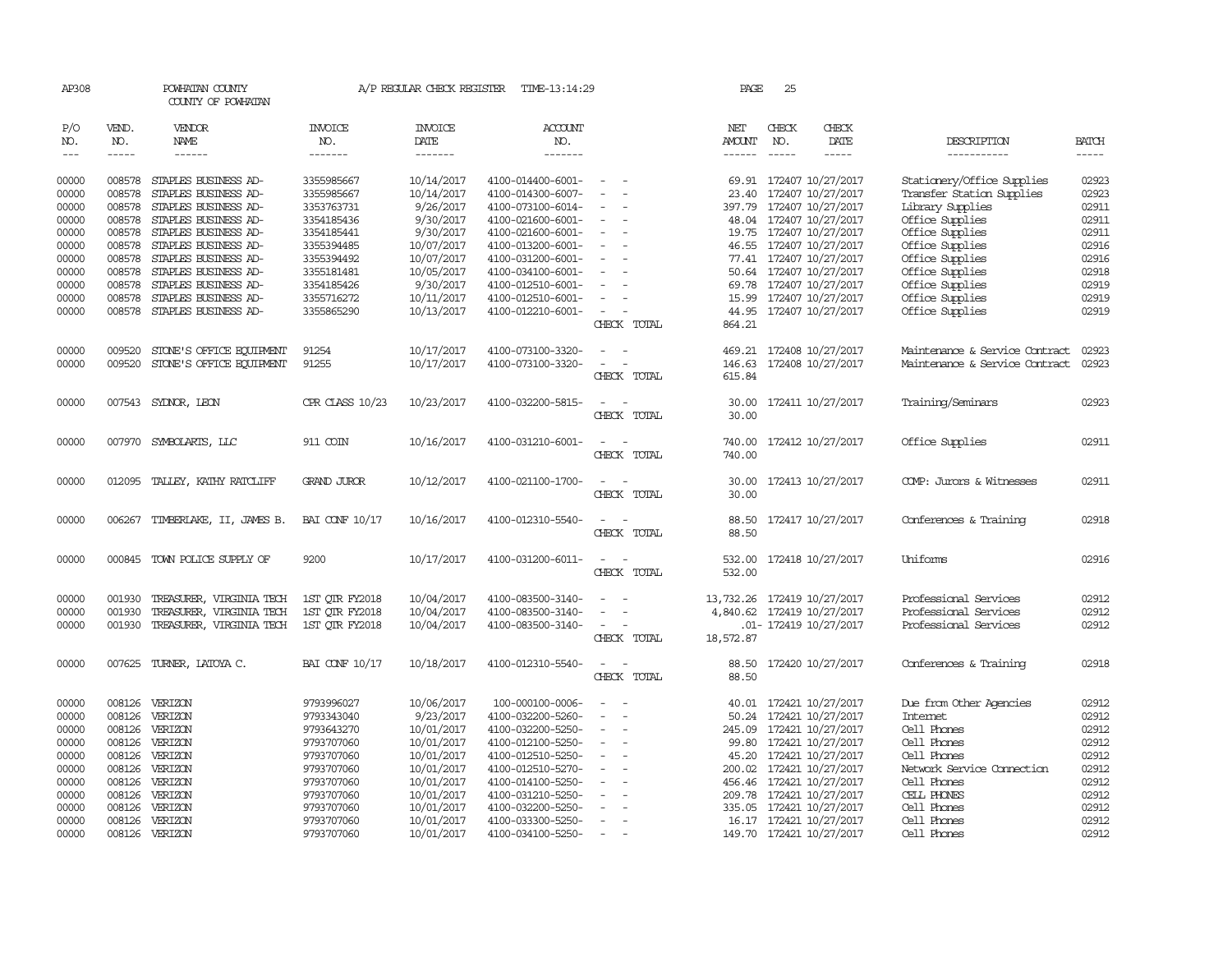| AP308          |                  | POWHATAN COUNTY<br>COUNTY OF POWHATAN        |                          | A/P REGULAR CHECK REGISTER | TIME-13:14:29                          |                                                      |       | PAGE           | 25            |                              |                                    |                |
|----------------|------------------|----------------------------------------------|--------------------------|----------------------------|----------------------------------------|------------------------------------------------------|-------|----------------|---------------|------------------------------|------------------------------------|----------------|
| P/O<br>NO.     | VEND.<br>NO.     | VENDOR<br>NAME                               | <b>INVOICE</b><br>NO.    | <b>INVOICE</b><br>DATE     | <b>ACCOUNT</b><br>NO.                  |                                                      |       | NET<br>AMOUNT  | CHECK<br>NO.  | CHECK<br>DATE                | DESCRIPTION                        | <b>BATCH</b>   |
| $\frac{1}{2}$  | -----            | ------                                       | -------                  | $- - - - - - -$            | -------                                |                                                      |       | $- - - - - -$  | $\frac{1}{2}$ | -----                        | -----------                        | $- - - - -$    |
| 00000          | 008578           | STAPLES BUSINESS AD-                         | 3355985667               | 10/14/2017                 | 4100-014400-6001-                      | $\sim$ $ \sim$                                       |       |                |               | 69.91 172407 10/27/2017      | Stationery/Office Supplies         | 02923          |
| 00000          | 008578           | STAPLES BUSINESS AD-                         | 3355985667               | 10/14/2017                 | 4100-014300-6007-                      | $\overline{\phantom{a}}$                             |       | 23.40          |               | 172407 10/27/2017            | Transfer Station Supplies          | 02923          |
| 00000          | 008578           |                                              |                          |                            |                                        |                                                      |       |                |               |                              |                                    | 02911          |
|                |                  | STAPLES BUSINESS AD-                         | 3353763731               | 9/26/2017                  | 4100-073100-6014-                      | $\sim$<br>$\overline{\phantom{a}}$                   |       | 397.79         |               | 172407 10/27/2017            | Library Supplies                   |                |
| 00000          | 008578<br>008578 | STAPLES BUSINESS AD-                         | 3354185436               | 9/30/2017                  | 4100-021600-6001-                      | $\sim$                                               |       | 48.04          |               | 172407 10/27/2017            | Office Supplies                    | 02911<br>02911 |
| 00000          |                  | STAPLES BUSINESS AD-                         | 3354185441               | 9/30/2017                  | 4100-021600-6001-                      |                                                      |       |                |               | 19.75 172407 10/27/2017      | Office Supplies                    | 02916          |
| 00000          | 008578           | STAPLES BUSINESS AD-                         | 3355394485               | 10/07/2017                 | 4100-013200-6001-                      | $\overline{\phantom{a}}$                             |       |                |               | 46.55 172407 10/27/2017      | Office Supplies                    | 02916          |
| 00000          | 008578           | STAPLES BUSINESS AD-                         | 3355394492               | 10/07/2017                 | 4100-031200-6001-                      |                                                      |       | 77.41          |               | 172407 10/27/2017            | Office Supplies                    |                |
| 00000          | 008578<br>008578 | STAPLES BUSINESS AD-<br>STAPLES BUSINESS AD- | 3355181481               | 10/05/2017<br>9/30/2017    | 4100-034100-6001-                      | $\overline{\phantom{a}}$                             |       | 50.64<br>69.78 |               | 172407 10/27/2017            | Office Supplies<br>Office Supplies | 02918<br>02919 |
| 00000<br>00000 | 008578           | STAPLES BUSINESS AD-                         | 3354185426<br>3355716272 |                            | 4100-012510-6001-<br>4100-012510-6001- |                                                      |       |                |               | 172407 10/27/2017            |                                    | 02919          |
|                |                  |                                              |                          | 10/11/2017                 |                                        | $\sim$                                               |       |                |               | 15.99 172407 10/27/2017      | Office Supplies                    |                |
| 00000          |                  | 008578 STAPLES BUSINESS AD-                  | 3355865290               | 10/13/2017                 | 4100-012210-6001-                      |                                                      |       |                |               | 44.95 172407 10/27/2017      | Office Supplies                    | 02919          |
|                |                  |                                              |                          |                            |                                        | CHECK TOTAL                                          |       | 864.21         |               |                              |                                    |                |
| 00000          | 009520           | STONE'S OFFICE EQUIPMENT                     | 91254                    | 10/17/2017                 | 4100-073100-3320-                      |                                                      |       | 469.21         |               | 172408 10/27/2017            | Maintenance & Service Contract     | 02923          |
| 00000          | 009520           | STONE'S OFFICE EQUIPMENT                     | 91255                    | 10/17/2017                 | 4100-073100-3320-                      | $\overline{\phantom{a}}$                             |       | 146.63         |               | 172408 10/27/2017            | Maintenance & Service Contract     | 02923          |
|                |                  |                                              |                          |                            |                                        | CHECK TOTAL                                          |       | 615.84         |               |                              |                                    |                |
|                |                  |                                              |                          |                            |                                        |                                                      |       |                |               |                              |                                    |                |
| 00000          |                  | 007543 SYDNOR, LEON                          | CPR CLASS 10/23          | 10/23/2017                 | 4100-032200-5815-                      | $\sim$<br>$\overline{\phantom{a}}$                   |       | 30.00          |               | 172411 10/27/2017            | Training/Seminars                  | 02923          |
|                |                  |                                              |                          |                            |                                        | CHECK TOTAL                                          |       | 30.00          |               |                              |                                    |                |
| 00000          |                  | 007970 SYMBOLARTS, LLC                       | 911 COIN                 | 10/16/2017                 | 4100-031210-6001-                      |                                                      |       |                |               | 740.00 172412 10/27/2017     | Office Supplies                    | 02911          |
|                |                  |                                              |                          |                            |                                        | CHECK                                                | TOTAL | 740.00         |               |                              |                                    |                |
|                |                  |                                              |                          |                            |                                        |                                                      |       |                |               |                              |                                    |                |
| 00000          | 012095           | TALLEY, KATHY RATCLIFF                       | <b>GRAND JUROR</b>       | 10/12/2017                 | 4100-021100-1700-                      | $\sim$<br>$\sim$                                     |       |                |               | 30.00 172413 10/27/2017      | COMP: Jurors & Witnesses           | 02911          |
|                |                  |                                              |                          |                            |                                        | CHECK TOTAL                                          |       | 30.00          |               |                              |                                    |                |
|                |                  |                                              |                          |                            |                                        | $\sim$                                               |       |                |               |                              |                                    |                |
| 00000          |                  | 006267 TIMBERLAKE, II, JAMES B.              | BAI CONF 10/17           | 10/16/2017                 | 4100-012310-5540-                      |                                                      |       | 88.50          |               | 172417 10/27/2017            | Conferences & Training             | 02918          |
|                |                  |                                              |                          |                            |                                        | CHECK TOTAL                                          |       | 88.50          |               |                              |                                    |                |
| 00000          |                  | 000845 TOWN POLICE SUPPLY OF                 | 9200                     | 10/17/2017                 | 4100-031200-6011-                      | $\sim$<br>$\sim$                                     |       |                |               | 532.00 172418 10/27/2017     | Uniforms                           | 02916          |
|                |                  |                                              |                          |                            |                                        | CHECK TOTAL                                          |       | 532.00         |               |                              |                                    |                |
|                |                  |                                              |                          |                            |                                        |                                                      |       |                |               |                              |                                    |                |
| 00000          | 001930           | TREASURER, VIRGINIA TECH                     | 1ST QTR FY2018           | 10/04/2017                 | 4100-083500-3140-                      | $\overline{a}$                                       |       |                |               | 13, 732.26 172419 10/27/2017 | Professional Services              | 02912          |
| 00000          | 001930           | TREASURER, VIRGINIA TECH                     | 1ST OTR FY2018           | 10/04/2017                 | 4100-083500-3140-                      |                                                      |       |                |               | 4,840.62 172419 10/27/2017   | Professional Services              | 02912          |
| 00000          |                  | 001930 TREASURER, VIRGINIA TECH              | 1ST QTR FY2018           | 10/04/2017                 | 4100-083500-3140-                      | $\overline{\phantom{a}}$                             |       |                |               | .01- 172419 10/27/2017       | Professional Services              | 02912          |
|                |                  |                                              |                          |                            |                                        | CHECK TOTAL                                          |       | 18,572.87      |               |                              |                                    |                |
|                |                  |                                              |                          |                            |                                        | $\sim$<br>$\overline{\phantom{a}}$                   |       |                |               |                              |                                    |                |
| 00000          |                  | 007625 TURNER, LATOYA C.                     | <b>BAI CONF 10/17</b>    | 10/18/2017                 | 4100-012310-5540-                      | CHECK TOTAL                                          |       | 88.50<br>88.50 |               | 172420 10/27/2017            | Conferences & Training             | 02918          |
|                |                  |                                              |                          |                            |                                        |                                                      |       |                |               |                              |                                    |                |
| 00000          |                  | 008126 VERIZON                               | 9793996027               | 10/06/2017                 | 100-000100-0006-                       | $\sim$<br>$\overline{\phantom{a}}$                   |       |                |               | 40.01 172421 10/27/2017      | Due from Other Agencies            | 02912          |
| 00000          | 008126           | VERIZON                                      | 9793343040               | 9/23/2017                  | 4100-032200-5260-                      | $\overline{\phantom{a}}$<br>$\overline{\phantom{a}}$ |       | 50.24          |               | 172421 10/27/2017            | Internet                           | 02912          |
| 00000          | 008126           | VERIZON                                      | 9793643270               | 10/01/2017                 | 4100-032200-5250-                      |                                                      |       | 245.09         |               | 172421 10/27/2017            | Cell Phones                        | 02912          |
| 00000          | 008126           | VERIZON                                      | 9793707060               | 10/01/2017                 | 4100-012100-5250-                      |                                                      |       |                |               | 99.80 172421 10/27/2017      | Cell Phones                        | 02912          |
| 00000          |                  | 008126 VERIZON                               | 9793707060               | 10/01/2017                 | 4100-012510-5250-                      | $\overline{\phantom{a}}$<br>$\overline{\phantom{a}}$ |       |                |               | 45.20 172421 10/27/2017      | Cell Phones                        | 02912          |
| 00000          |                  | 008126 VERIZON                               | 9793707060               | 10/01/2017                 | 4100-012510-5270-                      |                                                      |       | 200.02         |               | 172421 10/27/2017            | Network Service Connection         | 02912          |
| 00000          | 008126           | VERIZON                                      | 9793707060               | 10/01/2017                 | 4100-014100-5250-                      |                                                      |       |                |               | 456.46 172421 10/27/2017     | Cell Phones                        | 02912          |
| 00000          | 008126           | VERIZON                                      | 9793707060               | 10/01/2017                 | 4100-031210-5250-                      |                                                      |       |                |               | 209.78 172421 10/27/2017     | CELL PHONES                        | 02912          |
| 00000          | 008126           | VERIZON                                      | 9793707060               | 10/01/2017                 | 4100-032200-5250-                      |                                                      |       |                |               | 335.05 172421 10/27/2017     | Cell Phones                        | 02912          |
| 00000          | 008126           | VERIZON                                      | 9793707060               | 10/01/2017                 | 4100-033300-5250-                      | $\sim$                                               |       |                |               | 16.17 172421 10/27/2017      | Cell Phones                        | 02912          |
| 00000          |                  | 008126 VERIZON                               | 9793707060               | 10/01/2017                 | 4100-034100-5250-                      | $\sim$                                               |       |                |               | 149.70 172421 10/27/2017     | Cell Phones                        | 02912          |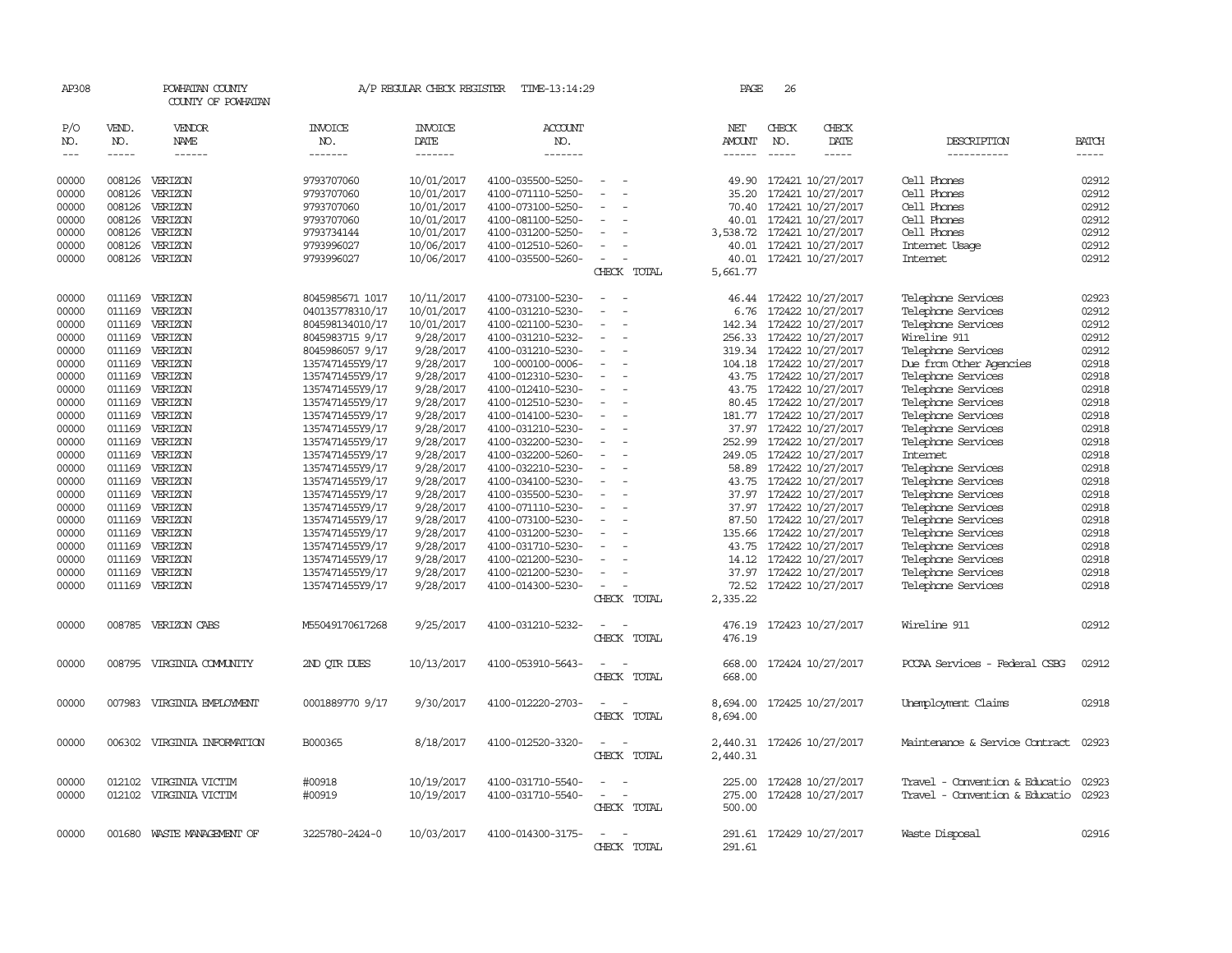| AP308           |                    | POWHATAN COUNTY<br>COUNTY OF POWHATAN |                 | A/P REGULAR CHECK REGISTER | TIME-13:14:29     |                          | PAGE                    | 26                 |                          |                                |                             |
|-----------------|--------------------|---------------------------------------|-----------------|----------------------------|-------------------|--------------------------|-------------------------|--------------------|--------------------------|--------------------------------|-----------------------------|
| P/O             | VEND.              | VENDOR                                | INVOICE         | <b>INVOICE</b>             | <b>ACCOUNT</b>    |                          | NET                     | CHECK              | CHECK                    |                                |                             |
| NO.<br>$\cdots$ | NO.<br>$- - - - -$ | NAME<br>$- - - - - -$                 | NO.<br>-------  | DATE<br>-------            | NO.<br>-------    |                          | AMOUNT<br>$- - - - - -$ | NO.<br>$- - - - -$ | DATE<br>-----            | DESCRIPTION<br>-----------     | <b>BATCH</b><br>$- - - - -$ |
|                 |                    |                                       |                 |                            |                   |                          |                         |                    |                          |                                |                             |
| 00000           | 008126             | VERIZON                               | 9793707060      | 10/01/2017                 | 4100-035500-5250- |                          | 49.90                   |                    | 172421 10/27/2017        | Cell Phones                    | 02912                       |
| 00000           | 008126             | VERIZON                               | 9793707060      | 10/01/2017                 | 4100-071110-5250- |                          | 35.20                   |                    | 172421 10/27/2017        | Cell Phones                    | 02912                       |
| 00000           | 008126             | VERIZON                               | 9793707060      | 10/01/2017                 | 4100-073100-5250- |                          | 70.40                   |                    | 172421 10/27/2017        | Cell Phones                    | 02912                       |
| 00000           | 008126             | VERIZON                               | 9793707060      | 10/01/2017                 | 4100-081100-5250- |                          | 40.01                   |                    | 172421 10/27/2017        | Cell Phones                    | 02912                       |
| 00000           | 008126             | VERIZON                               | 9793734144      | 10/01/2017                 | 4100-031200-5250- |                          | 3,538.72                |                    | 172421 10/27/2017        | Cell Phones                    | 02912                       |
| 00000           | 008126             | VERIZON                               | 9793996027      | 10/06/2017                 | 4100-012510-5260- |                          | 40.01                   |                    | 172421 10/27/2017        | Internet Usage                 | 02912                       |
| 00000           | 008126             | VERIZON                               | 9793996027      | 10/06/2017                 | 4100-035500-5260- | $\overline{\phantom{a}}$ |                         |                    | 40.01 172421 10/27/2017  | Internet                       | 02912                       |
|                 |                    |                                       |                 |                            |                   | CHECK TOTAL              | 5,661.77                |                    |                          |                                |                             |
| 00000           | 011169             | VERIZON                               | 8045985671 1017 | 10/11/2017                 | 4100-073100-5230- |                          | 46.44                   |                    | 172422 10/27/2017        | Telephone Services             | 02923                       |
| 00000           | 011169             | VERIZON                               | 040135778310/17 | 10/01/2017                 | 4100-031210-5230- |                          | 6.76                    |                    | 172422 10/27/2017        | Telephone Services             | 02912                       |
| 00000           | 011169             | VERIZON                               | 804598134010/17 | 10/01/2017                 | 4100-021100-5230- |                          | 142.34                  |                    | 172422 10/27/2017        | Telephone Services             | 02912                       |
| 00000           |                    | 011169 VERIZON                        | 8045983715 9/17 | 9/28/2017                  | 4100-031210-5232- |                          | 256.33                  |                    | 172422 10/27/2017        | Wireline 911                   | 02912                       |
| 00000           | 011169             | VERIZON                               | 8045986057 9/17 | 9/28/2017                  | 4100-031210-5230- |                          | 319.34                  |                    | 172422 10/27/2017        | Telephone Services             | 02912                       |
| 00000           |                    | 011169 VERIZON                        | 1357471455Y9/17 | 9/28/2017                  | 100-000100-0006-  |                          | 104.18                  |                    | 172422 10/27/2017        | Due from Other Agencies        | 02918                       |
| 00000           |                    | 011169 VERIZON                        | 1357471455Y9/17 | 9/28/2017                  | 4100-012310-5230- |                          | 43.75                   |                    | 172422 10/27/2017        | Telephone Services             | 02918                       |
| 00000           | 011169             | VERIZON                               | 1357471455Y9/17 | 9/28/2017                  | 4100-012410-5230- |                          | 43.75                   |                    | 172422 10/27/2017        | Telephone Services             | 02918                       |
| 00000           |                    | 011169 VERIZON                        | 1357471455Y9/17 | 9/28/2017                  | 4100-012510-5230- |                          | 80.45                   |                    | 172422 10/27/2017        | Telephone Services             | 02918                       |
| 00000           | 011169             | VERIZON                               | 1357471455Y9/17 | 9/28/2017                  | 4100-014100-5230- |                          | 181.77                  |                    | 172422 10/27/2017        | Telephone Services             | 02918                       |
| 00000           |                    | 011169 VERIZON                        | 1357471455Y9/17 | 9/28/2017                  | 4100-031210-5230- |                          |                         |                    | 37.97 172422 10/27/2017  | Telephone Services             | 02918                       |
| 00000           | 011169             | VERIZON                               | 1357471455Y9/17 | 9/28/2017                  | 4100-032200-5230- |                          | 252.99                  |                    | 172422 10/27/2017        | Telephone Services             | 02918                       |
| 00000           | 011169             | VERIZON                               | 1357471455Y9/17 | 9/28/2017                  | 4100-032200-5260- |                          | 249.05                  |                    | 172422 10/27/2017        | Internet                       | 02918                       |
| 00000           |                    | 011169 VERIZON                        | 1357471455Y9/17 | 9/28/2017                  | 4100-032210-5230- |                          | 58.89                   |                    | 172422 10/27/2017        | Telephone Services             | 02918                       |
| 00000           |                    | 011169 VERIZON                        | 1357471455Y9/17 | 9/28/2017                  | 4100-034100-5230- |                          | 43.75                   |                    | 172422 10/27/2017        | Telephone Services             | 02918                       |
| 00000           |                    | 011169 VERIZON                        | 1357471455Y9/17 | 9/28/2017                  | 4100-035500-5230- |                          | 37.97                   |                    | 172422 10/27/2017        | Telephone Services             | 02918                       |
| 00000           | 011169             | VERIZON                               | 1357471455Y9/17 | 9/28/2017                  | 4100-071110-5230- |                          | 37.97                   |                    | 172422 10/27/2017        | Telephone Services             | 02918                       |
| 00000           |                    | 011169 VERIZON                        | 1357471455Y9/17 | 9/28/2017                  | 4100-073100-5230- |                          | 87.50                   |                    | 172422 10/27/2017        | Telephone Services             | 02918                       |
| 00000           |                    | 011169 VERIZON                        | 1357471455Y9/17 | 9/28/2017                  | 4100-031200-5230- |                          | 135.66                  |                    | 172422 10/27/2017        | Telephone Services             | 02918                       |
| 00000           | 011169             | VERIZON                               | 1357471455Y9/17 | 9/28/2017                  | 4100-031710-5230- |                          | 43.75                   |                    | 172422 10/27/2017        | Telephone Services             | 02918                       |
| 00000           | 011169             | VERIZON                               | 1357471455Y9/17 | 9/28/2017                  | 4100-021200-5230- |                          | 14.12                   |                    | 172422 10/27/2017        | Telephone Services             | 02918                       |
| 00000           | 011169             | VERIZON                               | 1357471455Y9/17 | 9/28/2017                  | 4100-021200-5230- |                          | 37.97                   |                    | 172422 10/27/2017        | Telephone Services             | 02918                       |
| 00000           | 011169             | VERIZON                               | 1357471455Y9/17 | 9/28/2017                  | 4100-014300-5230- |                          | 72.52                   |                    | 172422 10/27/2017        | Telephone Services             | 02918                       |
|                 |                    |                                       |                 |                            |                   | CHECK TOTAL              | 2,335.22                |                    |                          |                                |                             |
| 00000           |                    | 008785 VERIZON CABS                   | M55049170617268 | 9/25/2017                  | 4100-031210-5232- |                          | 476.19                  |                    | 172423 10/27/2017        | Wireline 911                   | 02912                       |
|                 |                    |                                       |                 |                            |                   | CHECK TOTAL              | 476.19                  |                    |                          |                                |                             |
| 00000           |                    | 008795 VIRGINIA COMUNITY              | 2ND QTR DUES    | 10/13/2017                 | 4100-053910-5643- |                          | 668.00                  |                    | 172424 10/27/2017        | PCCAA Services - Federal CSBG  | 02912                       |
|                 |                    |                                       |                 |                            |                   | CHECK TOTAL              | 668.00                  |                    |                          |                                |                             |
| 00000           | 007983             | VIRGINIA EMPLOYMENT                   | 0001889770 9/17 | 9/30/2017                  | 4100-012220-2703- |                          | 8,694.00                |                    | 172425 10/27/2017        | Unemployment Claims            | 02918                       |
|                 |                    |                                       |                 |                            |                   | CHECK TOTAL              | 8,694.00                |                    |                          |                                |                             |
| 00000           | 006302             | VIRGINIA INFORMATION                  | B000365         | 8/18/2017                  | 4100-012520-3320- |                          | 2,440.31                |                    | 172426 10/27/2017        | Maintenance & Service Contract | 02923                       |
|                 |                    |                                       |                 |                            |                   | CHECK TOTAL              | 2,440.31                |                    |                          |                                |                             |
| 00000           | 012102             | VIRGINIA VICTIM                       | #00918          | 10/19/2017                 | 4100-031710-5540- |                          | 225.00                  |                    | 172428 10/27/2017        | Travel - Convention & Educatio | 02923                       |
| 00000           |                    | 012102 VIRGINIA VICTIM                | #00919          | 10/19/2017                 | 4100-031710-5540- |                          | 275.00                  |                    | 172428 10/27/2017        | Travel - Convention & Educatio | 02923                       |
|                 |                    |                                       |                 |                            |                   | CHECK TOTAL              | 500.00                  |                    |                          |                                |                             |
| 00000           |                    | 001680 WASTE MANAGEMENT OF            | 3225780-2424-0  | 10/03/2017                 | 4100-014300-3175- |                          |                         |                    | 291.61 172429 10/27/2017 | Waste Disposal                 | 02916                       |
|                 |                    |                                       |                 |                            |                   | CHECK TOTAL              | 291.61                  |                    |                          |                                |                             |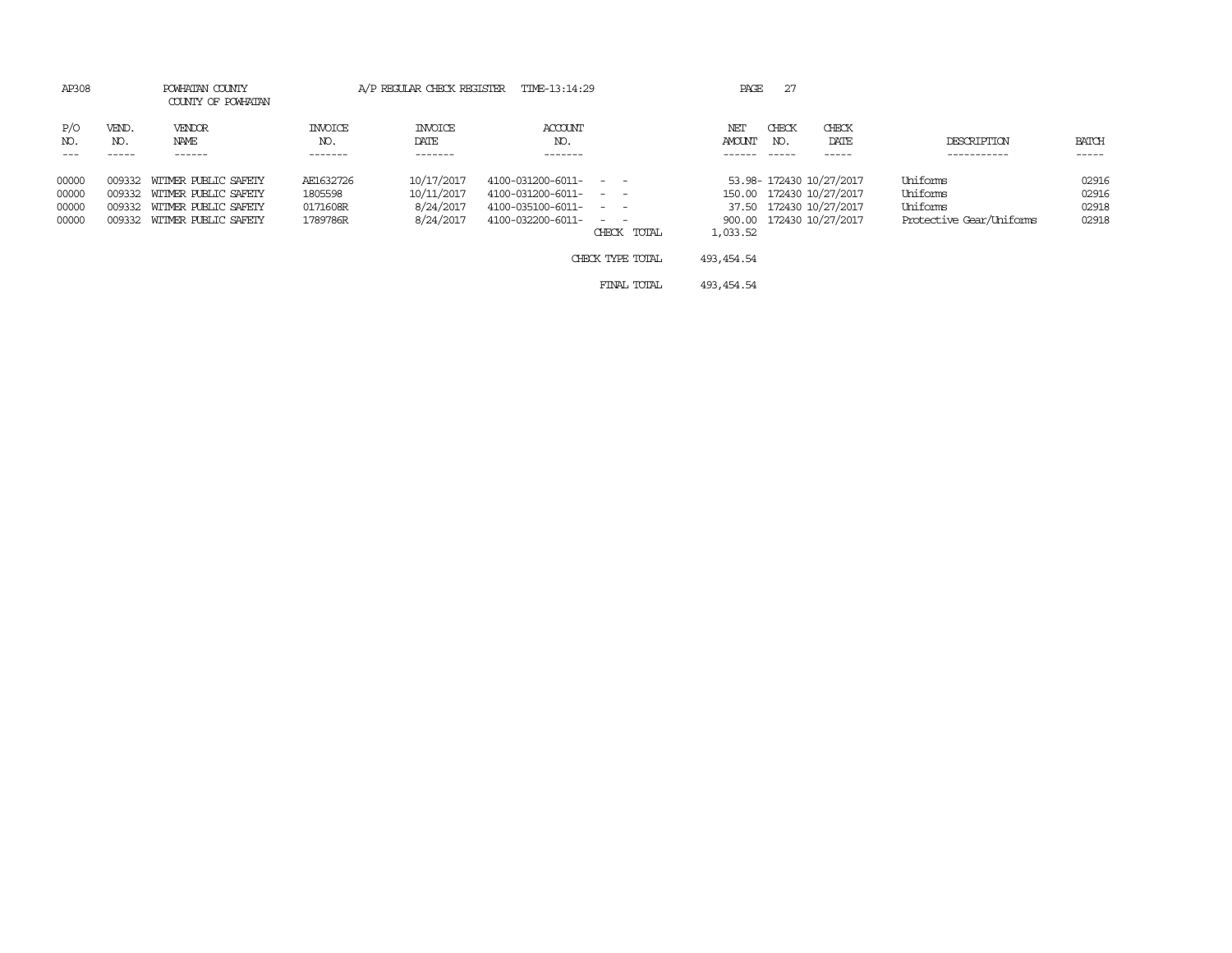| AP308                      | POWHATAN COUNTY<br>COUNTY OF POWHATAN |                       | A/P REGULAR CHECK REGISTER TIME-13:14:29 |                              |                  |               |              |                          |                          |       |
|----------------------------|---------------------------------------|-----------------------|------------------------------------------|------------------------------|------------------|---------------|--------------|--------------------------|--------------------------|-------|
| P/O<br>VEND.<br>NO.<br>NO. | VENDOR<br>NAME                        | <b>INVOICE</b><br>NO. | <b>INVOICE</b><br>DATE                   | ACCOUNT<br>NO.               |                  | NET<br>AMOUNT | CHECK<br>NO. | CHECK<br>DATE            | DESCRIPTION              | BATCH |
| $---$<br>-----             | ------                                | -------               | -------                                  | -------                      |                  |               | -----        | ------                   | -----------              | ----- |
| 00000<br>009332            | WITMER PUBLIC SAFETY                  | AE1632726             | 10/17/2017                               | $4100 - 031200 - 6011 - - -$ |                  |               |              | 53.98-172430 10/27/2017  | Uniforms                 | 02916 |
| 00000<br>009332            | WITMER PUBLIC SAFETY                  | 1805598               | 10/11/2017                               | $4100 - 031200 - 6011 - - -$ |                  |               |              | 150.00 172430 10/27/2017 | Uniforms                 | 02916 |
| 00000<br>009332            | WITMER PUBLIC SAFETY                  | 0171608R              | 8/24/2017                                | $4100 - 035100 - 6011 - - -$ |                  |               |              | 37.50 172430 10/27/2017  | Uniforms                 | 02918 |
| 00000<br>009332            | WITMER PUBLIC SAFETY                  | 1789786R              | 8/24/2017                                | 4100-032200-6011-            | $\sim$ $ \sim$   |               |              | 900.00 172430 10/27/2017 | Protective Gear/Uniforms | 02918 |
|                            |                                       |                       |                                          |                              | CHECK TOTAL      | 1,033.52      |              |                          |                          |       |
|                            |                                       |                       |                                          |                              | CHECK TYPE TOTAL | 493, 454, 54  |              |                          |                          |       |
|                            |                                       |                       |                                          |                              | FINAL TOTAL      | 493, 454, 54  |              |                          |                          |       |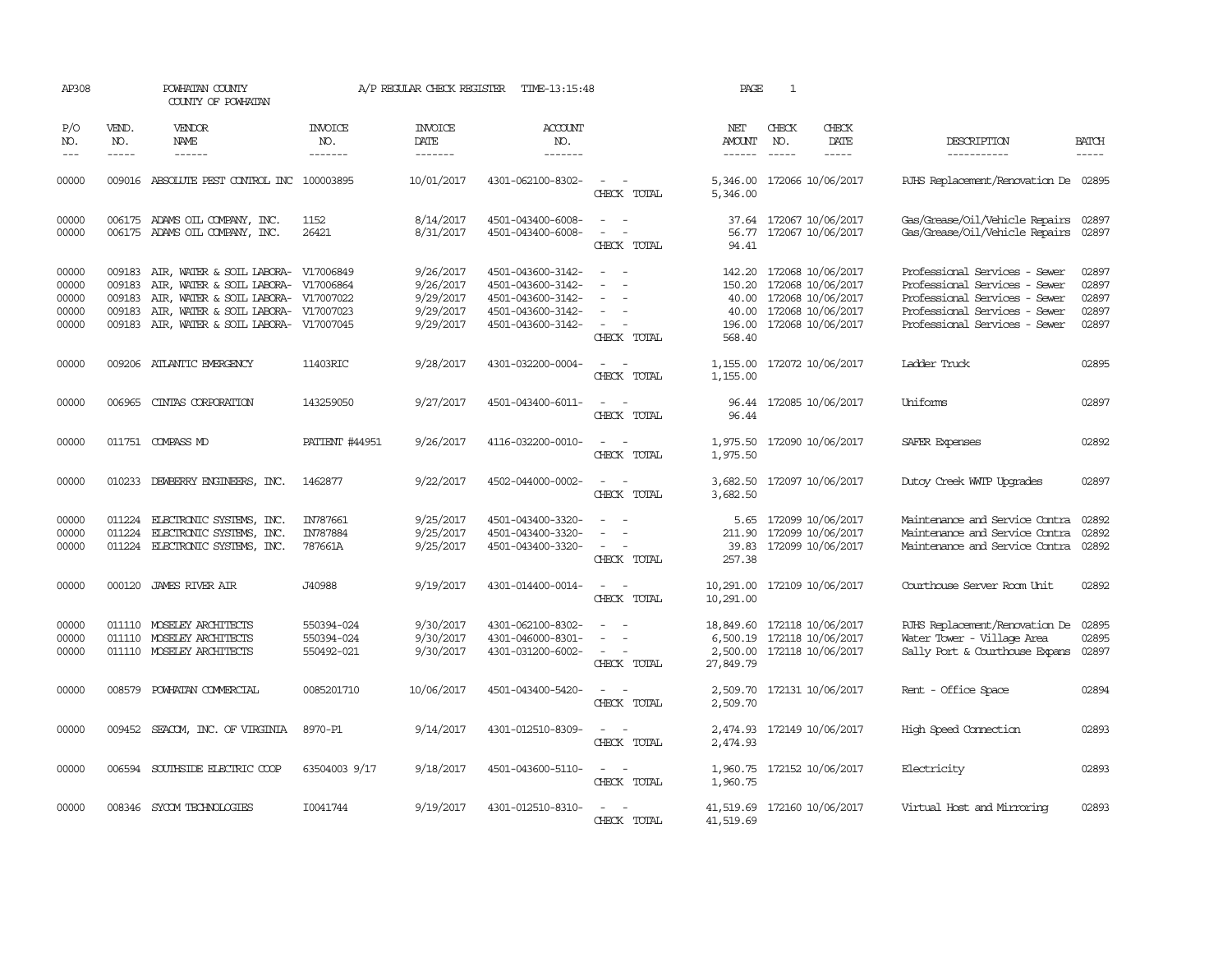| AP308                                     |                                      | POWHATAN COUNTY<br>COUNTY OF POWHATAN                                                                                                                                                                  |                                        | A/P REGULAR CHECK REGISTER                                    | TIME-13:15:48                                                                                         |                                                                                         | PAGE                                           | $\mathbf{1}$ |                                                                                                              |                                                                                                                                                                   |                                           |
|-------------------------------------------|--------------------------------------|--------------------------------------------------------------------------------------------------------------------------------------------------------------------------------------------------------|----------------------------------------|---------------------------------------------------------------|-------------------------------------------------------------------------------------------------------|-----------------------------------------------------------------------------------------|------------------------------------------------|--------------|--------------------------------------------------------------------------------------------------------------|-------------------------------------------------------------------------------------------------------------------------------------------------------------------|-------------------------------------------|
| P/O<br>NO.<br>$ -$                        | VEND.<br>NO.<br>$\frac{1}{2}$        | VENDOR<br>NAME<br>------                                                                                                                                                                               | INVOICE<br>NO.<br>-------              | <b>INVOICE</b><br>DATE<br>-------                             | <b>ACCOUNT</b><br>NO.<br>-------                                                                      |                                                                                         | NET<br><b>AMOUNT</b>                           | CHECK<br>NO. | CHECK<br>DATE<br>-----                                                                                       | DESCRIPTION<br>-----------                                                                                                                                        | <b>BATCH</b><br>$\frac{1}{2}$             |
| 00000                                     |                                      | 009016 ABSOLUTE PEST CONTROL INC                                                                                                                                                                       | 100003895                              | 10/01/2017                                                    | 4301-062100-8302-                                                                                     | CHECK TOTAL                                                                             | 5,346.00<br>5,346.00                           |              | 172066 10/06/2017                                                                                            | RJHS Replacement/Renovation De 02895                                                                                                                              |                                           |
| 00000<br>00000                            |                                      | 006175 ADAMS OIL COMPANY, INC.<br>006175 ADAMS OIL COMPANY, INC.                                                                                                                                       | 1152<br>26421                          | 8/14/2017<br>8/31/2017                                        | 4501-043400-6008-<br>4501-043400-6008-                                                                | $\sim$<br>$\overline{\phantom{a}}$<br>$\sim$<br>$\overline{\phantom{a}}$<br>CHECK TOTAL | 94.41                                          |              | 37.64 172067 10/06/2017<br>56.77 172067 10/06/2017                                                           | Gas/Grease/Oil/Vehicle Repairs 02897<br>Gas/Grease/Oil/Vehicle Repairs                                                                                            | 02897                                     |
| 00000<br>00000<br>00000<br>00000<br>00000 | 009183<br>009183<br>009183<br>009183 | AIR, WATER & SOIL LABORA- V17006849<br>AIR, WATER & SOIL LABORA- V17006864<br>AIR, WATER & SOIL LABORA- V17007022<br>AIR, WATER & SOIL LABORA- V17007023<br>009183 AIR, WATER & SOIL LABORA- V17007045 |                                        | 9/26/2017<br>9/26/2017<br>9/29/2017<br>9/29/2017<br>9/29/2017 | 4501-043600-3142-<br>4501-043600-3142-<br>4501-043600-3142-<br>4501-043600-3142-<br>4501-043600-3142- | CHECK TOTAL                                                                             | 150.20<br>40.00<br>40.00<br>196.00<br>568.40   |              | 142.20 172068 10/06/2017<br>172068 10/06/2017<br>172068 10/06/2017<br>172068 10/06/2017<br>172068 10/06/2017 | Professional Services - Sewer<br>Professional Services - Sewer<br>Professional Services - Sewer<br>Professional Services - Sewer<br>Professional Services - Sewer | 02897<br>02897<br>02897<br>02897<br>02897 |
| 00000                                     |                                      | 009206 ATLANTIC EMERGENCY                                                                                                                                                                              | 11403RIC                               | 9/28/2017                                                     | 4301-032200-0004-                                                                                     | $\overline{\phantom{a}}$<br>CHECK TOTAL                                                 | 1,155.00                                       |              | 1,155.00 172072 10/06/2017                                                                                   | Ladder Truck                                                                                                                                                      | 02895                                     |
| 00000                                     |                                      | 006965 CINIAS CORPORATION                                                                                                                                                                              | 143259050                              | 9/27/2017                                                     | 4501-043400-6011-                                                                                     | CHECK TOTAL                                                                             | 96.44                                          |              | 96.44 172085 10/06/2017                                                                                      | Uniforms                                                                                                                                                          | 02897                                     |
| 00000                                     |                                      | 011751 COMPASS MD                                                                                                                                                                                      | PATIENT #44951                         | 9/26/2017                                                     | 4116-032200-0010-                                                                                     | CHECK TOTAL                                                                             | 1,975.50<br>1,975.50                           |              | 172090 10/06/2017                                                                                            | SAFER Expenses                                                                                                                                                    | 02892                                     |
| 00000                                     | 010233                               | DEWBERRY ENGINEERS, INC.                                                                                                                                                                               | 1462877                                | 9/22/2017                                                     | 4502-044000-0002-                                                                                     | CHECK TOTAL                                                                             | 3,682.50<br>3,682.50                           |              | 172097 10/06/2017                                                                                            | Dutoy Creek WITP Upgrades                                                                                                                                         | 02897                                     |
| 00000<br>00000<br>00000                   | 011224                               | 011224 ELECTRONIC SYSTEMS, INC.<br>ELECTRONIC SYSTEMS, INC.<br>011224 ELECTRONIC SYSTEMS, INC.                                                                                                         | IN787661<br>IN787884<br>787661A        | 9/25/2017<br>9/25/2017<br>9/25/2017                           | 4501-043400-3320-<br>4501-043400-3320-<br>4501-043400-3320-                                           | $\overline{\phantom{a}}$<br>CHECK TOTAL                                                 | 5.65<br>211.90<br>39.83<br>257.38              |              | 172099 10/06/2017<br>172099 10/06/2017<br>172099 10/06/2017                                                  | Maintenance and Service Contra<br>Maintenance and Service Contra<br>Maintenance and Service Contra                                                                | 02892<br>02892<br>02892                   |
| 00000                                     |                                      | 000120 JAMES RIVER AIR                                                                                                                                                                                 | J40988                                 | 9/19/2017                                                     | 4301-014400-0014-                                                                                     | $\sim$ $ -$<br>CHECK TOTAL                                                              | 10,291.00<br>10,291.00                         |              | 172109 10/06/2017                                                                                            | Courthouse Server Room Unit                                                                                                                                       | 02892                                     |
| 00000<br>00000<br>00000                   | 011110                               | MOSELEY ARCHITECTS<br>011110 MOSELEY ARCHITECTS<br>011110 MOSELEY ARCHITECTS                                                                                                                           | 550394-024<br>550394-024<br>550492-021 | 9/30/2017<br>9/30/2017<br>9/30/2017                           | 4301-062100-8302-<br>4301-046000-8301-<br>4301-031200-6002-                                           | $\sim$<br>$\overline{\phantom{a}}$<br>$\sim$<br>$\overline{\phantom{a}}$<br>CHECK TOTAL | 18,849.60<br>6,500.19<br>2,500.00<br>27,849.79 |              | 172118 10/06/2017<br>172118 10/06/2017<br>172118 10/06/2017                                                  | RJHS Replacement/Renovation De<br>Water Tower - Village Area<br>Sally Port & Courthouse Expans                                                                    | 02895<br>02895<br>02897                   |
| 00000                                     | 008579                               | POWHATAN COMMERCIAL                                                                                                                                                                                    | 0085201710                             | 10/06/2017                                                    | 4501-043400-5420-                                                                                     | $\overline{\phantom{a}}$<br>$\sim$<br>CHECK TOTAL                                       | 2,509.70<br>2,509.70                           |              | 172131 10/06/2017                                                                                            | Rent - Office Space                                                                                                                                               | 02894                                     |
| 00000                                     | 009452                               | SEACOM, INC. OF VIRGINIA                                                                                                                                                                               | 8970-P1                                | 9/14/2017                                                     | 4301-012510-8309-                                                                                     | $\sim$<br>$\sim$<br>CHECK TOTAL                                                         | 2,474.93<br>2,474.93                           |              | 172149 10/06/2017                                                                                            | High Speed Connection                                                                                                                                             | 02893                                     |
| 00000                                     |                                      | 006594 SOUTHSIDE ELECTRIC COOP                                                                                                                                                                         | 63504003 9/17                          | 9/18/2017                                                     | 4501-043600-5110-                                                                                     | $\sim$ $\sim$<br>CHECK TOTAL                                                            | 1,960.75                                       |              | 1,960.75 172152 10/06/2017                                                                                   | Electricity                                                                                                                                                       | 02893                                     |
| 00000                                     |                                      | 008346 SYCOM TECHNOLOGIES                                                                                                                                                                              | I0041744                               | 9/19/2017                                                     | 4301-012510-8310-                                                                                     | CHECK TOTAL                                                                             | 41,519.69                                      |              | 41,519.69 172160 10/06/2017                                                                                  | Virtual Host and Mirroring                                                                                                                                        | 02893                                     |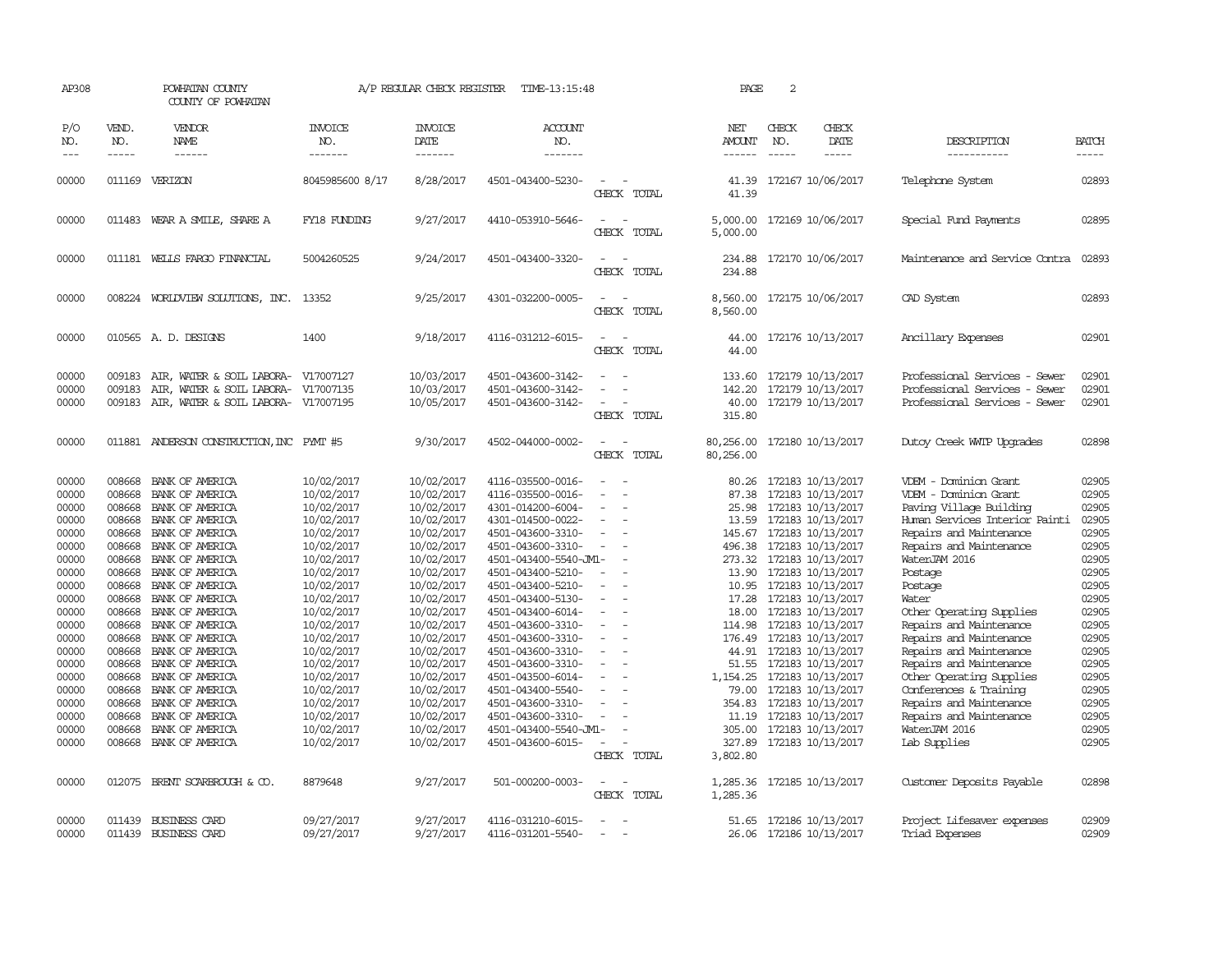| AP308                                                                                                                                                                                     |                                                                                        | POWHATAN COUNTY<br>COUNTY OF POWHATAN                                                                                                                                                                                                                                                                                                                                                                                                                                                           |                                                                                                                                                                                                                                                                                                    | A/P REGULAR CHECK REGISTER                                                                                                                                                                                                                                                                         | TIME-13:15:48                                                                                                                                                                                                                                                                                                                                                                                                                                                 |                                                                                                                                                                                                                                                                                         | PAGE                                                                                          | 2                                                                                                                                                                                                                                                                                                                                                                                                                                                                                                                                    |                                                                                                                                                                                                                                                                                                                                                                                                                                                                                                        |                                                                                                                                                                                           |
|-------------------------------------------------------------------------------------------------------------------------------------------------------------------------------------------|----------------------------------------------------------------------------------------|-------------------------------------------------------------------------------------------------------------------------------------------------------------------------------------------------------------------------------------------------------------------------------------------------------------------------------------------------------------------------------------------------------------------------------------------------------------------------------------------------|----------------------------------------------------------------------------------------------------------------------------------------------------------------------------------------------------------------------------------------------------------------------------------------------------|----------------------------------------------------------------------------------------------------------------------------------------------------------------------------------------------------------------------------------------------------------------------------------------------------|---------------------------------------------------------------------------------------------------------------------------------------------------------------------------------------------------------------------------------------------------------------------------------------------------------------------------------------------------------------------------------------------------------------------------------------------------------------|-----------------------------------------------------------------------------------------------------------------------------------------------------------------------------------------------------------------------------------------------------------------------------------------|-----------------------------------------------------------------------------------------------|--------------------------------------------------------------------------------------------------------------------------------------------------------------------------------------------------------------------------------------------------------------------------------------------------------------------------------------------------------------------------------------------------------------------------------------------------------------------------------------------------------------------------------------|--------------------------------------------------------------------------------------------------------------------------------------------------------------------------------------------------------------------------------------------------------------------------------------------------------------------------------------------------------------------------------------------------------------------------------------------------------------------------------------------------------|-------------------------------------------------------------------------------------------------------------------------------------------------------------------------------------------|
| P/O<br>NO.<br>$---$                                                                                                                                                                       | VEND.<br>NO.<br>$- - - - -$                                                            | VENDOR<br><b>NAME</b><br>------                                                                                                                                                                                                                                                                                                                                                                                                                                                                 | INVOICE<br>NO.<br>-------                                                                                                                                                                                                                                                                          | <b>INVOICE</b><br>DATE<br>-------                                                                                                                                                                                                                                                                  | ACCOUNT<br>NO.<br>-------                                                                                                                                                                                                                                                                                                                                                                                                                                     |                                                                                                                                                                                                                                                                                         | NET<br>AMOUNT<br>$- - - - - -$                                                                | CHECK<br>CHECK<br>NO.<br>DATE<br>$- - - - -$<br>$\frac{1}{2}$                                                                                                                                                                                                                                                                                                                                                                                                                                                                        | DESCRIPTION<br>-----------                                                                                                                                                                                                                                                                                                                                                                                                                                                                             | <b>BATCH</b><br>-----                                                                                                                                                                     |
| 00000                                                                                                                                                                                     |                                                                                        | 011169 VERIZON                                                                                                                                                                                                                                                                                                                                                                                                                                                                                  | 8045985600 8/17                                                                                                                                                                                                                                                                                    | 8/28/2017                                                                                                                                                                                                                                                                                          | 4501-043400-5230-                                                                                                                                                                                                                                                                                                                                                                                                                                             | $\sim$<br>CHECK TOTAL                                                                                                                                                                                                                                                                   | 41.39<br>41.39                                                                                | 172167 10/06/2017                                                                                                                                                                                                                                                                                                                                                                                                                                                                                                                    | Telephone System                                                                                                                                                                                                                                                                                                                                                                                                                                                                                       | 02893                                                                                                                                                                                     |
| 00000                                                                                                                                                                                     |                                                                                        | 011483 WEAR A SMILE, SHARE A                                                                                                                                                                                                                                                                                                                                                                                                                                                                    | FY18 FUNDING                                                                                                                                                                                                                                                                                       | 9/27/2017                                                                                                                                                                                                                                                                                          | 4410-053910-5646-                                                                                                                                                                                                                                                                                                                                                                                                                                             | $\equiv$<br>CHECK TOTAL                                                                                                                                                                                                                                                                 | 5,000.00<br>5,000.00                                                                          | 172169 10/06/2017                                                                                                                                                                                                                                                                                                                                                                                                                                                                                                                    | Special Fund Payments                                                                                                                                                                                                                                                                                                                                                                                                                                                                                  | 02895                                                                                                                                                                                     |
| 00000                                                                                                                                                                                     |                                                                                        | 011181 WELLS FARGO FINANCIAL                                                                                                                                                                                                                                                                                                                                                                                                                                                                    | 5004260525                                                                                                                                                                                                                                                                                         | 9/24/2017                                                                                                                                                                                                                                                                                          | 4501-043400-3320-                                                                                                                                                                                                                                                                                                                                                                                                                                             | $\equiv$<br>CHECK TOTAL                                                                                                                                                                                                                                                                 | 234.88<br>234.88                                                                              | 172170 10/06/2017                                                                                                                                                                                                                                                                                                                                                                                                                                                                                                                    | Maintenance and Service Contra                                                                                                                                                                                                                                                                                                                                                                                                                                                                         | 02893                                                                                                                                                                                     |
| 00000                                                                                                                                                                                     |                                                                                        | 008224 WORLDVIEW SOLUTIONS, INC. 13352                                                                                                                                                                                                                                                                                                                                                                                                                                                          |                                                                                                                                                                                                                                                                                                    | 9/25/2017                                                                                                                                                                                                                                                                                          | 4301-032200-0005-                                                                                                                                                                                                                                                                                                                                                                                                                                             | CHECK TOTAL                                                                                                                                                                                                                                                                             | 8,560.00                                                                                      | 8,560.00 172175 10/06/2017                                                                                                                                                                                                                                                                                                                                                                                                                                                                                                           | CAD System                                                                                                                                                                                                                                                                                                                                                                                                                                                                                             | 02893                                                                                                                                                                                     |
| 00000                                                                                                                                                                                     |                                                                                        | 010565 A.D. DESIGNS                                                                                                                                                                                                                                                                                                                                                                                                                                                                             | 1400                                                                                                                                                                                                                                                                                               | 9/18/2017                                                                                                                                                                                                                                                                                          | 4116-031212-6015-                                                                                                                                                                                                                                                                                                                                                                                                                                             | $\sim$<br>- -<br>CHECK TOTAL                                                                                                                                                                                                                                                            | 44.00                                                                                         | 44.00 172176 10/13/2017                                                                                                                                                                                                                                                                                                                                                                                                                                                                                                              | Ancillary Expenses                                                                                                                                                                                                                                                                                                                                                                                                                                                                                     | 02901                                                                                                                                                                                     |
| 00000<br>00000<br>00000                                                                                                                                                                   | 009183<br>009183<br>009183                                                             | AIR, WATER & SOIL LABORA- V17007127<br>AIR, WATER & SOIL LABORA- V17007135<br>AIR, WATER & SOIL LABORA- V17007195                                                                                                                                                                                                                                                                                                                                                                               |                                                                                                                                                                                                                                                                                                    | 10/03/2017<br>10/03/2017<br>10/05/2017                                                                                                                                                                                                                                                             | 4501-043600-3142-<br>4501-043600-3142-<br>4501-043600-3142-                                                                                                                                                                                                                                                                                                                                                                                                   | $\equiv$<br>$\sim$<br>CHECK TOTAL                                                                                                                                                                                                                                                       | 133.60<br>40.00<br>315.80                                                                     | 172179 10/13/2017<br>142.20 172179 10/13/2017<br>172179 10/13/2017                                                                                                                                                                                                                                                                                                                                                                                                                                                                   | Professional Services - Sewer<br>Professional Services - Sewer<br>Professional Services - Sewer                                                                                                                                                                                                                                                                                                                                                                                                        | 02901<br>02901<br>02901                                                                                                                                                                   |
| 00000                                                                                                                                                                                     |                                                                                        | 011881 ANDERSON CONSTRUCTION, INC PYMT #5                                                                                                                                                                                                                                                                                                                                                                                                                                                       |                                                                                                                                                                                                                                                                                                    | 9/30/2017                                                                                                                                                                                                                                                                                          | 4502-044000-0002-                                                                                                                                                                                                                                                                                                                                                                                                                                             | $\overline{\phantom{a}}$<br>CHECK TOTAL                                                                                                                                                                                                                                                 | 80,256.00                                                                                     | 80,256.00 172180 10/13/2017                                                                                                                                                                                                                                                                                                                                                                                                                                                                                                          | Dutoy Creek WITP Upgrades                                                                                                                                                                                                                                                                                                                                                                                                                                                                              | 02898                                                                                                                                                                                     |
| 00000<br>00000<br>00000<br>00000<br>00000<br>00000<br>00000<br>00000<br>00000<br>00000<br>00000<br>00000<br>00000<br>00000<br>00000<br>00000<br>00000<br>00000<br>00000<br>00000<br>00000 | 008668<br>008668<br>008668<br>008668<br>008668<br>008668<br>008668<br>008668<br>008668 | 008668 BANK OF AMERICA<br>BANK OF AMERICA<br>BANK OF AMERICA<br>BANK OF AMERICA<br>008668 BANK OF AMERICA<br>008668 BANK OF AMERICA<br>BANK OF AMERICA<br>008668 BANK OF AMERICA<br>008668 BANK OF AMERICA<br>BANK OF AMERICA<br>BANK OF AMERICA<br>008668 BANK OF AMERICA<br>008668 BANK OF AMERICA<br>008668 BANK OF AMERICA<br>008668 BANK OF AMERICA<br>BANK OF AMERICA<br>BANK OF AMERICA<br>008668 BANK OF AMERICA<br>BANK OF AMERICA<br>008668 BANK OF AMERICA<br>008668 BANK OF AMERICA | 10/02/2017<br>10/02/2017<br>10/02/2017<br>10/02/2017<br>10/02/2017<br>10/02/2017<br>10/02/2017<br>10/02/2017<br>10/02/2017<br>10/02/2017<br>10/02/2017<br>10/02/2017<br>10/02/2017<br>10/02/2017<br>10/02/2017<br>10/02/2017<br>10/02/2017<br>10/02/2017<br>10/02/2017<br>10/02/2017<br>10/02/2017 | 10/02/2017<br>10/02/2017<br>10/02/2017<br>10/02/2017<br>10/02/2017<br>10/02/2017<br>10/02/2017<br>10/02/2017<br>10/02/2017<br>10/02/2017<br>10/02/2017<br>10/02/2017<br>10/02/2017<br>10/02/2017<br>10/02/2017<br>10/02/2017<br>10/02/2017<br>10/02/2017<br>10/02/2017<br>10/02/2017<br>10/02/2017 | 4116-035500-0016-<br>4116-035500-0016-<br>4301-014200-6004-<br>4301-014500-0022-<br>4501-043600-3310-<br>4501-043600-3310-<br>4501-043400-5540-JM1-<br>4501-043400-5210-<br>4501-043400-5210-<br>4501-043400-5130-<br>4501-043400-6014-<br>4501-043600-3310-<br>4501-043600-3310-<br>4501-043600-3310-<br>4501-043600-3310-<br>4501-043500-6014-<br>4501-043400-5540-<br>4501-043600-3310-<br>4501-043600-3310-<br>4501-043400-5540-JM1-<br>4501-043600-6015- | $\sim$<br>$\equiv$<br>$\overline{\phantom{a}}$<br>$\overline{\phantom{a}}$<br>$\sim$<br>$\sim$<br>$\sim$<br>$\sim$<br>$\sim$<br>$\overline{\phantom{a}}$<br>$\sim$<br>$\sim$<br>$\equiv$<br>$\equiv$<br>$\overline{\phantom{a}}$<br>$\equiv$<br>$\overline{\phantom{a}}$<br>CHECK TOTAL | 87.38<br>25.98<br>13.59<br>10.95<br>17.28<br>18.00<br>1,154.25<br>354.83<br>11.19<br>3,802.80 | 80.26 172183 10/13/2017<br>172183 10/13/2017<br>172183 10/13/2017<br>172183 10/13/2017<br>145.67 172183 10/13/2017<br>496.38 172183 10/13/2017<br>273.32 172183 10/13/2017<br>13.90 172183 10/13/2017<br>172183 10/13/2017<br>172183 10/13/2017<br>172183 10/13/2017<br>114.98 172183 10/13/2017<br>176.49 172183 10/13/2017<br>44.91 172183 10/13/2017<br>51.55 172183 10/13/2017<br>172183 10/13/2017<br>79.00 172183 10/13/2017<br>172183 10/13/2017<br>172183 10/13/2017<br>305.00 172183 10/13/2017<br>327.89 172183 10/13/2017 | VDEM - Dominion Grant<br>VDEM - Dominion Grant<br>Paving Village Building<br>Human Services Interior Painti<br>Repairs and Maintenance<br>Repairs and Maintenance<br>WaterJAM 2016<br>Postage<br>Postage<br>Water<br>Other Operating Supplies<br>Repairs and Maintenance<br>Repairs and Maintenance<br>Repairs and Maintenance<br>Repairs and Maintenance<br>Other Operating Supplies<br>Conferences & Training<br>Repairs and Maintenance<br>Repairs and Maintenance<br>WaterJAM 2016<br>Lab Supplies | 02905<br>02905<br>02905<br>02905<br>02905<br>02905<br>02905<br>02905<br>02905<br>02905<br>02905<br>02905<br>02905<br>02905<br>02905<br>02905<br>02905<br>02905<br>02905<br>02905<br>02905 |
| 00000                                                                                                                                                                                     |                                                                                        | 012075 BRENT SCARBROUGH & CO.                                                                                                                                                                                                                                                                                                                                                                                                                                                                   | 8879648                                                                                                                                                                                                                                                                                            | 9/27/2017                                                                                                                                                                                                                                                                                          | 501-000200-0003-                                                                                                                                                                                                                                                                                                                                                                                                                                              | $\overline{\phantom{a}}$<br>$\sim$<br>CHECK TOTAL                                                                                                                                                                                                                                       | 1,285.36                                                                                      | 1,285.36 172185 10/13/2017                                                                                                                                                                                                                                                                                                                                                                                                                                                                                                           | Customer Deposits Payable                                                                                                                                                                                                                                                                                                                                                                                                                                                                              | 02898                                                                                                                                                                                     |
| 00000<br>00000                                                                                                                                                                            | 011439                                                                                 | 011439 BUSINESS CARD<br><b>BUSINESS CARD</b>                                                                                                                                                                                                                                                                                                                                                                                                                                                    | 09/27/2017<br>09/27/2017                                                                                                                                                                                                                                                                           | 9/27/2017<br>9/27/2017                                                                                                                                                                                                                                                                             | 4116-031210-6015-<br>4116-031201-5540-                                                                                                                                                                                                                                                                                                                                                                                                                        | $\sim$<br>$\equiv$                                                                                                                                                                                                                                                                      |                                                                                               | 51.65 172186 10/13/2017<br>26.06 172186 10/13/2017                                                                                                                                                                                                                                                                                                                                                                                                                                                                                   | Project Lifesaver expenses<br>Triad Expenses                                                                                                                                                                                                                                                                                                                                                                                                                                                           | 02909<br>02909                                                                                                                                                                            |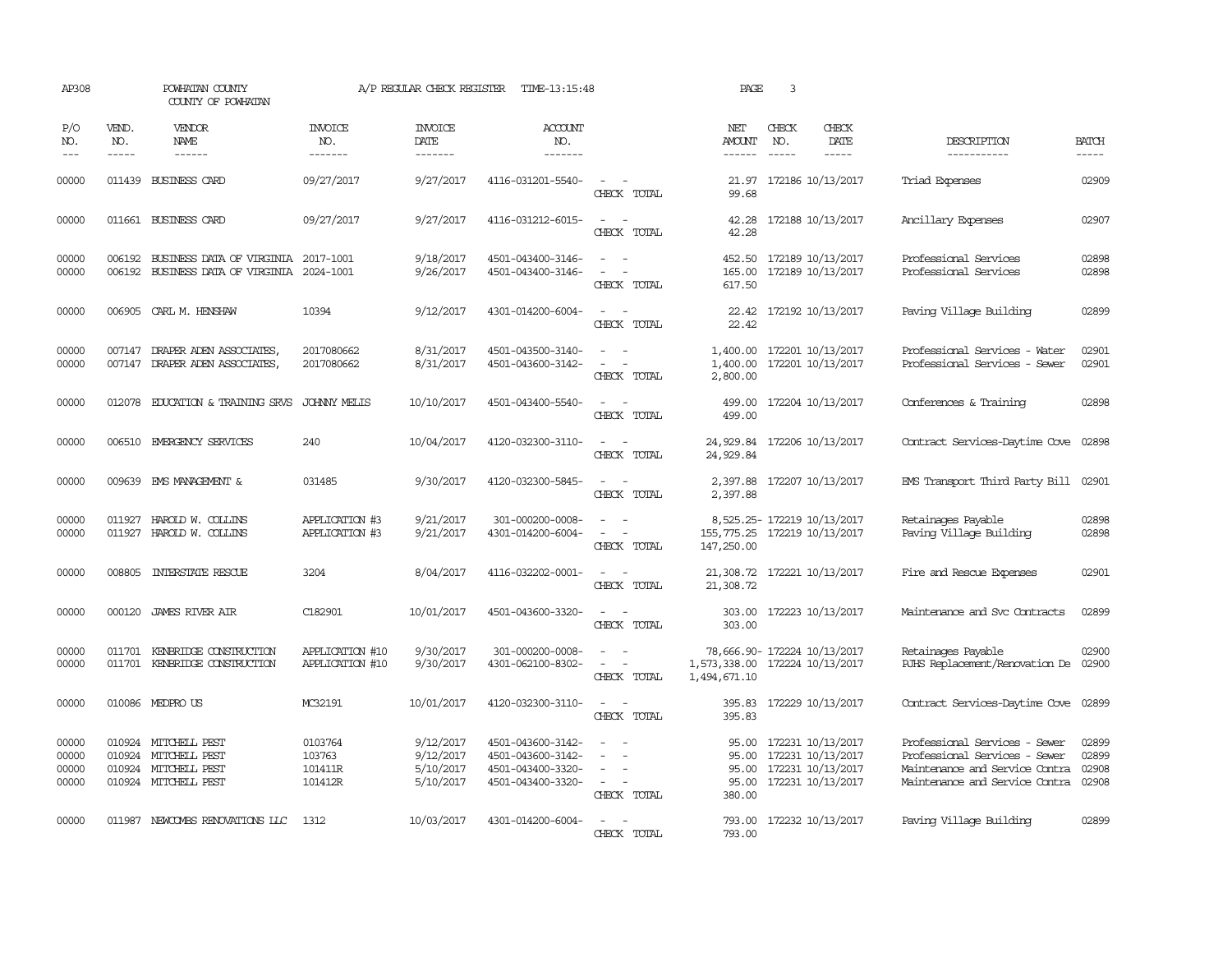| AP308                            |                             | POWHATAN COUNTY<br>COUNTY OF POWHATAN                                                        |                                         | A/P REGULAR CHECK REGISTER                       | TIME-13:15:48                                                                    |                                                                                                                                                      | PAGE                                           | 3                             |                                                                                                          |                                                                                                                                    |                                                                                                                                                                                                                                                                                                                                                                                                                                                                                                     |
|----------------------------------|-----------------------------|----------------------------------------------------------------------------------------------|-----------------------------------------|--------------------------------------------------|----------------------------------------------------------------------------------|------------------------------------------------------------------------------------------------------------------------------------------------------|------------------------------------------------|-------------------------------|----------------------------------------------------------------------------------------------------------|------------------------------------------------------------------------------------------------------------------------------------|-----------------------------------------------------------------------------------------------------------------------------------------------------------------------------------------------------------------------------------------------------------------------------------------------------------------------------------------------------------------------------------------------------------------------------------------------------------------------------------------------------|
| P/O<br>NO.<br>$---$              | VEND.<br>NO.<br>$- - - - -$ | VENDOR<br><b>NAME</b><br>$- - - - - -$                                                       | <b>INVOICE</b><br>NO.<br>-------        | <b>INVOICE</b><br>DATE<br>-------                | ACCOUNT<br>NO.<br>-------                                                        |                                                                                                                                                      | NET<br>AMOUNT<br>------                        | CHECK<br>NO.<br>$\frac{1}{2}$ | CHECK<br>DATE<br>$- - - - -$                                                                             | DESCRIPTION<br>-----------                                                                                                         | <b>BATCH</b><br>$\begin{tabular}{ccccc} \multicolumn{2}{c}{} & \multicolumn{2}{c}{} & \multicolumn{2}{c}{} & \multicolumn{2}{c}{} & \multicolumn{2}{c}{} & \multicolumn{2}{c}{} & \multicolumn{2}{c}{} & \multicolumn{2}{c}{} & \multicolumn{2}{c}{} & \multicolumn{2}{c}{} & \multicolumn{2}{c}{} & \multicolumn{2}{c}{} & \multicolumn{2}{c}{} & \multicolumn{2}{c}{} & \multicolumn{2}{c}{} & \multicolumn{2}{c}{} & \multicolumn{2}{c}{} & \multicolumn{2}{c}{} & \multicolumn{2}{c}{} & \mult$ |
| 00000                            |                             | 011439 BUSINESS CARD                                                                         | 09/27/2017                              | 9/27/2017                                        | 4116-031201-5540-                                                                | $\overline{\phantom{a}}$<br>CHECK TOTAL                                                                                                              | 21.97<br>99.68                                 |                               | 172186 10/13/2017                                                                                        | Triad Expenses                                                                                                                     | 02909                                                                                                                                                                                                                                                                                                                                                                                                                                                                                               |
| 00000                            |                             | 011661 BUSINESS CARD                                                                         | 09/27/2017                              | 9/27/2017                                        | 4116-031212-6015-                                                                | $\sim$<br>$\sim$<br>CHECK TOTAL                                                                                                                      | 42.28<br>42.28                                 |                               | 172188 10/13/2017                                                                                        | Ancillary Expenses                                                                                                                 | 02907                                                                                                                                                                                                                                                                                                                                                                                                                                                                                               |
| 00000<br>00000                   |                             | 006192 BUSINESS DATA OF VIRGINIA 2017-1001<br>006192 BUSINESS DATA OF VIRGINIA               | 2024-1001                               | 9/18/2017<br>9/26/2017                           | 4501-043400-3146-<br>4501-043400-3146-                                           | $\sim$ 100 $\sim$<br>$\sim$<br>$\sim$<br>CHECK TOTAL                                                                                                 | 165.00<br>617.50                               |                               | 452.50 172189 10/13/2017<br>172189 10/13/2017                                                            | Professional Services<br>Professional Services                                                                                     | 02898<br>02898                                                                                                                                                                                                                                                                                                                                                                                                                                                                                      |
| 00000                            |                             | 006905 CARL M. HENSHAW                                                                       | 10394                                   | 9/12/2017                                        | 4301-014200-6004-                                                                | $\overline{\phantom{a}}$<br>- -<br>CHECK TOTAL                                                                                                       | 22.42<br>22.42                                 |                               | 172192 10/13/2017                                                                                        | Paving Village Building                                                                                                            | 02899                                                                                                                                                                                                                                                                                                                                                                                                                                                                                               |
| 00000<br>00000                   | 007147                      | DRAPER ADEN ASSOCIATES<br>007147 DRAPER ADEN ASSOCIATES,                                     | 2017080662<br>2017080662                | 8/31/2017<br>8/31/2017                           | 4501-043500-3140-<br>4501-043600-3142-                                           | $\overline{\phantom{a}}$<br>$\sim$<br>$\sim$<br>CHECK TOTAL                                                                                          | 1,400.00<br>2,800.00                           |                               | 1,400.00 172201 10/13/2017<br>172201 10/13/2017                                                          | Professional Services - Water<br>Professional Services - Sewer                                                                     | 02901<br>02901                                                                                                                                                                                                                                                                                                                                                                                                                                                                                      |
| 00000                            |                             | 012078 EDUCATION & TRAINING SRVS                                                             | JOHNY MELIS                             | 10/10/2017                                       | 4501-043400-5540-                                                                | $\overline{a}$<br>$\sim$<br>CHECK TOTAL                                                                                                              | 499.00<br>499.00                               |                               | 172204 10/13/2017                                                                                        | Conferences & Training                                                                                                             | 02898                                                                                                                                                                                                                                                                                                                                                                                                                                                                                               |
| 00000                            |                             | 006510 EMERGENCY SERVICES                                                                    | 240                                     | 10/04/2017                                       | 4120-032300-3110-                                                                | $\sim$<br>$\sim$<br>CHECK TOTAL                                                                                                                      | 24,929.84<br>24,929.84                         |                               | 172206 10/13/2017                                                                                        | Contract Services-Daytime Cove                                                                                                     | 02898                                                                                                                                                                                                                                                                                                                                                                                                                                                                                               |
| 00000                            |                             | 009639 EMS MANAGEMENT &                                                                      | 031485                                  | 9/30/2017                                        | 4120-032300-5845-                                                                | $\sim$<br>$\sim$<br>CHECK TOTAL                                                                                                                      | 2,397.88                                       |                               | 2,397.88 172207 10/13/2017                                                                               | EMS Transport Third Party Bill 02901                                                                                               |                                                                                                                                                                                                                                                                                                                                                                                                                                                                                                     |
| 00000<br>00000                   |                             | 011927 HAROLD W. COLLINS<br>011927 HAROLD W. COLLINS                                         | APPLICATION #3<br>APPLICATION #3        | 9/21/2017<br>9/21/2017                           | 301-000200-0008-<br>4301-014200-6004-                                            | $\overline{\phantom{a}}$<br>$\sim$<br>$\sim$<br>$\sim$<br>CHECK TOTAL                                                                                | 155, 775.25 172219 10/13/2017<br>147,250.00    |                               | 8,525.25-172219 10/13/2017                                                                               | Retainages Payable<br>Paving Village Building                                                                                      | 02898<br>02898                                                                                                                                                                                                                                                                                                                                                                                                                                                                                      |
| 00000                            | 008805                      | INTERSTATE RESCUE                                                                            | 3204                                    | 8/04/2017                                        | 4116-032202-0001-                                                                | $\sim$ $ -$<br>CHECK TOTAL                                                                                                                           | 21,308.72                                      |                               | 21,308.72 172221 10/13/2017                                                                              | Fire and Rescue Expenses                                                                                                           | 02901                                                                                                                                                                                                                                                                                                                                                                                                                                                                                               |
| 00000                            |                             | 000120 JAMES RIVER AIR                                                                       | C182901                                 | 10/01/2017                                       | 4501-043600-3320-                                                                | $\sim$ 100 $\sim$<br>CHECK TOTAL                                                                                                                     | 303.00                                         |                               | 303.00 172223 10/13/2017                                                                                 | Maintenance and Svc Contracts                                                                                                      | 02899                                                                                                                                                                                                                                                                                                                                                                                                                                                                                               |
| 00000<br>00000                   | 011701                      | KENBRIDGE CONSTRUCTION<br>011701 KENBRIDGE CONSTRUCTION                                      | APPLICATION #10<br>APPLICATION #10      | 9/30/2017<br>9/30/2017                           | 301-000200-0008-<br>4301-062100-8302-                                            | $\equiv$<br>$\sim$<br>$\sim$<br>$\overline{\phantom{a}}$<br>CHECK TOTAL                                                                              | 1,573,338.00 172224 10/13/2017<br>1,494,671.10 |                               | 78,666.90-172224 10/13/2017                                                                              | Retainages Payable<br>RJHS Replacement/Renovation De                                                                               | 02900<br>02900                                                                                                                                                                                                                                                                                                                                                                                                                                                                                      |
| 00000                            |                             | 010086 MEDPRO US                                                                             | MC32191                                 | 10/01/2017                                       | 4120-032300-3110-                                                                | $\sim$ $\sim$<br>CHECK TOTAL                                                                                                                         | 395.83                                         |                               | 395.83 172229 10/13/2017                                                                                 | Contract Services-Daytime Cove 02899                                                                                               |                                                                                                                                                                                                                                                                                                                                                                                                                                                                                                     |
| 00000<br>00000<br>00000<br>00000 |                             | 010924 MITCHELL PEST<br>010924 MITCHELL PEST<br>010924 MITCHELL PEST<br>010924 MITCHELL PEST | 0103764<br>103763<br>101411R<br>101412R | 9/12/2017<br>9/12/2017<br>5/10/2017<br>5/10/2017 | 4501-043600-3142-<br>4501-043600-3142-<br>4501-043400-3320-<br>4501-043400-3320- | $\overline{\phantom{a}}$<br>$\overline{\phantom{a}}$<br>$\overline{\phantom{a}}$<br>$\overline{\phantom{a}}$<br>$\sim$<br>$\sim$ $ -$<br>CHECK TOTAL | 380.00                                         |                               | 95.00 172231 10/13/2017<br>95.00 172231 10/13/2017<br>95.00 172231 10/13/2017<br>95.00 172231 10/13/2017 | Professional Services - Sewer<br>Professional Services - Sewer<br>Maintenance and Service Contra<br>Maintenance and Service Contra | 02899<br>02899<br>02908<br>02908                                                                                                                                                                                                                                                                                                                                                                                                                                                                    |
| 00000                            |                             | 011987 NEWCOMBS RENOVATIONS LLC                                                              | 1312                                    | 10/03/2017                                       | 4301-014200-6004-                                                                | $\overline{\phantom{a}}$<br>$\sim$<br>CHECK TOTAL                                                                                                    | 793.00                                         |                               | 793.00 172232 10/13/2017                                                                                 | Paving Village Building                                                                                                            | 02899                                                                                                                                                                                                                                                                                                                                                                                                                                                                                               |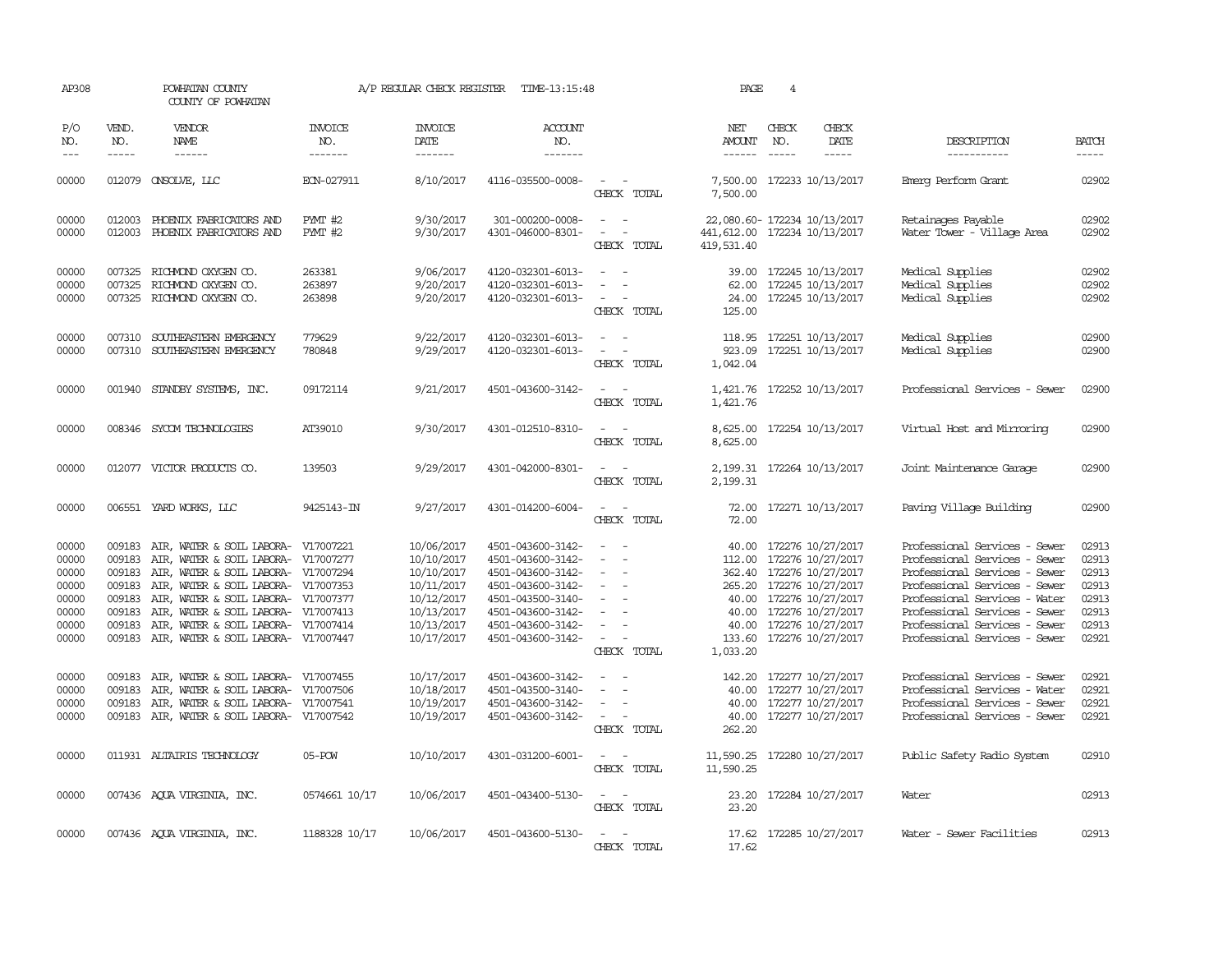| AP308                                                                |                               | POWHATAN COUNTY<br>COUNTY OF POWHATAN                                                                                                                                                                                                                                                                                                                   |                                  | A/P REGULAR CHECK REGISTER                                                                                   | TIME-13:15:48                                                                                                                                                        |                                                                                                                             | PAGE                                                                      | $\overline{4}$                |                                                                                                                                                                                                                          |                                                                                                                                                                                                                                                                      |                                                                      |
|----------------------------------------------------------------------|-------------------------------|---------------------------------------------------------------------------------------------------------------------------------------------------------------------------------------------------------------------------------------------------------------------------------------------------------------------------------------------------------|----------------------------------|--------------------------------------------------------------------------------------------------------------|----------------------------------------------------------------------------------------------------------------------------------------------------------------------|-----------------------------------------------------------------------------------------------------------------------------|---------------------------------------------------------------------------|-------------------------------|--------------------------------------------------------------------------------------------------------------------------------------------------------------------------------------------------------------------------|----------------------------------------------------------------------------------------------------------------------------------------------------------------------------------------------------------------------------------------------------------------------|----------------------------------------------------------------------|
| P/O<br>NO.<br>$ -$                                                   | VEND.<br>NO.<br>$\frac{1}{2}$ | VENDOR<br>NAME                                                                                                                                                                                                                                                                                                                                          | <b>INVOICE</b><br>NO.<br>------- | <b>INVOICE</b><br>DATE<br>$- - - - - - -$                                                                    | <b>ACCOUNT</b><br>NO.<br>-------                                                                                                                                     |                                                                                                                             | NET<br>AMOUNT                                                             | CHECK<br>NO.<br>$\frac{1}{2}$ | CHECK<br>DATE<br>$- - - - -$                                                                                                                                                                                             | DESCRIPTION<br>-----------                                                                                                                                                                                                                                           | <b>BATCH</b><br>$- - - - -$                                          |
| 00000                                                                |                               | 012079 CNSOLVE, LLC                                                                                                                                                                                                                                                                                                                                     | ECN-027911                       | 8/10/2017                                                                                                    | 4116-035500-0008-                                                                                                                                                    | $\sim$ 10 $\sim$ 10 $\sim$<br>CHECK TOTAL                                                                                   | 7,500.00                                                                  |                               | 7,500.00 172233 10/13/2017                                                                                                                                                                                               | Einerg Perform Grant                                                                                                                                                                                                                                                 | 02902                                                                |
| 00000<br>00000                                                       | 012003<br>012003              | PHOENIX FABRICATORS AND<br>PHOENIX FABRICATORS AND                                                                                                                                                                                                                                                                                                      | PMT #2<br>PMT #2                 | 9/30/2017<br>9/30/2017                                                                                       | 301-000200-0008-<br>4301-046000-8301-                                                                                                                                | $\sim$<br>$\sim$<br>$\equiv$<br>$\overline{\phantom{a}}$<br>CHECK TOTAL                                                     | 22,080.60-172234 10/13/2017<br>441,612.00 172234 10/13/2017<br>419,531.40 |                               |                                                                                                                                                                                                                          | Retainages Payable<br>Water Tower - Village Area                                                                                                                                                                                                                     | 02902<br>02902                                                       |
| 00000<br>00000<br>00000                                              | 007325                        | 007325 RICHMOND OXYGEN CO.<br>RICHMOND OXYGEN CO.<br>007325 RICHMOND OXYGEN CO.                                                                                                                                                                                                                                                                         | 263381<br>263897<br>263898       | 9/06/2017<br>9/20/2017<br>9/20/2017                                                                          | 4120-032301-6013-<br>4120-032301-6013-<br>4120-032301-6013-                                                                                                          | $\sim$<br>$\sim$<br>$\sim$ $-$<br>$\overline{\phantom{a}}$<br>CHECK TOTAL                                                   | 62.00<br>125.00                                                           |                               | 39.00 172245 10/13/2017<br>172245 10/13/2017<br>24.00 172245 10/13/2017                                                                                                                                                  | Medical Supplies<br>Medical Supplies<br>Medical Supplies                                                                                                                                                                                                             | 02902<br>02902<br>02902                                              |
| 00000<br>00000                                                       | 007310                        | SOUTHEASTERN EMERGENCY<br>007310 SOUTHEASTERN EMERGENCY                                                                                                                                                                                                                                                                                                 | 779629<br>780848                 | 9/22/2017<br>9/29/2017                                                                                       | 4120-032301-6013-<br>4120-032301-6013-                                                                                                                               | $\overline{\phantom{a}}$<br>$\sim$<br>$\overline{\phantom{a}}$<br>CHECK TOTAL                                               | 1,042.04                                                                  |                               | 118.95 172251 10/13/2017<br>923.09 172251 10/13/2017                                                                                                                                                                     | Medical Supplies<br>Medical Supplies                                                                                                                                                                                                                                 | 02900<br>02900                                                       |
| 00000                                                                | 001940                        | STANDBY SYSTEMS, INC.                                                                                                                                                                                                                                                                                                                                   | 09172114                         | 9/21/2017                                                                                                    | 4501-043600-3142-                                                                                                                                                    | CHECK TOTAL                                                                                                                 | 1,421.76                                                                  |                               | 1,421.76 172252 10/13/2017                                                                                                                                                                                               | Professional Services - Sewer                                                                                                                                                                                                                                        | 02900                                                                |
| 00000                                                                |                               | 008346 SYCOM TECHNOLOGIES                                                                                                                                                                                                                                                                                                                               | AT39010                          | 9/30/2017                                                                                                    | 4301-012510-8310-                                                                                                                                                    | CHECK TOTAL                                                                                                                 | 8,625.00<br>8,625.00                                                      |                               | 172254 10/13/2017                                                                                                                                                                                                        | Virtual Host and Mirroring                                                                                                                                                                                                                                           | 02900                                                                |
| 00000                                                                |                               | 012077 VICTOR PRODUCTS CO.                                                                                                                                                                                                                                                                                                                              | 139503                           | 9/29/2017                                                                                                    | 4301-042000-8301-                                                                                                                                                    | $\sim$ 100 $\mu$<br>CHECK TOTAL                                                                                             | 2,199.31                                                                  |                               | 2, 199.31 172264 10/13/2017                                                                                                                                                                                              | Joint Maintenance Garage                                                                                                                                                                                                                                             | 02900                                                                |
| 00000                                                                |                               | 006551 YARD WORKS, LLC                                                                                                                                                                                                                                                                                                                                  | 9425143-IN                       | 9/27/2017                                                                                                    | 4301-014200-6004-                                                                                                                                                    | $\overline{\phantom{a}}$<br>$\sim$<br>CHECK TOTAL                                                                           | 72.00                                                                     |                               | 72.00 172271 10/13/2017                                                                                                                                                                                                  | Paving Village Building                                                                                                                                                                                                                                              | 02900                                                                |
| 00000<br>00000<br>00000<br>00000<br>00000<br>00000<br>00000<br>00000 | 009183<br>009183<br>009183    | AIR, WATER & SOIL LABORA- V17007221<br>AIR, WATER & SOIL LABORA- V17007277<br>009183 AIR, WATER & SOIL LABORA- V17007294<br>009183 AIR, WATER & SOIL LABORA- V17007353<br>AIR, WATER & SOIL LABORA- V17007377<br>009183 AIR, WATER & SOIL LABORA- V17007413<br>009183 AIR, WATER & SOIL LABORA- V17007414<br>009183 AIR, WATER & SOIL LABORA- V17007447 |                                  | 10/06/2017<br>10/10/2017<br>10/10/2017<br>10/11/2017<br>10/12/2017<br>10/13/2017<br>10/13/2017<br>10/17/2017 | 4501-043600-3142-<br>4501-043600-3142-<br>4501-043600-3142-<br>4501-043600-3142-<br>4501-043500-3140-<br>4501-043600-3142-<br>4501-043600-3142-<br>4501-043600-3142- | $\equiv$<br>$\equiv$<br>$\equiv$<br>$\overline{\phantom{a}}$<br>$\overline{\phantom{a}}$<br>$\sim$ 100 $\mu$<br>CHECK TOTAL | 1,033.20                                                                  |                               | 40.00 172276 10/27/2017<br>112.00 172276 10/27/2017<br>362.40 172276 10/27/2017<br>265.20 172276 10/27/2017<br>40.00 172276 10/27/2017<br>40.00 172276 10/27/2017<br>40.00 172276 10/27/2017<br>133.60 172276 10/27/2017 | Professional Services - Sewer<br>Professional Services - Sewer<br>Professional Services - Sewer<br>Professional Services - Sewer<br>Professional Services - Water<br>Professional Services - Sewer<br>Professional Services - Sewer<br>Professional Services - Sewer | 02913<br>02913<br>02913<br>02913<br>02913<br>02913<br>02913<br>02921 |
| 00000<br>00000<br>00000<br>00000                                     | 009183<br>009183<br>009183    | AIR, WATER & SOIL LABORA- V17007455<br>AIR, WATER & SOIL LABORA- V17007506<br>AIR, WATER & SOIL LABORA- V17007541<br>009183 AIR, WATER & SOIL LABORA- V17007542                                                                                                                                                                                         |                                  | 10/17/2017<br>10/18/2017<br>10/19/2017<br>10/19/2017                                                         | 4501-043600-3142-<br>4501-043500-3140-<br>4501-043600-3142-<br>4501-043600-3142-                                                                                     | $\overline{\phantom{a}}$<br>$\equiv$<br>CHECK TOTAL                                                                         | 142.20<br>40.00<br>262.20                                                 |                               | 172277 10/27/2017<br>40.00 172277 10/27/2017<br>40.00 172277 10/27/2017<br>172277 10/27/2017                                                                                                                             | Professional Services - Sewer<br>Professional Services - Water<br>Professional Services - Sewer<br>Professional Services - Sewer                                                                                                                                     | 02921<br>02921<br>02921<br>02921                                     |
| 00000                                                                |                               | 011931 ALTAIRIS TECHNOLOGY                                                                                                                                                                                                                                                                                                                              | 05-POW                           | 10/10/2017                                                                                                   | 4301-031200-6001-                                                                                                                                                    | $\sim$ $\sim$<br>CHECK TOTAL                                                                                                | 11,590.25 172280 10/27/2017<br>11,590.25                                  |                               |                                                                                                                                                                                                                          | Public Safety Radio System                                                                                                                                                                                                                                           | 02910                                                                |
| 00000                                                                |                               | 007436 AQUA VIRGINIA, INC.                                                                                                                                                                                                                                                                                                                              | 0574661 10/17                    | 10/06/2017                                                                                                   | 4501-043400-5130-                                                                                                                                                    | $\frac{1}{2} \left( \frac{1}{2} \right) \left( \frac{1}{2} \right) = \frac{1}{2} \left( \frac{1}{2} \right)$<br>CHECK TOTAL | 23.20                                                                     |                               | 23.20 172284 10/27/2017                                                                                                                                                                                                  | Water                                                                                                                                                                                                                                                                | 02913                                                                |
| 00000                                                                |                               | 007436 AQUA VIRGINIA, INC.                                                                                                                                                                                                                                                                                                                              | 1188328 10/17                    | 10/06/2017                                                                                                   | 4501-043600-5130-                                                                                                                                                    | $\overline{a}$<br>$\overline{\phantom{a}}$<br>CHECK TOTAL                                                                   | 17.62                                                                     |                               | 17.62 172285 10/27/2017                                                                                                                                                                                                  | Water - Sewer Facilities                                                                                                                                                                                                                                             | 02913                                                                |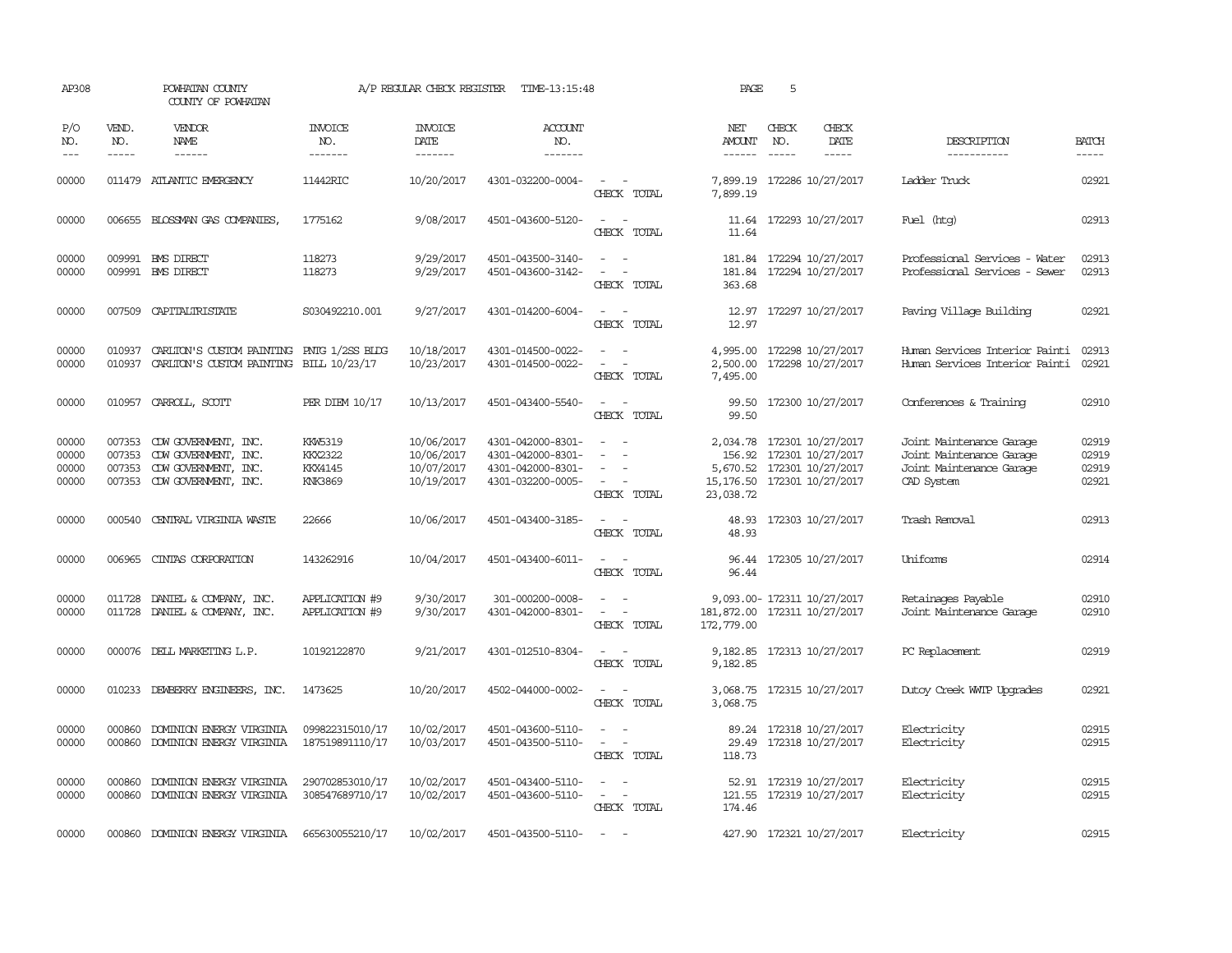| AP308                            |                             | POWHATAN COUNTY<br>COUNTY OF POWHATAN                                                                      |                                                               | A/P REGULAR CHECK REGISTER                           | TIME-13:15:48                                                                    |                                                                                                  | PAGE                                                | 5                           |                                                                               |                                                                                                |                                  |
|----------------------------------|-----------------------------|------------------------------------------------------------------------------------------------------------|---------------------------------------------------------------|------------------------------------------------------|----------------------------------------------------------------------------------|--------------------------------------------------------------------------------------------------|-----------------------------------------------------|-----------------------------|-------------------------------------------------------------------------------|------------------------------------------------------------------------------------------------|----------------------------------|
| P/O<br>NO.<br>$---$              | VEND.<br>NO.<br>$- - - - -$ | <b>VENDOR</b><br>NAME                                                                                      | <b>INVOICE</b><br>NO.<br>-------                              | <b>INVOICE</b><br>DATE<br>-------                    | <b>ACCOUNT</b><br>NO.<br>-------                                                 |                                                                                                  | NET<br>AMOUNT<br>------                             | CHECK<br>NO.<br>$- - - - -$ | CHECK<br>DATE<br>-----                                                        | DESCRIPTION<br>-----------                                                                     | <b>BATCH</b><br>-----            |
| 00000                            |                             | 011479 ATLANTIC EMERGENCY                                                                                  | 11442RIC                                                      | 10/20/2017                                           | 4301-032200-0004-                                                                | $\sim$ $\sim$<br>CHECK TOTAL                                                                     | 7,899.19<br>7,899.19                                |                             | 172286 10/27/2017                                                             | Ladder Truck                                                                                   | 02921                            |
| 00000                            |                             | 006655 BLOSSMAN GAS COMPANIES,                                                                             | 1775162                                                       | 9/08/2017                                            | 4501-043600-5120-                                                                | $\sim$ $  -$<br>CHECK TOTAL                                                                      | 11.64                                               |                             | 11.64 172293 10/27/2017                                                       | Fuel (htg)                                                                                     | 02913                            |
| 00000<br>00000                   |                             | 009991 BMS DIRECT<br>009991 BMS DIRECT                                                                     | 118273<br>118273                                              | 9/29/2017<br>9/29/2017                               | 4501-043500-3140-<br>4501-043600-3142-                                           | $\omega_{\rm{max}}$ and $\omega_{\rm{max}}$<br>$\overline{\phantom{a}}$<br>$\sim$<br>CHECK TOTAL | 181.84<br>363.68                                    |                             | 181.84 172294 10/27/2017<br>172294 10/27/2017                                 | Professional Services - Water<br>Professional Services - Sewer                                 | 02913<br>02913                   |
| 00000                            |                             | 007509 CAPITALIRISTATE                                                                                     | S030492210.001                                                | 9/27/2017                                            | 4301-014200-6004-                                                                | $\overline{\phantom{a}}$<br>CHECK TOTAL                                                          | 12.97<br>12.97                                      |                             | 172297 10/27/2017                                                             | Paving Village Building                                                                        | 02921                            |
| 00000<br>00000                   | 010937<br>010937            | CARLITON'S CUSTOM PAINTING<br>CARLITON'S CUSTOM PAINTING BILL 10/23/17                                     | PNTG 1/2SS BLDG                                               | 10/18/2017<br>10/23/2017                             | 4301-014500-0022-<br>4301-014500-0022-                                           | $\sim$<br>CHECK TOTAL                                                                            | 4,995.00<br>2,500.00<br>7,495.00                    |                             | 172298 10/27/2017<br>172298 10/27/2017                                        | Human Services Interior Painti<br>Human Services Interior Painti                               | 02913<br>02921                   |
| 00000                            |                             | 010957 CARROLL, SCOTT                                                                                      | PER DIEM 10/17                                                | 10/13/2017                                           | 4501-043400-5540-                                                                | $\sim$ 10 $\sim$ 10 $\sim$<br>CHECK TOTAL                                                        | 99.50<br>99.50                                      |                             | 172300 10/27/2017                                                             | Conferences & Training                                                                         | 02910                            |
| 00000<br>00000<br>00000<br>00000 | 007353<br>007353            | 007353 CDW GOVERNMENT, INC.<br>CDW GOVERNMENT, INC.<br>CDW GOVERNMENT, INC.<br>007353 CDW GOVERNMENT, INC. | <b>KKW5319</b><br><b>KKX2322</b><br>KKX4145<br><b>KNK3869</b> | 10/06/2017<br>10/06/2017<br>10/07/2017<br>10/19/2017 | 4301-042000-8301-<br>4301-042000-8301-<br>4301-042000-8301-<br>4301-032200-0005- | $\sim$ $\sim$<br>$\overline{\phantom{a}}$<br>CHECK TOTAL                                         | 156.92<br>15, 176.50 172301 10/27/2017<br>23,038.72 |                             | 2,034.78 172301 10/27/2017<br>172301 10/27/2017<br>5,670.52 172301 10/27/2017 | Joint Maintenance Garage<br>Joint Maintenance Garage<br>Joint Maintenance Garage<br>CAD System | 02919<br>02919<br>02919<br>02921 |
| 00000                            |                             | 000540 CENTRAL VIRGINIA WASTE                                                                              | 22666                                                         | 10/06/2017                                           | 4501-043400-3185-                                                                | $\sim$ $\sim$<br>CHECK TOTAL                                                                     | 48.93                                               |                             | 48.93 172303 10/27/2017                                                       | Trash Removal                                                                                  | 02913                            |
| 00000                            |                             | 006965 CINTAS CORPORATION                                                                                  | 143262916                                                     | 10/04/2017                                           | 4501-043400-6011-                                                                | $\sim$ $ \sim$<br>CHECK TOTAL                                                                    | 96.44                                               |                             | 96.44 172305 10/27/2017                                                       | Uniforms                                                                                       | 02914                            |
| 00000<br>00000                   |                             | 011728 DANIEL & COMPANY, INC.<br>011728 DANIEL & COMPANY, INC.                                             | APPLICATION #9<br>APPLICATION #9                              | 9/30/2017<br>9/30/2017                               | 301-000200-0008-<br>4301-042000-8301-                                            | CHECK TOTAL                                                                                      | 181,872.00 172311 10/27/2017<br>172,779.00          |                             | 9,093.00-172311 10/27/2017                                                    | Retainages Payable<br>Joint Maintenance Garage                                                 | 02910<br>02910                   |
| 00000                            |                             | 000076 DELL MARKETING L.P.                                                                                 | 10192122870                                                   | 9/21/2017                                            | 4301-012510-8304-                                                                | CHECK TOTAL                                                                                      | 9,182.85                                            |                             | 9, 182.85 172313 10/27/2017                                                   | PC Replacement                                                                                 | 02919                            |
| 00000                            |                             | 010233 DEWBERRY ENGINEERS, INC.                                                                            | 1473625                                                       | 10/20/2017                                           | 4502-044000-0002-                                                                | $\sim$ 100 $\sim$ 100 $\sim$<br>CHECK TOTAL                                                      | 3,068.75                                            |                             | 3,068.75 172315 10/27/2017                                                    | Dutoy Creek WITP Upgrades                                                                      | 02921                            |
| 00000<br>00000                   | 000860                      | DOMINION ENERGY VIRGINIA<br>000860 DOMINION ENERGY VIRGINIA                                                | 099822315010/17<br>187519891110/17                            | 10/02/2017<br>10/03/2017                             | 4501-043600-5110-<br>4501-043500-5110-                                           | $\omega_{\rm{max}}$ and $\omega_{\rm{max}}$<br>CHECK TOTAL                                       | 29.49<br>118.73                                     |                             | 89.24 172318 10/27/2017<br>172318 10/27/2017                                  | Electricity<br>Electricity                                                                     | 02915<br>02915                   |
| 00000<br>00000                   | 000860                      | DOMINION ENERGY VIRGINIA<br>000860 DOMINION ENERGY VIRGINIA                                                | 290702853010/17<br>308547689710/17                            | 10/02/2017<br>10/02/2017                             | 4501-043400-5110-<br>4501-043600-5110-                                           | $\overline{\phantom{a}}$<br>$\sim$<br>CHECK TOTAL                                                | 174.46                                              |                             | 52.91 172319 10/27/2017<br>121.55 172319 10/27/2017                           | Electricity<br>Electricity                                                                     | 02915<br>02915                   |
| 00000                            |                             | 000860 DOMINION ENERGY VIRGINIA                                                                            | 665630055210/17                                               | 10/02/2017                                           | 4501-043500-5110-                                                                | $\sim$ $\sim$                                                                                    |                                                     |                             | 427.90 172321 10/27/2017                                                      | Electricity                                                                                    | 02915                            |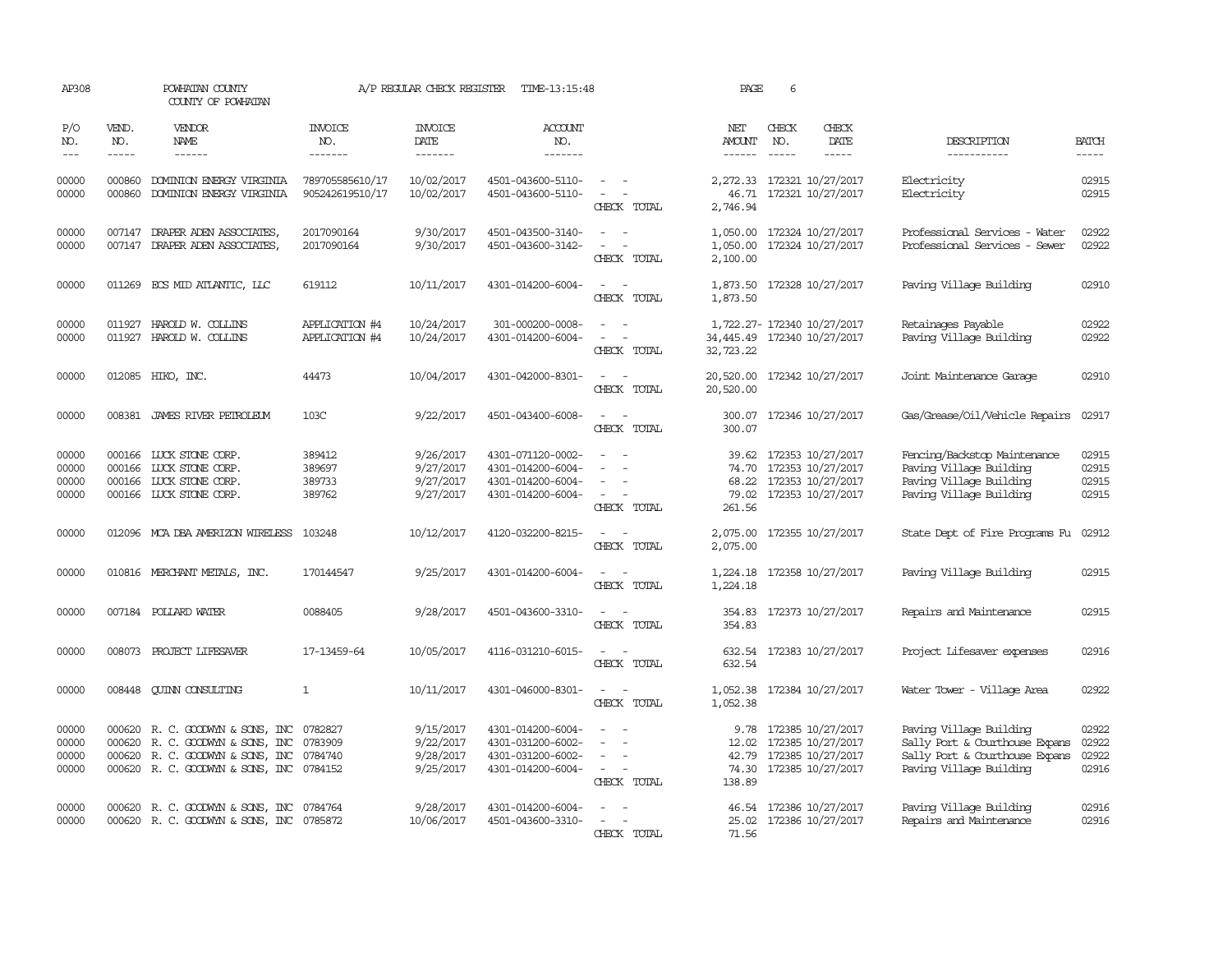| AP308                            |                             | POWHATAN COUNTY<br>COUNTY OF POWHATAN                                                                                                         |                                      | A/P REGULAR CHECK REGISTER                       | TIME-13:15:48                                                                    |                                                                                                                                                                     | PAGE                             | 6                             |                                                                                              |                                                                                                                        |                                  |
|----------------------------------|-----------------------------|-----------------------------------------------------------------------------------------------------------------------------------------------|--------------------------------------|--------------------------------------------------|----------------------------------------------------------------------------------|---------------------------------------------------------------------------------------------------------------------------------------------------------------------|----------------------------------|-------------------------------|----------------------------------------------------------------------------------------------|------------------------------------------------------------------------------------------------------------------------|----------------------------------|
| P/O<br>NO.<br>$---$              | VEND.<br>NO.<br>$- - - - -$ | VENDOR<br>NAME<br>$- - - - - -$                                                                                                               | INVOICE<br>NO.<br>-------            | <b>INVOICE</b><br>DATE<br>-------                | ACCOUNT<br>NO.<br>-------                                                        |                                                                                                                                                                     | NET<br>AMOUNT<br>$- - - - - -$   | CHECK<br>NO.<br>$\frac{1}{2}$ | CHECK<br>DATE<br>-----                                                                       | DESCRIPTION<br>-----------                                                                                             | <b>BATCH</b><br>$- - - - -$      |
| 00000<br>00000                   | 000860<br>000860            | DOMINION ENERGY VIRGINIA<br>DOMINION ENERGY VIRGINIA                                                                                          | 789705585610/17<br>905242619510/17   | 10/02/2017<br>10/02/2017                         | 4501-043600-5110-<br>4501-043600-5110-                                           | $\sim$ $ -$<br>$\overline{\phantom{a}}$<br>$\overline{a}$<br>CHECK TOTAL                                                                                            | 46.71<br>2,746.94                |                               | 2,272.33 172321 10/27/2017<br>172321 10/27/2017                                              | Electricity<br>Electricity                                                                                             | 02915<br>02915                   |
| 00000<br>00000                   | 007147                      | DRAPER ADEN ASSOCIATES,<br>007147 DRAPER ADEN ASSOCIATES,                                                                                     | 2017090164<br>2017090164             | 9/30/2017<br>9/30/2017                           | 4501-043500-3140-<br>4501-043600-3142-                                           | CHECK TOTAL                                                                                                                                                         | 1,050.00<br>1,050.00<br>2,100.00 |                               | 172324 10/27/2017<br>172324 10/27/2017                                                       | Professional Services - Water<br>Professional Services - Sewer                                                         | 02922<br>02922                   |
| 00000                            |                             | 011269 ECS MID ATLANTIC, LLC                                                                                                                  | 619112                               | 10/11/2017                                       | 4301-014200-6004-                                                                | $\sim$<br>$\sim$<br>CHECK TOTAL                                                                                                                                     | 1,873.50<br>1,873.50             |                               | 172328 10/27/2017                                                                            | Paving Village Building                                                                                                | 02910                            |
| 00000<br>00000                   |                             | 011927 HAROLD W. COLLINS<br>011927 HAROLD W. COLLINS                                                                                          | APPLICATION #4<br>APPLICATION #4     | 10/24/2017<br>10/24/2017                         | 301-000200-0008-<br>4301-014200-6004-                                            | $\equiv$<br>$\sim$<br>$\equiv$<br>$\sim$<br>CHECK TOTAL                                                                                                             | 34,445.49<br>32,723.22           |                               | 1,722.27- 172340 10/27/2017<br>172340 10/27/2017                                             | Retainages Payable<br>Paving Village Building                                                                          | 02922<br>02922                   |
| 00000                            |                             | 012085 HIKO, INC.                                                                                                                             | 44473                                | 10/04/2017                                       | 4301-042000-8301-                                                                | $\sim$ $ -$<br>CHECK TOTAL                                                                                                                                          | 20,520.00<br>20,520.00           |                               | 172342 10/27/2017                                                                            | Joint Maintenance Garage                                                                                               | 02910                            |
| 00000                            |                             | 008381 JAMES RIVER PEIROLEUM                                                                                                                  | 103C                                 | 9/22/2017                                        | 4501-043400-6008-                                                                | $\frac{1}{2} \left( \frac{1}{2} \right) \left( \frac{1}{2} \right) = \frac{1}{2} \left( \frac{1}{2} \right)$<br>CHECK TOTAL                                         | 300.07<br>300.07                 |                               | 172346 10/27/2017                                                                            | Gas/Grease/Oil/Vehicle Repairs                                                                                         | 02917                            |
| 00000<br>00000<br>00000<br>00000 |                             | 000166 LUCK STONE CORP.<br>000166 LUCK STONE CORP.<br>000166 LUCK STONE CORP.<br>000166 LUCK STONE CORP.                                      | 389412<br>389697<br>389733<br>389762 | 9/26/2017<br>9/27/2017<br>9/27/2017<br>9/27/2017 | 4301-071120-0002-<br>4301-014200-6004-<br>4301-014200-6004-<br>4301-014200-6004- | $\equiv$<br>$\sim$<br>CHECK TOTAL                                                                                                                                   | 39.62<br>68.22<br>261.56         |                               | 172353 10/27/2017<br>74.70 172353 10/27/2017<br>172353 10/27/2017<br>79.02 172353 10/27/2017 | Fencing/Backstop Maintenance<br>Paving Village Building<br>Paving Village Building<br>Paving Village Building          | 02915<br>02915<br>02915<br>02915 |
| 00000                            |                             | 012096 MCA DBA AMERIZON WIRELESS 103248                                                                                                       |                                      | 10/12/2017                                       | 4120-032200-8215-                                                                | $\overline{\phantom{a}}$<br>CHECK TOTAL                                                                                                                             | 2,075.00<br>2,075.00             |                               | 172355 10/27/2017                                                                            | State Dept of Fire Programs Fu                                                                                         | 02912                            |
| 00000                            |                             | 010816 MERCHANT METALS, INC.                                                                                                                  | 170144547                            | 9/25/2017                                        | 4301-014200-6004-                                                                | CHECK TOTAL                                                                                                                                                         | 1,224.18<br>1,224.18             |                               | 172358 10/27/2017                                                                            | Paving Village Building                                                                                                | 02915                            |
| 00000                            |                             | 007184 POLLARD WATER                                                                                                                          | 0088405                              | 9/28/2017                                        | 4501-043600-3310-                                                                | CHECK TOTAL                                                                                                                                                         | 354.83<br>354.83                 |                               | 172373 10/27/2017                                                                            | Repairs and Maintenance                                                                                                | 02915                            |
| 00000                            |                             | 008073 PROJECT LIFESAVER                                                                                                                      | 17-13459-64                          | 10/05/2017                                       | 4116-031210-6015-                                                                | $\sim$<br>CHECK TOTAL                                                                                                                                               | 632.54                           |                               | 632.54 172383 10/27/2017                                                                     | Project Lifesaver expenses                                                                                             | 02916                            |
| 00000                            |                             | 008448 CUINN CONSULTING                                                                                                                       | $\mathbf{1}$                         | 10/11/2017                                       | 4301-046000-8301-                                                                | $\sim$ $ \sim$<br>CHECK TOTAL                                                                                                                                       | 1,052.38                         |                               | 1,052.38 172384 10/27/2017                                                                   | Water Tower - Village Area                                                                                             | 02922                            |
| 00000<br>00000<br>00000<br>00000 | 000620                      | 000620 R. C. GOODWYN & SONS, INC<br>000620 R. C. GOODWYN & SONS, INC<br>R. C. GOODWYN & SONS, INC<br>000620 R. C. GOODWYN & SONS, INC 0784152 | 0782827<br>0783909<br>0784740        | 9/15/2017<br>9/22/2017<br>9/28/2017<br>9/25/2017 | 4301-014200-6004-<br>4301-031200-6002-<br>4301-031200-6002-<br>4301-014200-6004- | $\equiv$<br>$\overline{\phantom{a}}$<br>$\frac{1}{2} \left( \frac{1}{2} \right) \left( \frac{1}{2} \right) = \frac{1}{2} \left( \frac{1}{2} \right)$<br>CHECK TOTAL | 9.78<br>12.02<br>42.79<br>138.89 |                               | 172385 10/27/2017<br>172385 10/27/2017<br>172385 10/27/2017<br>74.30 172385 10/27/2017       | Paving Village Building<br>Sally Port & Courthouse Expans<br>Sally Port & Courthouse Expans<br>Paving Village Building | 02922<br>02922<br>02922<br>02916 |
| 00000<br>00000                   |                             | 000620 R. C. GOODWYN & SONS, INC<br>000620 R.C. GOODWYN & SONS, INC 0785872                                                                   | 0784764                              | 9/28/2017<br>10/06/2017                          | 4301-014200-6004-<br>4501-043600-3310-                                           | $\overline{\phantom{a}}$<br>CHECK TOTAL                                                                                                                             | 46.54<br>71.56                   |                               | 172386 10/27/2017<br>25.02 172386 10/27/2017                                                 | Paving Village Building<br>Repairs and Maintenance                                                                     | 02916<br>02916                   |